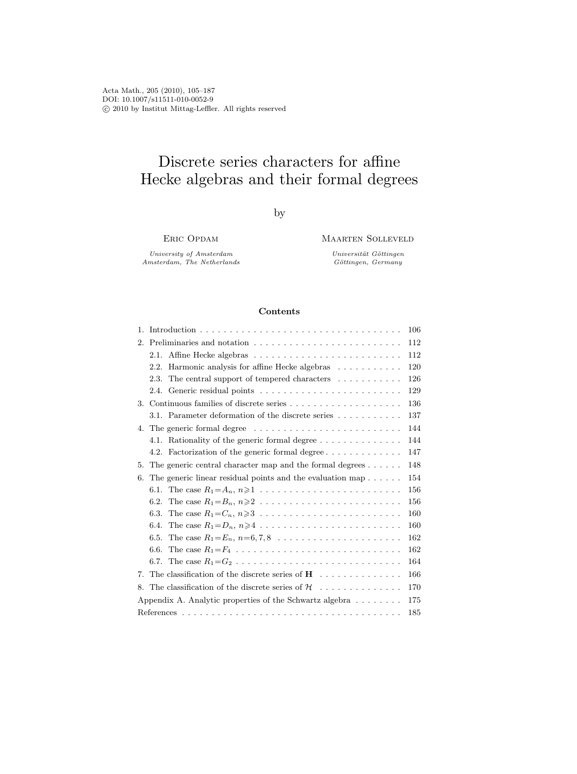Acta Math., 205 (2010), 105–187 DOI: 10.1007/s11511-010-0052-9  $\copyright$  2010 by Institut Mittag-Leffler. All rights reserved

# Discrete series characters for affine Hecke algebras and their formal degrees

by

Eric Opdam

University of Amsterdam Amsterdam, The Netherlands Maarten Solleveld

Universität Göttingen  $Göttingen,~Germany$ 

## Contents

| 1. |                                                                                                    | 106 |
|----|----------------------------------------------------------------------------------------------------|-----|
| 2. |                                                                                                    | 112 |
|    |                                                                                                    | 112 |
|    | Harmonic analysis for affine Hecke algebras<br>2.2.                                                | 120 |
|    | The central support of tempered characters $\dots \dots \dots$<br>2.3.                             | 126 |
|    |                                                                                                    | 129 |
|    |                                                                                                    | 136 |
|    | 3.1. Parameter deformation of the discrete series                                                  | 137 |
|    | 4. The generic formal degree $\dots \dots \dots \dots \dots \dots \dots \dots \dots$               | 144 |
|    | 4.1. Rationality of the generic formal degree                                                      | 144 |
|    | Factorization of the generic formal degree<br>4.2.                                                 | 147 |
| 5. | The generic central character map and the formal degrees $\dots \dots$                             | 148 |
| 6. | The generic linear residual points and the evaluation map $\dots \dots$                            | 154 |
|    | The case $R_1 = A_n, n \ge 1, \ldots, \ldots, \ldots, \ldots, \ldots, \ldots$<br>6.1.              | 156 |
|    | 6.2.                                                                                               | 156 |
|    | 6.3.                                                                                               | 160 |
|    | 6.4.                                                                                               | 160 |
|    | 6.5.                                                                                               | 162 |
|    | The case $R_1 = F_4 \ldots \ldots \ldots \ldots \ldots \ldots \ldots \ldots \ldots \ldots$<br>6.6. | 162 |
|    | The case $R_1 = G_2 \ldots \ldots \ldots \ldots \ldots \ldots \ldots \ldots \ldots \ldots$<br>6.7. | 164 |
| 7. | The classification of the discrete series of $H \dots \dots \dots \dots$                           | 166 |
| 8. | The classification of the discrete series of $\mathcal{H} \dots \dots \dots \dots$                 | 170 |
|    | Appendix A. Analytic properties of the Schwartz algebra $\dots \dots$                              | 175 |
|    |                                                                                                    | 185 |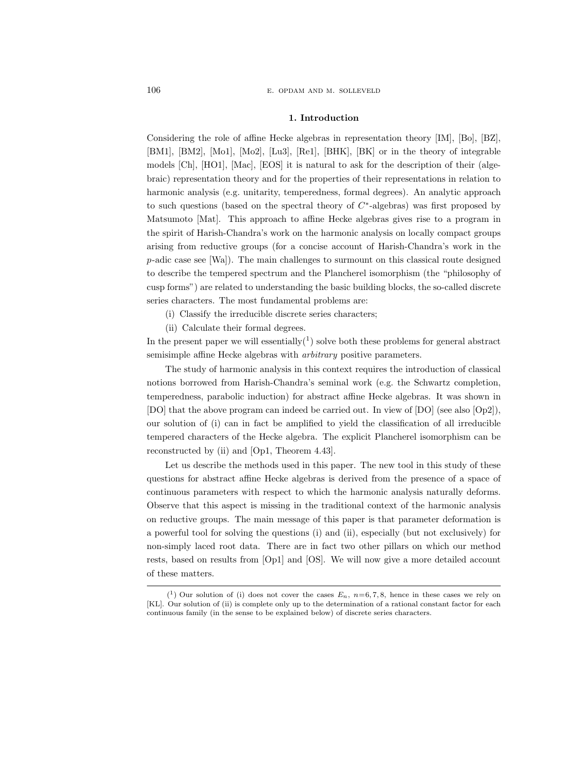#### 1. Introduction

Considering the role of affine Hecke algebras in representation theory [IM], [Bo], [BZ], [BM1], [BM2], [Mo1], [Mo2], [Lu3], [Re1], [BHK], [BK] or in the theory of integrable models [Ch], [HO1], [Mac], [EOS] it is natural to ask for the description of their (algebraic) representation theory and for the properties of their representations in relation to harmonic analysis (e.g. unitarity, temperedness, formal degrees). An analytic approach to such questions (based on the spectral theory of  $C^*$ -algebras) was first proposed by Matsumoto [Mat]. This approach to affine Hecke algebras gives rise to a program in the spirit of Harish-Chandra's work on the harmonic analysis on locally compact groups arising from reductive groups (for a concise account of Harish-Chandra's work in the  $p$ -adic case see [Wa]). The main challenges to surmount on this classical route designed to describe the tempered spectrum and the Plancherel isomorphism (the "philosophy of cusp forms") are related to understanding the basic building blocks, the so-called discrete series characters. The most fundamental problems are:

- (i) Classify the irreducible discrete series characters;
- (ii) Calculate their formal degrees.

In the present paper we will essentially $(1)$  solve both these problems for general abstract semisimple affine Hecke algebras with arbitrary positive parameters.

The study of harmonic analysis in this context requires the introduction of classical notions borrowed from Harish-Chandra's seminal work (e.g. the Schwartz completion, temperedness, parabolic induction) for abstract affine Hecke algebras. It was shown in [DO] that the above program can indeed be carried out. In view of [DO] (see also [Op2]), our solution of (i) can in fact be amplified to yield the classification of all irreducible tempered characters of the Hecke algebra. The explicit Plancherel isomorphism can be reconstructed by (ii) and [Op1, Theorem 4.43].

Let us describe the methods used in this paper. The new tool in this study of these questions for abstract affine Hecke algebras is derived from the presence of a space of continuous parameters with respect to which the harmonic analysis naturally deforms. Observe that this aspect is missing in the traditional context of the harmonic analysis on reductive groups. The main message of this paper is that parameter deformation is a powerful tool for solving the questions (i) and (ii), especially (but not exclusively) for non-simply laced root data. There are in fact two other pillars on which our method rests, based on results from [Op1] and [OS]. We will now give a more detailed account of these matters.

 $(1)$  Our solution of (i) does not cover the cases  $E_n$ ,  $n=6, 7, 8$ , hence in these cases we rely on [KL]. Our solution of (ii) is complete only up to the determination of a rational constant factor for each continuous family (in the sense to be explained below) of discrete series characters.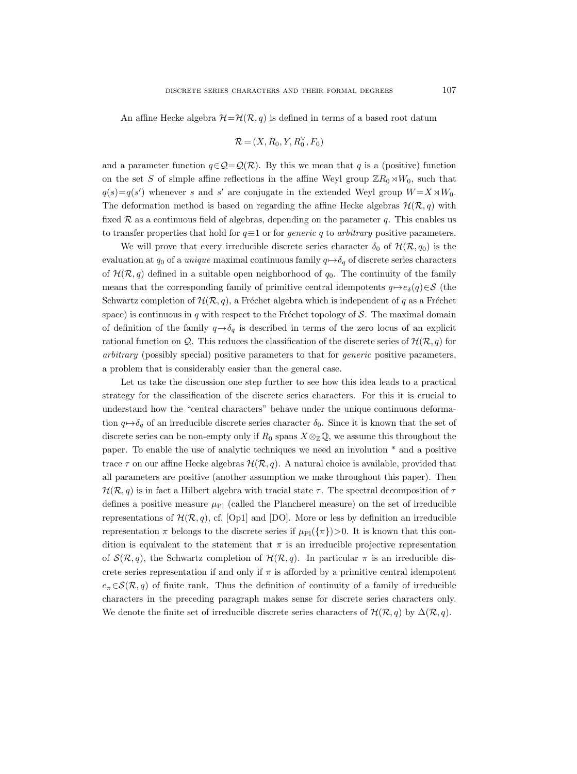An affine Hecke algebra  $\mathcal{H}=\mathcal{H}(\mathcal{R}, q)$  is defined in terms of a based root datum

$$
\mathcal{R} = (X, R_0, Y, R_0^{\vee}, F_0)
$$

and a parameter function  $q \in \mathcal{Q} = \mathcal{Q}(\mathcal{R})$ . By this we mean that q is a (positive) function on the set S of simple affine reflections in the affine Weyl group  $\mathbb{Z}R_0\rtimes W_0$ , such that  $q(s) = q(s')$  whenever s and s' are conjugate in the extended Weyl group  $W = X \rtimes W_0$ . The deformation method is based on regarding the affine Hecke algebras  $\mathcal{H}(\mathcal{R}, q)$  with fixed  $\mathcal R$  as a continuous field of algebras, depending on the parameter q. This enables us to transfer properties that hold for  $q \equiv 1$  or for *generic q* to *arbitrary* positive parameters.

We will prove that every irreducible discrete series character  $\delta_0$  of  $\mathcal{H}(\mathcal{R}, q_0)$  is the evaluation at  $q_0$  of a *unique* maximal continuous family  $q \mapsto \delta_q$  of discrete series characters of  $\mathcal{H}(\mathcal{R}, q)$  defined in a suitable open neighborhood of  $q_0$ . The continuity of the family means that the corresponding family of primitive central idempotents  $q \mapsto e_{\delta}(q) \in \mathcal{S}$  (the Schwartz completion of  $\mathcal{H}(\mathcal{R}, q)$ , a Fréchet algebra which is independent of q as a Fréchet space) is continuous in q with respect to the Fréchet topology of  $S$ . The maximal domain of definition of the family  $q \rightarrow \delta_q$  is described in terms of the zero locus of an explicit rational function on Q. This reduces the classification of the discrete series of  $\mathcal{H}(\mathcal{R}, q)$  for arbitrary (possibly special) positive parameters to that for generic positive parameters, a problem that is considerably easier than the general case.

Let us take the discussion one step further to see how this idea leads to a practical strategy for the classification of the discrete series characters. For this it is crucial to understand how the "central characters" behave under the unique continuous deformation  $q \mapsto \delta_q$  of an irreducible discrete series character  $\delta_0$ . Since it is known that the set of discrete series can be non-empty only if  $R_0$  spans  $X \otimes_{\mathbb{Z}} \mathbb{Q}$ , we assume this throughout the paper. To enable the use of analytic techniques we need an involution \* and a positive trace  $\tau$  on our affine Hecke algebras  $\mathcal{H}(\mathcal{R}, q)$ . A natural choice is available, provided that all parameters are positive (another assumption we make throughout this paper). Then  $\mathcal{H}(\mathcal{R}, q)$  is in fact a Hilbert algebra with tracial state  $\tau$ . The spectral decomposition of  $\tau$ defines a positive measure  $\mu_{\text{Pl}}$  (called the Plancherel measure) on the set of irreducible representations of  $\mathcal{H}(\mathcal{R}, q)$ , cf. [Op1] and [DO]. More or less by definition an irreducible representation  $\pi$  belongs to the discrete series if  $\mu_{\text{Pl}}(\{\pi\})>0$ . It is known that this condition is equivalent to the statement that  $\pi$  is an irreducible projective representation of  $\mathcal{S}(\mathcal{R}, q)$ , the Schwartz completion of  $\mathcal{H}(\mathcal{R}, q)$ . In particular  $\pi$  is an irreducible discrete series representation if and only if  $\pi$  is afforded by a primitive central idempotent  $e_{\pi} \in \mathcal{S}(\mathcal{R}, q)$  of finite rank. Thus the definition of continuity of a family of irreducible characters in the preceding paragraph makes sense for discrete series characters only. We denote the finite set of irreducible discrete series characters of  $\mathcal{H}(\mathcal{R}, q)$  by  $\Delta(\mathcal{R}, q)$ .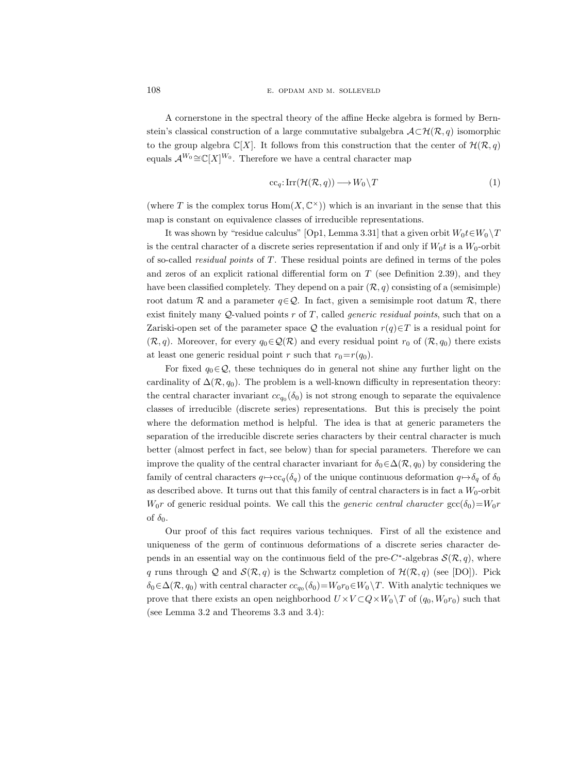A cornerstone in the spectral theory of the affine Hecke algebra is formed by Bernstein's classical construction of a large commutative subalgebra  $\mathcal{A}\subset\mathcal{H}(\mathcal{R}, q)$  isomorphic to the group algebra  $\mathbb{C}[X]$ . It follows from this construction that the center of  $\mathcal{H}(\mathcal{R}, q)$ equals  $\mathcal{A}^{W_0} \cong \mathbb{C}[X]^{W_0}$ . Therefore we have a central character map

$$
cc_q: Irr(\mathcal{H}(\mathcal{R}, q)) \longrightarrow W_0 \backslash T \tag{1}
$$

(where T is the complex torus  $Hom(X, \mathbb{C}^{\times})$ ) which is an invariant in the sense that this map is constant on equivalence classes of irreducible representations.

It was shown by "residue calculus" [Op1, Lemma 3.31] that a given orbit  $W_0 t \in W_0 \backslash T$ is the central character of a discrete series representation if and only if  $W_0 t$  is a  $W_0$ -orbit of so-called *residual points* of  $T$ . These residual points are defined in terms of the poles and zeros of an explicit rational differential form on  $T$  (see Definition 2.39), and they have been classified completely. They depend on a pair  $(\mathcal{R}, q)$  consisting of a (semisimple) root datum R and a parameter  $q \in \mathcal{Q}$ . In fact, given a semisimple root datum R, there exist finitely many  $Q$ -valued points r of T, called *generic residual points*, such that on a Zariski-open set of the parameter space Q the evaluation  $r(q) \in T$  is a residual point for  $(\mathcal{R}, q)$ . Moreover, for every  $q_0 \in \mathcal{Q}(\mathcal{R})$  and every residual point  $r_0$  of  $(\mathcal{R}, q_0)$  there exists at least one generic residual point r such that  $r_0=r(q_0)$ .

For fixed  $q_0 \in \mathcal{Q}$ , these techniques do in general not shine any further light on the cardinality of  $\Delta(\mathcal{R}, q_0)$ . The problem is a well-known difficulty in representation theory: the central character invariant  $cc_{q_0}(\delta_0)$  is not strong enough to separate the equivalence classes of irreducible (discrete series) representations. But this is precisely the point where the deformation method is helpful. The idea is that at generic parameters the separation of the irreducible discrete series characters by their central character is much better (almost perfect in fact, see below) than for special parameters. Therefore we can improve the quality of the central character invariant for  $\delta_0 \in \Delta(\mathcal{R}, q_0)$  by considering the family of central characters  $q \mapsto cc_q(\delta_q)$  of the unique continuous deformation  $q \mapsto \delta_q$  of  $\delta_0$ as described above. It turns out that this family of central characters is in fact a  $W_0$ -orbit  $W_0r$  of generic residual points. We call this the *generic central character*  $\text{gcc}(\delta_0)=W_0r$ of  $\delta_0$ .

Our proof of this fact requires various techniques. First of all the existence and uniqueness of the germ of continuous deformations of a discrete series character depends in an essential way on the continuous field of the pre-C<sup>\*</sup>-algebras  $\mathcal{S}(\mathcal{R}, q)$ , where q runs through Q and  $\mathcal{S}(\mathcal{R}, q)$  is the Schwartz completion of  $\mathcal{H}(\mathcal{R}, q)$  (see [DO]). Pick  $\delta_0 \in \Delta(\mathcal{R}, q_0)$  with central character  $cc_{q_0}(\delta_0) = W_0r_0 \in W_0 \setminus T$ . With analytic techniques we prove that there exists an open neighborhood  $U \times V \subset Q \times W_0 \setminus T$  of  $(q_0, W_0r_0)$  such that (see Lemma 3.2 and Theorems 3.3 and 3.4):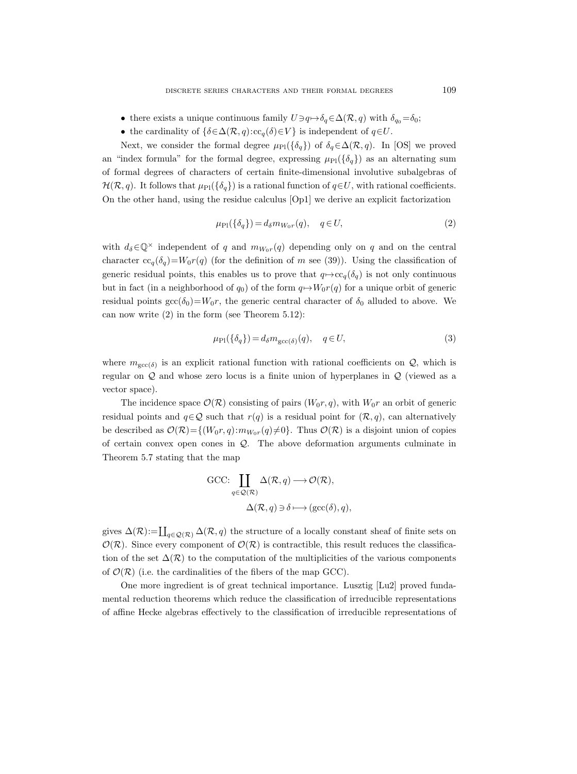- there exists a unique continuous family  $U\ni q\mapsto \delta_q\in\Delta(\mathcal{R}, q)$  with  $\delta_{q_0}=\delta_0;$
- the cardinality of  $\{\delta \in \Delta(\mathcal{R}, q): c c_q(\delta) \in V\}$  is independent of  $q \in U$ .

Next, we consider the formal degree  $\mu_{\text{Pl}}(\{\delta_q\})$  of  $\delta_q \in \Delta(\mathcal{R}, q)$ . In [OS] we proved an "index formula" for the formal degree, expressing  $\mu_{\text{Pl}}(\{\delta_q\})$  as an alternating sum of formal degrees of characters of certain finite-dimensional involutive subalgebras of  $\mathcal{H}(\mathcal{R}, q)$ . It follows that  $\mu_{\text{Pl}}({\delta_q})$  is a rational function of  $q \in U$ , with rational coefficients. On the other hand, using the residue calculus [Op1] we derive an explicit factorization

$$
\mu_{\rm Pl}(\{\delta_q\}) = d_\delta m_{W_0 r}(q), \quad q \in U,\tag{2}
$$

with  $d_{\delta} \in \mathbb{Q}^{\times}$  independent of q and  $m_{W_0r}(q)$  depending only on q and on the central character  $cc_q(\delta_q)=W_0r(q)$  (for the definition of m see (39)). Using the classification of generic residual points, this enables us to prove that  $q \mapsto cc_q(\delta_q)$  is not only continuous but in fact (in a neighborhood of  $q_0$ ) of the form  $q \mapsto W_0r(q)$  for a unique orbit of generic residual points  $\text{gcc}(\delta_0)=W_0r$ , the generic central character of  $\delta_0$  alluded to above. We can now write (2) in the form (see Theorem 5.12):

$$
\mu_{\rm Pl}(\{\delta_q\}) = d_\delta m_{\rm gcc(\delta)}(q), \quad q \in U,\tag{3}
$$

where  $m_{\text{gcc}(\delta)}$  is an explicit rational function with rational coefficients on  $\mathcal{Q}$ , which is regular on Q and whose zero locus is a finite union of hyperplanes in Q (viewed as a vector space).

The incidence space  $\mathcal{O}(\mathcal{R})$  consisting of pairs  $(W_0r, q)$ , with  $W_0r$  an orbit of generic residual points and  $q \in \mathcal{Q}$  such that  $r(q)$  is a residual point for  $(\mathcal{R}, q)$ , can alternatively be described as  $\mathcal{O}(\mathcal{R}) = \{(W_0r,q): m_{W_0r}(q) \neq 0\}$ . Thus  $\mathcal{O}(\mathcal{R})$  is a disjoint union of copies of certain convex open cones in Q. The above deformation arguments culminate in Theorem 5.7 stating that the map

$$
\begin{aligned} \text{GCC:} \prod_{q \in \mathcal{Q}(\mathcal{R})} \Delta(\mathcal{R}, q) &\longrightarrow \mathcal{O}(\mathcal{R}), \\ \Delta(\mathcal{R}, q) &\ni \delta \longmapsto (\text{gcc}(\delta), q), \end{aligned}
$$

gives  $\Delta(\mathcal{R})\!:=\!\coprod_{q\in\mathcal{Q}(\mathcal{R})}\Delta(\mathcal{R},q)$  the structure of a locally constant sheaf of finite sets on  $\mathcal{O}(\mathcal{R})$ . Since every component of  $\mathcal{O}(\mathcal{R})$  is contractible, this result reduces the classification of the set  $\Delta(\mathcal{R})$  to the computation of the multiplicities of the various components of  $\mathcal{O}(\mathcal{R})$  (i.e. the cardinalities of the fibers of the map GCC).

One more ingredient is of great technical importance. Lusztig [Lu2] proved fundamental reduction theorems which reduce the classification of irreducible representations of affine Hecke algebras effectively to the classification of irreducible representations of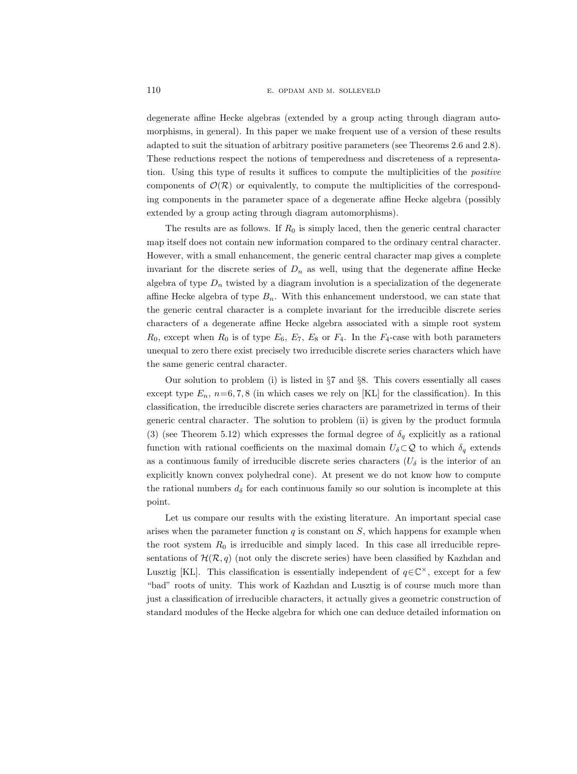degenerate affine Hecke algebras (extended by a group acting through diagram automorphisms, in general). In this paper we make frequent use of a version of these results adapted to suit the situation of arbitrary positive parameters (see Theorems 2.6 and 2.8). These reductions respect the notions of temperedness and discreteness of a representation. Using this type of results it suffices to compute the multiplicities of the positive components of  $\mathcal{O}(\mathcal{R})$  or equivalently, to compute the multiplicities of the corresponding components in the parameter space of a degenerate affine Hecke algebra (possibly extended by a group acting through diagram automorphisms).

The results are as follows. If  $R_0$  is simply laced, then the generic central character map itself does not contain new information compared to the ordinary central character. However, with a small enhancement, the generic central character map gives a complete invariant for the discrete series of  $D_n$  as well, using that the degenerate affine Hecke algebra of type  $D_n$  twisted by a diagram involution is a specialization of the degenerate affine Hecke algebra of type  $B_n$ . With this enhancement understood, we can state that the generic central character is a complete invariant for the irreducible discrete series characters of a degenerate affine Hecke algebra associated with a simple root system  $R_0$ , except when  $R_0$  is of type  $E_6$ ,  $E_7$ ,  $E_8$  or  $F_4$ . In the  $F_4$ -case with both parameters unequal to zero there exist precisely two irreducible discrete series characters which have the same generic central character.

Our solution to problem (i) is listed in §7 and §8. This covers essentially all cases except type  $E_n$ ,  $n=6, 7, 8$  (in which cases we rely on [KL] for the classification). In this classification, the irreducible discrete series characters are parametrized in terms of their generic central character. The solution to problem (ii) is given by the product formula (3) (see Theorem 5.12) which expresses the formal degree of  $\delta_q$  explicitly as a rational function with rational coefficients on the maximal domain  $U_{\delta} \subset \mathcal{Q}$  to which  $\delta_q$  extends as a continuous family of irreducible discrete series characters ( $U_{\delta}$  is the interior of an explicitly known convex polyhedral cone). At present we do not know how to compute the rational numbers  $d_{\delta}$  for each continuous family so our solution is incomplete at this point.

Let us compare our results with the existing literature. An important special case arises when the parameter function  $q$  is constant on  $S$ , which happens for example when the root system  $R_0$  is irreducible and simply laced. In this case all irreducible representations of  $\mathcal{H}(\mathcal{R}, q)$  (not only the discrete series) have been classified by Kazhdan and Lusztig [KL]. This classification is essentially independent of  $q \in \mathbb{C}^{\times}$ , except for a few "bad" roots of unity. This work of Kazhdan and Lusztig is of course much more than just a classification of irreducible characters, it actually gives a geometric construction of standard modules of the Hecke algebra for which one can deduce detailed information on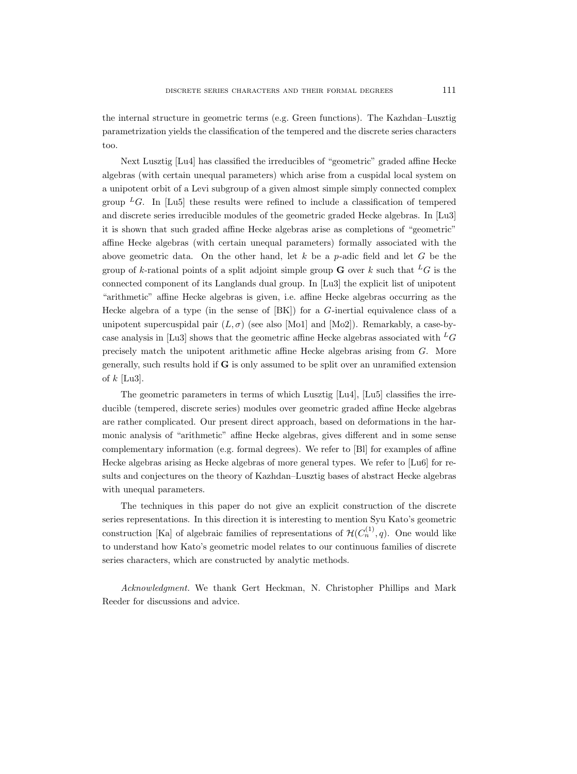the internal structure in geometric terms (e.g. Green functions). The Kazhdan–Lusztig parametrization yields the classification of the tempered and the discrete series characters too.

Next Lusztig [Lu4] has classified the irreducibles of "geometric" graded affine Hecke algebras (with certain unequal parameters) which arise from a cuspidal local system on a unipotent orbit of a Levi subgroup of a given almost simple simply connected complex group  $^L G$ . In [Lu5] these results were refined to include a classification of tempered and discrete series irreducible modules of the geometric graded Hecke algebras. In [Lu3] it is shown that such graded affine Hecke algebras arise as completions of "geometric" affine Hecke algebras (with certain unequal parameters) formally associated with the above geometric data. On the other hand, let  $k$  be a p-adic field and let  $G$  be the group of k-rational points of a split adjoint simple group **G** over k such that <sup>L</sup>G is the connected component of its Langlands dual group. In [Lu3] the explicit list of unipotent "arithmetic" affine Hecke algebras is given, i.e. affine Hecke algebras occurring as the Hecke algebra of a type (in the sense of  $[BK]$ ) for a  $G$ -inertial equivalence class of a unipotent supercuspidal pair  $(L, \sigma)$  (see also [Mo1] and [Mo2]). Remarkably, a case-bycase analysis in [Lu3] shows that the geometric affine Hecke algebras associated with  ${}^L G$ precisely match the unipotent arithmetic affine Hecke algebras arising from G. More generally, such results hold if G is only assumed to be split over an unramified extension of  $k$  [Lu3].

The geometric parameters in terms of which Lusztig [Lu4], [Lu5] classifies the irreducible (tempered, discrete series) modules over geometric graded affine Hecke algebras are rather complicated. Our present direct approach, based on deformations in the harmonic analysis of "arithmetic" affine Hecke algebras, gives different and in some sense complementary information (e.g. formal degrees). We refer to [Bl] for examples of affine Hecke algebras arising as Hecke algebras of more general types. We refer to [Lu6] for results and conjectures on the theory of Kazhdan–Lusztig bases of abstract Hecke algebras with unequal parameters.

The techniques in this paper do not give an explicit construction of the discrete series representations. In this direction it is interesting to mention Syu Kato's geometric construction [Ka] of algebraic families of representations of  $\mathcal{H}(C_n^{(1)}, q)$ . One would like to understand how Kato's geometric model relates to our continuous families of discrete series characters, which are constructed by analytic methods.

Acknowledgment. We thank Gert Heckman, N. Christopher Phillips and Mark Reeder for discussions and advice.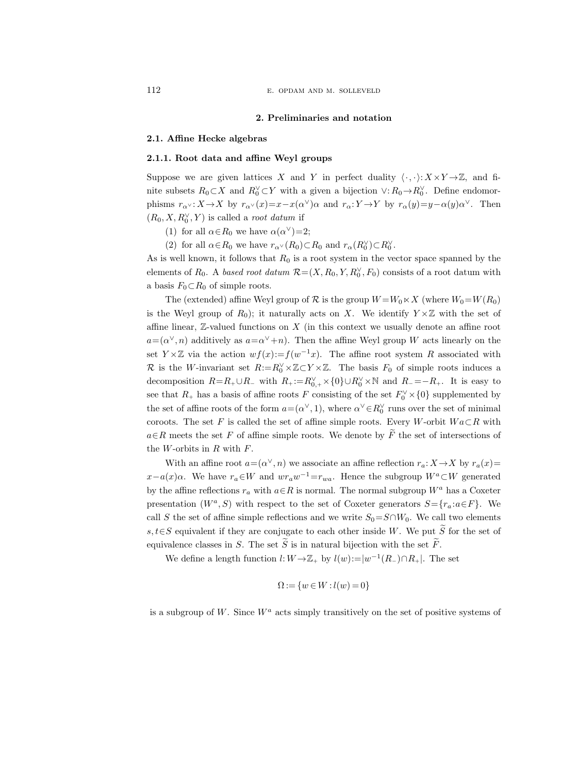#### 2. Preliminaries and notation

#### 2.1. Affine Hecke algebras

# 2.1.1. Root data and affine Weyl groups

Suppose we are given lattices X and Y in perfect duality  $\langle \cdot, \cdot \rangle: X \times Y \to \mathbb{Z}$ , and finite subsets  $R_0 \subset X$  and  $R_0^{\vee} \subset Y$  with a given a bijection  $\vee: R_0 \to R_0^{\vee}$ . Define endomorphisms  $r_{\alpha} \vee : X \to X$  by  $r_{\alpha} \vee (x) = x - x(\alpha^{\vee})\alpha$  and  $r_{\alpha} : Y \to Y$  by  $r_{\alpha}(y) = y - \alpha(y)\alpha^{\vee}$ . Then  $(R_0, X, R_0^{\vee}, Y)$  is called a *root datum* if

- (1) for all  $\alpha \in R_0$  we have  $\alpha(\alpha^{\vee})=2$ ;
- (2) for all  $\alpha \in R_0$  we have  $r_{\alpha} \vee (R_0) \subset R_0$  and  $r_{\alpha}(R_0^{\vee}) \subset R_0^{\vee}$ .

As is well known, it follows that  $R_0$  is a root system in the vector space spanned by the elements of  $R_0$ . A based root datum  $\mathcal{R} = (X, R_0, Y, R_0^{\vee}, F_0)$  consists of a root datum with a basis  $F_0 \subset R_0$  of simple roots.

The (extended) affine Weyl group of R is the group  $W = W_0 \ltimes X$  (where  $W_0 = W(R_0)$ ) is the Weyl group of  $R_0$ ); it naturally acts on X. We identify  $Y \times \mathbb{Z}$  with the set of affine linear,  $\mathbb{Z}$ -valued functions on  $X$  (in this context we usually denote an affine root  $a = (\alpha^{\vee}, n)$  additively as  $a = \alpha^{\vee} + n$ . Then the affine Weyl group W acts linearly on the set Y × Z via the action  $wf(x) := f(w^{-1}x)$ . The affine root system R associated with R is the W-invariant set  $R:=R_0^{\vee}\times\mathbb{Z}\subset Y\times\mathbb{Z}$ . The basis  $F_0$  of simple roots induces a decomposition  $R=R_+\cup R_-\,$  with  $R_+:=R_{0,+}^{\vee}\times{0}\cup R_0^{\vee}\times{\mathbb N}$  and  $R_-=-R_+$ . It is easy to see that  $R_+$  has a basis of affine roots F consisting of the set  $F_0^{\vee} \times \{0\}$  supplemented by the set of affine roots of the form  $a = (\alpha^{\vee}, 1)$ , where  $\alpha^{\vee} \in R_0^{\vee}$  runs over the set of minimal coroots. The set F is called the set of affine simple roots. Every W-orbit  $Wa \subset R$  with  $a \in R$  meets the set F of affine simple roots. We denote by  $\widetilde{F}$  the set of intersections of the  $W$ -orbits in  $R$  with  $F$ .

With an affine root  $a = (\alpha^{\vee}, n)$  we associate an affine reflection  $r_a: X \to X$  by  $r_a(x) =$  $x-a(x)\alpha$ . We have  $r_a\in W$  and  $wr_a w^{-1}=r_{wa}$ . Hence the subgroup  $W^a\subset W$  generated by the affine reflections  $r_a$  with  $a \in R$  is normal. The normal subgroup  $W^a$  has a Coxeter presentation  $(W^a, S)$  with respect to the set of Coxeter generators  $S = \{r_a : a \in F\}$ . We call S the set of affine simple reflections and we write  $S_0 = S \cap W_0$ . We call two elements s,  $t \in S$  equivalent if they are conjugate to each other inside W. We put  $\widetilde{S}$  for the set of equivalence classes in S. The set  $\widetilde{S}$  is in natural bijection with the set  $\widetilde{F}$ .

We define a length function  $l: W \to \mathbb{Z}_+$  by  $l(w) := |w^{-1}(R_-) \cap R_+|$ . The set

$$
\Omega:=\{w\in W:l(w)=0\}
$$

is a subgroup of W. Since  $W^a$  acts simply transitively on the set of positive systems of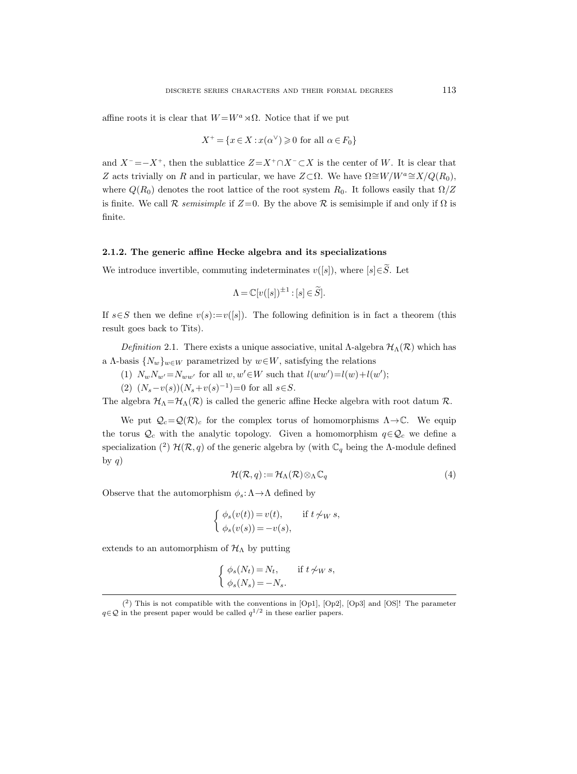affine roots it is clear that  $W = W^a \rtimes \Omega$ . Notice that if we put

$$
X^+ = \{ x \in X : x(\alpha^{\vee}) \geq 0 \text{ for all } \alpha \in F_0 \}
$$

and  $X^-$  =− $X^+$ , then the sublattice  $Z = X^+ \cap X^- \subset X$  is the center of W. It is clear that Z acts trivially on R and in particular, we have  $Z\subset\Omega$ . We have  $\Omega\cong W/W^a\cong X/Q(R_0)$ , where  $Q(R_0)$  denotes the root lattice of the root system  $R_0$ . It follows easily that  $\Omega/Z$ is finite. We call  $\mathcal R$  semisimple if  $Z=0$ . By the above  $\mathcal R$  is semisimple if and only if  $\Omega$  is finite.

#### 2.1.2. The generic affine Hecke algebra and its specializations

We introduce invertible, commuting indeterminates  $v([s])$ , where  $[s] \in \widetilde{S}$ . Let

$$
\Lambda = \mathbb{C}[v([s])^{\pm 1} : [s] \in \widetilde{S}].
$$

If  $s \in S$  then we define  $v(s) := v([s])$ . The following definition is in fact a theorem (this result goes back to Tits).

Definition 2.1. There exists a unique associative, unital  $\Lambda$ -algebra  $\mathcal{H}_{\Lambda}(\mathcal{R})$  which has a Λ-basis  $\{N_w\}_{w\in W}$  parametrized by  $w\in W$ , satisfying the relations

(1)  $N_w N_{w'} = N_{ww'}$  for all  $w, w' \in W$  such that  $l(ww') = l(w) + l(w')$ ;

(2)  $(N_s - v(s))(N_s + v(s)^{-1}) = 0$  for all  $s \in S$ .

The algebra  $\mathcal{H}_{\Lambda}=\mathcal{H}_{\Lambda}(\mathcal{R})$  is called the generic affine Hecke algebra with root datum  $\mathcal{R}$ .

We put  $\mathcal{Q}_c = \mathcal{Q}(\mathcal{R})_c$  for the complex torus of homomorphisms  $\Lambda \rightarrow \mathbb{C}$ . We equip the torus  $\mathcal{Q}_c$  with the analytic topology. Given a homomorphism  $q \in \mathcal{Q}_c$  we define a specialization (<sup>2</sup>)  $\mathcal{H}(\mathcal{R}, q)$  of the generic algebra by (with  $\mathbb{C}_q$  being the  $\Lambda$ -module defined by  $q$ )

$$
\mathcal{H}(\mathcal{R}, q) := \mathcal{H}_{\Lambda}(\mathcal{R}) \otimes_{\Lambda} \mathbb{C}_q \tag{4}
$$

Observe that the automorphism  $\phi_s: \Lambda \to \Lambda$  defined by

$$
\begin{cases} \phi_s(v(t)) = v(t), & \text{if } t \nsim w \ s, \\ \phi_s(v(s)) = -v(s), \end{cases}
$$

extends to an automorphism of  $\mathcal{H}_{\Lambda}$  by putting

$$
\begin{cases} \phi_s(N_t) = N_t, & \text{if } t \not\sim_W s, \\ \phi_s(N_s) = -N_s. \end{cases}
$$

<sup>(</sup> 2 ) This is not compatible with the conventions in [Op1], [Op2], [Op3] and [OS]! The parameter  $q \in \mathcal{Q}$  in the present paper would be called  $q^{1/2}$  in these earlier papers.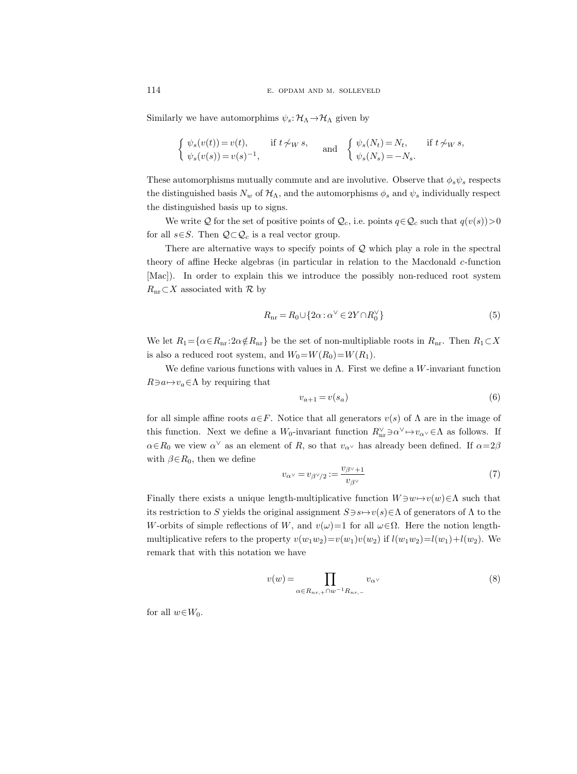Similarly we have automorphims  $\psi_s: \mathcal{H}_\Lambda \to \mathcal{H}_\Lambda$  given by

$$
\begin{cases} \psi_s(v(t)) = v(t), & \text{if } t \not\sim_W s, \\ \psi_s(v(s)) = v(s)^{-1}, & \end{cases} \quad \text{and} \quad \begin{cases} \psi_s(N_t) = N_t, & \text{if } t \not\sim_W s, \\ \psi_s(N_s) = -N_s. \end{cases}
$$

These automorphisms mutually commute and are involutive. Observe that  $\phi_s \psi_s$  respects the distinguished basis  $N_w$  of  $\mathcal{H}_\Lambda$ , and the automorphisms  $\phi_s$  and  $\psi_s$  individually respect the distinguished basis up to signs.

We write Q for the set of positive points of  $\mathcal{Q}_c$ , i.e. points  $q \in \mathcal{Q}_c$  such that  $q(v(s)) > 0$ for all  $s \in S$ . Then  $\mathcal{Q} \subset \mathcal{Q}_c$  is a real vector group.

There are alternative ways to specify points of  $Q$  which play a role in the spectral theory of affine Hecke algebras (in particular in relation to the Macdonald c-function [Mac]). In order to explain this we introduce the possibly non-reduced root system  $R_{\text{nr}} \subset X$  associated with R by

$$
R_{\rm nr} = R_0 \cup \{2\alpha : \alpha^{\vee} \in 2Y \cap R_0^{\vee}\}\tag{5}
$$

We let  $R_1 = \{\alpha \in R_{\rm nr} : 2\alpha \notin R_{\rm nr}\}$  be the set of non-multipliable roots in  $R_{\rm nr}$ . Then  $R_1 \subset X$ is also a reduced root system, and  $W_0 = W(R_0) = W(R_1)$ .

We define various functions with values in  $\Lambda$ . First we define a W-invariant function  $R\exists a\mapsto v_a\in\Lambda$  by requiring that

$$
v_{a+1} = v(s_a) \tag{6}
$$

for all simple affine roots  $a \in F$ . Notice that all generators  $v(s)$  of  $\Lambda$  are in the image of this function. Next we define a  $W_0$ -invariant function  $R_{nr}^{\vee} \ni \alpha^{\vee} \mapsto v_{\alpha^{\vee}} \in \Lambda$  as follows. If  $\alpha \in R_0$  we view  $\alpha^{\vee}$  as an element of R, so that  $v_{\alpha^{\vee}}$  has already been defined. If  $\alpha = 2\beta$ with  $\beta \in R_0$ , then we define

$$
v_{\alpha} \vee = v_{\beta} \vee /_2 := \frac{v_{\beta} \vee + 1}{v_{\beta} \vee} \tag{7}
$$

Finally there exists a unique length-multiplicative function  $W \ni w \mapsto v(w) \in \Lambda$  such that its restriction to S yields the original assignment  $S \ni s \mapsto v(s) \in \Lambda$  of generators of  $\Lambda$  to the W-orbits of simple reflections of W, and  $v(\omega)=1$  for all  $\omega \in \Omega$ . Here the notion lengthmultiplicative refers to the property  $v(w_1w_2)=v(w_1)v(w_2)$  if  $l(w_1w_2)=l(w_1)+l(w_2)$ . We remark that with this notation we have

$$
v(w) = \prod_{\alpha \in R_{nr,+} \cap w^{-1}R_{nr,-}} v_{\alpha} \tag{8}
$$

for all  $w \in W_0$ .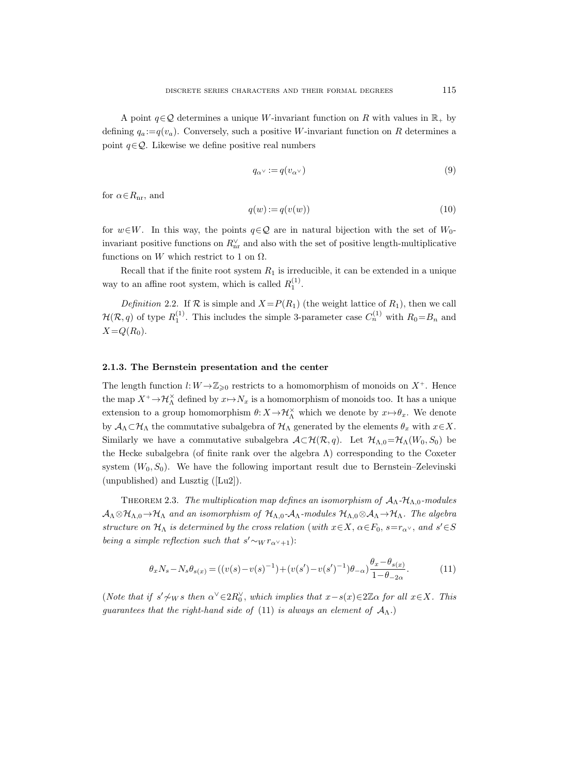A point  $q \in \mathcal{Q}$  determines a unique W-invariant function on R with values in  $\mathbb{R}_+$  by defining  $q_a:=q(v_a)$ . Conversely, such a positive W-invariant function on R determines a point  $q \in \mathcal{Q}$ . Likewise we define positive real numbers

$$
q_{\alpha^{\vee}} := q(v_{\alpha^{\vee}}) \tag{9}
$$

for  $\alpha \in R_{\rm nr}$ , and

$$
q(w) := q(v(w))\tag{10}
$$

for  $w \in W$ . In this way, the points  $q \in \mathcal{Q}$  are in natural bijection with the set of  $W_0$ invariant positive functions on  $R_{\text{nr}}^{\vee}$  and also with the set of positive length-multiplicative functions on W which restrict to 1 on  $\Omega$ .

Recall that if the finite root system  $R_1$  is irreducible, it can be extended in a unique way to an affine root system, which is called  $R_1^{(1)}$ .

Definition 2.2. If  $\mathcal R$  is simple and  $X=P(R_1)$  (the weight lattice of  $R_1$ ), then we call  $\mathcal{H}(\mathcal{R}, q)$  of type  $R_1^{(1)}$ . This includes the simple 3-parameter case  $C_n^{(1)}$  with  $R_0 = B_n$  and  $X=Q(R_0).$ 

#### 2.1.3. The Bernstein presentation and the center

The length function  $l: W \rightarrow \mathbb{Z}_{\geqslant 0}$  restricts to a homomorphism of monoids on  $X^+$ . Hence the map  $X^+$   $\rightarrow$   $\mathcal{H}_{\Lambda}^{\times}$  defined by  $x \mapsto N_x$  is a homomorphism of monoids too. It has a unique extension to a group homomorphism  $\theta: X \to \mathcal{H}_{\Lambda}^{\times}$  which we denote by  $x \mapsto \theta_x$ . We denote by  $A_\Lambda \subset \mathcal{H}_\Lambda$  the commutative subalgebra of  $\mathcal{H}_\Lambda$  generated by the elements  $\theta_x$  with  $x \in X$ . Similarly we have a commutative subalgebra  $\mathcal{A}\subset\mathcal{H}(\mathcal{R}, q)$ . Let  $\mathcal{H}_{\Lambda,0}=\mathcal{H}_{\Lambda}(W_0, S_0)$  be the Hecke subalgebra (of finite rank over the algebra  $\Lambda$ ) corresponding to the Coxeter system  $(W_0, S_0)$ . We have the following important result due to Bernstein–Zelevinski (unpublished) and Lusztig ([Lu2]).

THEOREM 2.3. The multiplication map defines an isomorphism of  $A_\Lambda$ - $H_{\Lambda,0}$ -modules  $A_\Lambda \otimes \mathcal{H}_{\Lambda,0} \to \mathcal{H}_{\Lambda}$  and an isomorphism of  $\mathcal{H}_{\Lambda,0}$ - $A_\Lambda$ -modules  $\mathcal{H}_{\Lambda,0} \otimes A_\Lambda \to \mathcal{H}_{\Lambda}$ . The algebra structure on  $\mathcal{H}_{\Lambda}$  is determined by the cross relation (with  $x \in X$ ,  $\alpha \in F_0$ ,  $s=r_{\alpha} \vee$ , and  $s' \in S$ being a simple reflection such that  $s' \sim_W r_{\alpha^{\vee}+1}$ :

$$
\theta_x N_s - N_s \theta_{s(x)} = ((v(s) - v(s)^{-1}) + (v(s') - v(s')^{-1})\theta_{-\alpha})\frac{\theta_x - \theta_{s(x)}}{1 - \theta_{-2\alpha}}.
$$
(11)

(Note that if  $s' \nless w s$  then  $\alpha^{\vee} \in 2R_0^{\vee}$ , which implies that  $x - s(x) \in 2\mathbb{Z}\alpha$  for all  $x \in X$ . This guarantees that the right-hand side of (11) is always an element of  $\mathcal{A}_{\Lambda}$ .)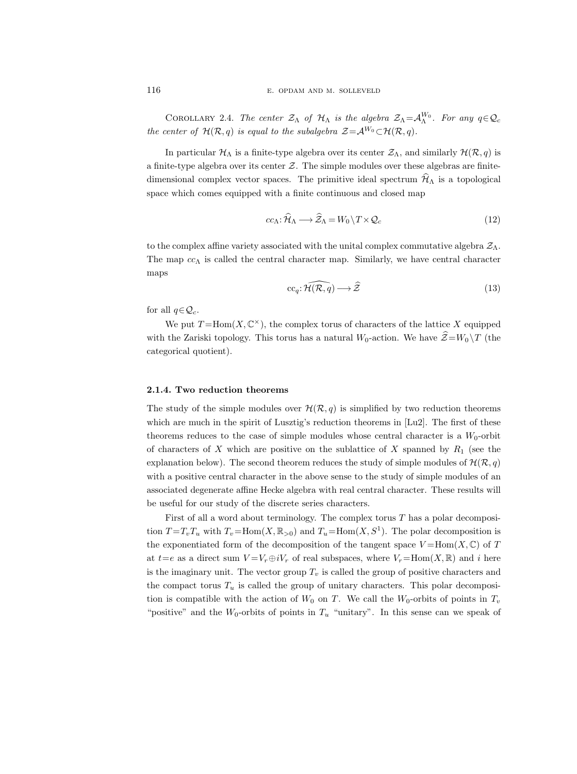COROLLARY 2.4. The center  $\mathcal{Z}_\Lambda$  of  $\mathcal{H}_\Lambda$  is the algebra  $\mathcal{Z}_\Lambda = \mathcal{A}_\Lambda^{W_0}$ . For any  $q \in \mathcal{Q}_c$ the center of  $\mathcal{H}(\mathcal{R}, q)$  is equal to the subalgebra  $\mathcal{Z} = \mathcal{A}^{W_0} \subset \mathcal{H}(\mathcal{R}, q)$ .

In particular  $\mathcal{H}_{\Lambda}$  is a finite-type algebra over its center  $\mathcal{Z}_{\Lambda}$ , and similarly  $\mathcal{H}(\mathcal{R}, q)$  is a finite-type algebra over its center  $Z$ . The simple modules over these algebras are finitedimensional complex vector spaces. The primitive ideal spectrum  $\mathcal{H}_{\Lambda}$  is a topological space which comes equipped with a finite continuous and closed map

$$
cc_{\Lambda} : \widehat{\mathcal{H}}_{\Lambda} \longrightarrow \widehat{\mathcal{Z}}_{\Lambda} = W_0 \backslash T \times \mathcal{Q}_c \tag{12}
$$

to the complex affine variety associated with the unital complex commutative algebra  $\mathcal{Z}_\Lambda$ . The map  $cc_\Lambda$  is called the central character map. Similarly, we have central character maps

$$
cc_q: \widehat{\mathcal{H}(\mathcal{R}, q)} \longrightarrow \widehat{\mathcal{Z}}
$$
\n(13)

for all  $q \in \mathcal{Q}_c$ .

We put  $T = \text{Hom}(X, \mathbb{C}^{\times})$ , the complex torus of characters of the lattice X equipped with the Zariski topology. This torus has a natural  $W_0$ -action. We have  $\hat{\mathcal{Z}}=W_0 \backslash T$  (the categorical quotient).

## 2.1.4. Two reduction theorems

The study of the simple modules over  $\mathcal{H}(\mathcal{R}, q)$  is simplified by two reduction theorems which are much in the spirit of Lusztig's reduction theorems in [Lu2]. The first of these theorems reduces to the case of simple modules whose central character is a  $W_0$ -orbit of characters of X which are positive on the sublattice of X spanned by  $R_1$  (see the explanation below). The second theorem reduces the study of simple modules of  $\mathcal{H}(\mathcal{R}, q)$ with a positive central character in the above sense to the study of simple modules of an associated degenerate affine Hecke algebra with real central character. These results will be useful for our study of the discrete series characters.

First of all a word about terminology. The complex torus  $T$  has a polar decomposition  $T=T_vT_u$  with  $T_v=\text{Hom}(X,\mathbb{R}_{>0})$  and  $T_u=\text{Hom}(X, S^1)$ . The polar decomposition is the exponentiated form of the decomposition of the tangent space  $V = \text{Hom}(X, \mathbb{C})$  of T at  $t=e$  as a direct sum  $V = V_r \oplus iV_r$  of real subspaces, where  $V_r = \text{Hom}(X, \mathbb{R})$  and i here is the imaginary unit. The vector group  $T_v$  is called the group of positive characters and the compact torus  $T_u$  is called the group of unitary characters. This polar decomposition is compatible with the action of  $W_0$  on T. We call the  $W_0$ -orbits of points in  $T_v$ "positive" and the  $W_0$ -orbits of points in  $T_u$  "unitary". In this sense can we speak of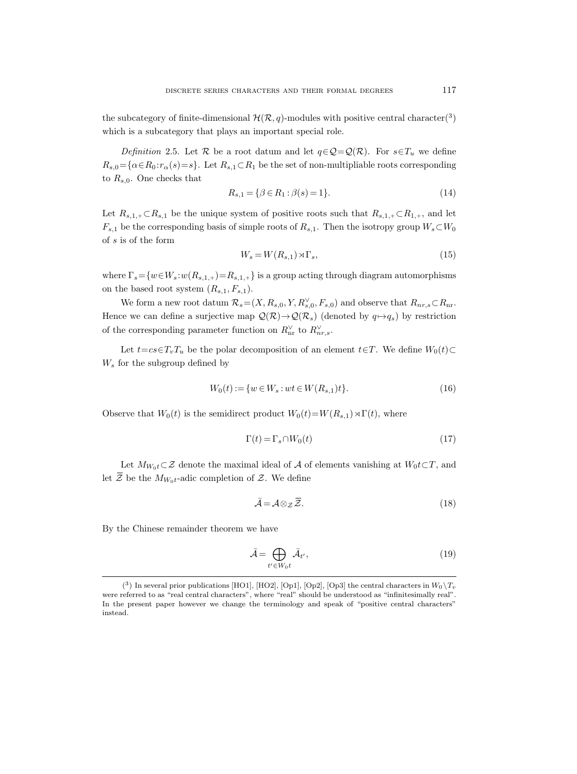the subcategory of finite-dimensional  $\mathcal{H}(\mathcal{R}, q)$ -modules with positive central character(<sup>3</sup>) which is a subcategory that plays an important special role.

Definition 2.5. Let R be a root datum and let  $q \in \mathcal{Q} = \mathcal{Q}(\mathcal{R})$ . For  $s \in T_u$  we define  $R_{s,0} = {\alpha \in R_0 : r_\alpha(s) = s}$ . Let  $R_{s,1} \subset R_1$  be the set of non-multipliable roots corresponding to  $R_{s,0}$ . One checks that

$$
R_{s,1} = \{ \beta \in R_1 : \beta(s) = 1 \}.
$$
\n(14)

Let  $R_{s,1,+} \subset R_{s,1}$  be the unique system of positive roots such that  $R_{s,1,+} \subset R_{1,+}$ , and let  $F_{s,1}$  be the corresponding basis of simple roots of  $R_{s,1}$ . Then the isotropy group  $W_s\subset W_0$ of s is of the form

$$
W_s = W(R_{s,1}) \rtimes \Gamma_s,\tag{15}
$$

where  $\Gamma_s = \{w \in W_s : w(R_{s,1,+}) = R_{s,1,+}\}$  is a group acting through diagram automorphisms on the based root system  $(R_{s,1}, F_{s,1}).$ 

We form a new root datum  $\mathcal{R}_s = (X, R_{s,0}, Y, R_{s,0}^{\vee}, F_{s,0})$  and observe that  $R_{nr,s} \subset R_{nr}$ . Hence we can define a surjective map  $\mathcal{Q}(\mathcal{R}) \to \mathcal{Q}(\mathcal{R}_s)$  (denoted by  $q \mapsto q_s$ ) by restriction of the corresponding parameter function on  $R_{\text{nr}}^{\vee}$  to  $R_{nr,s}^{\vee}$ .

Let  $t=c\epsilon\in T_vT_u$  be the polar decomposition of an element  $t\epsilon T$ . We define  $W_0(t)\subset$  $W_s$  for the subgroup defined by

$$
W_0(t) := \{ w \in W_s : wt \in W(R_{s,1})t \}.
$$
\n(16)

Observe that  $W_0(t)$  is the semidirect product  $W_0(t)=W(R_{s,1})\rtimes\Gamma(t)$ , where

$$
\Gamma(t) = \Gamma_s \cap W_0(t) \tag{17}
$$

Let  $M_{W_0t} \subset \mathcal{Z}$  denote the maximal ideal of A of elements vanishing at  $W_0t\subset T$ , and Let  $\overline{Z}$  be the  $M_{W_0t}$ -adic completion of  $Z$ . We define

$$
\bar{\mathcal{A}} = \mathcal{A} \otimes_{\mathcal{Z}} \bar{\mathcal{Z}}.\tag{18}
$$

By the Chinese remainder theorem we have

$$
\bar{\mathcal{A}} = \bigoplus_{t' \in W_0 t} \bar{\mathcal{A}}_{t'},\tag{19}
$$

 $(3)$  In several prior publications [HO1], [HO2], [Op1], [Op2], [Op3] the central characters in  $W_0 \backslash T_v$ were referred to as "real central characters", where "real" should be understood as "infinitesimally real". In the present paper however we change the terminology and speak of "positive central characters" instead.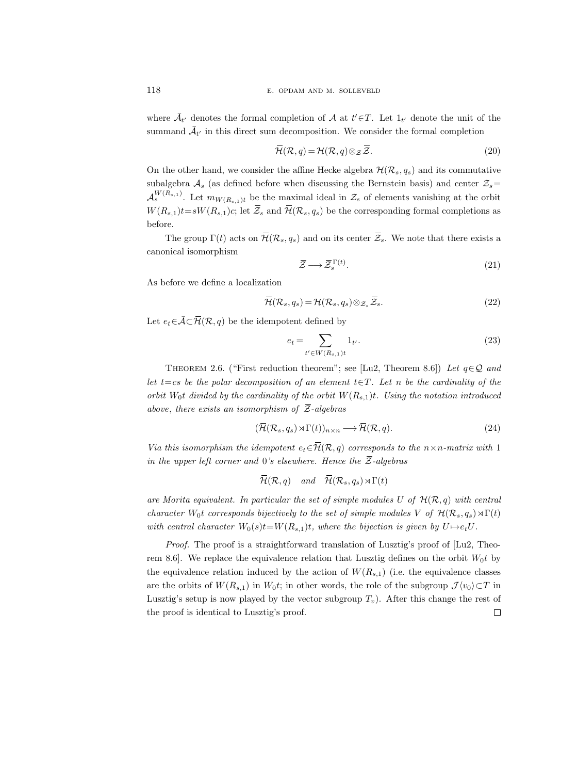where  $\bar{\mathcal{A}}_{t'}$  denotes the formal completion of  $\mathcal{A}$  at  $t' \in T$ . Let  $1_{t'}$  denote the unit of the summand  $\bar{\mathcal{A}}_{t'}$  in this direct sum decomposition. We consider the formal completion

$$
\overline{\mathcal{H}}(\mathcal{R}, q) = \mathcal{H}(\mathcal{R}, q) \otimes_{\mathcal{Z}} \overline{\mathcal{Z}}.
$$
 (20)

On the other hand, we consider the affine Hecke algebra  $\mathcal{H}(\mathcal{R}_s, q_s)$  and its commutative subalgebra  $A_s$  (as defined before when discussing the Bernstein basis) and center  $\mathcal{Z}_s=$  $\mathcal{A}_s^{W(R_{s,1})}$ . Let  $m_{W(R_{s,1})t}$  be the maximal ideal in  $\mathcal{Z}_s$  of elements vanishing at the orbit  $W(R_{s,1})t = sW(R_{s,1})c$ ; let  $\overline{Z}_s$  and  $\overline{\mathcal{H}}(\mathcal{R}_s, q_s)$  be the corresponding formal completions as before.

The group  $\Gamma(t)$  acts on  $\overline{\mathcal{H}}(\mathcal{R}_s, q_s)$  and on its center  $\overline{\mathcal{Z}}_s$ . We note that there exists a canonical isomorphism

$$
\overline{\mathcal{Z}} \longrightarrow \overline{\mathcal{Z}}_s^{\Gamma(t)}.\tag{21}
$$

As before we define a localization

$$
\overline{\mathcal{H}}(\mathcal{R}_s, q_s) = \mathcal{H}(\mathcal{R}_s, q_s) \otimes_{\mathcal{Z}_s} \overline{\mathcal{Z}}_s.
$$
\n(22)

Let  $e_t \in \overline{\mathcal{A}} \subset \overline{\mathcal{H}}(\mathcal{R}, q)$  be the idempotent defined by

$$
e_t = \sum_{t' \in W(R_{s,1})t} 1_{t'}.
$$
\n(23)

THEOREM 2.6. ("First reduction theorem"; see [Lu2, Theorem 8.6]) Let  $q \in \mathcal{Q}$  and let t=cs be the polar decomposition of an element  $t \in T$ . Let n be the cardinality of the orbit  $W_0$ t divided by the cardinality of the orbit  $W(R_{s,1})$ t. Using the notation introduced above, there exists an isomorphism of  $\overline{Z}$ -algebras

$$
(\overline{\mathcal{H}}(\mathcal{R}_s, q_s) \rtimes \Gamma(t))_{n \times n} \longrightarrow \overline{\mathcal{H}}(\mathcal{R}, q). \tag{24}
$$

Via this isomorphism the idempotent  $e_t \in \overline{\mathcal{H}}(\mathcal{R}, q)$  corresponds to the  $n \times n$ -matrix with 1 in the upper left corner and 0's elsewhere. Hence the  $\overline{Z}$ -algebras

$$
\overline{\mathcal{H}}(\mathcal{R}, q)
$$
 and  $\overline{\mathcal{H}}(\mathcal{R}_s, q_s) \rtimes \Gamma(t)$ 

are Morita equivalent. In particular the set of simple modules U of  $\mathcal{H}(\mathcal{R}, q)$  with central character W<sub>0</sub>t corresponds bijectively to the set of simple modules V of  $\mathcal{H}(\mathcal{R}_s, q_s) \rtimes \Gamma(t)$ with central character  $W_0(s)t=W(R_{s,1})t$ , where the bijection is given by  $U\rightarrow e_tU$ .

Proof. The proof is a straightforward translation of Lusztig's proof of [Lu2, Theorem 8.6. We replace the equivalence relation that Lusztig defines on the orbit  $W_0t$  by the equivalence relation induced by the action of  $W(R_{s,1})$  (i.e. the equivalence classes are the orbits of  $W(R_{s,1})$  in  $W_0t$ ; in other words, the role of the subgroup  $\mathcal{J}\langle v_0 \rangle \subset T$  in Lusztig's setup is now played by the vector subgroup  $T_v$ ). After this change the rest of  $\Box$ the proof is identical to Lusztig's proof.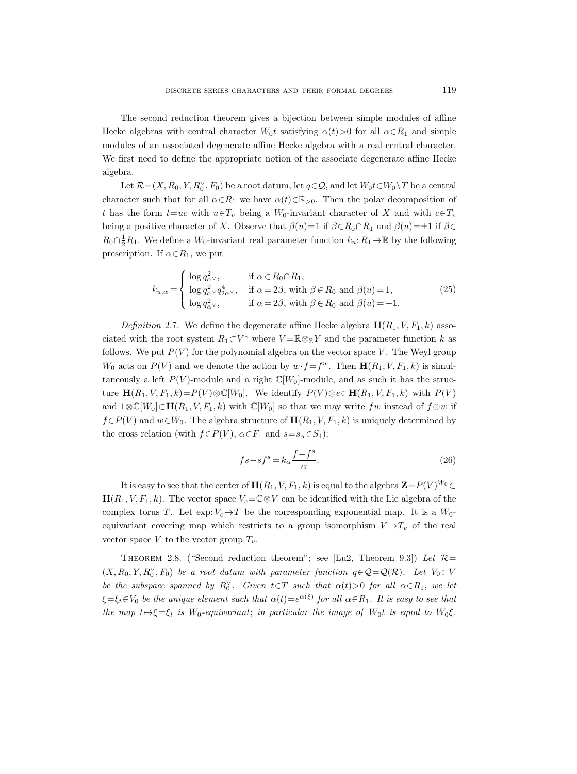The second reduction theorem gives a bijection between simple modules of affine Hecke algebras with central character  $W_0t$  satisfying  $\alpha(t) > 0$  for all  $\alpha \in R_1$  and simple modules of an associated degenerate affine Hecke algebra with a real central character. We first need to define the appropriate notion of the associate degenerate affine Hecke algebra.

Let  $\mathcal{R} = (X, R_0, Y, R_0^{\vee}, F_0)$  be a root datum, let  $q \in \mathcal{Q}$ , and let  $W_0 t \in W_0 \setminus T$  be a central character such that for all  $\alpha \in R_1$  we have  $\alpha(t) \in \mathbb{R}_{>0}$ . Then the polar decomposition of t has the form  $t=uc$  with  $u \in T_u$  being a  $W_0$ -invariant character of X and with  $c \in T_v$ being a positive character of X. Observe that  $\beta(u)=1$  if  $\beta \in R_0 \cap R_1$  and  $\beta(u)=\pm 1$  if  $\beta \in$  $R_0 \cap \frac{1}{2}R_1$ . We define a  $W_0$ -invariant real parameter function  $k_u: R_1 \to \mathbb{R}$  by the following prescription. If  $\alpha \in R_1$ , we put

$$
k_{u,\alpha} = \begin{cases} \log q_{\alpha}^2, & \text{if } \alpha \in R_0 \cap R_1, \\ \log q_{\alpha}^2 \vee q_{2\alpha}^4, & \text{if } \alpha = 2\beta, \text{ with } \beta \in R_0 \text{ and } \beta(u) = 1, \\ \log q_{\alpha}^2, & \text{if } \alpha = 2\beta, \text{ with } \beta \in R_0 \text{ and } \beta(u) = -1. \end{cases}
$$
(25)

Definition 2.7. We define the degenerate affine Hecke algebra  $\mathbf{H}(R_1, V, F_1, k)$  associated with the root system  $R_1\subset V^*$  where  $V=\mathbb{R}\otimes_{\mathbb{Z}} Y$  and the parameter function k as follows. We put  $P(V)$  for the polynomial algebra on the vector space V. The Weyl group  $W_0$  acts on  $P(V)$  and we denote the action by  $w \cdot f = f^w$ . Then  $\mathbf{H}(R_1, V, F_1, k)$  is simultaneously a left  $P(V)$ -module and a right  $\mathbb{C}[W_0]$ -module, and as such it has the structure  $\mathbf{H}(R_1, V, F_1, k) = P(V) \otimes \mathbb{C}[W_0]$ . We identify  $P(V) \otimes e \subset \mathbf{H}(R_1, V, F_1, k)$  with  $P(V)$ and  $1\otimes \mathbb{C}[W_0]\subset \mathbf{H}(R_1, V, F_1, k)$  with  $\mathbb{C}[W_0]$  so that we may write fw instead of  $f \otimes w$  if  $f\in P(V)$  and  $w\in W_0$ . The algebra structure of  $\mathbf{H}(R_1, V, F_1, k)$  is uniquely determined by the cross relation (with  $f\in P(V)$ ,  $\alpha \in F_1$  and  $s=s_\alpha \in S_1$ ):

$$
fs - sf^s = k_\alpha \frac{f - f^s}{\alpha}.\tag{26}
$$

It is easy to see that the center of  $\mathbf{H}(R_1, V, F_1, k)$  is equal to the algebra  $\mathbf{Z}=P(V)^{W_0}\subset$  $\mathbf{H}(R_1, V, F_1, k)$ . The vector space  $V_c = \mathbb{C} \otimes V$  can be identified with the Lie algebra of the complex torus T. Let  $\exp: V_c \to T$  be the corresponding exponential map. It is a  $W_0$ equivariant covering map which restricts to a group isomorphism  $V \rightarrow T_v$  of the real vector space V to the vector group  $T_v$ .

THEOREM 2.8. ("Second reduction theorem"; see [Lu2, Theorem 9.3]) Let  $\mathcal{R}$ =  $(X, R_0, Y, R_0^{\vee}, F_0)$  be a root datum with parameter function  $q \in \mathcal{Q} = \mathcal{Q}(\mathcal{R})$ . Let  $V_0 \subset V$ be the subspace spanned by  $R_0^{\vee}$ . Given  $t \in T$  such that  $\alpha(t) > 0$  for all  $\alpha \in R_1$ , we let  $\xi = \xi_t \in V_0$  be the unique element such that  $\alpha(t) = e^{\alpha(\xi)}$  for all  $\alpha \in R_1$ . It is easy to see that the map  $t \mapsto \xi = \xi_t$  is W<sub>0</sub>-equivariant; in particular the image of W<sub>0</sub>t is equal to W<sub>0</sub> $\xi$ .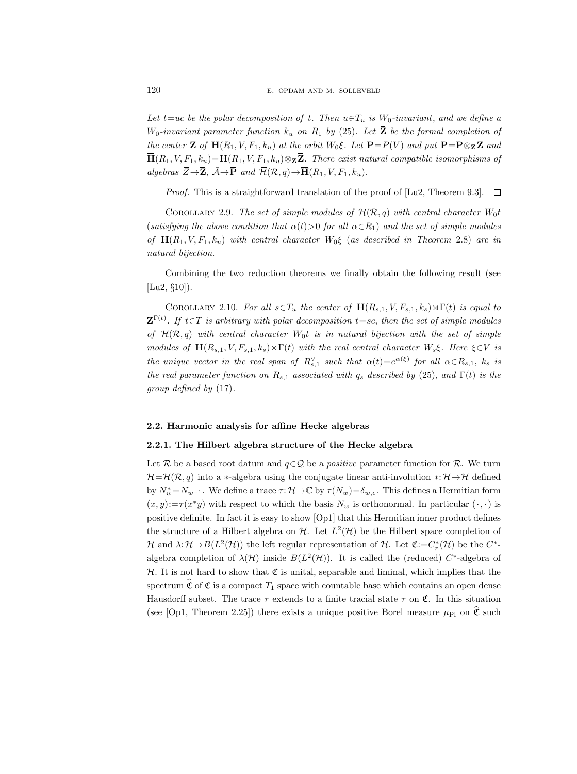Let t=uc be the polar decomposition of t. Then  $u \in T_u$  is  $W_0$ -invariant, and we define a  $W_0$ -invariant parameter function  $k_u$  on  $R_1$  by (25). Let  $\bar{Z}$  be the formal completion of the center Z of  $H(R_1, V, F_1, k_u)$  at the orbit  $W_0 \xi$ . Let  $P = P(V)$  and put  $\overline{P} = P \otimes_{\mathbf{Z}} \overline{Z}$  and  $\overline{\mathbf{H}}(R_1, V, F_1, k_u) = \mathbf{H}(R_1, V, F_1, k_u) \otimes_{\mathbf{Z}} \overline{\mathbf{Z}}$ . There exist natural compatible isomorphisms of algebras  $\overline{Z} \rightarrow \overline{Z}$ ,  $\overline{\mathcal{A}} \rightarrow \overline{P}$  and  $\overline{\mathcal{H}}(\mathcal{R}, q) \rightarrow \overline{\mathbf{H}}(R_1, V, F_1, k_u)$ .

*Proof.* This is a straightforward translation of the proof of [Lu2, Theorem 9.3].  $\Box$ 

COROLLARY 2.9. The set of simple modules of  $\mathcal{H}(\mathcal{R}, q)$  with central character  $W_0t$ (satisfying the above condition that  $\alpha(t) > 0$  for all  $\alpha \in R_1$ ) and the set of simple modules of  $H(R_1, V, F_1, k_u)$  with central character  $W_0\xi$  (as described in Theorem 2.8) are in natural bijection.

Combining the two reduction theorems we finally obtain the following result (see [Lu2, §10]).

COROLLARY 2.10. For all  $s \in T_u$  the center of  $\mathbf{H}(R_{s,1}, V, F_{s,1}, k_s) \rtimes \Gamma(t)$  is equal to  $\mathbf{Z}^{\Gamma(t)}$ . If  $t \in T$  is arbitrary with polar decomposition  $t = sc$ , then the set of simple modules of  $\mathcal{H}(\mathcal{R}, q)$  with central character  $W_0$ t is in natural bijection with the set of simple modules of  $\mathbf{H}(R_{s,1}, V, F_{s,1}, k_s) \rtimes \Gamma(t)$  with the real central character  $W_s \xi$ . Here  $\xi \in V$  is the unique vector in the real span of  $R_{s,1}^{\vee}$  such that  $\alpha(t)=e^{\alpha(\xi)}$  for all  $\alpha \in R_{s,1}$ ,  $k_s$  is the real parameter function on  $R_{s,1}$  associated with  $q_s$  described by (25), and  $\Gamma(t)$  is the group defined by (17).

# 2.2. Harmonic analysis for affine Hecke algebras

## 2.2.1. The Hilbert algebra structure of the Hecke algebra

Let R be a based root datum and  $q \in \mathcal{Q}$  be a *positive* parameter function for R. We turn  $\mathcal{H}=\mathcal{H}(\mathcal{R}, q)$  into a ∗-algebra using the conjugate linear anti-involution \*:  $\mathcal{H}\rightarrow\mathcal{H}$  defined by  $N_w^* = N_{w^{-1}}$ . We define a trace  $\tau: \mathcal{H} \to \mathbb{C}$  by  $\tau(N_w) = \delta_{w,e}$ . This defines a Hermitian form  $(x, y) := \tau(x^*y)$  with respect to which the basis  $N_w$  is orthonormal. In particular  $(\cdot, \cdot)$  is positive definite. In fact it is easy to show [Op1] that this Hermitian inner product defines the structure of a Hilbert algebra on  $\mathcal{H}$ . Let  $L^2(\mathcal{H})$  be the Hilbert space completion of  $\mathcal H$  and  $\lambda: \mathcal H \to B(L^2(\mathcal H))$  the left regular representation of  $\mathcal H$ . Let  $\mathfrak C:=C^*_r(\mathcal H)$  be the  $C^{*-}$ algebra completion of  $\lambda(\mathcal{H})$  inside  $B(L^2(\mathcal{H}))$ . It is called the (reduced) C<sup>\*</sup>-algebra of  $H$ . It is not hard to show that  $\mathfrak C$  is unital, separable and liminal, which implies that the spectrum  $\hat{\mathfrak{C}}$  of  $\mathfrak{C}$  is a compact  $T_1$  space with countable base which contains an open dense Hausdorff subset. The trace  $\tau$  extends to a finite tracial state  $\tau$  on  $\mathfrak{C}$ . In this situation (see [Op1, Theorem 2.25]) there exists a unique positive Borel measure  $\mu_{\text{Pl}}$  on  $\hat{\mathfrak{C}}$  such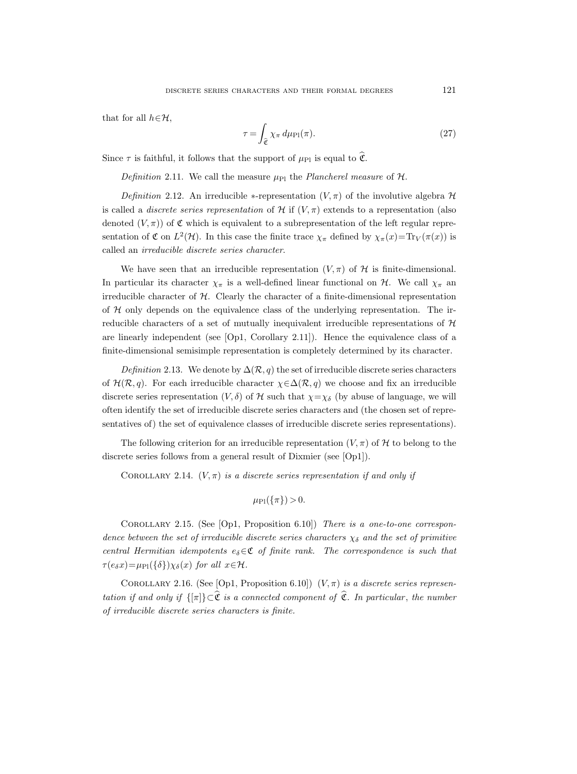that for all  $h \in \mathcal{H}$ ,

$$
\tau = \int_{\hat{\mathfrak{C}}} \chi_{\pi} \, d\mu_{\text{Pl}}(\pi). \tag{27}
$$

Since  $\tau$  is faithful, it follows that the support of  $\mu_{\text{Pl}}$  is equal to  $\hat{\mathfrak{C}}$ .

Definition 2.11. We call the measure  $\mu_{\text{Pl}}$  the Plancherel measure of  $\mathcal{H}$ .

Definition 2.12. An irreducible  $*$ -representation  $(V, \pi)$  of the involutive algebra  $\mathcal H$ is called a *discrete series representation* of H if  $(V, \pi)$  extends to a representation (also denoted  $(V, \pi)$  of C which is equivalent to a subrepresentation of the left regular representation of  $\mathfrak C$  on  $L^2(\mathcal H)$ . In this case the finite trace  $\chi_{\pi}$  defined by  $\chi_{\pi}(x)=\text{Tr}_V(\pi(x))$  is called an irreducible discrete series character.

We have seen that an irreducible representation  $(V, \pi)$  of H is finite-dimensional. In particular its character  $\chi_{\pi}$  is a well-defined linear functional on H. We call  $\chi_{\pi}$  and irreducible character of  $H$ . Clearly the character of a finite-dimensional representation of  $H$  only depends on the equivalence class of the underlying representation. The irreducible characters of a set of mutually inequivalent irreducible representations of  $H$ are linearly independent (see [Op1, Corollary 2.11]). Hence the equivalence class of a finite-dimensional semisimple representation is completely determined by its character.

Definition 2.13. We denote by  $\Delta(\mathcal{R}, q)$  the set of irreducible discrete series characters of  $\mathcal{H}(\mathcal{R}, q)$ . For each irreducible character  $\chi \in \Delta(\mathcal{R}, q)$  we choose and fix an irreducible discrete series representation  $(V, \delta)$  of H such that  $\chi = \chi_{\delta}$  (by abuse of language, we will often identify the set of irreducible discrete series characters and (the chosen set of representatives of) the set of equivalence classes of irreducible discrete series representations).

The following criterion for an irreducible representation  $(V, \pi)$  of H to belong to the discrete series follows from a general result of Dixmier (see [Op1]).

COROLLARY 2.14.  $(V, \pi)$  is a discrete series representation if and only if

$$
\mu_{\rm Pl}(\{\pi\})>0.
$$

Corollary 2.15. (See [Op1, Proposition 6.10]) There is a one-to-one correspondence between the set of irreducible discrete series characters  $\chi_{\delta}$  and the set of primitive central Hermitian idempotents  $e_{\delta} \in \mathfrak{C}$  of finite rank. The correspondence is such that  $\tau(e_{\delta}x)=\mu_{\rm Pl}(\{\delta\})\chi_{\delta}(x)$  for all  $x\in\mathcal{H}$ .

COROLLARY 2.16. (See [Op1, Proposition 6.10])  $(V, \pi)$  is a discrete series representation if and only if  $\{\pi\} \subset \hat{\mathfrak{C}}$  is a connected component of  $\hat{\mathfrak{C}}$ . In particular, the number of irreducible discrete series characters is finite.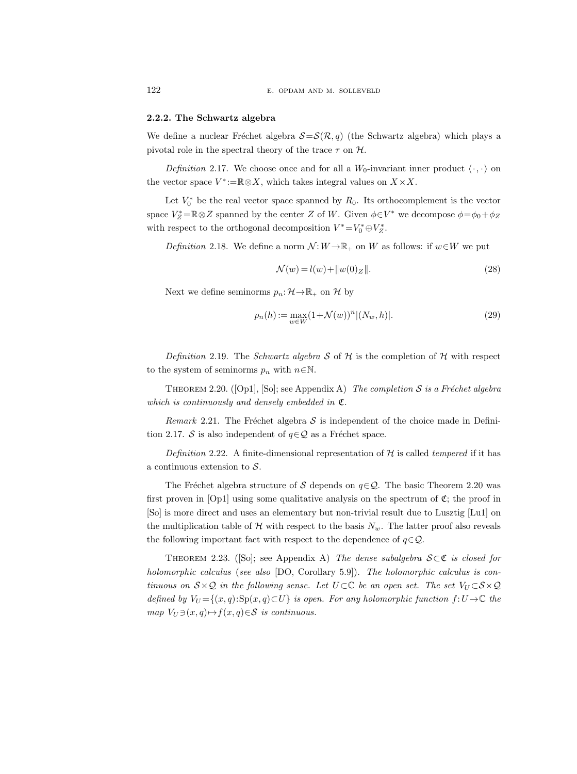#### 2.2.2. The Schwartz algebra

We define a nuclear Fréchet algebra  $S=S(\mathcal{R}, q)$  (the Schwartz algebra) which plays a pivotal role in the spectral theory of the trace  $\tau$  on  $\mathcal{H}$ .

Definition 2.17. We choose once and for all a  $W_0$ -invariant inner product  $\langle \cdot, \cdot \rangle$  on the vector space  $V^* := \mathbb{R} \otimes X$ , which takes integral values on  $X \times X$ .

Let  $V_0^*$  be the real vector space spanned by  $R_0$ . Its orthocomplement is the vector space  $V_Z^* = \mathbb{R} \otimes Z$  spanned by the center Z of W. Given  $\phi \in V^*$  we decompose  $\phi = \phi_0 + \phi_Z$ with respect to the orthogonal decomposition  $V^* = V_0^* \oplus V_Z^*$ .

Definition 2.18. We define a norm  $\mathcal{N}: W \to \mathbb{R}_+$  on W as follows: if  $w \in W$  we put

$$
\mathcal{N}(w) = l(w) + ||w(0)z||.
$$
\n(28)

Next we define seminorms  $p_n: \mathcal{H} \to \mathbb{R}_+$  on H by

$$
p_n(h) := \max_{w \in W} (1 + \mathcal{N}(w))^n |(N_w, h)|.
$$
 (29)

Definition 2.19. The Schwartz algebra S of H is the completion of H with respect to the system of seminorms  $p_n$  with  $n \in \mathbb{N}$ .

THEOREM 2.20. ([Op1], [So]; see Appendix A) The completion S is a Fréchet algebra which is continuously and densely embedded in  $\mathfrak{C}$ .

Remark 2.21. The Fréchet algebra  $S$  is independent of the choice made in Definition 2.17. S is also independent of  $q \in \mathcal{Q}$  as a Fréchet space.

Definition 2.22. A finite-dimensional representation of  $H$  is called tempered if it has a continuous extension to  $S$ .

The Fréchet algebra structure of S depends on  $q \in \mathcal{Q}$ . The basic Theorem 2.20 was first proven in  $[Op1]$  using some qualitative analysis on the spectrum of  $\mathfrak{C}$ ; the proof in [So] is more direct and uses an elementary but non-trivial result due to Lusztig [Lu1] on the multiplication table of H with respect to the basis  $N_w$ . The latter proof also reveals the following important fact with respect to the dependence of  $q \in \mathcal{Q}$ .

THEOREM 2.23. ([So]; see Appendix A) The dense subalgebra  $S \subset \mathfrak{C}$  is closed for holomorphic calculus (see also [DO, Corollary 5.9]). The holomorphic calculus is continuous on  $S \times Q$  in the following sense. Let  $U \subset \mathbb{C}$  be an open set. The set  $V_U \subset S \times Q$ defined by  $V_U = \{(x, q): S_p(x, q) \subset U\}$  is open. For any holomorphic function  $f: U \to \mathbb{C}$  the map  $V_U \ni (x, q) \mapsto f(x, q) \in S$  is continuous.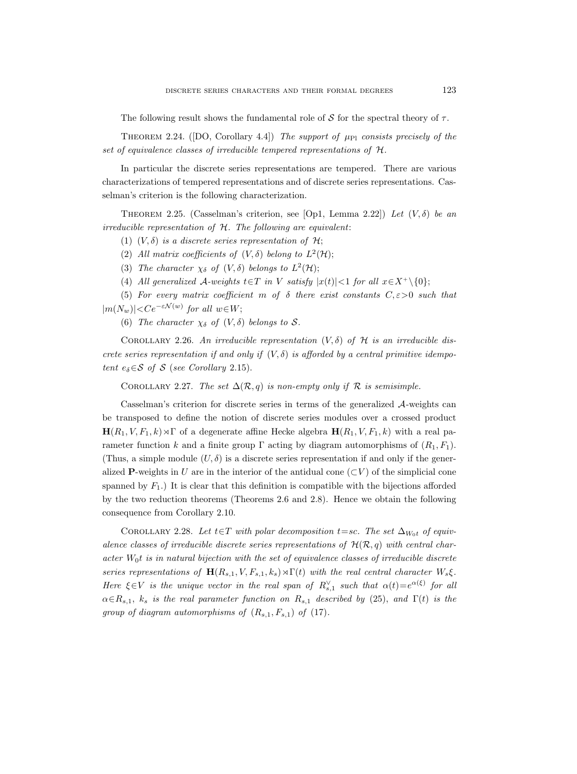The following result shows the fundamental role of S for the spectral theory of  $\tau$ .

THEOREM 2.24. ([DO, Corollary 4.4]) The support of  $\mu_{\rm Pl}$  consists precisely of the set of equivalence classes of irreducible tempered representations of H.

In particular the discrete series representations are tempered. There are various characterizations of tempered representations and of discrete series representations. Casselman's criterion is the following characterization.

THEOREM 2.25. (Casselman's criterion, see [Op1, Lemma 2.22]) Let  $(V, \delta)$  be an irreducible representation of H. The following are equivalent:

(1)  $(V, \delta)$  is a discrete series representation of H;

(2) All matrix coefficients of  $(V, \delta)$  belong to  $L^2(\mathcal{H})$ ;

(3) The character  $\chi_{\delta}$  of  $(V, \delta)$  belongs to  $L^2(\mathcal{H})$ ;

(4) All generalized  $\mathcal{A}\text{-weights } t \in T$  in V satisfy  $|x(t)| < 1$  for all  $x \in X^+ \setminus \{0\};$ 

(5) For every matrix coefficient m of  $\delta$  there exist constants  $C, \varepsilon > 0$  such that  $|m(N_w)| < Ce^{-\varepsilon \mathcal{N}(w)}$  for all  $w \in W$ ;

(6) The character  $\chi_{\delta}$  of  $(V, \delta)$  belongs to S.

COROLLARY 2.26. An irreducible representation  $(V, \delta)$  of H is an irreducible discrete series representation if and only if  $(V, \delta)$  is afforded by a central primitive idempotent  $e_{\delta} \in \mathcal{S}$  of  $\mathcal{S}$  (see Corollary 2.15).

COROLLARY 2.27. The set  $\Delta(\mathcal{R}, q)$  is non-empty only if  $\mathcal R$  is semisimple.

Casselman's criterion for discrete series in terms of the generalized A-weights can be transposed to define the notion of discrete series modules over a crossed product  $\mathbf{H}(R_1, V, F_1, k) \rtimes \Gamma$  of a degenerate affine Hecke algebra  $\mathbf{H}(R_1, V, F_1, k)$  with a real parameter function k and a finite group  $\Gamma$  acting by diagram automorphisms of  $(R_1, F_1)$ . (Thus, a simple module  $(U, \delta)$  is a discrete series representation if and only if the generalized P-weights in U are in the interior of the antidual cone ( $\subset V$ ) of the simplicial cone spanned by  $F_1$ .) It is clear that this definition is compatible with the bijections afforded by the two reduction theorems (Theorems 2.6 and 2.8). Hence we obtain the following consequence from Corollary 2.10.

COROLLARY 2.28. Let  $t \in T$  with polar decomposition  $t = sc$ . The set  $\Delta_{W_0 t}$  of equivalence classes of irreducible discrete series representations of  $\mathcal{H}(\mathcal{R}, q)$  with central character  $W_0$ t is in natural bijection with the set of equivalence classes of irreducible discrete series representations of  $\mathbf{H}(R_{s,1}, V, F_{s,1}, k_s) \rtimes \Gamma(t)$  with the real central character  $W_s \xi$ . Here  $\xi \in V$  is the unique vector in the real span of  $R_{s,1}^{\vee}$  such that  $\alpha(t) = e^{\alpha(\xi)}$  for all  $\alpha \in R_{s,1}$ ,  $k_s$  is the real parameter function on  $R_{s,1}$  described by (25), and  $\Gamma(t)$  is the group of diagram automorphisms of  $(R_{s,1}, F_{s,1})$  of  $(17)$ .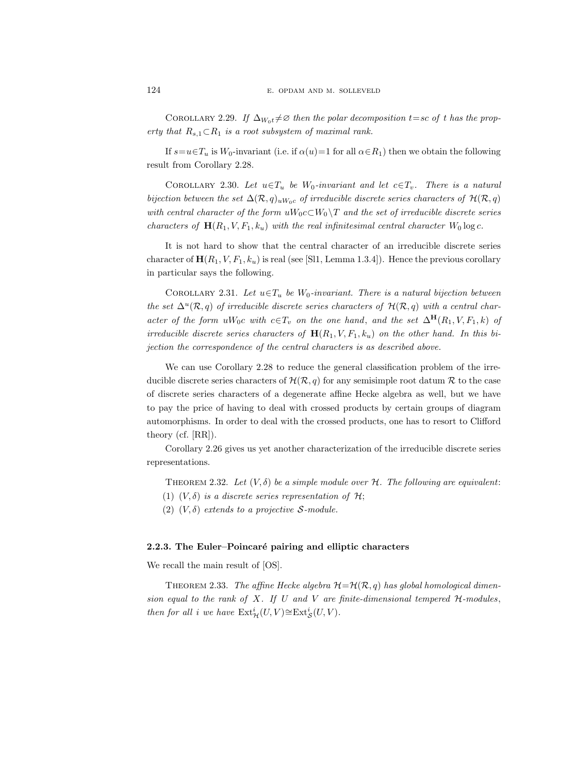COROLLARY 2.29. If  $\Delta_{W_0t} \neq \emptyset$  then the polar decomposition t=sc of t has the property that  $R_{s,1} \subset R_1$  is a root subsystem of maximal rank.

If  $s=u\in\mathcal{I}_u$  is  $W_0$ -invariant (i.e. if  $\alpha(u)=1$  for all  $\alpha\in\mathcal{R}_1$ ) then we obtain the following result from Corollary 2.28.

COROLLARY 2.30. Let  $u \in T_u$  be W<sub>0</sub>-invariant and let  $c \in T_v$ . There is a natural bijection between the set  $\Delta(\mathcal{R}, q)_{uW_0c}$  of irreducible discrete series characters of  $\mathcal{H}(\mathcal{R}, q)$ with central character of the form  $uW_0c\subset W_0\setminus T$  and the set of irreducible discrete series characters of  $\mathbf{H}(R_1, V, F_1, k_u)$  with the real infinitesimal central character  $W_0$  log c.

It is not hard to show that the central character of an irreducible discrete series character of  $\mathbf{H}(R_1, V, F_1, k_u)$  is real (see [Sl1, Lemma 1.3.4]). Hence the previous corollary in particular says the following.

COROLLARY 2.31. Let  $u \in T_u$  be W<sub>0</sub>-invariant. There is a natural bijection between the set  $\Delta^u(\mathcal{R}, q)$  of irreducible discrete series characters of  $\mathcal{H}(\mathcal{R}, q)$  with a central character of the form uW<sub>0</sub>c with  $c \in T_v$  on the one hand, and the set  $\Delta^{\mathbf{H}}(R_1, V, F_1, k)$  of irreducible discrete series characters of  $\mathbf{H}(R_1, V, F_1, k_u)$  on the other hand. In this bijection the correspondence of the central characters is as described above.

We can use Corollary 2.28 to reduce the general classification problem of the irreducible discrete series characters of  $\mathcal{H}(\mathcal{R}, q)$  for any semisimple root datum  $\mathcal R$  to the case of discrete series characters of a degenerate affine Hecke algebra as well, but we have to pay the price of having to deal with crossed products by certain groups of diagram automorphisms. In order to deal with the crossed products, one has to resort to Clifford theory (cf. [RR]).

Corollary 2.26 gives us yet another characterization of the irreducible discrete series representations.

THEOREM 2.32. Let  $(V, \delta)$  be a simple module over  $H$ . The following are equivalent:

- (1)  $(V, \delta)$  is a discrete series representation of H;
- (2)  $(V, \delta)$  extends to a projective *S*-module.

# 2.2.3. The Euler–Poincaré pairing and elliptic characters

We recall the main result of [OS].

THEOREM 2.33. The affine Hecke algebra  $\mathcal{H}=\mathcal{H}(\mathcal{R}, q)$  has global homological dimension equal to the rank of  $X$ . If  $U$  and  $V$  are finite-dimensional tempered  $H$ -modules, then for all i we have  $\mathrm{Ext}^i_{\mathcal{H}}(U,V) \cong \mathrm{Ext}^i_{\mathcal{S}}(U,V)$ .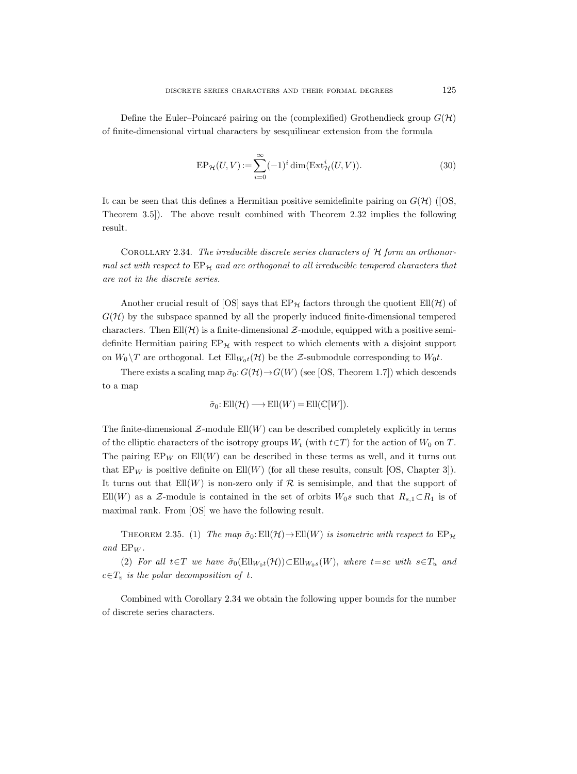Define the Euler–Poincaré pairing on the (complexified) Grothendieck group  $G(\mathcal{H})$ of finite-dimensional virtual characters by sesquilinear extension from the formula

$$
EP_{\mathcal{H}}(U,V) := \sum_{i=0}^{\infty} (-1)^i \dim(\operatorname{Ext}^i_{\mathcal{H}}(U,V)).
$$
\n(30)

It can be seen that this defines a Hermitian positive semidefinite pairing on  $G(\mathcal{H})$  ([OS, Theorem 3.5]). The above result combined with Theorem 2.32 implies the following result.

COROLLARY 2.34. The irreducible discrete series characters of  $H$  form an orthonormal set with respect to  $EP_{\mathcal{H}}$  and are orthogonal to all irreducible tempered characters that are not in the discrete series.

Another crucial result of [OS] says that  $EP_{\mathcal{H}}$  factors through the quotient  $Ell(\mathcal{H})$  of  $G(\mathcal{H})$  by the subspace spanned by all the properly induced finite-dimensional tempered characters. Then  $Ell(\mathcal{H})$  is a finite-dimensional  $\mathcal{Z}\text{-module}$ , equipped with a positive semidefinite Hermitian pairing  $EP_{\mathcal{H}}$  with respect to which elements with a disjoint support on  $W_0 \backslash T$  are orthogonal. Let  $Ell_{W_0t}(\mathcal{H})$  be the Z-submodule corresponding to  $W_0t$ .

There exists a scaling map  $\tilde{\sigma}_0$ :  $G(\mathcal{H}) \rightarrow G(W)$  (see [OS, Theorem 1.7]) which descends to a map

$$
\tilde{\sigma}_0\text{: Ell}(\mathcal{H})\longrightarrow \text{Ell}(W)=\text{Ell}(\mathbb{C}[W]).
$$

The finite-dimensional  $\mathcal{Z}\text{-module}$  Ell $(W)$  can be described completely explicitly in terms of the elliptic characters of the isotropy groups  $W_t$  (with  $t \in T$ ) for the action of  $W_0$  on T. The pairing  $EP_W$  on  $Ell(W)$  can be described in these terms as well, and it turns out that  $EP_W$  is positive definite on  $Ell(W)$  (for all these results, consult [OS, Chapter 3]). It turns out that  $Ell(W)$  is non-zero only if R is semisimple, and that the support of Ell $(W)$  as a Z-module is contained in the set of orbits  $W_0s$  such that  $R_{s,1}\subset R_1$  is of maximal rank. From [OS] we have the following result.

THEOREM 2.35. (1) The map  $\tilde{\sigma}_0: \text{Ell}(\mathcal{H}) \to \text{Ell}(W)$  is isometric with respect to  $\text{EP}_{\mathcal{H}}$ and  $EP_W$ .

(2) For all  $t \in T$  we have  $\tilde{\sigma}_0(\text{Ell}_{W_0t}(\mathcal{H})) \subset \text{Ell}_{W_0s}(W)$ , where  $t = sc$  with  $s \in T_u$  and  $c \in T_v$  is the polar decomposition of t.

Combined with Corollary 2.34 we obtain the following upper bounds for the number of discrete series characters.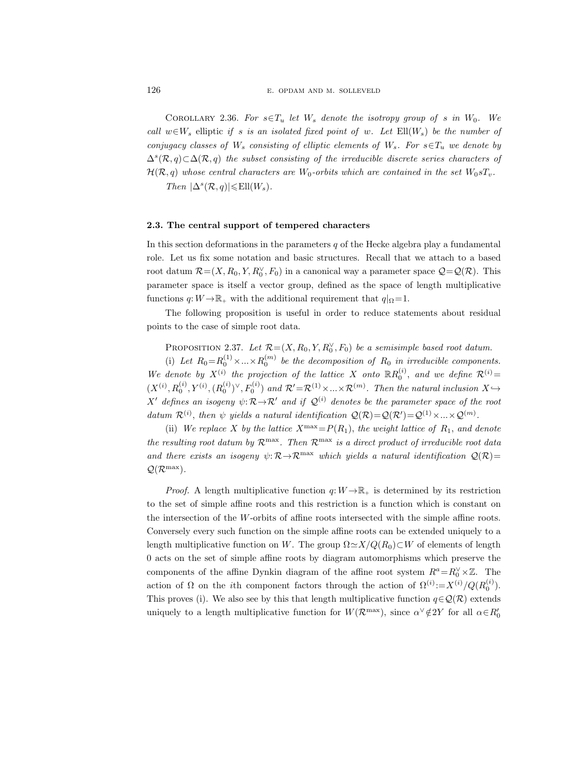COROLLARY 2.36. For  $s \in T_u$  let  $W_s$  denote the isotropy group of s in  $W_0$ . We call  $w \in W_s$  elliptic if s is an isolated fixed point of w. Let  $Ell(W_s)$  be the number of conjugacy classes of  $W_s$  consisting of elliptic elements of  $W_s$ . For  $s \in T_u$  we denote by  $\Delta^s(\mathcal{R}, q) \subset \Delta(\mathcal{R}, q)$  the subset consisting of the irreducible discrete series characters of  $\mathcal{H}(\mathcal{R}, q)$  whose central characters are  $W_0$ -orbits which are contained in the set  $W_0 s T_v$ .

Then  $|\Delta^s (\mathcal{R}, q)| \leqslant \text{Ell}(W_s).$ 

## 2.3. The central support of tempered characters

In this section deformations in the parameters  $q$  of the Hecke algebra play a fundamental role. Let us fix some notation and basic structures. Recall that we attach to a based root datum  $\mathcal{R} = (X, R_0, Y, R_0^{\vee}, F_0)$  in a canonical way a parameter space  $\mathcal{Q} = \mathcal{Q}(\mathcal{R})$ . This parameter space is itself a vector group, defined as the space of length multiplicative functions  $q: W \to \mathbb{R}_+$  with the additional requirement that  $q|_{\Omega} = 1$ .

The following proposition is useful in order to reduce statements about residual points to the case of simple root data.

PROPOSITION 2.37. Let  $\mathcal{R} = (X, R_0, Y, R_0^{\vee}, F_0)$  be a semisimple based root datum.

(i) Let  $R_0 = R_0^{(1)} \times ... \times R_0^{(m)}$  be the decomposition of  $R_0$  in irreducible components. We denote by  $X^{(i)}$  the projection of the lattice X onto  $\mathbb{R}R_0^{(i)}$ , and we define  $\mathcal{R}^{(i)}$  =  $(X^{(i)}, R_0^{(i)}, Y^{(i)}, (R_0^{(i)})^{\vee}, F_0^{(i)})$  and  $\mathcal{R}' = \mathcal{R}^{(1)} \times ... \times \mathcal{R}^{(m)}$ . Then the natural inclusion  $X \hookrightarrow$ X' defines an isogeny  $\psi: \mathcal{R} \rightarrow \mathcal{R}'$  and if  $\mathcal{Q}^{(i)}$  denotes be the parameter space of the root datum  $\mathcal{R}^{(i)}$ , then  $\psi$  yields a natural identification  $\mathcal{Q}(\mathcal{R}) = \mathcal{Q}(\mathcal{R}') = \mathcal{Q}^{(1)} \times ... \times \mathcal{Q}^{(m)}$ .

(ii) We replace X by the lattice  $X^{\max}=P(R_1)$ , the weight lattice of  $R_1$ , and denote the resulting root datum by  $\mathcal{R}^{\max}$ . Then  $\mathcal{R}^{\max}$  is a direct product of irreducible root data and there exists an isogeny  $\psi: \mathcal{R} \to \mathcal{R}^{max}$  which yields a natural identification  $\mathcal{Q}(\mathcal{R})=$  $\mathcal{Q}(\mathcal{R}^{\max}).$ 

*Proof.* A length multiplicative function  $q: W \to \mathbb{R}_+$  is determined by its restriction to the set of simple affine roots and this restriction is a function which is constant on the intersection of the W-orbits of affine roots intersected with the simple affine roots. Conversely every such function on the simple affine roots can be extended uniquely to a length multiplicative function on W. The group  $\Omega \simeq X/Q(R_0) \subset W$  of elements of length 0 acts on the set of simple affine roots by diagram automorphisms which preserve the components of the affine Dynkin diagram of the affine root system  $R^a = R_0^{\vee} \times \mathbb{Z}$ . The action of  $\Omega$  on the *i*th component factors through the action of  $\Omega^{(i)} = X^{(i)}/Q(R_0^{(i)})$ . This proves (i). We also see by this that length multiplicative function  $q \in \mathcal{Q}(\mathcal{R})$  extends uniquely to a length multiplicative function for  $W(\mathcal{R}^{\max})$ , since  $\alpha^{\vee} \notin 2Y$  for all  $\alpha \in R'_0$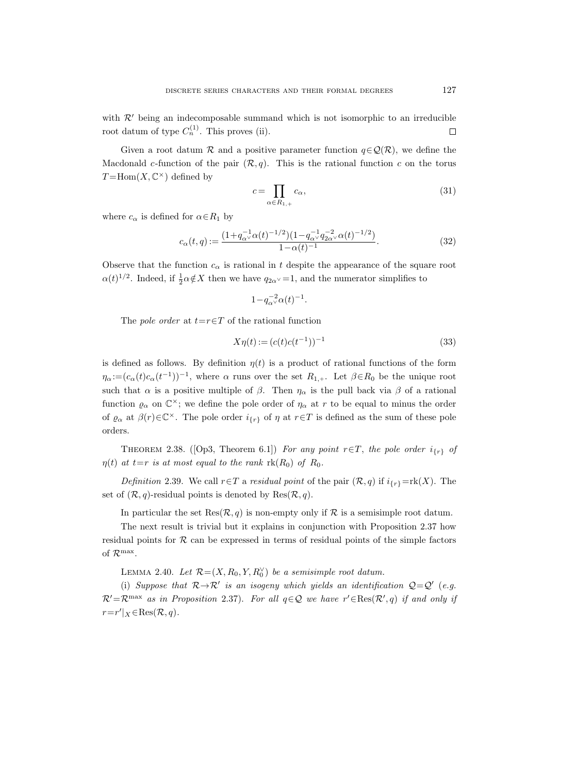with  $\mathcal{R}'$  being an indecomposable summand which is not isomorphic to an irreducible root datum of type  $C_n^{(1)}$ . This proves (ii).  $\Box$ 

Given a root datum R and a positive parameter function  $q \in \mathcal{Q}(\mathcal{R})$ , we define the Macdonald c-function of the pair  $(\mathcal{R}, q)$ . This is the rational function c on the torus  $T = \text{Hom}(X, \mathbb{C}^{\times})$  defined by

$$
c = \prod_{\alpha \in R_{1,+}} c_{\alpha},\tag{31}
$$

where  $c_{\alpha}$  is defined for  $\alpha \in R_1$  by

$$
c_{\alpha}(t,q) := \frac{(1 + q_{\alpha}^{-1}\alpha(t)^{-1/2})(1 - q_{\alpha}^{-1}q_{2\alpha}^{-2}\alpha(t)^{-1/2})}{1 - \alpha(t)^{-1}}.
$$
\n(32)

Observe that the function  $c_{\alpha}$  is rational in t despite the appearance of the square root  $\alpha(t)^{1/2}$ . Indeed, if  $\frac{1}{2}\alpha \notin X$  then we have  $q_{2\alpha} = 1$ , and the numerator simplifies to

$$
1\!-\!q_\alpha^{-2}\alpha(t)^{-1}.
$$

The *pole order* at  $t=r \in T$  of the rational function

$$
X\eta(t) := (c(t)c(t^{-1}))^{-1}
$$
\n(33)

is defined as follows. By definition  $\eta(t)$  is a product of rational functions of the form  $\eta_{\alpha} := (c_{\alpha}(t)c_{\alpha}(t^{-1}))^{-1}$ , where  $\alpha$  runs over the set  $R_{1,+}$ . Let  $\beta \in R_0$  be the unique root such that  $\alpha$  is a positive multiple of  $\beta$ . Then  $\eta_{\alpha}$  is the pull back via  $\beta$  of a rational function  $\varrho_\alpha$  on  $\mathbb{C}^\times$ ; we define the pole order of  $\eta_\alpha$  at r to be equal to minus the order of  $\varrho_\alpha$  at  $\beta(r) \in \mathbb{C}^\times$ . The pole order  $i_{\{r\}}$  of  $\eta$  at  $r \in T$  is defined as the sum of these pole orders.

THEOREM 2.38. ([Op3, Theorem 6.1]) For any point  $r \in T$ , the pole order  $i_{\{r\}}$  of  $\eta(t)$  at t=r is at most equal to the rank rk(R<sub>0</sub>) of R<sub>0</sub>.

Definition 2.39. We call  $r \in T$  a residual point of the pair  $(\mathcal{R}, q)$  if  $i_{\{r\}} = \text{rk}(X)$ . The set of  $(\mathcal{R}, q)$ -residual points is denoted by  $\text{Res}(\mathcal{R}, q)$ .

In particular the set Res $(\mathcal{R}, q)$  is non-empty only if  $\mathcal R$  is a semisimple root datum.

The next result is trivial but it explains in conjunction with Proposition 2.37 how residual points for  $R$  can be expressed in terms of residual points of the simple factors of  $\mathcal{R}^{\max}$ .

LEMMA 2.40. Let  $\mathcal{R} = (X, R_0, Y, R_0^{\vee})$  be a semisimple root datum.

(i) Suppose that  $R\rightarrow R'$  is an isogeny which yields an identification  $Q = Q'$  (e.g.  $\mathcal{R}'=\mathcal{R}^{\max}$  as in Proposition 2.37). For all  $q\in\mathcal{Q}$  we have  $r'\in Res(\mathcal{R}', q)$  if and only if  $r = r' \mid X \in \text{Res}(\mathcal{R}, q).$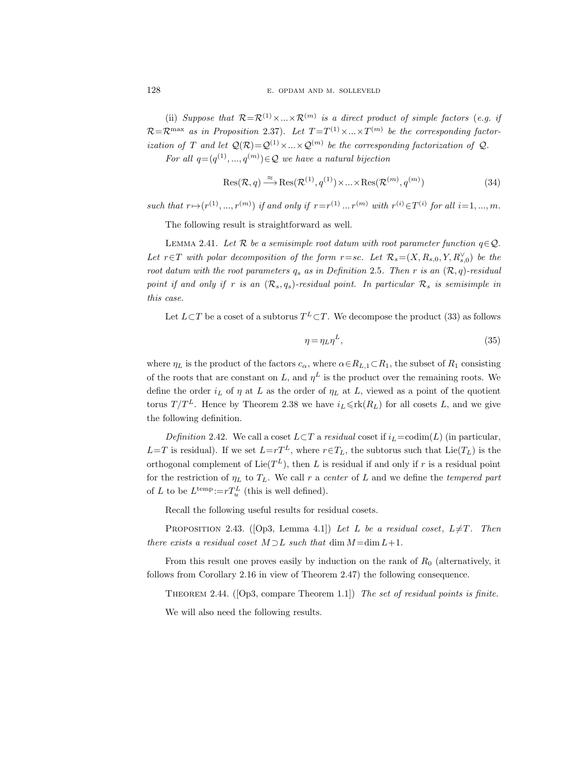(ii) Suppose that  $\mathcal{R} = \mathcal{R}^{(1)} \times ... \times \mathcal{R}^{(m)}$  is a direct product of simple factors (e.g. if  $\mathcal{R} = \mathcal{R}^{\max}$  as in Proposition 2.37). Let  $T = T^{(1)} \times ... \times T^{(m)}$  be the corresponding factorization of T and let  $\mathcal{Q}(\mathcal{R}) = \mathcal{Q}^{(1)} \times ... \times \mathcal{Q}^{(m)}$  be the corresponding factorization of  $\mathcal{Q}$ . For all  $q=(q^{(1)},...,q^{(m)})\in\mathcal{Q}$  we have a natural bijection

$$
Res(\mathcal{R}, q) \xrightarrow{\approx} Res(\mathcal{R}^{(1)}, q^{(1)}) \times ... \times Res(\mathcal{R}^{(m)}, q^{(m)})
$$
\n(34)

such that  $r \mapsto (r^{(1)}, ..., r^{(m)})$  if and only if  $r = r^{(1)} \dots r^{(m)}$  with  $r^{(i)} \in T^{(i)}$  for all  $i = 1, ..., m$ .

The following result is straightforward as well.

LEMMA 2.41. Let R be a semisimple root datum with root parameter function  $q \in \mathcal{Q}$ . Let  $r \in T$  with polar decomposition of the form  $r = sc$ . Let  $\mathcal{R}_s = (X, R_{s,0}, Y, R_{s,0}^{\vee})$  be the root datum with the root parameters  $q_s$  as in Definition 2.5. Then r is an  $(\mathcal{R}, q)$ -residual point if and only if r is an  $(\mathcal{R}_s, q_s)$ -residual point. In particular  $\mathcal{R}_s$  is semisimple in this case.

Let  $L\subset T$  be a coset of a subtorus  $T^L\subset T$ . We decompose the product (33) as follows

$$
\eta = \eta_L \eta^L,\tag{35}
$$

where  $\eta_L$  is the product of the factors  $c_{\alpha}$ , where  $\alpha \in R_{L,1} \subset R_1$ , the subset of  $R_1$  consisting of the roots that are constant on L, and  $\eta^L$  is the product over the remaining roots. We define the order  $i_L$  of  $\eta$  at L as the order of  $\eta_L$  at L, viewed as a point of the quotient torus  $T/T^L$ . Hence by Theorem 2.38 we have  $i_L \leqslant \text{rk}(R_L)$  for all cosets L, and we give the following definition.

Definition 2.42. We call a coset  $L\subset T$  a residual coset if  $i_L$ =codim(L) (in particular,  $L=T$  is residual). If we set  $L=rT^L$ , where  $r \in T_L$ , the subtorus such that  $Lie(T_L)$  is the orthogonal complement of  $\text{Lie}(T^L)$ , then L is residual if and only if r is a residual point for the restriction of  $\eta_L$  to  $T_L$ . We call r a center of L and we define the tempered part of L to be  $L^{\text{temp}} := rT_u^L$  (this is well defined).

Recall the following useful results for residual cosets.

PROPOSITION 2.43. ([Op3, Lemma 4.1]) Let L be a residual coset,  $L \neq T$ . Then there exists a residual coset  $M \supset L$  such that  $\dim M = \dim L + 1$ .

From this result one proves easily by induction on the rank of  $R_0$  (alternatively, it follows from Corollary 2.16 in view of Theorem 2.47) the following consequence.

Theorem 2.44. ([Op3, compare Theorem 1.1]) The set of residual points is finite. We will also need the following results.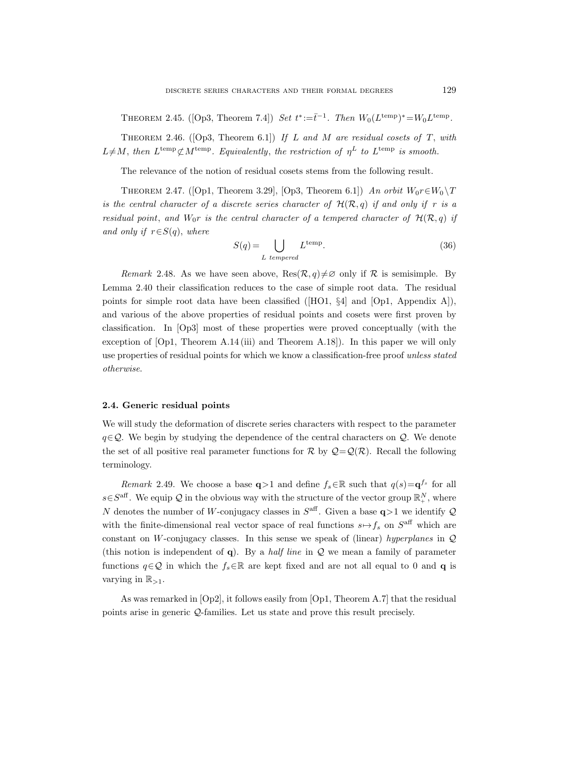THEOREM 2.45. ([Op3, Theorem 7.4]) Set  $t^* := \bar{t}^{-1}$ . Then  $W_0(L^{temp})^* = W_0 L^{temp}$ .

THEOREM 2.46. ([Op3, Theorem 6.1]) If L and M are residual cosets of T, with  $L \neq M$ , then  $L^{\text{temp}} \not\subset M^{\text{temp}}$ . Equivalently, the restriction of  $\eta^L$  to  $L^{\text{temp}}$  is smooth.

The relevance of the notion of residual cosets stems from the following result.

THEOREM 2.47. ([Op1, Theorem 3.29], [Op3, Theorem 6.1]) An orbit  $W_0r \in W_0 \backslash T$ is the central character of a discrete series character of  $\mathcal{H}(\mathcal{R}, q)$  if and only if r is a residual point, and  $W_0r$  is the central character of a tempered character of  $\mathcal{H}(\mathcal{R}, q)$  if and only if  $r \in S(q)$ , where

$$
S(q) = \bigcup_{L \text{ tempered}} L^{\text{temp}}.
$$
 (36)

Remark 2.48. As we have seen above,  $\text{Res}(\mathcal{R}, q) \neq \emptyset$  only if  $\mathcal R$  is semisimple. By Lemma 2.40 their classification reduces to the case of simple root data. The residual points for simple root data have been classified ([HO1, §4] and [Op1, Appendix A]), and various of the above properties of residual points and cosets were first proven by classification. In [Op3] most of these properties were proved conceptually (with the exception of [Op1, Theorem A.14 (iii) and Theorem A.18]). In this paper we will only use properties of residual points for which we know a classification-free proof unless stated otherwise.

## 2.4. Generic residual points

We will study the deformation of discrete series characters with respect to the parameter  $q \in \mathcal{Q}$ . We begin by studying the dependence of the central characters on  $\mathcal{Q}$ . We denote the set of all positive real parameter functions for R by  $Q = Q(R)$ . Recall the following terminology.

Remark 2.49. We choose a base  $q>1$  and define  $f_s \in \mathbb{R}$  such that  $q(s) = q^{f_s}$  for all  $s \in S^{\text{aff}}$ . We equip  $\mathcal Q$  in the obvious way with the structure of the vector group  $\mathbb R_+^N$ , where N denotes the number of W-conjugacy classes in  $S^{\text{aff}}$ . Given a base  $q>1$  we identify Q with the finite-dimensional real vector space of real functions  $s \mapsto f_s$  on  $S^{\text{aff}}$  which are constant on W-conjugacy classes. In this sense we speak of (linear) hyperplanes in  $\mathcal{Q}$ (this notion is independent of q). By a half line in  $\mathcal Q$  we mean a family of parameter functions  $q \in \mathcal{Q}$  in which the  $f_s \in \mathbb{R}$  are kept fixed and are not all equal to 0 and **q** is varying in  $\mathbb{R}_{>1}$ .

As was remarked in [Op2], it follows easily from [Op1, Theorem A.7] that the residual points arise in generic Q-families. Let us state and prove this result precisely.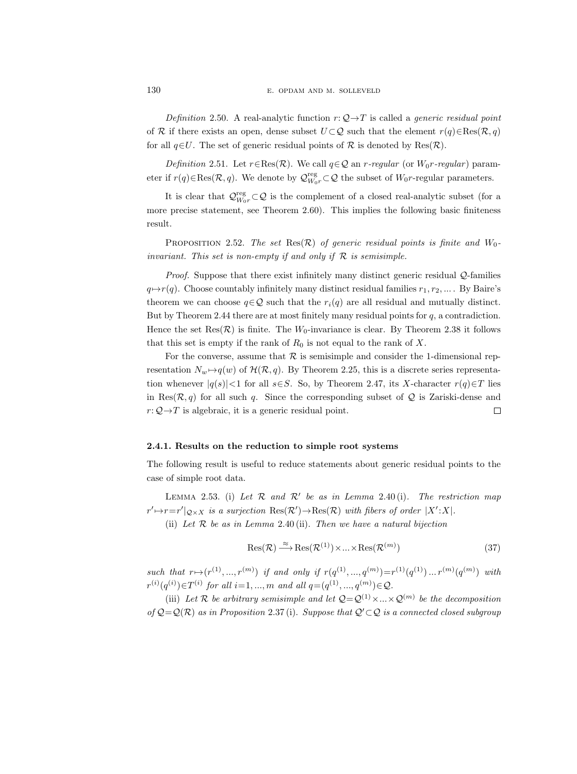Definition 2.50. A real-analytic function  $r: \mathcal{Q} \rightarrow T$  is called a *generic residual point* of R if there exists an open, dense subset  $U \subset Q$  such that the element  $r(q) \in \text{Res}(\mathcal{R}, q)$ for all  $q \in U$ . The set of generic residual points of R is denoted by Res $(\mathcal{R})$ .

Definition 2.51. Let  $r \in \text{Res}(\mathcal{R})$ . We call  $q \in \mathcal{Q}$  an r-regular (or  $W_0r$ -regular) parameter if  $r(q) \in \text{Res}(\mathcal{R}, q)$ . We denote by  $\mathcal{Q}_{W_0 r}^{\text{reg}} \subset \mathcal{Q}$  the subset of  $W_0 r$ -regular parameters.

It is clear that  $\mathcal{Q}_{W_0 r}^{\text{reg}} \subset \mathcal{Q}$  is the complement of a closed real-analytic subset (for a more precise statement, see Theorem 2.60). This implies the following basic finiteness result.

PROPOSITION 2.52. The set Res $(\mathcal{R})$  of generic residual points is finite and  $W_0$ invariant. This set is non-empty if and only if  $R$  is semisimple.

Proof. Suppose that there exist infinitely many distinct generic residual Q-families  $q \mapsto r(q)$ . Choose countably infinitely many distinct residual families  $r_1, r_2, \dots$ . By Baire's theorem we can choose  $q \in \mathcal{Q}$  such that the  $r_i(q)$  are all residual and mutually distinct. But by Theorem 2.44 there are at most finitely many residual points for  $q$ , a contradiction. Hence the set Res $(\mathcal{R})$  is finite. The  $W_0$ -invariance is clear. By Theorem 2.38 it follows that this set is empty if the rank of  $R_0$  is not equal to the rank of X.

For the converse, assume that  $R$  is semisimple and consider the 1-dimensional representation  $N_w \rightarrow q(w)$  of  $\mathcal{H}(\mathcal{R}, q)$ . By Theorem 2.25, this is a discrete series representation whenever  $|q(s)| < 1$  for all s∈S. So, by Theorem 2.47, its X-character  $r(q) \in T$  lies in Res $(\mathcal{R}, q)$  for all such q. Since the corresponding subset of Q is Zariski-dense and  $r: \mathcal{Q} \rightarrow T$  is algebraic, it is a generic residual point.  $\Box$ 

## 2.4.1. Results on the reduction to simple root systems

The following result is useful to reduce statements about generic residual points to the case of simple root data.

LEMMA 2.53. (i) Let  $R$  and  $R'$  be as in Lemma 2.40(i). The restriction map  $r' \mapsto r = r' |_{\mathcal{Q} \times X}$  is a surjection  $\text{Res}(\mathcal{R}') \to \text{Res}(\mathcal{R})$  with fibers of order  $|X':X|$ .

(ii) Let  $R$  be as in Lemma 2.40 (ii). Then we have a natural bijection

$$
\operatorname{Res}(\mathcal{R}) \xrightarrow{\approx} \operatorname{Res}(\mathcal{R}^{(1)}) \times \dots \times \operatorname{Res}(\mathcal{R}^{(m)})
$$
\n(37)

such that  $r \mapsto (r^{(1)}, ..., r^{(m)})$  if and only if  $r(q^{(1)}, ..., q^{(m)}) = r^{(1)}(q^{(1)}) ... r^{(m)}(q^{(m)})$  with  $r^{(i)}(q^{(i)}) \in T^{(i)}$  for all  $i=1, ..., m$  and all  $q = (q^{(1)}, ..., q^{(m)}) \in Q$ .

(iii) Let R be arbitrary semisimple and let  $Q = Q^{(1)} \times ... \times Q^{(m)}$  be the decomposition of  $Q = Q(R)$  as in Proposition 2.37 (i). Suppose that  $Q' \subset Q$  is a connected closed subgroup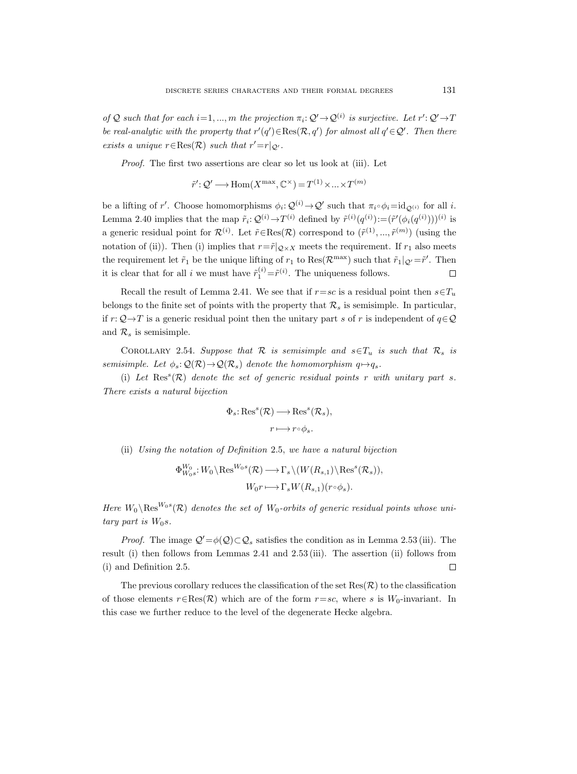of Q such that for each  $i=1,...,m$  the projection  $\pi_i: \mathcal{Q}' \to \mathcal{Q}^{(i)}$  is surjective. Let  $r': \mathcal{Q}' \to T$ be real-analytic with the property that  $r'(q') \in \text{Res}(\mathcal{R}, q')$  for almost all  $q' \in \mathcal{Q}'$ . Then there exists a unique  $r \in \text{Res}(\mathcal{R})$  such that  $r' = r|_{\mathcal{Q}}$ .

Proof. The first two assertions are clear so let us look at (iii). Let

$$
\tilde{r}' : \mathcal{Q}' \longrightarrow \text{Hom}(X^{\text{max}}, \mathbb{C}^{\times}) = T^{(1)} \times ... \times T^{(m)}
$$

be a lifting of r'. Choose homomorphisms  $\phi_i: \mathcal{Q}^{(i)} \to \mathcal{Q}'$  such that  $\pi_i \circ \phi_i = id_{\mathcal{Q}^{(i)}}$  for all i. Lemma 2.40 implies that the map  $\tilde{r}_i: \mathcal{Q}^{(i)} \to T^{(i)}$  defined by  $\tilde{r}^{(i)}(q^{(i)}) := (\tilde{r}'(\phi_i(q^{(i)})))^{(i)}$  is a generic residual point for  $\mathcal{R}^{(i)}$ . Let  $\tilde{r} \in \text{Res}(\mathcal{R})$  correspond to  $(\tilde{r}^{(1)}, ..., \tilde{r}^{(m)})$  (using the notation of (ii)). Then (i) implies that  $r = \tilde{r}|_{Q \times X}$  meets the requirement. If  $r_1$  also meets the requirement let  $\tilde{r}_1$  be the unique lifting of  $r_1$  to  $\text{Res}(\mathcal{R}^{\text{max}})$  such that  $\tilde{r}_1|_{\mathcal{Q}} = \tilde{r}'$ . Then it is clear that for all *i* we must have  $\tilde{r}_1^{(i)} = \tilde{r}^{(i)}$ . The uniqueness follows.  $\Box$ 

Recall the result of Lemma 2.41. We see that if  $r=sc$  is a residual point then  $s\in T_u$ belongs to the finite set of points with the property that  $\mathcal{R}_s$  is semisimple. In particular, if r:  $\mathcal{Q} \rightarrow T$  is a generic residual point then the unitary part s of r is independent of  $q \in \mathcal{Q}$ and  $\mathcal{R}_s$  is semisimple.

COROLLARY 2.54. Suppose that R is semisimple and  $s \in T_u$  is such that R<sub>s</sub> is semisimple. Let  $\phi_s \colon \mathcal{Q}(\mathcal{R}) \to \mathcal{Q}(\mathcal{R}_s)$  denote the homomorphism  $q \mapsto q_s$ .

(i) Let  $\text{Res}^s(\mathcal{R})$  denote the set of generic residual points r with unitary part s. There exists a natural bijection

$$
\Phi_s: \text{Res}^s(\mathcal{R}) \longrightarrow \text{Res}^s(\mathcal{R}_s),
$$

$$
r \longmapsto r \circ \phi_s.
$$

(ii) Using the notation of Definition 2.5, we have a natural bijection

$$
\Phi_{W_0s}^{W_0}: W_0 \setminus \text{Res}^{W_0s}(\mathcal{R}) \longrightarrow \Gamma_s \setminus (W(R_{s,1}) \setminus \text{Res}^s(\mathcal{R}_s)),
$$
  

$$
W_0r \longmapsto \Gamma_s W(R_{s,1})(r \circ \phi_s).
$$

Here  $W_0 \backslash \text{Res}^{W_0 s}(\mathcal{R})$  denotes the set of  $W_0$ -orbits of generic residual points whose unitary part is  $W_0s$ .

*Proof.* The image  $Q' = \phi(Q) \subset Q_s$  satisfies the condition as in Lemma 2.53 (iii). The result (i) then follows from Lemmas 2.41 and 2.53 (iii). The assertion (ii) follows from (i) and Definition 2.5.  $\Box$ 

The previous corollary reduces the classification of the set  $\text{Res}(\mathcal{R})$  to the classification of those elements  $r \in \text{Res}(\mathcal{R})$  which are of the form  $r=sc$ , where s is  $W_0$ -invariant. In this case we further reduce to the level of the degenerate Hecke algebra.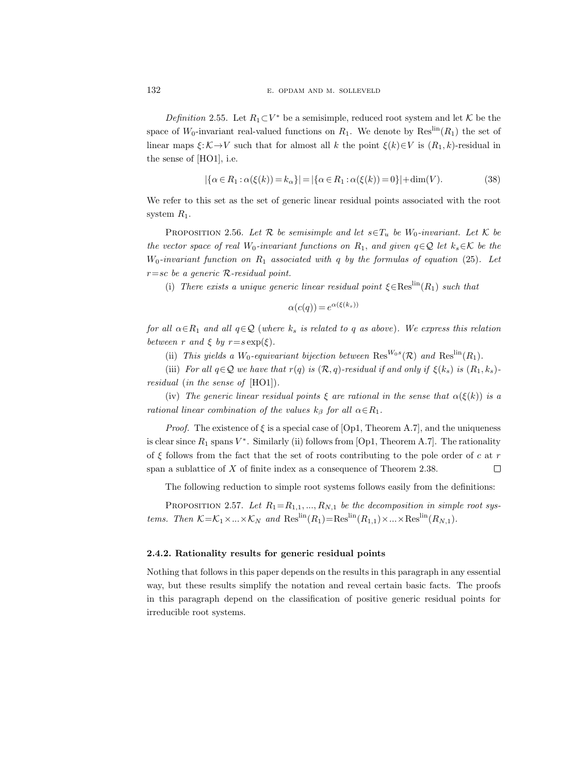Definition 2.55. Let  $R_1 \subset V^*$  be a semisimple, reduced root system and let K be the space of  $W_0$ -invariant real-valued functions on  $R_1$ . We denote by  $\text{Res}^{\text{lin}}(R_1)$  the set of linear maps  $\xi: \mathcal{K} \to V$  such that for almost all k the point  $\xi(k) \in V$  is  $(R_1, k)$ -residual in the sense of [HO1], i.e.

$$
|\{\alpha \in R_1 : \alpha(\xi(k)) = k_\alpha\}| = |\{\alpha \in R_1 : \alpha(\xi(k)) = 0\}| + \dim(V). \tag{38}
$$

We refer to this set as the set of generic linear residual points associated with the root system  $R_1$ .

PROPOSITION 2.56. Let R be semisimple and let  $s \in T_u$  be W<sub>0</sub>-invariant. Let K be the vector space of real W<sub>0</sub>-invariant functions on  $R_1$ , and given  $q \in \mathcal{Q}$  let  $k_s \in \mathcal{K}$  be the  $W_0$ -invariant function on  $R_1$  associated with q by the formulas of equation (25). Let  $r=sc$  be a generic R-residual point.

(i) There exists a unique generic linear residual point  $\xi \in \text{Res}^{\text{lin}}(R_1)$  such that

$$
\alpha(c(q)) = e^{\alpha(\xi(k_s))}
$$

for all  $\alpha \in R_1$  and all  $q \in \mathcal{Q}$  (where  $k_s$  is related to q as above). We express this relation between r and  $\xi$  by  $r = s \exp(\xi)$ .

(ii) This yields a W<sub>0</sub>-equivariant bijection between  $\text{Res}^{W_0 s}(\mathcal{R})$  and  $\text{Res}^{\text{lin}}(R_1)$ .

(iii) For all  $q \in \mathcal{Q}$  we have that  $r(q)$  is  $(\mathcal{R}, q)$ -residual if and only if  $\xi(k_s)$  is  $(R_1, k_s)$ residual (in the sense of [HO1]).

(iv) The generic linear residual points  $\xi$  are rational in the sense that  $\alpha(\xi(k))$  is a rational linear combination of the values  $k_{\beta}$  for all  $\alpha \in R_1$ .

*Proof.* The existence of  $\xi$  is a special case of [Op1, Theorem A.7], and the uniqueness is clear since  $R_1$  spans  $V^*$ . Similarly (ii) follows from [Op1, Theorem A.7]. The rationality of  $\xi$  follows from the fact that the set of roots contributing to the pole order of c at r span a sublattice of X of finite index as a consequence of Theorem 2.38.  $\Box$ 

The following reduction to simple root systems follows easily from the definitions:

PROPOSITION 2.57. Let  $R_1 = R_{1,1}, ..., R_{N,1}$  be the decomposition in simple root systems. Then  $K = K_1 \times ... \times K_N$  and  $\text{Res}^{\text{lin}}(R_1) = \text{Res}^{\text{lin}}(R_{1,1}) \times ... \times \text{Res}^{\text{lin}}(R_{N,1}).$ 

# 2.4.2. Rationality results for generic residual points

Nothing that follows in this paper depends on the results in this paragraph in any essential way, but these results simplify the notation and reveal certain basic facts. The proofs in this paragraph depend on the classification of positive generic residual points for irreducible root systems.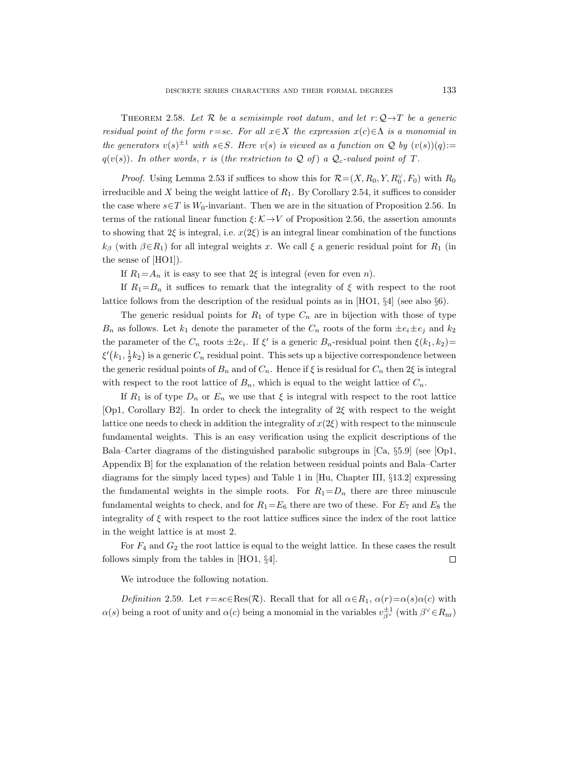THEOREM 2.58. Let R be a semisimple root datum, and let  $r: \mathcal{Q} \rightarrow T$  be a generic residual point of the form r=sc. For all  $x \in X$  the expression  $x(c) \in \Lambda$  is a monomial in the generators  $v(s)^{\pm 1}$  with  $s \in S$ . Here  $v(s)$  is viewed as a function on Q by  $(v(s))(q)$ :=  $q(v(s))$ . In other words, r is (the restriction to Q of) a  $Q_c$ -valued point of T.

*Proof.* Using Lemma 2.53 if suffices to show this for  $\mathcal{R} = (X, R_0, Y, R_0^{\vee}, F_0)$  with  $R_0$ irreducible and X being the weight lattice of  $R_1$ . By Corollary 2.54, it suffices to consider the case where  $s \in T$  is  $W_0$ -invariant. Then we are in the situation of Proposition 2.56. In terms of the rational linear function  $\xi: \mathcal{K} \to V$  of Proposition 2.56, the assertion amounts to showing that  $2\xi$  is integral, i.e.  $x(2\xi)$  is an integral linear combination of the functions  $k_{\beta}$  (with  $\beta \in R_1$ ) for all integral weights x. We call  $\xi$  a generic residual point for  $R_1$  (in the sense of [HO1]).

If  $R_1 = A_n$  it is easy to see that  $2\xi$  is integral (even for even n).

If  $R_1 = B_n$  it suffices to remark that the integrality of  $\xi$  with respect to the root lattice follows from the description of the residual points as in [HO1, §4] (see also §6).

The generic residual points for  $R_1$  of type  $C_n$  are in bijection with those of type  $B_n$  as follows. Let  $k_1$  denote the parameter of the  $C_n$  roots of the form  $\pm e_i \pm e_j$  and  $k_2$ the parameter of the  $C_n$  roots  $\pm 2e_i$ . If  $\xi'$  is a generic  $B_n$ -residual point then  $\xi(k_1, k_2)$ =  $\xi'(k_1, \frac{1}{2}k_2)$  is a generic  $C_n$  residual point. This sets up a bijective correspondence between the generic residual points of  $B_n$  and of  $C_n$ . Hence if  $\xi$  is residual for  $C_n$  then  $2\xi$  is integral with respect to the root lattice of  $B_n$ , which is equal to the weight lattice of  $C_n$ .

If  $R_1$  is of type  $D_n$  or  $E_n$  we use that  $\xi$  is integral with respect to the root lattice [Op1, Corollary B2]. In order to check the integrality of 2ξ with respect to the weight lattice one needs to check in addition the integrality of  $x(2\xi)$  with respect to the minuscule fundamental weights. This is an easy verification using the explicit descriptions of the Bala–Carter diagrams of the distinguished parabolic subgroups in [Ca, §5.9] (see [Op1, Appendix B] for the explanation of the relation between residual points and Bala–Carter diagrams for the simply laced types) and Table 1 in [Hu, Chapter III, §13.2] expressing the fundamental weights in the simple roots. For  $R_1 = D_n$  there are three minuscule fundamental weights to check, and for  $R_1 = E_6$  there are two of these. For  $E_7$  and  $E_8$  the integrality of  $\xi$  with respect to the root lattice suffices since the index of the root lattice in the weight lattice is at most 2.

For  $F_4$  and  $G_2$  the root lattice is equal to the weight lattice. In these cases the result follows simply from the tables in [HO1, §4].  $\Box$ 

We introduce the following notation.

Definition 2.59. Let  $r=sc\in Res(R)$ . Recall that for all  $\alpha \in R_1$ ,  $\alpha(r)=\alpha(s)\alpha(c)$  with  $\alpha(s)$  being a root of unity and  $\alpha(c)$  being a monomial in the variables  $v_{\beta^{\vee}}^{\pm 1}$  (with  $\beta^{\vee} \in R_{\text{nr}}$ )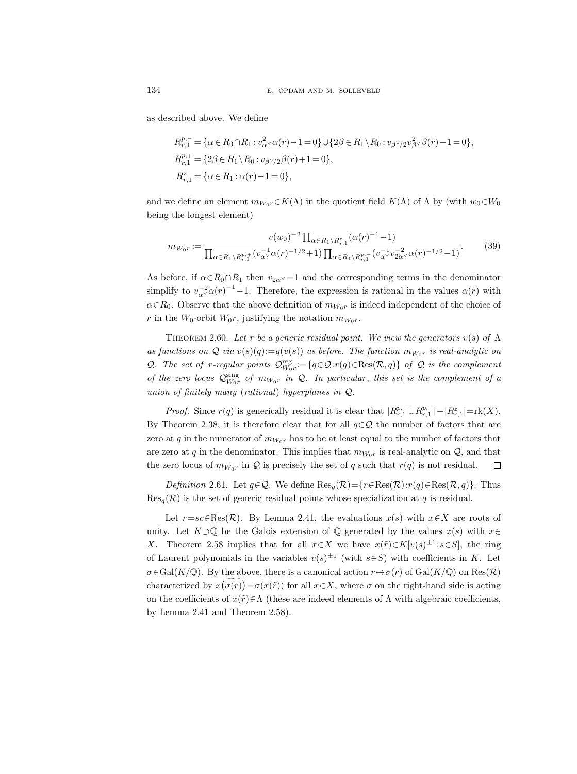as described above. We define

$$
R_{r,1}^{p,-} = \{ \alpha \in R_0 \cap R_1 : v_{\alpha}^2 \vee \alpha(r) - 1 = 0 \} \cup \{ 2\beta \in R_1 \setminus R_0 : v_{\beta \vee 2} v_{\beta \vee}^2 \beta(r) - 1 = 0 \},
$$
  
\n
$$
R_{r,1}^{p,+} = \{ 2\beta \in R_1 \setminus R_0 : v_{\beta \vee 2} \beta(r) + 1 = 0 \},
$$
  
\n
$$
R_{r,1}^z = \{ \alpha \in R_1 : \alpha(r) - 1 = 0 \},
$$

and we define an element  $m_{W_0r} \in K(\Lambda)$  in the quotient field  $K(\Lambda)$  of  $\Lambda$  by (with  $w_0 \in W_0$ being the longest element)

$$
m_{W_0r} := \frac{v(w_0)^{-2} \prod_{\alpha \in R_1 \setminus R_{r,1}^z} (\alpha(r)^{-1} - 1)}{\prod_{\alpha \in R_1 \setminus R_{r,1}^{p,+}} (v_{\alpha^{\vee}}^{-1} \alpha(r)^{-1/2} + 1) \prod_{\alpha \in R_1 \setminus R_{r,1}^{p,-}} (v_{\alpha^{\vee}}^{-1} v_{2\alpha^{\vee}}^{-2} \alpha(r)^{-1/2} - 1)}.
$$
(39)

As before, if  $\alpha \in R_0 \cap R_1$  then  $v_{2\alpha} = 1$  and the corresponding terms in the denominator simplify to  $v_{\alpha}^{-2} \alpha(r)^{-1} - 1$ . Therefore, the expression is rational in the values  $\alpha(r)$  with  $\alpha \in R_0$ . Observe that the above definition of  $m_{W_0r}$  is indeed independent of the choice of r in the  $W_0$ -orbit  $W_0r$ , justifying the notation  $m_{W_0r}$ .

THEOREM 2.60. Let r be a generic residual point. We view the generators  $v(s)$  of  $\Lambda$ as functions on  $\mathcal Q$  via  $v(s)(q) := q(v(s))$  as before. The function  $m_{W_0r}$  is real-analytic on Q. The set of r-regular points  $Q_{W_0r}^{\text{reg}} := \{q \in \mathcal{Q}: r(q) \in \text{Res}(\mathcal{R}, q)\}\;$  of  $\mathcal Q$  is the complement of the zero locus  $\mathcal{Q}_{W_0r}^{\text{sing}}$  of  $m_{W_0r}$  in  $\mathcal{Q}$ . In particular, this set is the complement of a union of finitely many (rational) hyperplanes in Q.

*Proof.* Since  $r(q)$  is generically residual it is clear that  $|R_{r,1}^{p,+} \cup R_{r,1}^{p,-}| - |R_{r,1}^{z}| = \text{rk}(X)$ . By Theorem 2.38, it is therefore clear that for all  $q \in \mathcal{Q}$  the number of factors that are zero at q in the numerator of  $m_{W_0r}$  has to be at least equal to the number of factors that are zero at q in the denominator. This implies that  $m_{W_0r}$  is real-analytic on  $\mathcal{Q}$ , and that the zero locus of  $m_{W_0r}$  in  $\mathcal Q$  is precisely the set of q such that  $r(q)$  is not residual. □

*Definition* 2.61. Let  $q \in \mathcal{Q}$ . We define  $\text{Res}_{q}(\mathcal{R}) = \{r \in \text{Res}(\mathcal{R}) : r(q) \in \text{Res}(\mathcal{R}, q)\}.$  Thus  $Res_q(\mathcal{R})$  is the set of generic residual points whose specialization at q is residual.

Let  $r=sc\in\operatorname{Res}(\mathcal{R})$ . By Lemma 2.41, the evaluations  $x(s)$  with  $x\in X$  are roots of unity. Let  $K\square\mathbb{Q}$  be the Galois extension of  $\mathbb{Q}$  generated by the values  $x(s)$  with  $x \in$ X. Theorem 2.58 implies that for all  $x \in X$  we have  $x(\tilde{r}) \in K[v(s)^{\pm 1} : s \in S]$ , the ring of Laurent polynomials in the variables  $v(s)^{\pm 1}$  (with  $s \in S$ ) with coefficients in K. Let  $\sigma \in \text{Gal}(K/\mathbb{Q})$ . By the above, there is a canonical action  $r \mapsto \sigma(r)$  of Gal( $K/\mathbb{Q}$ ) on Res( $\mathcal{R}$ ) characterized by  $x(\sigma(r)) = \sigma(x(\tilde{r}))$  for all  $x \in X$ , where  $\sigma$  on the right-hand side is acting on the coefficients of  $x(\tilde{r}) \in \Lambda$  (these are indeed elements of  $\Lambda$  with algebraic coefficients, by Lemma 2.41 and Theorem 2.58).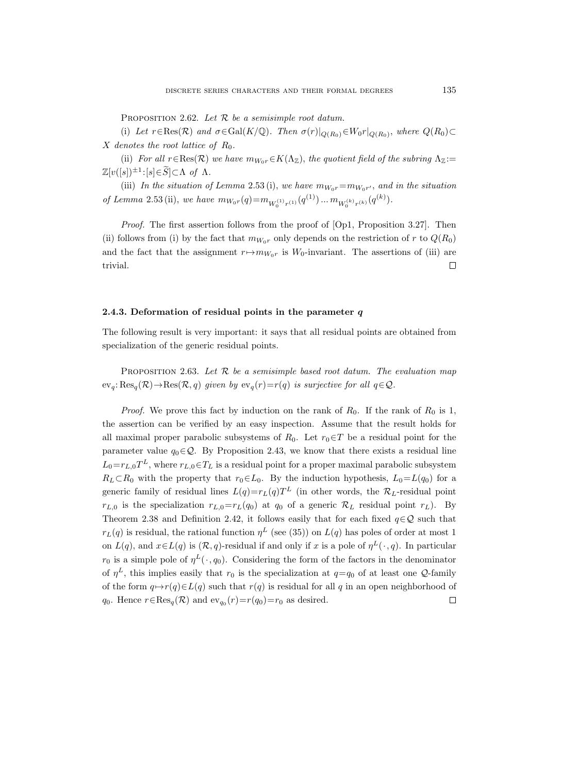PROPOSITION 2.62. Let  $R$  be a semisimple root datum.

(i) Let  $r \in \text{Res}(\mathcal{R})$  and  $\sigma \in \text{Gal}(K/\mathbb{Q})$ . Then  $\sigma(r)|_{Q(R_0)} \in W_0r|_{Q(R_0)}$ , where  $Q(R_0) \subset$ X denotes the root lattice of  $R_0$ .

(ii) For all  $r \in \text{Res}(\mathcal{R})$  we have  $m_{W_0r} \in K(\Lambda_{\mathbb{Z}})$ , the quotient field of the subring  $\Lambda_{\mathbb{Z}}:=$  $\mathbb{Z}[v([s])^{\pm 1} \colon [s] \in \widetilde{S}] \subset \Lambda \text{ of } \Lambda.$ 

(iii) In the situation of Lemma 2.53 (i), we have  $m_{W_0r} = m_{W_0r'}$ , and in the situation of Lemma 2.53 (ii), we have  $m_{W_0r}(q) = m_{W_0^{(1)}r^{(1)}}(q^{(1)}) \dots m_{W_0^{(k)}r^{(k)}}(q^{(k)})$ .

Proof. The first assertion follows from the proof of [Op1, Proposition 3.27]. Then (ii) follows from (i) by the fact that  $m_{W_0r}$  only depends on the restriction of r to  $Q(R_0)$ and the fact that the assignment  $r \mapsto m_{W_0r}$  is  $W_0$ -invariant. The assertions of (iii) are trivial.  $\Box$ 

#### 2.4.3. Deformation of residual points in the parameter  $q$

The following result is very important: it says that all residual points are obtained from specialization of the generic residual points.

PROPOSITION 2.63. Let  $R$  be a semisimple based root datum. The evaluation map  $ev_q: Res_q(\mathcal{R}) \to Res(\mathcal{R}, q)$  given by  $ev_q(r)=r(q)$  is surjective for all  $q \in \mathcal{Q}$ .

*Proof.* We prove this fact by induction on the rank of  $R_0$ . If the rank of  $R_0$  is 1, the assertion can be verified by an easy inspection. Assume that the result holds for all maximal proper parabolic subsystems of  $R_0$ . Let  $r_0 \in T$  be a residual point for the parameter value  $q_0 \in \mathcal{Q}$ . By Proposition 2.43, we know that there exists a residual line  $L_0 = r_{L,0} T^L$ , where  $r_{L,0} \in T_L$  is a residual point for a proper maximal parabolic subsystem  $R_L\subset R_0$  with the property that  $r_0\in L_0$ . By the induction hypothesis,  $L_0=L(q_0)$  for a generic family of residual lines  $L(q)=r_L(q)T^L$  (in other words, the  $\mathcal{R}_L$ -residual point  $r_{L,0}$  is the specialization  $r_{L,0}=r_L(q_0)$  at  $q_0$  of a generic  $\mathcal{R}_L$  residual point  $r_L$ ). By Theorem 2.38 and Definition 2.42, it follows easily that for each fixed  $q \in \mathcal{Q}$  such that  $r_L(q)$  is residual, the rational function  $\eta^L$  (see (35)) on  $L(q)$  has poles of order at most 1 on  $L(q)$ , and  $x \in L(q)$  is  $(\mathcal{R}, q)$ -residual if and only if x is a pole of  $\eta^L(\cdot, q)$ . In particular  $r_0$  is a simple pole of  $\eta^L(\cdot, q_0)$ . Considering the form of the factors in the denominator of  $\eta^L$ , this implies easily that  $r_0$  is the specialization at  $q=q_0$  of at least one Q-family of the form  $q \mapsto r(q) \in L(q)$  such that  $r(q)$  is residual for all q in an open neighborhood of  $\Box$  $q_0$ . Hence  $r \in \text{Res}_q(\mathcal{R})$  and  $\text{ev}_{q_0}(r) = r(q_0) = r_0$  as desired.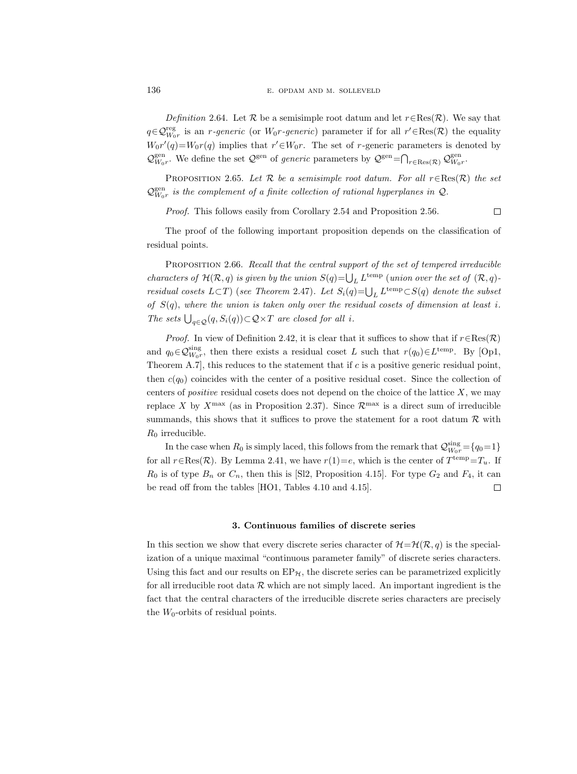Definition 2.64. Let R be a semisimple root datum and let  $r \in \text{Res}(\mathcal{R})$ . We say that  $q \in \mathcal{Q}_{W_0r}^{\text{reg}}$  is an *r-generic* (or  $W_0r$ -generic) parameter if for all  $r' \in \text{Res}(\mathcal{R})$  the equality  $W_0r'(q) = W_0r(q)$  implies that  $r' \in W_0r$ . The set of r-generic parameters is denoted by  $\mathcal{Q}_{W_0 r}^{\text{gen}}$ . We define the set  $\mathcal{Q}^{\text{gen}}$  of *generic* parameters by  $\mathcal{Q}^{\text{gen}} = \bigcap_{r \in \text{Res}(\mathcal{R})} \mathcal{Q}_{W_0 r}^{\text{gen}}$ .

PROPOSITION 2.65. Let  $\mathcal R$  be a semisimple root datum. For all  $r \in \text{Res}(\mathcal R)$  the set  $\mathcal{Q}_{W_0r}^{\text{gen}}$  is the complement of a finite collection of rational hyperplanes in  $\mathcal{Q}$ .

Proof. This follows easily from Corollary 2.54 and Proposition 2.56.

 $\Box$ 

The proof of the following important proposition depends on the classification of residual points.

PROPOSITION 2.66. Recall that the central support of the set of tempered irreducible characters of  $\mathcal{H}(\mathcal{R}, q)$  is given by the union  $S(q) = \bigcup_L L^{\text{temp}}$  (union over the set of  $(\mathcal{R}, q)$ ) residual cosets  $L\subset T$ ) (see Theorem 2.47). Let  $S_i(q) = \bigcup_L L^{\text{temp}} \subset S(q)$  denote the subset of  $S(q)$ , where the union is taken only over the residual cosets of dimension at least i. The sets  $\bigcup_{q\in\mathcal{Q}}(q, S_i(q))\subset\mathcal{Q}\times T$  are closed for all i.

*Proof.* In view of Definition 2.42, it is clear that it suffices to show that if  $r \in \text{Res}(\mathcal{R})$ and  $q_0 \in \mathcal{Q}_{W_0 r}^{\text{sing}}$ , then there exists a residual coset L such that  $r(q_0) \in L^{\text{temp}}$ . By [Op1, Theorem A.7, this reduces to the statement that if  $c$  is a positive generic residual point, then  $c(q_0)$  coincides with the center of a positive residual coset. Since the collection of centers of *positive* residual cosets does not depend on the choice of the lattice  $X$ , we may replace X by  $X^{\max}$  (as in Proposition 2.37). Since  $\mathcal{R}^{\max}$  is a direct sum of irreducible summands, this shows that it suffices to prove the statement for a root datum  $R$  with  $R_0$  irreducible.

In the case when  $R_0$  is simply laced, this follows from the remark that  $\mathcal{Q}_{W_0r}^{\text{sing}} = \{q_0=1\}$ for all  $r \in \text{Res}(\mathcal{R})$ . By Lemma 2.41, we have  $r(1) = e$ , which is the center of  $T^{\text{temp}} = T_u$ . If  $R_0$  is of type  $B_n$  or  $C_n$ , then this is [Sl2, Proposition 4.15]. For type  $G_2$  and  $F_4$ , it can be read off from the tables [HO1, Tables 4.10 and 4.15].  $\Box$ 

#### 3. Continuous families of discrete series

In this section we show that every discrete series character of  $\mathcal{H}=\mathcal{H}(\mathcal{R}, q)$  is the specialization of a unique maximal "continuous parameter family" of discrete series characters. Using this fact and our results on  $EP_{\mathcal{H}}$ , the discrete series can be parametrized explicitly for all irreducible root data  $R$  which are not simply laced. An important ingredient is the fact that the central characters of the irreducible discrete series characters are precisely the  $W_0$ -orbits of residual points.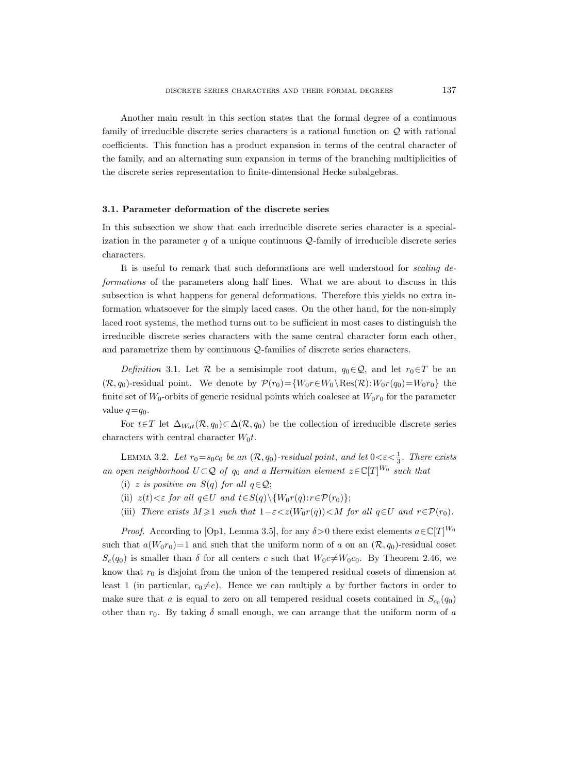Another main result in this section states that the formal degree of a continuous family of irreducible discrete series characters is a rational function on  $\mathcal Q$  with rational coefficients. This function has a product expansion in terms of the central character of the family, and an alternating sum expansion in terms of the branching multiplicities of the discrete series representation to finite-dimensional Hecke subalgebras.

#### 3.1. Parameter deformation of the discrete series

In this subsection we show that each irreducible discrete series character is a specialization in the parameter  $q$  of a unique continuous  $Q$ -family of irreducible discrete series characters.

It is useful to remark that such deformations are well understood for scaling deformations of the parameters along half lines. What we are about to discuss in this subsection is what happens for general deformations. Therefore this yields no extra information whatsoever for the simply laced cases. On the other hand, for the non-simply laced root systems, the method turns out to be sufficient in most cases to distinguish the irreducible discrete series characters with the same central character form each other, and parametrize them by continuous Q-families of discrete series characters.

Definition 3.1. Let R be a semisimple root datum,  $q_0 \in \mathcal{Q}$ , and let  $r_0 \in T$  be an  $(\mathcal{R}, q_0)$ -residual point. We denote by  $\mathcal{P}(r_0) = \{W_0r \in W_0 \setminus \text{Res}(\mathcal{R}): W_0r(q_0) = W_0r_0\}$  the finite set of  $W_0$ -orbits of generic residual points which coalesce at  $W_0r_0$  for the parameter value  $q=q_0$ .

For  $t \in T$  let  $\Delta_{W_0t}(\mathcal{R}, q_0) \subset \Delta(\mathcal{R}, q_0)$  be the collection of irreducible discrete series characters with central character  $W_0t$ .

LEMMA 3.2. Let  $r_0 = s_0 c_0$  be an  $(\mathcal{R}, q_0)$ -residual point, and let  $0 < \varepsilon < \frac{1}{3}$ . There exists an open neighborhood  $U \subset Q$  of  $q_0$  and a Hermitian element  $z \in \mathbb{C}[T]^{W_0}$  such that

- (i) z is positive on  $S(q)$  for all  $q \in \mathcal{Q}$ ;
- (ii)  $z(t) < \varepsilon$  for all  $q \in U$  and  $t \in S(q) \setminus \{W_0 r(q) : r \in \mathcal{P}(r_0)\};$
- (iii) There exists  $M \geq 1$  such that  $1-\varepsilon < z(W_0r(q)) < M$  for all  $q \in U$  and  $r \in \mathcal{P}(r_0)$ .

*Proof.* According to [Op1, Lemma 3.5], for any  $\delta > 0$  there exist elements  $a \in \mathbb{C}[T]^{W_0}$ such that  $a(W_0r_0)=1$  and such that the uniform norm of a on an  $(\mathcal{R}, q_0)$ -residual coset  $S_c(q_0)$  is smaller than  $\delta$  for all centers c such that  $W_0c\neq W_0c_0$ . By Theorem 2.46, we know that  $r_0$  is disjoint from the union of the tempered residual cosets of dimension at least 1 (in particular,  $c_0 \neq e$ ). Hence we can multiply a by further factors in order to make sure that a is equal to zero on all tempered residual cosets contained in  $S_{c_0}(q_0)$ other than  $r_0$ . By taking  $\delta$  small enough, we can arrange that the uniform norm of a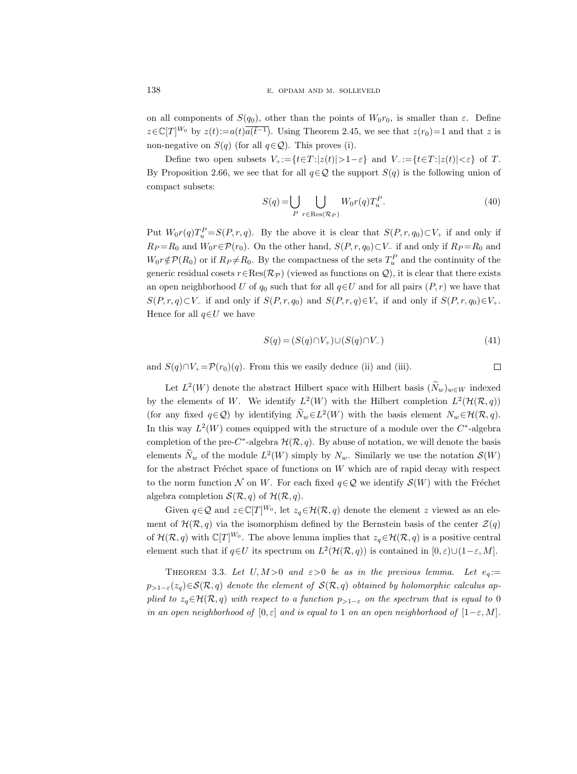on all components of  $S(q_0)$ , other than the points of  $W_0r_0$ , is smaller than  $\varepsilon$ . Define  $z \in \mathbb{C}[T]^{W_0}$  by  $z(t) := a(t)\overline{a(\overline{t}^{-1})}$ . Using Theorem 2.45, we see that  $z(r_0)=1$  and that z is non-negative on  $S(q)$  (for all  $q \in \mathcal{Q}$ ). This proves (i).

Define two open subsets  $V_+ := \{t \in T : |z(t)| > 1 - \varepsilon\}$  and  $V_- := \{t \in T : |z(t)| < \varepsilon\}$  of T. By Proposition 2.66, we see that for all  $q \in \mathcal{Q}$  the support  $S(q)$  is the following union of compact subsets:

$$
S(q) = \bigcup_{P} \bigcup_{r \in \text{Res}(\mathcal{R}_P)} W_0 r(q) T_u^P.
$$
 (40)

Put  $W_0 r(q) T_u^P = S(P, r, q)$ . By the above it is clear that  $S(P, r, q_0) \subset V_+$  if and only if  $R_P = R_0$  and  $W_0 r \in \mathcal{P}(r_0)$ . On the other hand,  $S(P, r, q_0) \subset V_-\$  if and only if  $R_P = R_0$  and  $W_0 r \notin \mathcal{P}(R_0)$  or if  $R_P \neq R_0$ . By the compactness of the sets  $T_u^P$  and the continuity of the generic residual cosets  $r \in \text{Res}(\mathcal{R}_{\mathcal{P}})$  (viewed as functions on  $\mathcal{Q}$ ), it is clear that there exists an open neighborhood U of  $q_0$  such that for all  $q \in U$  and for all pairs  $(P, r)$  we have that  $S(P, r, q) \subset V_-\$  if and only if  $S(P, r, q_0)$  and  $S(P, r, q) \in V_+$  if and only if  $S(P, r, q_0) \in V_+$ . Hence for all  $q \in U$  we have

$$
S(q) = (S(q) \cap V_+) \cup (S(q) \cap V_-) \tag{41}
$$

and  $S(q) \cap V_+ = \mathcal{P}(r_0)(q)$ . From this we easily deduce (ii) and (iii).

 $\Box$ 

Let  $L^2(W)$  denote the abstract Hilbert space with Hilbert basis  $(\tilde{N}_w)_{w \in W}$  indexed by the elements of W. We identify  $L^2(W)$  with the Hilbert completion  $L^2(\mathcal{H}(\mathcal{R}, q))$ (for any fixed  $q \in \mathcal{Q}$ ) by identifying  $N_w \in L^2(W)$  with the basis element  $N_w \in \mathcal{H}(\mathcal{R}, q)$ . In this way  $L^2(W)$  comes equipped with the structure of a module over the  $C^*$ -algebra completion of the pre-C<sup>\*</sup>-algebra  $\mathcal{H}(\mathcal{R}, q)$ . By abuse of notation, we will denote the basis elements  $\tilde{N}_w$  of the module  $L^2(W)$  simply by  $N_w$ . Similarly we use the notation  $\mathcal{S}(W)$ for the abstract Fréchet space of functions on  $W$  which are of rapid decay with respect to the norm function N on W. For each fixed  $q \in \mathcal{Q}$  we identify  $\mathcal{S}(W)$  with the Fréchet algebra completion  $\mathcal{S}(\mathcal{R}, q)$  of  $\mathcal{H}(\mathcal{R}, q)$ .

Given  $q \in \mathcal{Q}$  and  $z \in \mathbb{C}[T]^{W_0}$ , let  $z_q \in \mathcal{H}(\mathcal{R}, q)$  denote the element z viewed as an element of  $\mathcal{H}(\mathcal{R}, q)$  via the isomorphism defined by the Bernstein basis of the center  $\mathcal{Z}(q)$ of  $\mathcal{H}(\mathcal{R}, q)$  with  $\mathbb{C}[T]^{W_0}$ . The above lemma implies that  $z_q \in \mathcal{H}(\mathcal{R}, q)$  is a positive central element such that if  $q \in U$  its spectrum on  $L^2(\mathcal{H}(\mathcal{R}, q))$  is contained in  $[0, \varepsilon) \cup (1-\varepsilon, M]$ .

THEOREM 3.3. Let  $U, M > 0$  and  $\varepsilon > 0$  be as in the previous lemma. Let  $e_q :=$  $p_{>1-\varepsilon}(z_q) \in \mathcal{S}(\mathcal{R}, q)$  denote the element of  $\mathcal{S}(\mathcal{R}, q)$  obtained by holomorphic calculus applied to  $z_q \in \mathcal{H}(\mathcal{R}, q)$  with respect to a function  $p_{>1-\varepsilon}$  on the spectrum that is equal to 0 in an open neighborhood of  $[0, \varepsilon]$  and is equal to 1 on an open neighborhood of  $[1-\varepsilon, M]$ .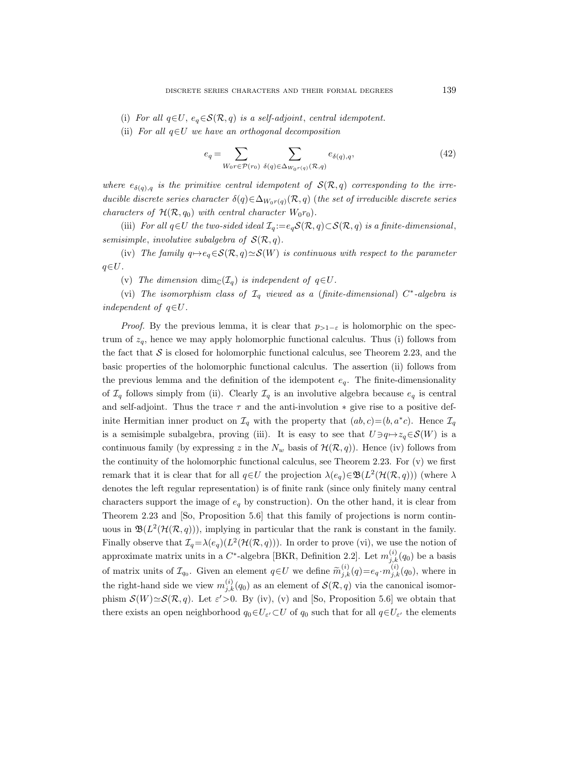- (i) For all  $q \in U$ ,  $e_q \in \mathcal{S}(\mathcal{R}, q)$  is a self-adjoint, central idempotent.
- (ii) For all  $q \in U$  we have an orthogonal decomposition

$$
e_q = \sum_{W_0 r \in \mathcal{P}(r_0)} \sum_{\delta(q) \in \Delta_{W_0 r(q)}(\mathcal{R}, q)} e_{\delta(q), q}, \tag{42}
$$

where  $e_{\delta(q),q}$  is the primitive central idempotent of  $\mathcal{S}(\mathcal{R}, q)$  corresponding to the irreducible discrete series character  $\delta(q) \in \Delta_{W_0r(q)}(\mathcal{R}, q)$  (the set of irreducible discrete series characters of  $\mathcal{H}(\mathcal{R}, q_0)$  with central character  $W_0r_0$ .

(iii) For all  $q \in U$  the two-sided ideal  $\mathcal{I}_q := e_q \mathcal{S}(\mathcal{R}, q) \subset \mathcal{S}(\mathcal{R}, q)$  is a finite-dimensional, semisimple, involutive subalgebra of  $\mathcal{S}(\mathcal{R}, q)$ .

(iv) The family  $q \mapsto e_q \in \mathcal{S}(\mathcal{R}, q) \simeq \mathcal{S}(W)$  is continuous with respect to the parameter  $q\in U$ .

(v) The dimension dim<sub>C</sub>( $\mathcal{I}_q$ ) is independent of  $q \in U$ .

(vi) The isomorphism class of  $\mathcal{I}_q$  viewed as a (finite-dimensional)  $C^*$ -algebra is independent of  $q \in U$ .

*Proof.* By the previous lemma, it is clear that  $p_{>1-\varepsilon}$  is holomorphic on the spectrum of  $z_q$ , hence we may apply holomorphic functional calculus. Thus (i) follows from the fact that  $S$  is closed for holomorphic functional calculus, see Theorem 2.23, and the basic properties of the holomorphic functional calculus. The assertion (ii) follows from the previous lemma and the definition of the idempotent  $e_q$ . The finite-dimensionality of  $\mathcal{I}_q$  follows simply from (ii). Clearly  $\mathcal{I}_q$  is an involutive algebra because  $e_q$  is central and self-adjoint. Thus the trace  $\tau$  and the anti-involution  $*$  give rise to a positive definite Hermitian inner product on  $\mathcal{I}_q$  with the property that  $(ab, c) = (b, a^*c)$ . Hence  $\mathcal{I}_q$ is a semisimple subalgebra, proving (iii). It is easy to see that  $U \ni q \mapsto z_q \in \mathcal{S}(W)$  is a continuous family (by expressing z in the  $N_w$  basis of  $\mathcal{H}(\mathcal{R}, q)$ ). Hence (iv) follows from the continuity of the holomorphic functional calculus, see Theorem 2.23. For  $(v)$  we first remark that it is clear that for all  $q \in U$  the projection  $\lambda(e_q) \in \mathfrak{B}(L^2(\mathcal{H}(\mathcal{R}, q)))$  (where  $\lambda$ denotes the left regular representation) is of finite rank (since only finitely many central characters support the image of  $e_q$  by construction). On the other hand, it is clear from Theorem 2.23 and [So, Proposition 5.6] that this family of projections is norm continuous in  $\mathfrak{B}(L^2(\mathcal{H}(\mathcal{R}, q)))$ , implying in particular that the rank is constant in the family. Finally observe that  $\mathcal{I}_q = \lambda(e_q)(L^2(\mathcal{H}(\mathcal{R}, q)))$ . In order to prove (vi), we use the notion of approximate matrix units in a  $C^*$ -algebra [BKR, Definition 2.2]. Let  $m_{j,k}^{(i)}(q_0)$  be a basis of matrix units of  $\mathcal{I}_{q_0}$ . Given an element  $q \in U$  we define  $\widetilde{m}_{j,k}^{(i)}(q) = e_q \cdot m_{j,k}^{(i)}(q_0)$ , where in the right-hand side we view  $m_{j,k}^{(i)}(q_0)$  as an element of  $\mathcal{S}(\mathcal{R}, q)$  via the canonical isomorphism  $\mathcal{S}(W) \simeq \mathcal{S}(\mathcal{R}, q)$ . Let  $\varepsilon' > 0$ . By (iv), (v) and [So, Proposition 5.6] we obtain that there exists an open neighborhood  $q_0 \in U_{\varepsilon'} \subset U$  of  $q_0$  such that for all  $q \in U_{\varepsilon'}$  the elements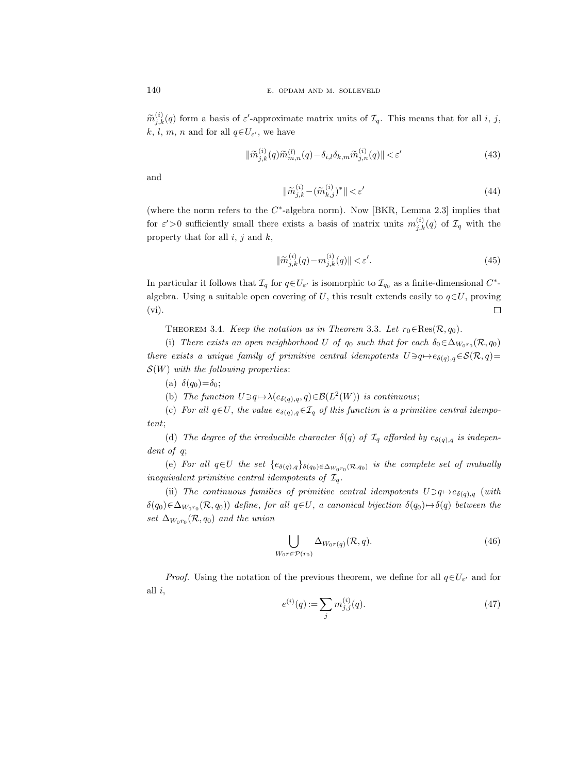$\widetilde{m}_{j,k}^{(i)}(q)$  form a basis of  $\varepsilon'$ -approximate matrix units of  $\mathcal{I}_q$ . This means that for all i, j, k, l, m, n and for all  $q \in U_{\varepsilon}$ , we have

$$
\|\widetilde{m}_{j,k}^{(i)}(q)\widetilde{m}_{m,n}^{(l)}(q) - \delta_{i,l}\delta_{k,m}\widetilde{m}_{j,n}^{(i)}(q)\| < \varepsilon' \tag{43}
$$

and

$$
\|\widetilde{m}_{j,k}^{(i)} - (\widetilde{m}_{k,j}^{(i)})^*\| < \varepsilon' \tag{44}
$$

(where the norm refers to the  $C^*$ -algebra norm). Now [BKR, Lemma 2.3] implies that for  $\varepsilon' > 0$  sufficiently small there exists a basis of matrix units  $m_{j,k}^{(i)}(q)$  of  $\mathcal{I}_q$  with the property that for all  $i, j$  and  $k$ ,

$$
\|\widetilde{m}_{j,k}^{(i)}(q) - m_{j,k}^{(i)}(q)\| < \varepsilon'.\tag{45}
$$

In particular it follows that  $\mathcal{I}_q$  for  $q \in U_{\varepsilon'}$  is isomorphic to  $\mathcal{I}_{q_0}$  as a finite-dimensional  $C^*$ algebra. Using a suitable open covering of U, this result extends easily to  $q \in U$ , proving  $(vi)$ .  $\Box$ 

THEOREM 3.4. Keep the notation as in Theorem 3.3. Let  $r_0 \in \text{Res}(\mathcal{R}, q_0)$ .

(i) There exists an open neighborhood U of  $q_0$  such that for each  $\delta_0 \in \Delta_{W_0r_0}(\mathcal{R}, q_0)$ there exists a unique family of primitive central idempotents  $U \ni q \mapsto e_{\delta(q),q} \in \mathcal{S}(\mathcal{R}, q)$ =  $\mathcal{S}(W)$  with the following properties:

(a)  $\delta(q_0) = \delta_0;$ 

(b) The function  $U \ni q \mapsto \lambda(e_{\delta(q),q}, q) \in \mathcal{B}(L^2(W))$  is continuous;

(c) For all  $q \in U$ , the value  $e_{\delta(q),q} \in \mathcal{I}_q$  of this function is a primitive central idempotent;

(d) The degree of the irreducible character  $\delta(q)$  of  $\mathcal{I}_q$  afforded by  $e_{\delta(q),q}$  is independent of q;

(e) For all  $q \in U$  the set  $\{e_{\delta(q),q}\}_{\delta(q_0)\in \Delta_{W_0r_0}(\mathcal{R},q_0)}$  is the complete set of mutually inequivalent primitive central idempotents of  $\mathcal{I}_q$ .

(ii) The continuous families of primitive central idempotents  $U \ni q \mapsto e_{\delta(q),q}$  (with  $\delta(q_0) \in \Delta_{W_0r_0}(\mathcal{R}, q_0)$ ) define, for all  $q \in U$ , a canonical bijection  $\delta(q_0) \mapsto \delta(q)$  between the set  $\Delta_{W_0r_0}(\mathcal{R},q_0)$  and the union

$$
\bigcup_{W_0 r \in \mathcal{P}(r_0)} \Delta_{W_0 r(q)}(\mathcal{R}, q). \tag{46}
$$

*Proof.* Using the notation of the previous theorem, we define for all  $q \in U_{\varepsilon}$  and for all  $i$ ,

$$
e^{(i)}(q) := \sum_{j} m_{j,j}^{(i)}(q). \tag{47}
$$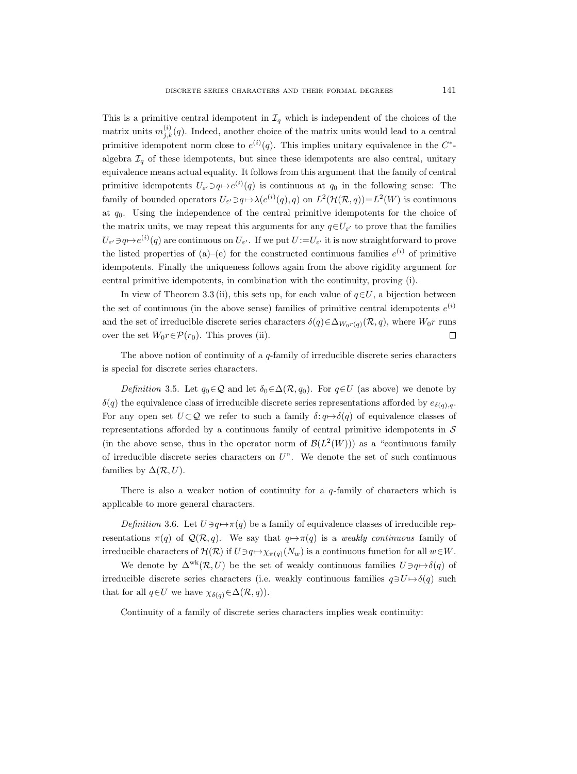This is a primitive central idempotent in  $\mathcal{I}_q$  which is independent of the choices of the matrix units  $m_{j,k}^{(i)}(q)$ . Indeed, another choice of the matrix units would lead to a central primitive idempotent norm close to  $e^{(i)}(q)$ . This implies unitary equivalence in the  $C^*$ algebra  $\mathcal{I}_q$  of these idempotents, but since these idempotents are also central, unitary equivalence means actual equality. It follows from this argument that the family of central primitive idempotents  $U_{\varepsilon} \to q \mapsto e^{(i)}(q)$  is continuous at  $q_0$  in the following sense: The family of bounded operators  $U_{\varepsilon'} \ni q \mapsto \lambda(e^{(i)}(q), q)$  on  $L^2(\mathcal{H}(\mathcal{R}, q)) = L^2(W)$  is continuous at  $q_0$ . Using the independence of the central primitive idempotents for the choice of the matrix units, we may repeat this arguments for any  $q \in U_{\varepsilon'}$  to prove that the families  $U_{\varepsilon'}\ni q\mapsto e^{(i)}(q)$  are continuous on  $U_{\varepsilon'}$ . If we put  $U:=U_{\varepsilon'}$  it is now straightforward to prove the listed properties of (a)–(e) for the constructed continuous families  $e^{(i)}$  of primitive idempotents. Finally the uniqueness follows again from the above rigidity argument for central primitive idempotents, in combination with the continuity, proving (i).

In view of Theorem 3.3 (ii), this sets up, for each value of  $q \in U$ , a bijection between the set of continuous (in the above sense) families of primitive central idempotents  $e^{(i)}$ and the set of irreducible discrete series characters  $\delta(q) \in \Delta_{W_0r(q)}(\mathcal{R}, q)$ , where  $W_0r$  runs over the set  $W_0r \in \mathcal{P}(r_0)$ . This proves (ii).  $\Box$ 

The above notion of continuity of a  $q$ -family of irreducible discrete series characters is special for discrete series characters.

Definition 3.5. Let  $q_0 \in \mathcal{Q}$  and let  $\delta_0 \in \Delta(\mathcal{R}, q_0)$ . For  $q \in U$  (as above) we denote by  $\delta(q)$  the equivalence class of irreducible discrete series representations afforded by  $e_{\delta(q),q}$ . For any open set  $U \subset \mathcal{Q}$  we refer to such a family  $\delta: q \mapsto \delta(q)$  of equivalence classes of representations afforded by a continuous family of central primitive idempotents in  $\mathcal S$ (in the above sense, thus in the operator norm of  $\mathcal{B}(L^2(W))$ ) as a "continuous family of irreducible discrete series characters on  $U$ ". We denote the set of such continuous families by  $\Delta(\mathcal{R}, U)$ .

There is also a weaker notion of continuity for a  $q$ -family of characters which is applicable to more general characters.

Definition 3.6. Let  $U \ni q \mapsto \pi(q)$  be a family of equivalence classes of irreducible representations  $\pi(q)$  of  $\mathcal{Q}(\mathcal{R}, q)$ . We say that  $q \mapsto \pi(q)$  is a weakly continuous family of irreducible characters of  $\mathcal{H}(\mathcal{R})$  if  $U \ni q \mapsto \chi_{\pi(q)}(N_w)$  is a continuous function for all  $w \in W$ .

We denote by  $\Delta^{wk}(\mathcal{R}, U)$  be the set of weakly continuous families  $U \ni q \mapsto \delta(q)$  of irreducible discrete series characters (i.e. weakly continuous families  $q \exists U \mapsto \delta(q)$  such that for all  $q \in U$  we have  $\chi_{\delta(q)} \in \Delta(\mathcal{R}, q)$ .

Continuity of a family of discrete series characters implies weak continuity: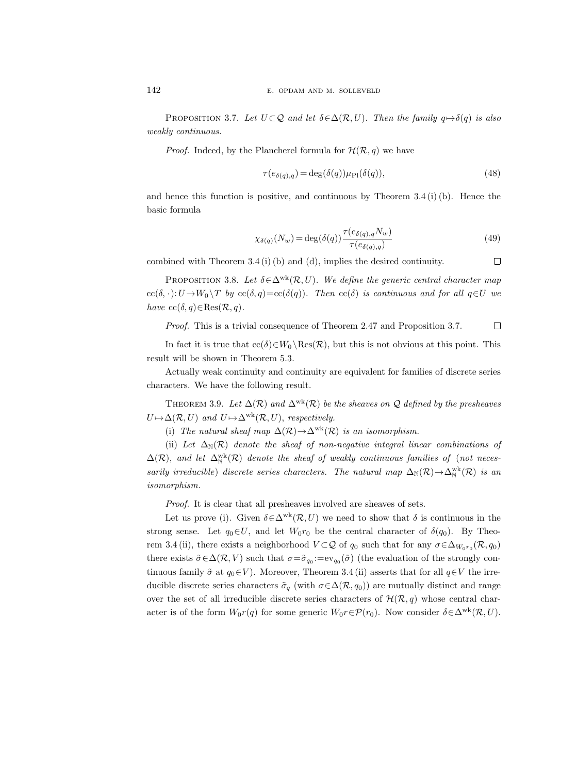PROPOSITION 3.7. Let  $U \subset Q$  and let  $\delta \in \Delta(\mathcal{R}, U)$ . Then the family  $q \mapsto \delta(q)$  is also weakly continuous.

*Proof.* Indeed, by the Plancherel formula for  $\mathcal{H}(\mathcal{R}, q)$  we have

$$
\tau(e_{\delta(q),q}) = \deg(\delta(q))\mu_{\rm Pl}(\delta(q)),\tag{48}
$$

and hence this function is positive, and continuous by Theorem 3.4 (i) (b). Hence the basic formula

$$
\chi_{\delta(q)}(N_w) = \deg(\delta(q)) \frac{\tau(e_{\delta(q),q} N_w)}{\tau(e_{\delta(q),q})}
$$
\n(49)

combined with Theorem 3.4 (i) (b) and (d), implies the desired continuity.  $\Box$ 

PROPOSITION 3.8. Let  $\delta \in \Delta^{wk}(\mathcal{R}, U)$ . We define the generic central character map  $cc(\delta, \cdot): U \to W_0 \backslash T$  by  $cc(\delta, q) = cc(\delta(q)).$  Then  $cc(\delta)$  is continuous and for all  $q \in U$  we have  $\operatorname{cc}(\delta, q) \in \operatorname{Res}(\mathcal{R}, q)$ .

Proof. This is a trivial consequence of Theorem 2.47 and Proposition 3.7.  $\Box$ 

In fact it is true that  $cc(\delta) \in W_0 \setminus \text{Res}(\mathcal{R})$ , but this is not obvious at this point. This result will be shown in Theorem 5.3.

Actually weak continuity and continuity are equivalent for families of discrete series characters. We have the following result.

THEOREM 3.9. Let  $\Delta(\mathcal{R})$  and  $\Delta^{wk}(\mathcal{R})$  be the sheaves on Q defined by the presheaves  $U \mapsto \Delta(\mathcal{R}, U)$  and  $U \mapsto \Delta^{wk}(\mathcal{R}, U)$ , respectively.

(i) The natural sheaf map  $\Delta(\mathcal{R}) \to \Delta^{wk}(\mathcal{R})$  is an isomorphism.

(ii) Let  $\Delta_N(\mathcal{R})$  denote the sheaf of non-negative integral linear combinations of  $\Delta(\mathcal{R})$ , and let  $\Delta_\mathbb{N}^{\text{wk}}(\mathcal{R})$  denote the sheaf of weakly continuous families of (not necessarily irreducible) discrete series characters. The natural map  $\Delta_N(\mathcal{R}) \to \Delta_N^{wk}(\mathcal{R})$  is an isomorphism.

Proof. It is clear that all presheaves involved are sheaves of sets.

Let us prove (i). Given  $\delta \in \Delta^{wk}(\mathcal{R}, U)$  we need to show that  $\delta$  is continuous in the strong sense. Let  $q_0 \in U$ , and let  $W_0r_0$  be the central character of  $\delta(q_0)$ . By Theorem 3.4(ii), there exists a neighborhood  $V \subset Q$  of  $q_0$  such that for any  $\sigma \in \Delta_{W_0r_0}(\mathcal{R}, q_0)$ there exists  $\tilde{\sigma} \in \Delta(\mathcal{R}, V)$  such that  $\sigma = \tilde{\sigma}_{q_0} := \text{ev}_{q_0}(\tilde{\sigma})$  (the evaluation of the strongly continuous family  $\tilde{\sigma}$  at  $q_0 \in V$ ). Moreover, Theorem 3.4 (ii) asserts that for all  $q \in V$  the irreducible discrete series characters  $\tilde{\sigma}_q$  (with  $\sigma \in \Delta(\mathcal{R}, q_0)$ ) are mutually distinct and range over the set of all irreducible discrete series characters of  $\mathcal{H}(\mathcal{R}, q)$  whose central character is of the form  $W_0r(q)$  for some generic  $W_0r\in\mathcal{P}(r_0)$ . Now consider  $\delta \in \Delta^{wk}(\mathcal{R}, U)$ .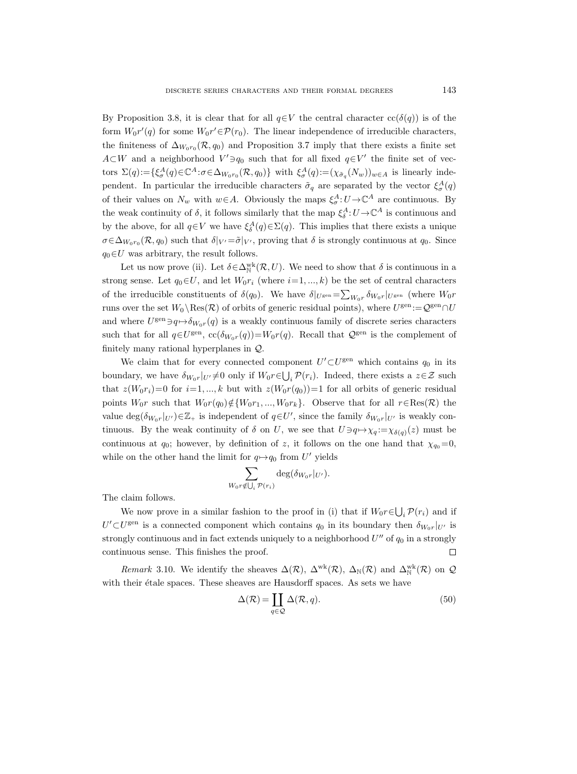By Proposition 3.8, it is clear that for all  $q \in V$  the central character  $cc(\delta(q))$  is of the form  $W_0r'(q)$  for some  $W_0r' \in \mathcal{P}(r_0)$ . The linear independence of irreducible characters, the finiteness of  $\Delta_{W_0r_0}(\mathcal{R}, q_0)$  and Proposition 3.7 imply that there exists a finite set  $A\subset W$  and a neighborhood  $V' \ni q_0$  such that for all fixed  $q\in V'$  the finite set of vectors  $\Sigma(q) := \{ \xi_{\sigma}^{A}(q) \in \mathbb{C}^{A} : \sigma \in \Delta_{W_0 r_0}(\mathcal{R}, q_0) \}$  with  $\xi_{\sigma}^{A}(q) := (\chi_{\tilde{\sigma}_q}(N_w))_{w \in A}$  is linearly independent. In particular the irreducible characters  $\tilde{\sigma}_q$  are separated by the vector  $\xi^A_{\sigma}(q)$ of their values on  $N_w$  with  $w \in A$ . Obviously the maps  $\xi^A_{\sigma}: U \to \mathbb{C}^A$  are continuous. By the weak continuity of  $\delta$ , it follows similarly that the map  $\xi_{\delta}^{A}: U \to \mathbb{C}^{A}$  is continuous and by the above, for all  $q \in V$  we have  $\xi_{\delta}^{A}(q) \in \Sigma(q)$ . This implies that there exists a unique  $\sigma \in \Delta_{W_0r_0}(\mathcal{R}, q_0)$  such that  $\delta|_{V'} = \tilde{\sigma}|_{V'}$ , proving that  $\delta$  is strongly continuous at  $q_0$ . Since  $q_0 \in U$  was arbitrary, the result follows.

Let us now prove (ii). Let  $\delta \in \Delta_N^{\text{wk}}(\mathcal{R}, U)$ . We need to show that  $\delta$  is continuous in a strong sense. Let  $q_0 \in U$ , and let  $W_0r_i$  (where  $i=1,...,k$ ) be the set of central characters of the irreducible constituents of  $\delta(q_0)$ . We have  $\delta|_{U^{\text{gen}}} = \sum_{W_0r} \delta_{W_0r}|_{U^{\text{gen}}}$  (where  $W_0r$ runs over the set  $W_0 \setminus \text{Res}(\mathcal{R})$  of orbits of generic residual points), where  $U^{\text{gen}} := \mathcal{Q}^{\text{gen}} \cap U$ and where  $U^{\text{gen}} \ni q \mapsto \delta_{W_0r}(q)$  is a weakly continuous family of discrete series characters such that for all  $q \in U^{\text{gen}}$ ,  $\operatorname{cc}(\delta_{W_0r}(q))=W_0r(q)$ . Recall that  $\mathcal{Q}^{\text{gen}}$  is the complement of finitely many rational hyperplanes in Q.

We claim that for every connected component  $U' \subset U^{\text{gen}}$  which contains  $q_0$  in its boundary, we have  $\delta_{W_0r}|_{U'}\neq 0$  only if  $W_0r \in \bigcup_i \mathcal{P}(r_i)$ . Indeed, there exists a  $z\in\mathcal{Z}$  such that  $z(W_0r_i)=0$  for  $i=1,\dots,k$  but with  $z(W_0r(q_0))=1$  for all orbits of generic residual points  $W_0r$  such that  $W_0r(q_0)\notin \{W_0r_1,\ldots,W_0r_k\}$ . Observe that for all  $r \in \text{Res}(\mathcal{R})$  the value  $\deg(\delta_{W_0r}|_{U'})\in\mathbb{Z}_+$  is independent of  $q\in U'$ , since the family  $\delta_{W_0r}|_{U'}$  is weakly continuous. By the weak continuity of  $\delta$  on U, we see that  $U \ni q \mapsto \chi_q := \chi_{\delta(q)}(z)$  must be continuous at  $q_0$ ; however, by definition of z, it follows on the one hand that  $\chi_{q_0}=0$ , while on the other hand the limit for  $q \mapsto q_0$  from U' yields

$$
\sum_{V_0 r \notin \bigcup_i \mathcal{P}(r_i)} \deg(\delta_{W_0 r}|_{U'}).
$$

 $\overline{V}$ 

The claim follows.

We now prove in a similar fashion to the proof in (i) that if  $W_0r \in \bigcup_i \mathcal{P}(r_i)$  and if  $U' \subset U^{\text{gen}}$  is a connected component which contains  $q_0$  in its boundary then  $\delta_{W_0r}|_{U'}$  is strongly continuous and in fact extends uniquely to a neighborhood  $U''$  of  $q_0$  in a strongly continuous sense. This finishes the proof.  $\Box$ 

Remark 3.10. We identify the sheaves  $\Delta(\mathcal{R})$ ,  $\Delta^{wk}(\mathcal{R})$ ,  $\Delta_N(\mathcal{R})$  and  $\Delta_N^{wk}(\mathcal{R})$  on  $\mathcal{Q}$ with their étale spaces. These sheaves are Hausdorff spaces. As sets we have

$$
\Delta(\mathcal{R}) = \coprod_{q \in \mathcal{Q}} \Delta(\mathcal{R}, q). \tag{50}
$$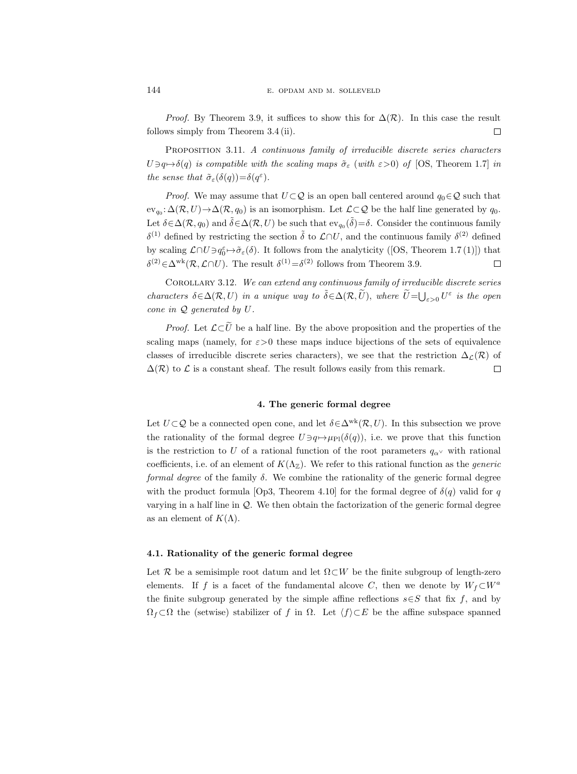*Proof.* By Theorem 3.9, it suffices to show this for  $\Delta(\mathcal{R})$ . In this case the result follows simply from Theorem 3.4 (ii).  $\Box$ 

PROPOSITION 3.11. A continuous family of irreducible discrete series characters  $U \ni q \mapsto \delta(q)$  is compatible with the scaling maps  $\tilde{\sigma}_{\varepsilon}$  (with  $\varepsilon > 0$ ) of [OS, Theorem 1.7] in the sense that  $\tilde{\sigma}_{\varepsilon}(\delta(q)) = \delta(q^{\varepsilon}).$ 

*Proof.* We may assume that  $U \subset \mathcal{Q}$  is an open ball centered around  $q_0 \in \mathcal{Q}$  such that  $ev_{q_0}: \Delta(\mathcal{R}, U) \to \Delta(\mathcal{R}, q_0)$  is an isomorphism. Let  $\mathcal{L} \subset \mathcal{Q}$  be the half line generated by  $q_0$ . Let  $\delta \in \Delta(\mathcal{R}, q_0)$  and  $\tilde{\delta} \in \Delta(\mathcal{R}, U)$  be such that  $ev_{q_0}(\tilde{\delta}) = \delta$ . Consider the continuous family δ<sup>(1)</sup> defined by restricting the section  $\tilde{\delta}$  to  $\mathcal{L} \cap U$ , and the continuous family δ<sup>(2)</sup> defined by scaling  $\mathcal{L} \cap U \ni q_0^{\varepsilon} \mapsto \tilde{\sigma}_{\varepsilon}(\delta)$ . It follows from the analyticity ([OS, Theorem 1.7(1)]) that  $\delta^{(2)} \in \Delta^{wk}(\mathcal{R}, \mathcal{L} \cap U)$ . The result  $\delta^{(1)} = \delta^{(2)}$  follows from Theorem 3.9.  $\Box$ 

COROLLARY 3.12. We can extend any continuous family of irreducible discrete series characters  $\delta \in \Delta(\mathcal{R}, U)$  in a unique way to  $\tilde{\delta} \in \Delta(\mathcal{R}, \tilde{U})$ , where  $\tilde{U} = \bigcup_{\varepsilon > 0} U^{\varepsilon}$  is the open cone in Q generated by U.

*Proof.* Let  $\mathcal{L}\subset \tilde{U}$  be a half line. By the above proposition and the properties of the scaling maps (namely, for  $\varepsilon > 0$  these maps induce bijections of the sets of equivalence classes of irreducible discrete series characters), we see that the restriction  $\Delta_{\mathcal{L}}(\mathcal{R})$  of  $\Delta(\mathcal{R})$  to  $\mathcal L$  is a constant sheaf. The result follows easily from this remark.  $\Box$ 

#### 4. The generic formal degree

Let  $U \subset \mathcal{Q}$  be a connected open cone, and let  $\delta \in \Delta^{wk}(\mathcal{R}, U)$ . In this subsection we prove the rationality of the formal degree  $U \ni q \mapsto \mu_{\text{Pl}}(\delta(q))$ , i.e. we prove that this function is the restriction to U of a rational function of the root parameters  $q_{\alpha}$  with rational coefficients, i.e. of an element of  $K(\Lambda_{\mathbb{Z}})$ . We refer to this rational function as the *generic* formal degree of the family  $\delta$ . We combine the rationality of the generic formal degree with the product formula [Op3, Theorem 4.10] for the formal degree of  $\delta(q)$  valid for q varying in a half line in  $Q$ . We then obtain the factorization of the generic formal degree as an element of  $K(\Lambda)$ .

#### 4.1. Rationality of the generic formal degree

Let R be a semisimple root datum and let  $\Omega\subset W$  be the finite subgroup of length-zero elements. If f is a facet of the fundamental alcove C, then we denote by  $W_f \subset W^a$ the finite subgroup generated by the simple affine reflections  $s \in S$  that fix f, and by  $\Omega_f \subset \Omega$  the (setwise) stabilizer of f in  $\Omega$ . Let  $\langle f \rangle \subset E$  be the affine subspace spanned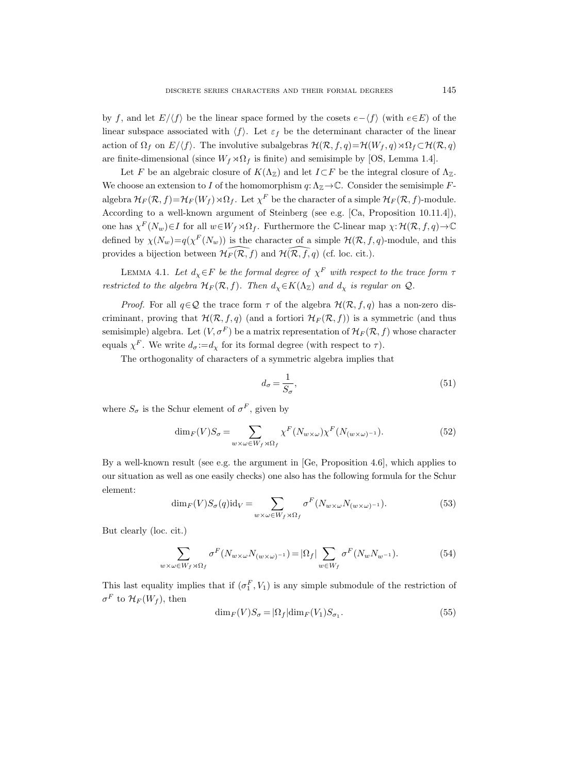by f, and let  $E/\langle f \rangle$  be the linear space formed by the cosets  $e-\langle f \rangle$  (with  $e\in E$ ) of the linear subspace associated with  $\langle f \rangle$ . Let  $\varepsilon_f$  be the determinant character of the linear action of  $\Omega_f$  on  $E/\langle f \rangle$ . The involutive subalgebras  $\mathcal{H}(\mathcal{R}, f, q) = \mathcal{H}(W_f, q) \rtimes \Omega_f \subset \mathcal{H}(\mathcal{R}, q)$ are finite-dimensional (since  $W_f \rtimes \Omega_f$  is finite) and semisimple by [OS, Lemma 1.4].

Let F be an algebraic closure of  $K(\Lambda_{\mathbb{Z}})$  and let  $I\subset F$  be the integral closure of  $\Lambda_{\mathbb{Z}}$ . We choose an extension to I of the homomorphism  $q: \Lambda_{\mathbb{Z}} \to \mathbb{C}$ . Consider the semisimple Falgebra  $\mathcal{H}_F(\mathcal{R},f) = \mathcal{H}_F(W_f) \rtimes \Omega_f$ . Let  $\chi^F$  be the character of a simple  $\mathcal{H}_F(\mathcal{R},f)$ -module. According to a well-known argument of Steinberg (see e.g. [Ca, Proposition 10.11.4]), one has  $\chi^F(N_w) \in I$  for all  $w \in W_f \rtimes \Omega_f$ . Furthermore the C-linear map  $\chi: \mathcal{H}(\mathcal{R}, f, q) \to \mathbb{C}$ defined by  $\chi(N_w) = q(\chi^F(N_w))$  is the character of a simple  $\mathcal{H}(\mathcal{R}, f, q)$ -module, and this provides a bijection between  $\mathcal{H}_F(\widehat{\mathcal{R}, f})$  and  $\mathcal{H}(\widehat{\mathcal{R}, f}, q)$  (cf. loc. cit.).

LEMMA 4.1. Let  $d_{\chi} \in F$  be the formal degree of  $\chi^F$  with respect to the trace form  $\tau$ restricted to the algebra  $\mathcal{H}_F(\mathcal{R}, f)$ . Then  $d_\chi \in K(\Lambda_\mathbb{Z})$  and  $d_\chi$  is regular on  $\mathcal{Q}$ .

*Proof.* For all  $q \in \mathcal{Q}$  the trace form  $\tau$  of the algebra  $\mathcal{H}(\mathcal{R}, f, q)$  has a non-zero discriminant, proving that  $\mathcal{H}(\mathcal{R}, f, q)$  (and a fortiori  $\mathcal{H}_F(\mathcal{R}, f)$ ) is a symmetric (and thus semisimple) algebra. Let  $(V, \sigma^F)$  be a matrix representation of  $\mathcal{H}_F(\mathcal{R}, f)$  whose character equals  $\chi^F$ . We write  $d_{\sigma} := d_{\chi}$  for its formal degree (with respect to  $\tau$ ).

The orthogonality of characters of a symmetric algebra implies that

$$
d_{\sigma} = \frac{1}{S_{\sigma}},\tag{51}
$$

where  $S_{\sigma}$  is the Schur element of  $\sigma^{F}$ , given by

$$
\dim_F(V)S_{\sigma} = \sum_{w \times \omega \in W_f \rtimes \Omega_f} \chi^F(N_{w \times \omega}) \chi^F(N_{(w \times \omega)^{-1}}). \tag{52}
$$

By a well-known result (see e.g. the argument in [Ge, Proposition 4.6], which applies to our situation as well as one easily checks) one also has the following formula for the Schur element:

$$
\dim_F(V)S_{\sigma}(q)\mathrm{id}_V = \sum_{w \times \omega \in W_f \rtimes \Omega_f} \sigma^F(N_{w \times \omega}N_{(w \times \omega)^{-1}}). \tag{53}
$$

But clearly (loc. cit.)

$$
\sum_{w \times \omega \in W_f \rtimes \Omega_f} \sigma^F(N_{w \times \omega} N_{(w \times \omega)^{-1}}) = |\Omega_f| \sum_{w \in W_f} \sigma^F(N_w N_{w^{-1}}). \tag{54}
$$

This last equality implies that if  $(\sigma_1^F, V_1)$  is any simple submodule of the restriction of  $\sigma^F$  to  $\mathcal{H}_F(W_f)$ , then

$$
\dim_F(V)S_{\sigma} = |\Omega_f| \dim_F(V_1) S_{\sigma_1}.
$$
\n(55)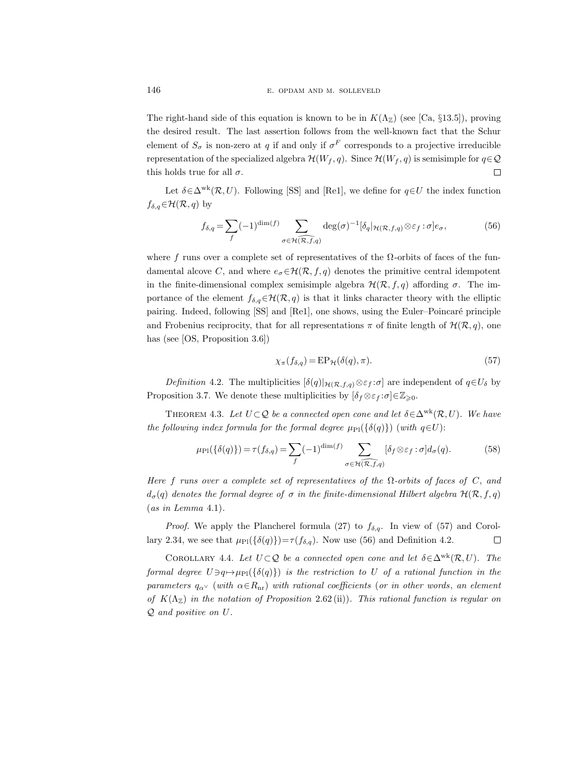The right-hand side of this equation is known to be in  $K(\Lambda_{\mathbb{Z}})$  (see [Ca, §13.5]), proving the desired result. The last assertion follows from the well-known fact that the Schur element of  $S_{\sigma}$  is non-zero at q if and only if  $\sigma^{F}$  corresponds to a projective irreducible representation of the specialized algebra  $\mathcal{H}(W_f, q)$ . Since  $\mathcal{H}(W_f, q)$  is semisimple for  $q \in \mathcal{Q}$ this holds true for all  $\sigma$ .  $\Box$ 

Let  $\delta \in \Delta^{wk}(\mathcal{R}, U)$ . Following [SS] and [Re1], we define for  $q \in U$  the index function  $f_{\delta,q} \in \mathcal{H}(\mathcal{R}, q)$  by

$$
f_{\delta,q} = \sum_{f} (-1)^{\dim(f)} \sum_{\sigma \in \mathcal{H}(\overline{\mathcal{R},f,q})} \deg(\sigma)^{-1} [\delta_q |_{\mathcal{H}(\mathcal{R},f,q)} \otimes \varepsilon_f : \sigma] e_{\sigma}, \tag{56}
$$

where f runs over a complete set of representatives of the  $\Omega$ -orbits of faces of the fundamental alcove C, and where  $e_{\sigma} \in \mathcal{H}(\mathcal{R}, f, q)$  denotes the primitive central idempotent in the finite-dimensional complex semisimple algebra  $\mathcal{H}(\mathcal{R}, f, q)$  affording  $\sigma$ . The importance of the element  $f_{\delta,q} \in \mathcal{H}(\mathcal{R}, q)$  is that it links character theory with the elliptic pairing. Indeed, following [SS] and [Re1], one shows, using the Euler–Poincaré principle and Frobenius reciprocity, that for all representations  $\pi$  of finite length of  $\mathcal{H}(\mathcal{R}, q)$ , one has (see [OS, Proposition 3.6])

$$
\chi_{\pi}(f_{\delta,q}) = \mathbf{E} \mathbf{P}_{\mathcal{H}}(\delta(q), \pi). \tag{57}
$$

Definition 4.2. The multiplicities  $[\delta(q)|_{\mathcal{H}(\mathcal{R},f,q)} \otimes \varepsilon_f : \sigma]$  are independent of  $q \in U_\delta$  by Proposition 3.7. We denote these multiplicities by  $[\delta_f \otimes \varepsilon_f : \sigma] \in \mathbb{Z}_{\geq 0}$ .

THEOREM 4.3. Let  $U \subset Q$  be a connected open cone and let  $\delta \in \Delta^{wk}(\mathcal{R}, U)$ . We have the following index formula for the formal degree  $\mu_{\text{Pl}}(\{\delta(q)\})$  (with  $q \in U$ ):

$$
\mu_{\text{PI}}(\{\delta(q)\}) = \tau(f_{\delta,q}) = \sum_{f} (-1)^{\dim(f)} \sum_{\sigma \in \mathcal{H}(\overline{\mathcal{R},f},q)} [\delta_f \otimes \varepsilon_f : \sigma] d_{\sigma}(q). \tag{58}
$$

Here f runs over a complete set of representatives of the  $\Omega$ -orbits of faces of C, and  $d_{\sigma}(q)$  denotes the formal degree of  $\sigma$  in the finite-dimensional Hilbert algebra  $\mathcal{H}(\mathcal{R}, f, q)$  $(as in Lemma 4.1).$ 

*Proof.* We apply the Plancherel formula (27) to  $f_{\delta,q}$ . In view of (57) and Corollary 2.34, we see that  $\mu_{\text{Pl}}(\{\delta(q)\})=\tau(f_{\delta,q})$ . Now use (56) and Definition 4.2.  $\Box$ 

COROLLARY 4.4. Let  $U \subset Q$  be a connected open cone and let  $\delta \in \Delta^{wk}(\mathcal{R}, U)$ . The formal degree  $U \ni q \mapsto \mu_{\text{Pl}}(\{\delta(q)\})$  is the restriction to U of a rational function in the parameters  $q_{\alpha\alpha}$  (with  $\alpha \in R_{\rm nr}$ ) with rational coefficients (or in other words, an element of  $K(\Lambda_{\mathbb{Z}})$  in the notation of Proposition 2.62(ii)). This rational function is regular on Q and positive on U.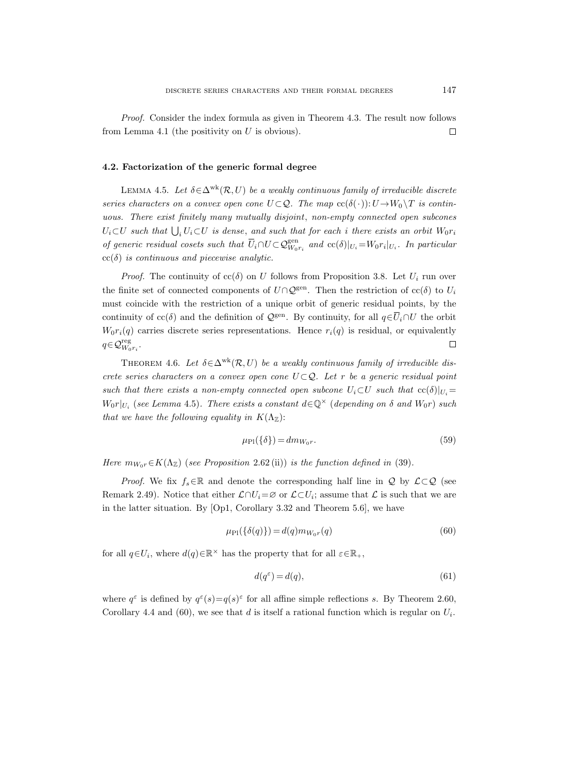Proof. Consider the index formula as given in Theorem 4.3. The result now follows from Lemma 4.1 (the positivity on  $U$  is obvious).  $\Box$ 

### 4.2. Factorization of the generic formal degree

LEMMA 4.5. Let  $\delta \in \Delta^{wk}(\mathcal{R}, U)$  be a weakly continuous family of irreducible discrete series characters on a convex open cone  $U \subset \mathcal{Q}$ . The map  $cc(\delta(\cdot)) : U \to W_0 \setminus T$  is continuous. There exist finitely many mutually disjoint, non-empty connected open subcones  $U_i \subset U$  such that  $\bigcup_i U_i \subset U$  is dense, and such that for each i there exists an orbit  $W_0r_i$ of generic residual cosets such that  $\overline{U}_i \cap U \subset \mathcal{Q}_{W_0r_i}^{\text{gen}}$  and  $\text{cc}(\delta)|_{U_i} = W_0r_i|_{U_i}$ . In particular  $cc(\delta)$  is continuous and piecewise analytic.

*Proof.* The continuity of  $cc(\delta)$  on U follows from Proposition 3.8. Let  $U_i$  run over the finite set of connected components of  $U\cap Q^{\text{gen}}$ . Then the restriction of  $cc(\delta)$  to  $U_i$ must coincide with the restriction of a unique orbit of generic residual points, by the continuity of  $cc(\delta)$  and the definition of  $\mathcal{Q}^{\text{gen}}$ . By continuity, for all  $q \in \overline{U}_i \cap U$  the orbit  $W_0r_i(q)$  carries discrete series representations. Hence  $r_i(q)$  is residual, or equivalently  $q \in \mathcal{Q}_{W_0 r_i}^{\text{reg}}$ .  $\Box$ 

THEOREM 4.6. Let  $\delta \in \Delta^{wk}(\mathcal{R}, U)$  be a weakly continuous family of irreducible discrete series characters on a convex open cone  $U \subset Q$ . Let r be a generic residual point such that there exists a non-empty connected open subcone  $U_i \subset U$  such that  $\operatorname{cc}(\delta)|_{U_i} =$  $W_0r|_{U_i}$  (see Lemma 4.5). There exists a constant  $d\in\mathbb{Q}^\times$  (depending on  $\delta$  and  $W_0r$ ) such that we have the following equality in  $K(\Lambda_{\mathbb{Z}})$ :

$$
\mu_{\rm Pl}(\{\delta\}) = dm_{W_0 r}.\tag{59}
$$

Here  $m_{W_0r} \in K(\Lambda_{\mathbb{Z}})$  (see Proposition 2.62 (ii)) is the function defined in (39).

*Proof.* We fix  $f_s \in \mathbb{R}$  and denote the corresponding half line in Q by  $\mathcal{L} \subset \mathcal{Q}$  (see Remark 2.49). Notice that either  $\mathcal{L} \cap U_i = \varnothing$  or  $\mathcal{L} \subset U_i$ ; assume that  $\mathcal{L}$  is such that we are in the latter situation. By [Op1, Corollary 3.32 and Theorem 5.6], we have

$$
\mu_{\rm Pl}(\{\delta(q)\}) = d(q)m_{W_0r}(q) \tag{60}
$$

for all  $q \in U_i$ , where  $d(q) \in \mathbb{R}^\times$  has the property that for all  $\varepsilon \in \mathbb{R}_+$ ,

$$
d(q^{\varepsilon}) = d(q),\tag{61}
$$

where  $q^{\varepsilon}$  is defined by  $q^{\varepsilon}(s) = q(s)^{\varepsilon}$  for all affine simple reflections s. By Theorem 2.60, Corollary 4.4 and (60), we see that d is itself a rational function which is regular on  $U_i$ .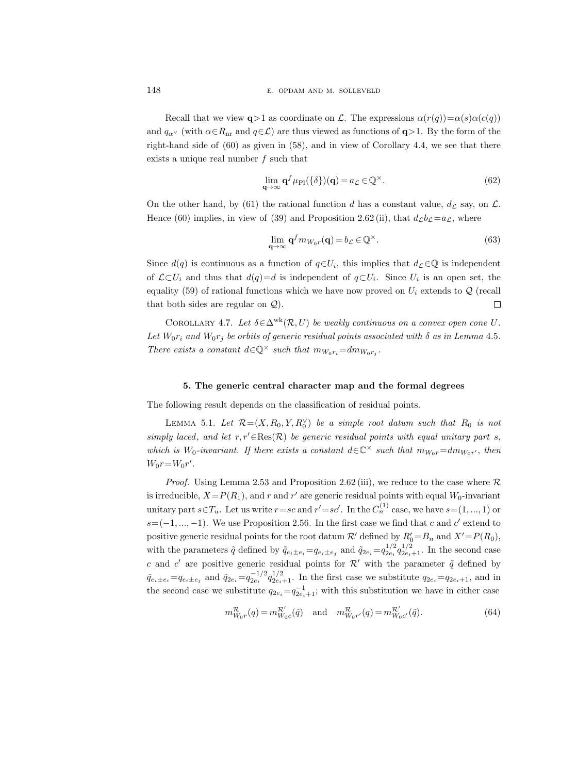Recall that we view  $q>1$  as coordinate on L. The expressions  $\alpha(r(q))=\alpha(s)\alpha(c(q))$ and  $q_{\alpha}$  (with  $\alpha \in R_{\text{nr}}$  and  $q \in \mathcal{L}$ ) are thus viewed as functions of  $q > 1$ . By the form of the right-hand side of  $(60)$  as given in  $(58)$ , and in view of Corollary 4.4, we see that there exists a unique real number  $f$  such that

$$
\lim_{\mathbf{q}\to\infty} \mathbf{q}^f \mu_{\text{Pl}}(\{\delta\})(\mathbf{q}) = a_{\mathcal{L}} \in \mathbb{Q}^{\times}.
$$
 (62)

On the other hand, by (61) the rational function d has a constant value,  $d_{\mathcal{L}}$  say, on  $\mathcal{L}$ . Hence (60) implies, in view of (39) and Proposition 2.62 (ii), that  $d_{\mathcal{L}}b_{\mathcal{L}}=a_{\mathcal{L}}$ , where

$$
\lim_{\mathbf{q}\to\infty} \mathbf{q}^f m_{W_0 r}(\mathbf{q}) = b_{\mathcal{L}} \in \mathbb{Q}^{\times}.
$$
\n(63)

Since  $d(q)$  is continuous as a function of  $q \in U_i$ , this implies that  $d_{\mathcal{L}} \in \mathbb{Q}$  is independent of  $\mathcal{L} \subset U_i$  and thus that  $d(q) = d$  is independent of  $q \subset U_i$ . Since  $U_i$  is an open set, the equality (59) of rational functions which we have now proved on  $U_i$  extends to  $\mathcal{Q}$  (recall that both sides are regular on Q).  $\Box$ 

COROLLARY 4.7. Let  $\delta \in \Delta^{wk}(\mathcal{R}, U)$  be weakly continuous on a convex open cone U. Let  $W_0r_i$  and  $W_0r_j$  be orbits of generic residual points associated with  $\delta$  as in Lemma 4.5. There exists a constant  $d \in \mathbb{Q}^{\times}$  such that  $m_{W_0r_i} = dm_{W_0r_j}$ .

#### 5. The generic central character map and the formal degrees

The following result depends on the classification of residual points.

LEMMA 5.1. Let  $\mathcal{R} = (X, R_0, Y, R_0^{\vee})$  be a simple root datum such that  $R_0$  is not simply laced, and let  $r, r' \in \text{Res}(\mathcal{R})$  be generic residual points with equal unitary part s, which is  $W_0$ -invariant. If there exists a constant  $d\in\mathbb{C}^\times$  such that  $m_{W_0r} = dm_{W_0r'}$ , then  $W_0 r = W_0 r'$ .

*Proof.* Using Lemma 2.53 and Proposition 2.62 (iii), we reduce to the case where  $\mathcal{R}$ is irreducible,  $X = P(R_1)$ , and r and r' are generic residual points with equal  $W_0$ -invariant unitary part  $s \in T_u$ . Let us write  $r = sc$  and  $r' = sc'$ . In the  $C_n^{(1)}$  case, we have  $s = (1, ..., 1)$  or  $s=(-1, ..., -1)$ . We use Proposition 2.56. In the first case we find that c and c' extend to positive generic residual points for the root datum  $\mathcal{R}'$  defined by  $R'_0 = B_n$  and  $X' = P(R_0)$ , with the parameters  $\tilde{q}$  defined by  $\tilde{q}_{e_i\pm e_i}=q_{e_i\pm e_j}$  and  $\tilde{q}_{2e_i}=q_{2e_i}^{1/2}q_{2e_i+1}^{1/2}$ . In the second case c and c' are positive generic residual points for  $\mathcal{R}'$  with the parameter  $\tilde{q}$  defined by  $\tilde{q}_{e_i\pm e_i}=q_{e_i\pm e_j}$  and  $\tilde{q}_{2e_i}=q_{2e_i+1}^{-1/2}q_{2e_i+1}^{1/2}$ . In the first case we substitute  $q_{2e_i}=q_{2e_i+1}$ , and in the second case we substitute  $q_{2e_i}=q_{2e_i+1}^{-1}$ ; with this substitution we have in either case

$$
m_{W_0r}^{\mathcal{R}}(q) = m_{W_0c}^{\mathcal{R}'}(\tilde{q}) \quad \text{and} \quad m_{W_0r'}^{\mathcal{R}}(q) = m_{W_0c'}^{\mathcal{R}'}(\tilde{q}).\tag{64}
$$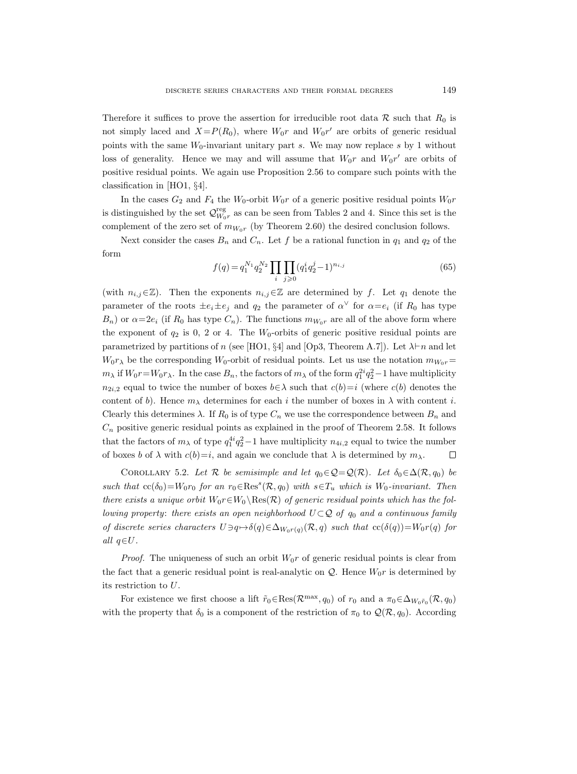Therefore it suffices to prove the assertion for irreducible root data R such that  $R_0$  is not simply laced and  $X = P(R_0)$ , where  $W_0r$  and  $W_0r'$  are orbits of generic residual points with the same  $W_0$ -invariant unitary part s. We may now replace s by 1 without loss of generality. Hence we may and will assume that  $W_0r$  and  $W_0r'$  are orbits of positive residual points. We again use Proposition 2.56 to compare such points with the classification in [HO1, §4].

In the cases  $G_2$  and  $F_4$  the  $W_0$ -orbit  $W_0r$  of a generic positive residual points  $W_0r$ is distinguished by the set  $\mathcal{Q}_{W_0r}^{\text{reg}}$  as can be seen from Tables 2 and 4. Since this set is the complement of the zero set of  $m_{W_0r}$  (by Theorem 2.60) the desired conclusion follows.

Next consider the cases  $B_n$  and  $C_n$ . Let f be a rational function in  $q_1$  and  $q_2$  of the form

$$
f(q) = q_1^{N_1} q_2^{N_2} \prod_i \prod_{j \ge 0} (q_1^i q_2^j - 1)^{n_{i,j}} \tag{65}
$$

(with  $n_{i,j} \in \mathbb{Z}$ ). Then the exponents  $n_{i,j} \in \mathbb{Z}$  are determined by f. Let  $q_1$  denote the parameter of the roots  $\pm e_i \pm e_j$  and  $q_2$  the parameter of  $\alpha^{\vee}$  for  $\alpha = e_i$  (if  $R_0$  has type  $B_n$ ) or  $\alpha=2e_i$  (if  $R_0$  has type  $C_n$ ). The functions  $m_{W_0r}$  are all of the above form where the exponent of  $q_2$  is 0, 2 or 4. The  $W_0$ -orbits of generic positive residual points are parametrized by partitions of n (see [HO1, §4] and [Op3, Theorem A.7]). Let  $\lambda \vdash n$  and let  $W_0r_\lambda$  be the corresponding  $W_0$ -orbit of residual points. Let us use the notation  $m_{W_0r}$  $m_\lambda$  if  $W_0r = W_0r_\lambda$ . In the case  $B_n$ , the factors of  $m_\lambda$  of the form  $q_1^{2i}q_2^2 - 1$  have multiplicity  $n_{2i,2}$  equal to twice the number of boxes  $b \in \lambda$  such that  $c(b)=i$  (where  $c(b)$  denotes the content of b). Hence  $m_{\lambda}$  determines for each i the number of boxes in  $\lambda$  with content i. Clearly this determines  $\lambda$ . If  $R_0$  is of type  $C_n$  we use the correspondence between  $B_n$  and  $C_n$  positive generic residual points as explained in the proof of Theorem 2.58. It follows that the factors of  $m_{\lambda}$  of type  $q_1^{4i}q_2^2-1$  have multiplicity  $n_{4i,2}$  equal to twice the number of boxes b of  $\lambda$  with  $c(b)=i$ , and again we conclude that  $\lambda$  is determined by  $m_{\lambda}$ .  $\Box$ 

COROLLARY 5.2. Let R be semisimple and let  $q_0 \in \mathcal{Q} = \mathcal{Q}(\mathcal{R})$ . Let  $\delta_0 \in \Delta(\mathcal{R}, q_0)$  be such that  $cc(\delta_0) = W_0r_0$  for an  $r_0 \in \text{Res}^s(\mathcal{R}, q_0)$  with  $s \in T_u$  which is  $W_0$ -invariant. Then there exists a unique orbit  $W_0r \in W_0 \setminus \text{Res}(\mathcal{R})$  of generic residual points which has the following property: there exists an open neighborhood  $U \subset Q$  of  $q_0$  and a continuous family of discrete series characters  $U \ni q \mapsto \delta(q) \in \Delta_{W_0r(q)}(\mathcal{R}, q)$  such that  $cc(\delta(q))=W_0r(q)$  for all  $q \in U$ .

*Proof.* The uniqueness of such an orbit  $W_0r$  of generic residual points is clear from the fact that a generic residual point is real-analytic on  $\mathcal{Q}$ . Hence  $W_0r$  is determined by its restriction to U.

For existence we first choose a lift  $\tilde{r}_0 \in \text{Res}(\mathcal{R}^{\text{max}}, q_0)$  of  $r_0$  and a  $\pi_0 \in \Delta_{W_0 \tilde{r}_0}(\mathcal{R}, q_0)$ with the property that  $\delta_0$  is a component of the restriction of  $\pi_0$  to  $\mathcal{Q}(\mathcal{R}, q_0)$ . According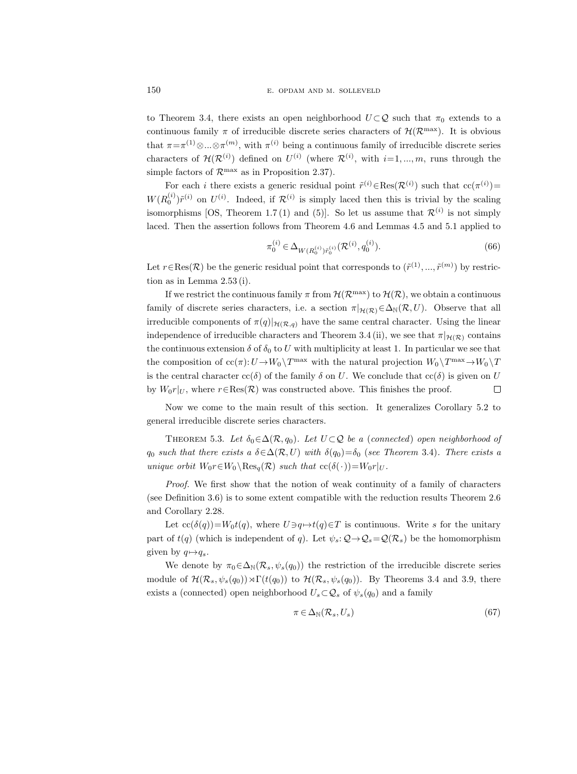to Theorem 3.4, there exists an open neighborhood  $U \subset \mathcal{Q}$  such that  $\pi_0$  extends to a continuous family  $\pi$  of irreducible discrete series characters of  $\mathcal{H}(\mathcal{R}^{\max})$ . It is obvious that  $\pi = \pi^{(1)} \otimes ... \otimes \pi^{(m)}$ , with  $\pi^{(i)}$  being a continuous family of irreducible discrete series characters of  $\mathcal{H}(\mathcal{R}^{(i)})$  defined on  $U^{(i)}$  (where  $\mathcal{R}^{(i)}$ , with  $i=1,...,m$ , runs through the simple factors of  $\mathcal{R}^{\max}$  as in Proposition 2.37).

For each *i* there exists a generic residual point  $\tilde{r}^{(i)} \in \text{Res}(\mathcal{R}^{(i)})$  such that  $\text{cc}(\pi^{(i)})$  $W(R_0^{(i)})\tilde{r}^{(i)}$  on  $U^{(i)}$ . Indeed, if  $\mathcal{R}^{(i)}$  is simply laced then this is trivial by the scaling isomorphisms [OS, Theorem 1.7(1) and (5)]. So let us assume that  $\mathcal{R}^{(i)}$  is not simply laced. Then the assertion follows from Theorem 4.6 and Lemmas 4.5 and 5.1 applied to

$$
\pi_0^{(i)} \in \Delta_{W(R_0^{(i)})\tilde{r}_0^{(i)}}(\mathcal{R}^{(i)}, q_0^{(i)}).
$$
\n(66)

Let  $r \in \text{Res}(\mathcal{R})$  be the generic residual point that corresponds to  $(\tilde{r}^{(1)},...,\tilde{r}^{(m)})$  by restriction as in Lemma 2.53 (i).

If we restrict the continuous family  $\pi$  from  $\mathcal{H}(\mathcal{R}^{\max})$  to  $\mathcal{H}(\mathcal{R})$ , we obtain a continuous family of discrete series characters, i.e. a section  $\pi|_{\mathcal{H}(\mathcal{R})} \in \Delta_N(\mathcal{R}, U)$ . Observe that all irreducible components of  $\pi(q)|_{\mathcal{H}(\mathcal{R},q)}$  have the same central character. Using the linear independence of irreducible characters and Theorem 3.4 (ii), we see that  $\pi|_{\mathcal{H}(\mathcal{R})}$  contains the continuous extension  $\delta$  of  $\delta_0$  to U with multiplicity at least 1. In particular we see that the composition of  $cc(\pi): U \to W_0 \backslash T^{\max}$  with the natural projection  $W_0 \backslash T^{\max} \to W_0 \backslash T$ is the central character  $cc(\delta)$  of the family  $\delta$  on U. We conclude that  $cc(\delta)$  is given on U by  $W_0r|_U$ , where  $r \in \text{Res}(\mathcal{R})$  was constructed above. This finishes the proof.  $\Box$ 

Now we come to the main result of this section. It generalizes Corollary 5.2 to general irreducible discrete series characters.

THEOREM 5.3. Let  $\delta_0 \in \Delta(\mathcal{R}, q_0)$ . Let  $U \subset \mathcal{Q}$  be a (connected) open neighborhood of  $q_0$  such that there exists a  $\delta \in \Delta(\mathcal{R}, U)$  with  $\delta(q_0) = \delta_0$  (see Theorem 3.4). There exists a unique orbit  $W_0r \in W_0 \backslash \text{Res}_{a}(\mathcal{R})$  such that  $cc(\delta(\cdot))=W_0r|_U$ .

Proof. We first show that the notion of weak continuity of a family of characters (see Definition 3.6) is to some extent compatible with the reduction results Theorem 2.6 and Corollary 2.28.

Let  $cc(\delta(q))=W_0t(q)$ , where  $U\ni q\mapsto t(q)\in T$  is continuous. Write s for the unitary part of  $t(q)$  (which is independent of q). Let  $\psi_s: \mathcal{Q} \to \mathcal{Q}_s = \mathcal{Q}(\mathcal{R}_s)$  be the homomorphism given by  $q \mapsto q_s$ .

We denote by  $\pi_0 \in \Delta_N(\mathcal{R}_s, \psi_s(q_0))$  the restriction of the irreducible discrete series module of  $\mathcal{H}(\mathcal{R}_s, \psi_s(q_0)) \rtimes \Gamma(t(q_0))$  to  $\mathcal{H}(\mathcal{R}_s, \psi_s(q_0))$ . By Theorems 3.4 and 3.9, there exists a (connected) open neighborhood  $U_s \subset \mathcal{Q}_s$  of  $\psi_s(q_0)$  and a family

$$
\pi \in \Delta_{\mathbb{N}}(\mathcal{R}_s, U_s) \tag{67}
$$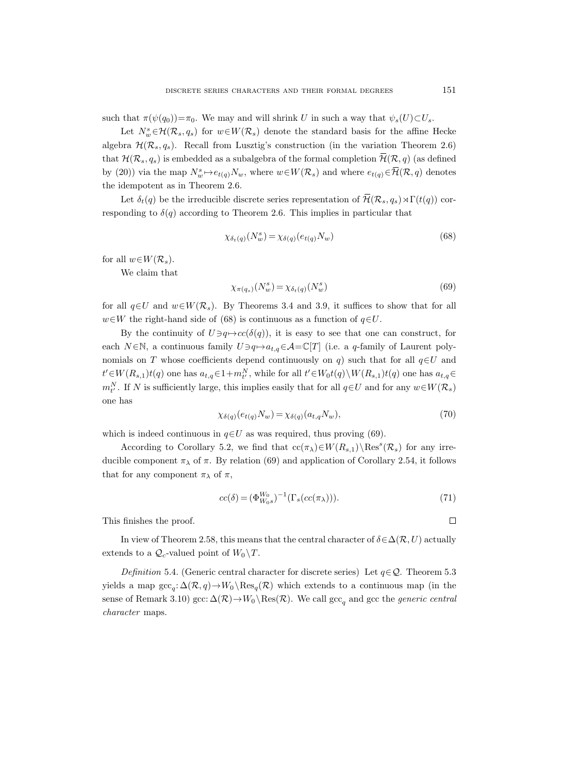such that  $\pi(\psi(q_0))=\pi_0$ . We may and will shrink U in such a way that  $\psi_s(U)\subset U_s$ .

Let  $N_w^s \in \mathcal{H}(\mathcal{R}_s, q_s)$  for  $w \in W(\mathcal{R}_s)$  denote the standard basis for the affine Hecke algebra  $\mathcal{H}(\mathcal{R}_s, q_s)$ . Recall from Lusztig's construction (in the variation Theorem 2.6) that  $\mathcal{H}(\mathcal{R}_s, q_s)$  is embedded as a subalgebra of the formal completion  $\overline{\mathcal{H}}(\mathcal{R}, q)$  (as defined by (20)) via the map  $N_w^s \mapsto e_{t(q)}N_w$ , where  $w \in W(\mathcal{R}_s)$  and where  $e_{t(q)} \in \overline{\mathcal{H}}(\mathcal{R}, q)$  denotes the idempotent as in Theorem 2.6.

Let  $\delta_t(q)$  be the irreducible discrete series representation of  $\overline{\mathcal{H}}(\mathcal{R}_s, q_s) \rtimes \Gamma(t(q))$  corresponding to  $\delta(q)$  according to Theorem 2.6. This implies in particular that

$$
\chi_{\delta_t(q)}(N_w^s) = \chi_{\delta(q)}(e_{t(q)}N_w)
$$
\n(68)

for all  $w\in W(\mathcal{R}_s)$ .

We claim that

$$
\chi_{\pi(q_s)}(N_w^s) = \chi_{\delta_t(q)}(N_w^s) \tag{69}
$$

for all  $q\in U$  and  $w\in W(\mathcal{R}_s)$ . By Theorems 3.4 and 3.9, it suffices to show that for all  $w\in W$  the right-hand side of (68) is continuous as a function of  $q\in U$ .

By the continuity of  $U \ni q \mapsto cc(\delta(q))$ , it is easy to see that one can construct, for each N ∈N, a continuous family  $U \ni q \mapsto a_{t,q} \in \mathcal{A} = \mathbb{C}[T]$  (i.e. a q-family of Laurent polynomials on T whose coefficients depend continuously on q) such that for all  $q \in U$  and  $t' \in W(R_{s,1})t(q)$  one has  $a_{t,q} \in 1+m_t^N$ , while for all  $t' \in W_0t(q) \setminus W(R_{s,1})t(q)$  one has  $a_{t,q} \in$  $m_{t'}^N$ . If N is sufficiently large, this implies easily that for all  $q \in U$  and for any  $w \in W(\mathcal{R}_s)$ one has

$$
\chi_{\delta(q)}(e_{t(q)}N_w) = \chi_{\delta(q)}(a_{t,q}N_w),\tag{70}
$$

which is indeed continuous in  $q \in U$  as was required, thus proving (69).

According to Corollary 5.2, we find that  $cc(\pi_{\lambda}) \in W(R_{s,1}) \backslash \text{Res}^s(\mathcal{R}_s)$  for any irreducible component  $\pi_{\lambda}$  of  $\pi$ . By relation (69) and application of Corollary 2.54, it follows that for any component  $\pi_{\lambda}$  of  $\pi$ ,

$$
cc(\delta) = (\Phi_{W_0}^{W_0})^{-1}(\Gamma_s(cc(\pi_{\lambda}))).
$$
\n(71)

This finishes the proof.

In view of Theorem 2.58, this means that the central character of  $\delta \in \Delta (\mathcal{R}, U)$  actually extends to a  $\mathcal{Q}_c$ -valued point of  $W_0 \backslash T$ .

Definition 5.4. (Generic central character for discrete series) Let  $q \in \mathcal{Q}$ . Theorem 5.3 yields a map  $\operatorname{gcc}_q: \Delta(\mathcal{R}, q) \to W_0 \backslash \operatorname{Res}_q(\mathcal{R})$  which extends to a continuous map (in the sense of Remark 3.10) gcc:  $\Delta(\mathcal{R}) \to W_0 \backslash \text{Res}(\mathcal{R})$ . We call gcc<sub>q</sub> and gcc the *generic central* character maps.

 $\Box$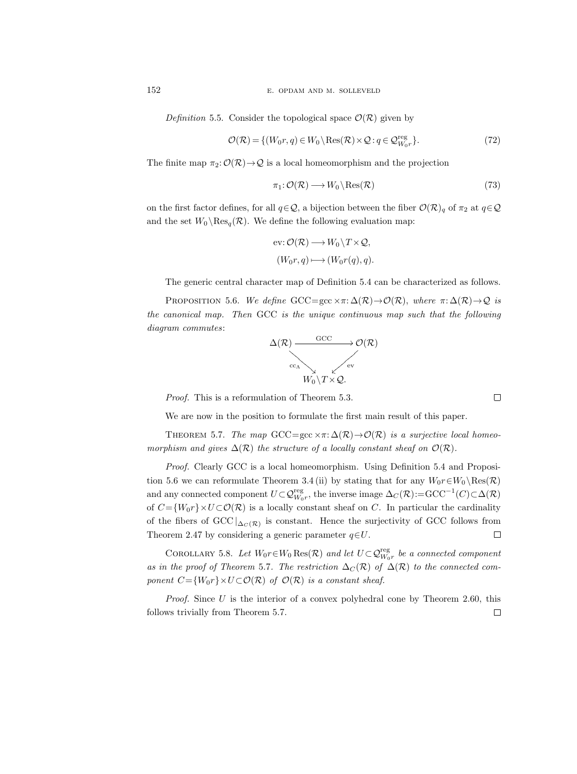152 E. OPDAM AND M. SOLLEVELD

Definition 5.5. Consider the topological space  $\mathcal{O}(\mathcal{R})$  given by

$$
\mathcal{O}(\mathcal{R}) = \{ (W_0 r, q) \in W_0 \setminus \text{Res}(\mathcal{R}) \times \mathcal{Q} : q \in \mathcal{Q}_{W_0 r}^{\text{reg}} \}. \tag{72}
$$

The finite map  $\pi_2: \mathcal{O}(\mathcal{R}) \to \mathcal{Q}$  is a local homeomorphism and the projection

$$
\pi_1: \mathcal{O}(\mathcal{R}) \longrightarrow W_0 \backslash \text{Res}(\mathcal{R})
$$
\n<sup>(73)</sup>

on the first factor defines, for all  $q \in \mathcal{Q}$ , a bijection between the fiber  $\mathcal{O}(\mathcal{R})_q$  of  $\pi_2$  at  $q \in \mathcal{Q}$ and the set  $W_0 \backslash \text{Res}_q(\mathcal{R})$ . We define the following evaluation map:

ev: 
$$
\mathcal{O}(\mathcal{R}) \longrightarrow W_0 \backslash T \times \mathcal{Q},
$$
  
\n $(W_0 r, q) \longmapsto (W_0 r(q), q).$ 

The generic central character map of Definition 5.4 can be characterized as follows.

PROPOSITION 5.6. We define GCC=gcc  $\times \pi: \Delta(\mathcal{R}) \to \mathcal{O}(\mathcal{R})$ , where  $\pi: \Delta(\mathcal{R}) \to \mathcal{Q}$  is the canonical map. Then GCC is the unique continuous map such that the following diagram commutes:



Proof. This is a reformulation of Theorem 5.3.

We are now in the position to formulate the first main result of this paper.

THEOREM 5.7. The map GCC=gcc  $\times \pi: \Delta(\mathcal{R}) \to \mathcal{O}(\mathcal{R})$  is a surjective local homeomorphism and gives  $\Delta(\mathcal{R})$  the structure of a locally constant sheaf on  $\mathcal{O}(\mathcal{R})$ .

Proof. Clearly GCC is a local homeomorphism. Using Definition 5.4 and Proposition 5.6 we can reformulate Theorem 3.4 (ii) by stating that for any  $W_0r \in W_0 \setminus \text{Res}(\mathcal{R})$ and any connected component  $U \subset \mathcal{Q}_{W_0r}^{\text{reg}}$ , the inverse image  $\Delta_C(\mathcal{R}) = \text{GCC}^{-1}(C) \subset \Delta(\mathcal{R})$ of  $C = \{W_0r\} \times U \subset \mathcal{O}(\mathcal{R})$  is a locally constant sheaf on C. In particular the cardinality of the fibers of  $\text{GCC} \mid_{\Delta_C(\mathcal{R})}$  is constant. Hence the surjectivity of GCC follows from  $\Box$ Theorem 2.47 by considering a generic parameter  $q \in U$ .

COROLLARY 5.8. Let  $W_0r \in W_0$  Res $(\mathcal{R})$  and let  $U \subset \mathcal{Q}_{W_0r}^{\text{reg}}$  be a connected component as in the proof of Theorem 5.7. The restriction  $\Delta_C(\mathcal{R})$  of  $\Delta(\mathcal{R})$  to the connected component  $C = \{W_0r\} \times U \subset \mathcal{O}(\mathcal{R})$  of  $\mathcal{O}(\mathcal{R})$  is a constant sheaf.

*Proof.* Since U is the interior of a convex polyhedral cone by Theorem 2.60, this follows trivially from Theorem 5.7. $\Box$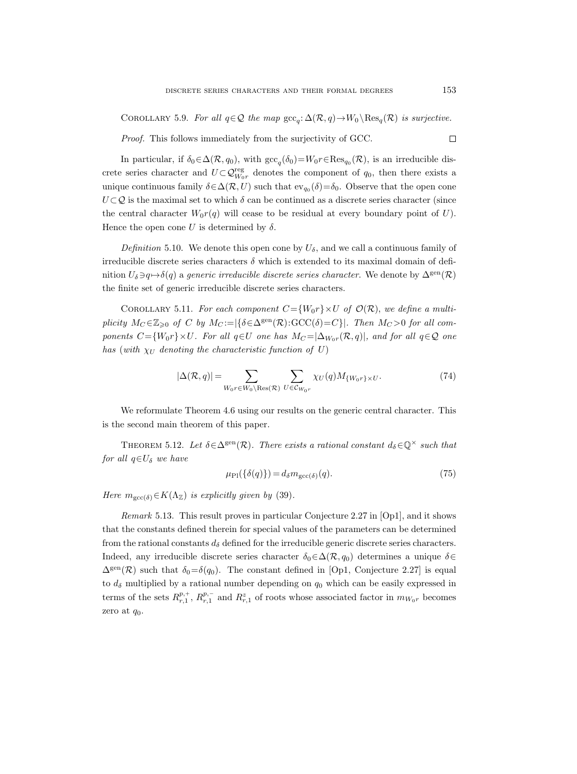COROLLARY 5.9. For all  $q \in \mathcal{Q}$  the map  $\operatorname{gcc}_q: \Delta(\mathcal{R}, q) \to W_0 \backslash \operatorname{Res}_q(\mathcal{R})$  is surjective.

Proof. This follows immediately from the surjectivity of GCC.

In particular, if  $\delta_0 \in \Delta(\mathcal{R}, q_0)$ , with  $\operatorname{gcc}_q(\delta_0) = W_0 r \in \operatorname{Res}_{q_0}(\mathcal{R})$ , is an irreducible discrete series character and  $U \subset \mathcal{Q}_{W_0r}^{\text{reg}}$  denotes the component of  $q_0$ , then there exists a unique continuous family  $\delta \in \Delta(\mathcal{R}, U)$  such that  $ev_{q_0}(\delta) = \delta_0$ . Observe that the open cone  $U \subset \mathcal{Q}$  is the maximal set to which  $\delta$  can be continued as a discrete series character (since the central character  $W_0r(q)$  will cease to be residual at every boundary point of U). Hence the open cone U is determined by  $\delta$ .

Definition 5.10. We denote this open cone by  $U_{\delta}$ , and we call a continuous family of irreducible discrete series characters  $\delta$  which is extended to its maximal domain of definition  $U_{\delta} \ni q \mapsto \delta(q)$  a generic irreducible discrete series character. We denote by  $\Delta^{\text{gen}}(\mathcal{R})$ the finite set of generic irreducible discrete series characters.

COROLLARY 5.11. For each component  $C = \{W_0r\} \times U$  of  $\mathcal{O}(\mathcal{R})$ , we define a multiplicity  $M_C \in \mathbb{Z}_{\geqslant 0}$  of C by  $M_C := |\{\delta \in \Delta^{\rm gen}(\mathcal{R}) : {\rm GCC}(\delta) = C\}|$ . Then  $M_C > 0$  for all components  $C = \{W_0r\} \times U$ . For all  $q \in U$  one has  $M_C = |\Delta_{W_0r}(\mathcal{R}, q)|$ , and for all  $q \in \mathcal{Q}$  one has (with  $\chi_U$  denoting the characteristic function of U)

$$
|\Delta(\mathcal{R}, q)| = \sum_{W_0 r \in W_0 \backslash \text{Res}(\mathcal{R})} \sum_{U \in \mathcal{C}_{W_0 r}} \chi_U(q) M_{\{W_0 r\} \times U}.
$$
 (74)

We reformulate Theorem 4.6 using our results on the generic central character. This is the second main theorem of this paper.

THEOREM 5.12. Let  $\delta \in \Delta^{\text{gen}}(\mathcal{R})$ . There exists a rational constant  $d_{\delta} \in \mathbb{Q}^{\times}$  such that for all  $q \in U_{\delta}$  we have

$$
\mu_{\rm Pl}(\{\delta(q)\}) = d_{\delta} m_{\rm gcc(\delta)}(q). \tag{75}
$$

Here  $m_{\text{gcc}(\delta)} \in K(\Lambda_{\mathbb{Z}})$  is explicitly given by (39).

Remark 5.13. This result proves in particular Conjecture 2.27 in [Op1], and it shows that the constants defined therein for special values of the parameters can be determined from the rational constants  $d_{\delta}$  defined for the irreducible generic discrete series characters. Indeed, any irreducible discrete series character  $\delta_0 \in \Delta(\mathcal{R}, q_0)$  determines a unique  $\delta \in$  $\Delta^{\text{gen}}(\mathcal{R})$  such that  $\delta_0=\delta(q_0)$ . The constant defined in [Op1, Conjecture 2.27] is equal to  $d_{\delta}$  multiplied by a rational number depending on  $q_0$  which can be easily expressed in terms of the sets  $R_{r,1}^{p,+}, R_{r,1}^{p,-}$  and  $R_{r,1}^z$  of roots whose associated factor in  $m_{W_0r}$  becomes zero at  $q_0$ .

 $\Box$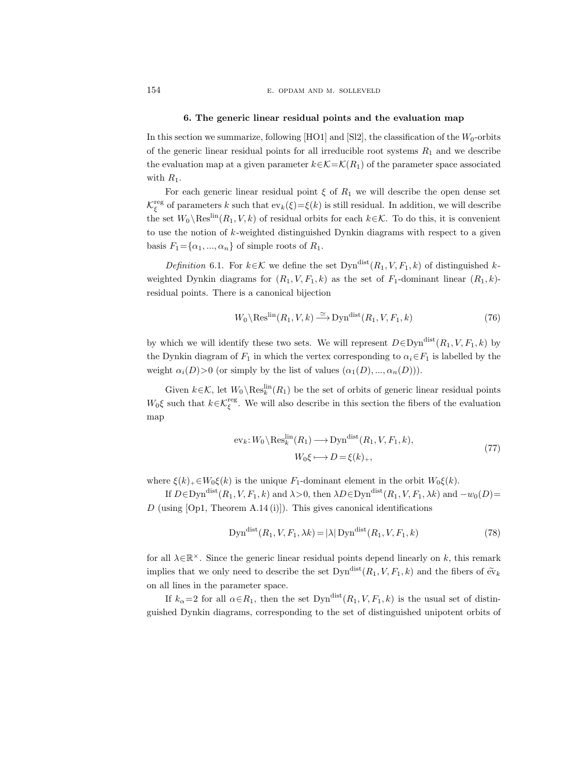154 E. OPDAM AND M. SOLLEVELD

### 6. The generic linear residual points and the evaluation map

In this section we summarize, following [HO1] and [Sl2], the classification of the  $W_0$ -orbits of the generic linear residual points for all irreducible root systems  $R_1$  and we describe the evaluation map at a given parameter  $k \in \mathcal{K} = \mathcal{K}(R_1)$  of the parameter space associated with  $R_1$ .

For each generic linear residual point  $\xi$  of  $R_1$  we will describe the open dense set  $\mathcal{K}^{\text{reg}}_{\xi}$  of parameters k such that  $ev_k(\xi) = \xi(k)$  is still residual. In addition, we will describe the set  $W_0 \backslash \text{Res}^{\text{lin}}(R_1, V, k)$  of residual orbits for each  $k \in \mathcal{K}$ . To do this, it is convenient to use the notion of  $k$ -weighted distinguished Dynkin diagrams with respect to a given basis  $F_1 = {\alpha_1, ..., \alpha_n}$  of simple roots of  $R_1$ .

Definition 6.1. For  $k \in \mathcal{K}$  we define the set  $\text{Dyn}^{\text{dist}}(R_1, V, F_1, k)$  of distinguished kweighted Dynkin diagrams for  $(R_1, V, F_1, k)$  as the set of  $F_1$ -dominant linear  $(R_1, k)$ residual points. There is a canonical bijection

$$
W_0 \setminus \text{Res}^{\text{lin}}(R_1, V, k) \xrightarrow{\simeq} \text{Dyn}^{\text{dist}}(R_1, V, F_1, k) \tag{76}
$$

by which we will identify these two sets. We will represent  $D \in \mathrm{Dyn}^{\mathrm{dist}}(R_1, V, F_1, k)$  by the Dynkin diagram of  $F_1$  in which the vertex corresponding to  $\alpha_i \in F_1$  is labelled by the weight  $\alpha_i(D) > 0$  (or simply by the list of values  $(\alpha_1(D), ..., \alpha_n(D))$ ).

Given  $k \in \mathcal{K}$ , let  $W_0 \backslash \text{Res}_k^{\text{lin}}(R_1)$  be the set of orbits of generic linear residual points W<sub>0</sub> $\xi$  such that  $k \in \mathcal{K}_{\xi}^{\text{reg}}$ . We will also describe in this section the fibers of the evaluation map

$$
ev_k: W_0 \backslash \text{Res}_k^{\text{lin}}(R_1) \longrightarrow \text{Dyn}^{\text{dist}}(R_1, V, F_1, k),
$$
  

$$
W_0 \xi \longmapsto D = \xi(k)_+,
$$
 (77)

where  $\xi(k)_{+} \in W_0 \xi(k)$  is the unique  $F_1$ -dominant element in the orbit  $W_0 \xi(k)$ .

If  $D \in \text{Dyn}^{\text{dist}}(R_1, V, F_1, k)$  and  $\lambda > 0$ , then  $\lambda D \in \text{Dyn}^{\text{dist}}(R_1, V, F_1, \lambda k)$  and  $-w_0(D)$ = D (using  $[Op1, Theorem A.14 (i)]$ ). This gives canonical identifications

$$
Dyndist(R1, V, F1, \lambda k) = |\lambda| Dyndist(R1, V, F1, k)
$$
\n(78)

for all  $\lambda \in \mathbb{R}^{\times}$ . Since the generic linear residual points depend linearly on k, this remark implies that we only need to describe the set  $\text{Dyn}^{\text{dist}}(R_1, V, F_1, k)$  and the fibers of  $\tilde{\text{ev}}_k$ on all lines in the parameter space.

If  $k_{\alpha}=2$  for all  $\alpha \in R_1$ , then the set  $\text{Dyn}^{\text{dist}}(R_1, V, F_1, k)$  is the usual set of distinguished Dynkin diagrams, corresponding to the set of distinguished unipotent orbits of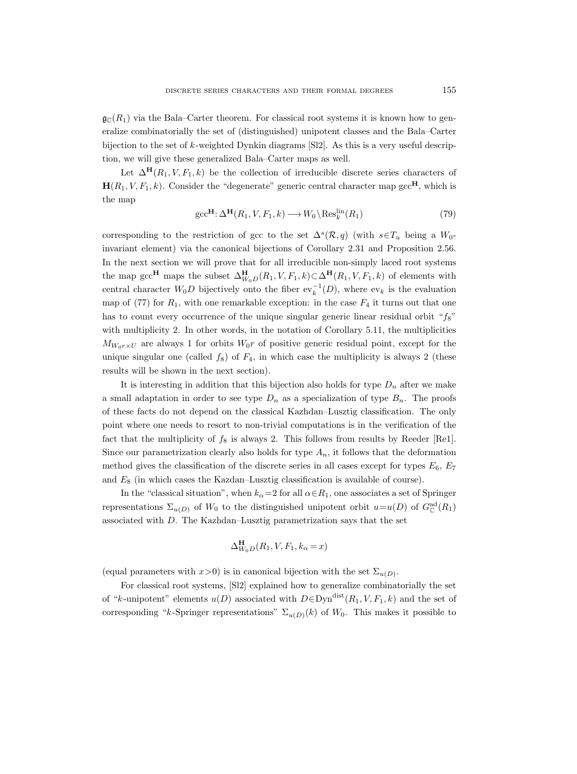$\mathfrak{g}_{\mathbb{C}}(R_1)$  via the Bala–Carter theorem. For classical root systems it is known how to generalize combinatorially the set of (distinguished) unipotent classes and the Bala–Carter bijection to the set of k-weighted Dynkin diagrams [Sl2]. As this is a very useful description, we will give these generalized Bala–Carter maps as well.

Let  $\Delta^{\mathbf{H}}(R_1, V, F_1, k)$  be the collection of irreducible discrete series characters of  $H(R_1, V, F_1, k)$ . Consider the "degenerate" generic central character map gcc<sup>H</sup>, which is the map

$$
\text{gcc}^{\mathbf{H}} \colon \Delta^{\mathbf{H}}(R_1, V, F_1, k) \longrightarrow W_0 \backslash \text{Res}_k^{\text{lin}}(R_1)
$$
\n<sup>(79)</sup>

corresponding to the restriction of gcc to the set  $\Delta^s(\mathcal{R}, q)$  (with  $s \in T_u$  being a  $W_0$ invariant element) via the canonical bijections of Corollary 2.31 and Proposition 2.56. In the next section we will prove that for all irreducible non-simply laced root systems the map gcc<sup>H</sup> maps the subset  $\Delta^{\text{H}}_{W_0D}(R_1, V, F_1, k) \subset \Delta^{\text{H}}(R_1, V, F_1, k)$  of elements with central character  $W_0D$  bijectively onto the fiber  $ev_k^{-1}(D)$ , where  $ev_k$  is the evaluation map of (77) for  $R_1$ , with one remarkable exception: in the case  $F_4$  it turns out that one has to count every occurrence of the unique singular generic linear residual orbit " $f_8$ " with multiplicity 2. In other words, in the notation of Corollary 5.11, the multiplicities  $M_{W_0r\times U}$  are always 1 for orbits  $W_0r$  of positive generic residual point, except for the unique singular one (called  $f_8$ ) of  $F_4$ , in which case the multiplicity is always 2 (these results will be shown in the next section).

It is interesting in addition that this bijection also holds for type  $D_n$  after we make a small adaptation in order to see type  $D_n$  as a specialization of type  $B_n$ . The proofs of these facts do not depend on the classical Kazhdan–Lusztig classification. The only point where one needs to resort to non-trivial computations is in the verification of the fact that the multiplicity of  $f_8$  is always 2. This follows from results by Reeder [Re1]. Since our parametrization clearly also holds for type  $A_n$ , it follows that the deformation method gives the classification of the discrete series in all cases except for types  $E_6$ ,  $E_7$ and  $E_8$  (in which cases the Kazdan–Lusztig classification is available of course).

In the "classical situation", when  $k_{\alpha}=2$  for all  $\alpha \in R_1$ , one associates a set of Springer representations  $\Sigma_{u(D)}$  of  $W_0$  to the distinguished unipotent orbit  $u=u(D)$  of  $G^{\rm ad}_{\mathbb{C}}(R_1)$ associated with D. The Kazhdan–Lusztig parametrization says that the set

$$
\Delta_{W_0D}^{\mathbf{H}}(R_1, V, F_1, k_\alpha = x)
$$

(equal parameters with  $x>0$ ) is in canonical bijection with the set  $\Sigma_{u(D)}$ .

For classical root systems, [Sl2] explained how to generalize combinatorially the set of "k-unipotent" elements  $u(D)$  associated with  $D \in \text{Dyn}^{\text{dist}}(R_1, V, F_1, k)$  and the set of corresponding "k-Springer representations"  $\Sigma_{u(D)}(k)$  of  $W_0$ . This makes it possible to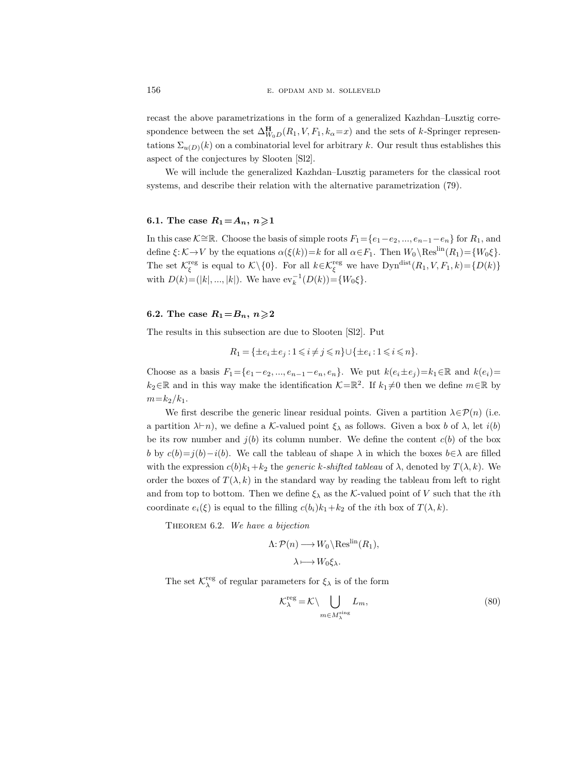recast the above parametrizations in the form of a generalized Kazhdan–Lusztig correspondence between the set  $\Delta_{W_0D}^{\mathbf{H}}(R_1, V, F_1, k_\alpha=x)$  and the sets of k-Springer representations  $\Sigma_{u(D)}(k)$  on a combinatorial level for arbitrary k. Our result thus establishes this aspect of the conjectures by Slooten [Sl2].

We will include the generalized Kazhdan–Lusztig parameters for the classical root systems, and describe their relation with the alternative parametrization (79).

### 6.1. The case  $R_1 = A_n, n \geq 1$

In this case K≅R. Choose the basis of simple roots  $F_1 = \{e_1 - e_2, ..., e_{n-1} - e_n\}$  for  $R_1$ , and define  $\xi: \mathcal{K} \to V$  by the equations  $\alpha(\xi(k))=k$  for all  $\alpha \in F_1$ . Then  $W_0 \setminus \text{Res}^{\text{lin}}(R_1) = \{W_0 \xi\}.$ The set  $\mathcal{K}_{\xi}^{\text{reg}}$  is equal to  $\mathcal{K}\setminus\{0\}$ . For all  $k \in \mathcal{K}_{\xi}^{\text{reg}}$  we have  $\text{Dyn}^{\text{dist}}(R_1, V, F_1, k) = \{D(k)\}$ with  $D(k) = (|k|, ..., |k|)$ . We have  $ev_k^{-1}(D(k)) = \{W_0 \xi\}.$ 

### 6.2. The case  $R_1 = B_n$ ,  $n \geq 2$

The results in this subsection are due to Slooten [Sl2]. Put

$$
R_1 = \{ \pm e_i \pm e_j : 1 \leq i \neq j \leq n \} \cup \{ \pm e_i : 1 \leq i \leq n \}.
$$

Choose as a basis  $F_1 = \{e_1 - e_2, ..., e_{n-1} - e_n, e_n\}$ . We put  $k(e_i \pm e_j) = k_1 \in \mathbb{R}$  and  $k(e_i) =$  $k_2 \in \mathbb{R}$  and in this way make the identification  $\mathcal{K} = \mathbb{R}^2$ . If  $k_1 \neq 0$  then we define  $m \in \mathbb{R}$  by  $m = k_2/k_1$ .

We first describe the generic linear residual points. Given a partition  $\lambda \in \mathcal{P}(n)$  (i.e. a partition  $\lambda \vdash n$ ), we define a K-valued point  $\xi_{\lambda}$  as follows. Given a box b of  $\lambda$ , let  $i(b)$ be its row number and  $j(b)$  its column number. We define the content  $c(b)$  of the box b by  $c(b)=j(b)-i(b)$ . We call the tableau of shape  $\lambda$  in which the boxes  $b \in \lambda$  are filled with the expression  $c(b)k_1+k_2$  the *generic k-shifted tableau* of  $\lambda$ , denoted by  $T(\lambda, k)$ . We order the boxes of  $T(\lambda, k)$  in the standard way by reading the tableau from left to right and from top to bottom. Then we define  $\xi_{\lambda}$  as the K-valued point of V such that the *i*th coordinate  $e_i(\xi)$  is equal to the filling  $c(b_i)k_1+k_2$  of the *i*th box of  $T(\lambda, k)$ .

THEOREM 6.2. We have a bijection

$$
\Lambda: \mathcal{P}(n) \longrightarrow W_0 \backslash \text{Res}^{\text{lin}}(R_1),
$$

$$
\lambda \longmapsto W_0 \xi_\lambda.
$$

The set  $\mathcal{K}^{\text{reg}}_{\lambda}$  of regular parameters for  $\xi_{\lambda}$  is of the form

$$
\mathcal{K}_{\lambda}^{\text{reg}} = \mathcal{K} \setminus \bigcup_{m \in M_{\lambda}^{\text{sing}}} L_m,
$$
\n(80)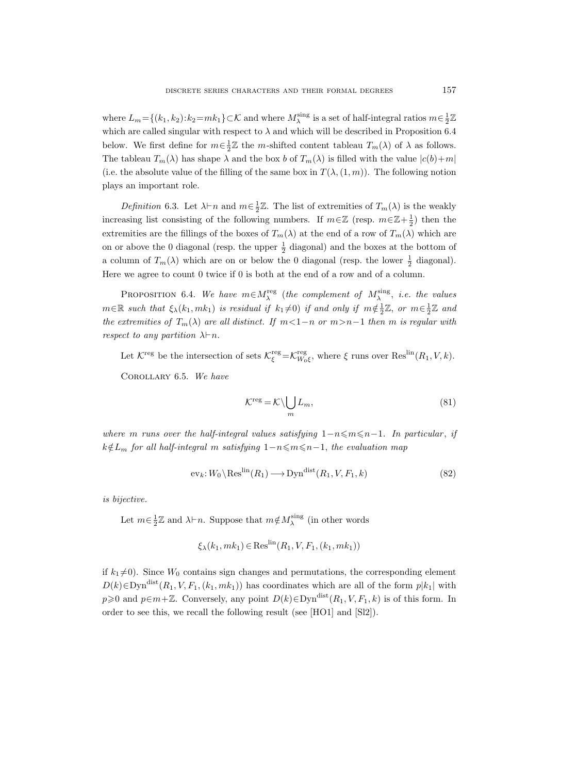where  $L_m = \{(k_1, k_2): k_2 = mk_1\} \subset \mathcal{K}$  and where  $M_\lambda^{\text{sing}}$  is a set of half-integral ratios  $m \in \frac{1}{2}\mathbb{Z}$ which are called singular with respect to  $\lambda$  and which will be described in Proposition 6.4 below. We first define for  $m \in \frac{1}{2}\mathbb{Z}$  the m-shifted content tableau  $T_m(\lambda)$  of  $\lambda$  as follows. The tableau  $T_m(\lambda)$  has shape  $\lambda$  and the box b of  $T_m(\lambda)$  is filled with the value  $|c(b)+m|$ (i.e. the absolute value of the filling of the same box in  $T(\lambda,(1,m))$ ). The following notion plays an important role.

Definition 6.3. Let  $\lambda \vdash n$  and  $m \in \frac{1}{2}\mathbb{Z}$ . The list of extremities of  $T_m(\lambda)$  is the weakly increasing list consisting of the following numbers. If  $m \in \mathbb{Z}$  (resp.  $m \in \mathbb{Z} + \frac{1}{2}$ ) then the extremities are the fillings of the boxes of  $T_m(\lambda)$  at the end of a row of  $T_m(\lambda)$  which are on or above the 0 diagonal (resp. the upper  $\frac{1}{2}$  diagonal) and the boxes at the bottom of a column of  $T_m(\lambda)$  which are on or below the 0 diagonal (resp. the lower  $\frac{1}{2}$  diagonal). Here we agree to count 0 twice if 0 is both at the end of a row and of a column.

PROPOSITION 6.4. We have  $m \in M_{\lambda}^{\text{reg}}$  (the complement of  $M_{\lambda}^{\text{sing}}$ , i.e. the values  $m \in \mathbb{R}$  such that  $\xi_{\lambda}(k_1,mk_1)$  is residual if  $k_1\neq 0$ ) if and only if  $m \notin \frac{1}{2}\mathbb{Z}$ , or  $m \in \frac{1}{2}\mathbb{Z}$  and the extremities of  $T_m(\lambda)$  are all distinct. If  $m<1-n$  or  $m>n-1$  then m is regular with respect to any partition  $\lambda \vdash n$ .

Let  $\mathcal{K}^{\text{reg}}$  be the intersection of sets  $\mathcal{K}^{\text{reg}}_{\xi} = \mathcal{K}^{\text{reg}}_{W_0\xi}$ , where  $\xi$  runs over  $\text{Res}^{\text{lin}}(R_1, V, k)$ . Corollary 6.5. We have

$$
\mathcal{K}^{\text{reg}} = \mathcal{K} \setminus \bigcup_{m} L_m,\tag{81}
$$

where m runs over the half-integral values satisfying  $1-n \leq m \leq n-1$ . In particular, if  $k \notin L_m$  for all half-integral m satisfying  $1-n \leq m \leq n-1$ , the evaluation map

$$
ev_k: W_0 \setminus \text{Res}^{\text{lin}}(R_1) \longrightarrow \text{Dyn}^{\text{dist}}(R_1, V, F_1, k)
$$
\n(82)

is bijective.

Let  $m \in \frac{1}{2}\mathbb{Z}$  and  $\lambda \vdash n$ . Suppose that  $m \notin M_\lambda^{\text{sing}}$  (in other words

$$
\xi_{\lambda}(k_1,mk_1) \in \text{Res}^{\text{lin}}(R_1, V, F_1, (k_1,mk_1))
$$

if  $k_1 \neq 0$ ). Since  $W_0$  contains sign changes and permutations, the corresponding element  $D(k) \in \text{Dyn}^{\text{dist}}(R_1, V, F_1, (k_1, mk_1))$  has coordinates which are all of the form  $p|k_1|$  with  $p\geqslant 0$  and  $p\in m+\mathbb{Z}$ . Conversely, any point  $D(k)\in \text{Dyn}^{\text{dist}}(R_1, V, F_1, k)$  is of this form. In order to see this, we recall the following result (see [HO1] and [Sl2]).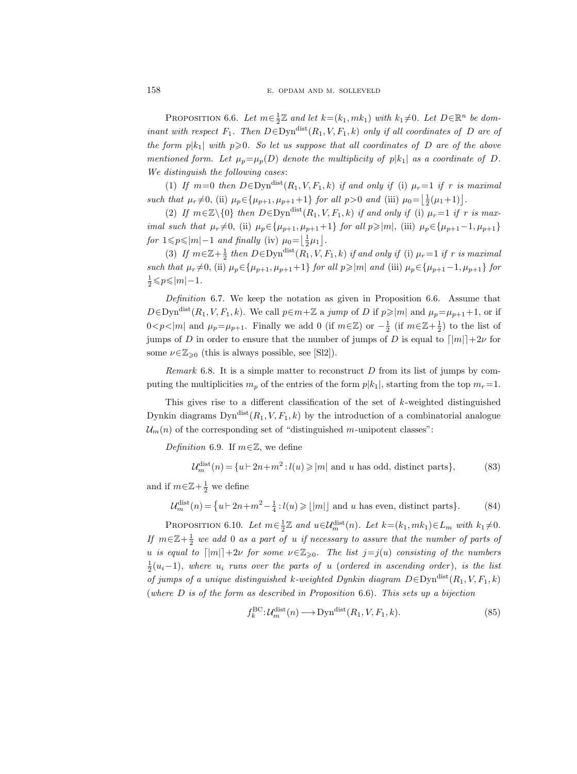PROPOSITION 6.6. Let  $m \in \frac{1}{2}\mathbb{Z}$  and let  $k = (k_1, mk_1)$  with  $k_1 \neq 0$ . Let  $D \in \mathbb{R}^n$  be dominant with respect  $F_1$ . Then  $D \in \text{Dyn}^{\text{dist}}(R_1, V, F_1, k)$  only if all coordinates of D are of the form  $p|k_1|$  with  $p\geqslant 0$ . So let us suppose that all coordinates of D are of the above mentioned form. Let  $\mu_p = \mu_p(D)$  denote the multiplicity of  $p|k_1|$  as a coordinate of D. We distinguish the following cases:

(1) If  $m=0$  then  $D \in \text{Dyn}^{\text{dist}}(R_1, V, F_1, k)$  if and only if (i)  $\mu_r=1$  if r is maximal such that  $\mu_r \neq 0$ , (ii)  $\mu_p \in {\mu_{p+1}, \mu_{p+1}+1}$  for all  $p > 0$  and (iii)  $\mu_0 = \left\lfloor \frac{1}{2}(\mu_1 + 1) \right\rfloor$ .

(2) If  $m \in \mathbb{Z} \setminus \{0\}$  then  $D \in \text{Dyn}^{\text{dist}}(R_1, V, F_1, k)$  if and only if (i)  $\mu_r = 1$  if r is maximal such that  $\mu_r \neq 0$ , (ii)  $\mu_p \in {\mu_{p+1}, \mu_{p+1}+1}$  for all  $p \geq |m|$ , (iii)  $\mu_p \in {\mu_{p+1}-1, \mu_{p+1}}$ for  $1 \leq p \leq |m|-1$  and finally (iv)  $\mu_0 = \left\lfloor \frac{1}{2}\mu_1 \right\rfloor$ .

(3) If  $m \in \mathbb{Z} + \frac{1}{2}$  then  $D \in \text{Dyn}^{\text{dist}}(R_1, V, F_1, k)$  if and only if (i)  $\mu_r = 1$  if r is maximal such that  $\mu_r \neq 0$ , (ii)  $\mu_p \in {\mu_{p+1}, \mu_{p+1}+1}$  for all  $p \geq |m|$  and (iii)  $\mu_p \in {\mu_{p+1}-1, \mu_{p+1}}$  for  $\frac{1}{2} \leqslant p \leqslant |m|-1$ .

Definition 6.7. We keep the notation as given in Proposition 6.6. Assume that  $D \in \text{Dyn}^{\text{dist}}(R_1, V, F_1, k)$ . We call  $p \in m + \mathbb{Z}$  a jump of D if  $p \ge |m|$  and  $\mu_p = \mu_{p+1} + 1$ , or if  $0 < p < |m|$  and  $\mu_p = \mu_{p+1}$ . Finally we add 0 (if  $m \in \mathbb{Z}$ ) or  $-\frac{1}{2}$  (if  $m \in \mathbb{Z} + \frac{1}{2}$ ) to the list of jumps of D in order to ensure that the number of jumps of D is equal to  $\lfloor |m|\rceil+2\nu$  for some  $\nu \in \mathbb{Z}_{\geqslant 0}$  (this is always possible, see [Sl2]).

*Remark* 6.8. It is a simple matter to reconstruct  $D$  from its list of jumps by computing the multiplicities  $m_p$  of the entries of the form  $p|k_1|$ , starting from the top  $m_r=1$ .

This gives rise to a different classification of the set of  $k$ -weighted distinguished Dynkin diagrams  $Dyn^{\text{dist}}(R_1, V, F_1, k)$  by the introduction of a combinatorial analogue  $\mathcal{U}_m(n)$  of the corresponding set of "distinguished m-unipotent classes":

Definition 6.9. If  $m \in \mathbb{Z}$ , we define

$$
\mathcal{U}_m^{\text{dist}}(n) = \{u \vdash 2n + m^2 : l(u) \ge |m| \text{ and } u \text{ has odd, distinct parts}\},\tag{83}
$$

and if  $m \in \mathbb{Z} + \frac{1}{2}$  we define

$$
\mathcal{U}_m^{\text{dist}}(n) = \{ u \vdash 2n + m^2 - \frac{1}{4} : l(u) \ge |m| \} \text{ and } u \text{ has even, distinct parts} \}. \tag{84}
$$

PROPOSITION 6.10. Let  $m \in \frac{1}{2}\mathbb{Z}$  and  $u \in \mathcal{U}_m^{\text{dist}}(n)$ . Let  $k = (k_1, mk_1) \in L_m$  with  $k_1 \neq 0$ . If  $m \in \mathbb{Z} + \frac{1}{2}$  we add 0 as a part of u if necessary to assure that the number of parts of u is equal to  $\lfloor |m|\rfloor + 2\nu$  for some  $\nu \in \mathbb{Z}_{\geq 0}$ . The list  $j=j(u)$  consisting of the numbers  $\frac{1}{2}(u_i-1)$ , where  $u_i$  runs over the parts of u (ordered in ascending order), is the list of jumps of a unique distinguished k-weighted Dynkin diagram  $D \in \text{Dyn}^{\text{dist}}(R_1, V, F_1, k)$ (where  $D$  is of the form as described in Proposition 6.6). This sets up a bijection

$$
f_k^{\text{BC}}: \mathcal{U}_m^{\text{dist}}(n) \longrightarrow \text{Dyn}^{\text{dist}}(R_1, V, F_1, k). \tag{85}
$$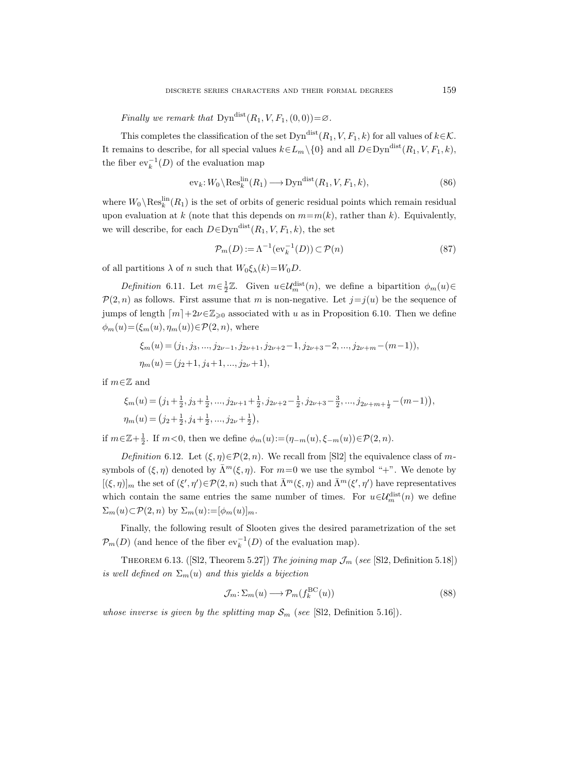Finally we remark that  $\text{Dyn}^{\text{dist}}(R_1, V, F_1, (0, 0)) = \emptyset$ .

This completes the classification of the set  $\text{Dyn}^{\text{dist}}(R_1, V, F_1, k)$  for all values of  $k \in \mathcal{K}$ . It remains to describe, for all special values  $k \in L_m \setminus \{0\}$  and all  $D \in \text{Dyn}^{\text{dist}}(R_1, V, F_1, k)$ , the fiber  $ev_k^{-1}(D)$  of the evaluation map

$$
\mathrm{ev}_k: W_0 \setminus \mathrm{Res}_k^{\mathrm{lin}}(R_1) \longrightarrow \mathrm{Dyn}^{\mathrm{dist}}(R_1, V, F_1, k),\tag{86}
$$

where  $W_0 \setminus \text{Res}_k^{\text{lin}}(R_1)$  is the set of orbits of generic residual points which remain residual upon evaluation at k (note that this depends on  $m=m(k)$ , rather than k). Equivalently, we will describe, for each  $D \in \text{Dyn}^{\text{dist}}(R_1, V, F_1, k)$ , the set

$$
\mathcal{P}_m(D) := \Lambda^{-1}(\text{ev}_k^{-1}(D)) \subset \mathcal{P}(n) \tag{87}
$$

of all partitions  $\lambda$  of n such that  $W_0 \xi_\lambda(k) = W_0 D$ .

Definition 6.11. Let  $m \in \frac{1}{2}\mathbb{Z}$ . Given  $u \in \mathcal{U}_m^{\text{dist}}(n)$ , we define a bipartition  $\phi_m(u) \in$  $\mathcal{P}(2,n)$  as follows. First assume that m is non-negative. Let  $j=j(u)$  be the sequence of jumps of length  $\lceil m \rceil + 2\nu \in \mathbb{Z}_{\geqslant 0}$  associated with u as in Proposition 6.10. Then we define  $\phi_m(u) = (\xi_m(u), \eta_m(u)) \in \mathcal{P}(2, n)$ , where

$$
\xi_m(u) = (j_1, j_3, \dots, j_{2\nu-1}, j_{2\nu+1}, j_{2\nu+2}-1, j_{2\nu+3}-2, \dots, j_{2\nu+m}-(m-1)),
$$
  

$$
\eta_m(u) = (j_2+1, j_4+1, \dots, j_{2\nu}+1),
$$

if  $m \in \mathbb{Z}$  and

$$
\xi_m(u) = (j_1 + \frac{1}{2}, j_3 + \frac{1}{2}, \dots, j_{2\nu+1} + \frac{1}{2}, j_{2\nu+2} - \frac{1}{2}, j_{2\nu+3} - \frac{3}{2}, \dots, j_{2\nu+m+\frac{1}{2}} - (m-1)),
$$
  

$$
\eta_m(u) = (j_2 + \frac{1}{2}, j_4 + \frac{1}{2}, \dots, j_{2\nu} + \frac{1}{2}),
$$

if  $m \in \mathbb{Z} + \frac{1}{2}$ . If  $m < 0$ , then we define  $\phi_m(u) := (\eta_{-m}(u), \xi_{-m}(u)) \in \mathcal{P}(2, n)$ .

Definition 6.12. Let  $(\xi, \eta) \in \mathcal{P}(2, n)$ . We recall from [Sl2] the equivalence class of msymbols of  $(\xi, \eta)$  denoted by  $\bar{\Lambda}^m(\xi, \eta)$ . For  $m=0$  we use the symbol "+". We denote by  $[(\xi,\eta)]_m$  the set of  $(\xi',\eta')\in\mathcal{P}(2,n)$  such that  $\bar{\Lambda}^m(\xi,\eta)$  and  $\bar{\Lambda}^m(\xi',\eta')$  have representatives which contain the same entries the same number of times. For  $u \in \mathcal{U}_m^{\text{dist}}(n)$  we define  $\Sigma_m(u) \subset \mathcal{P}(2, n)$  by  $\Sigma_m(u) := [\phi_m(u)]_m$ .

Finally, the following result of Slooten gives the desired parametrization of the set  $\mathcal{P}_m(D)$  (and hence of the fiber  $ev_k^{-1}(D)$  of the evaluation map).

THEOREM 6.13. ([Sl2, Theorem 5.27]) The joining map  $\mathcal{J}_m$  (see [Sl2, Definition 5.18]) is well defined on  $\Sigma_m(u)$  and this yields a bijection

$$
\mathcal{J}_m: \Sigma_m(u) \longrightarrow \mathcal{P}_m(f_k^{\text{BC}}(u)) \tag{88}
$$

whose inverse is given by the splitting map  $S_m$  (see [S12, Definition 5.16]).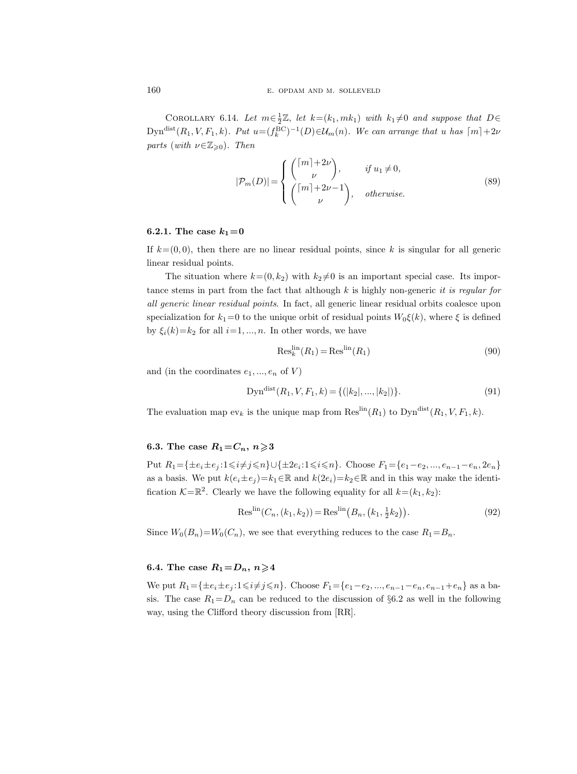COROLLARY 6.14. Let  $m \in \frac{1}{2}\mathbb{Z}$ , let  $k = (k_1, mk_1)$  with  $k_1 \neq 0$  and suppose that  $D \in$ Dyn<sup>dist</sup> $(R_1, V, F_1, k)$ . Put  $u = (f_k^{BC})^{-1}(D) \in \mathcal{U}_m(n)$ . We can arrange that u has  $\lceil m \rceil + 2\nu$ parts (with  $\nu \in \mathbb{Z}_{\geqslant 0}$ ). Then

$$
|\mathcal{P}_m(D)| = \begin{cases} {m + 2\nu \choose \nu}, & \text{if } u_1 \neq 0, \\ {m + 2\nu - 1 \choose \nu}, & \text{otherwise.} \end{cases}
$$
(89)

### 6.2.1. The case  $k_1=0$

If  $k=(0,0)$ , then there are no linear residual points, since k is singular for all generic linear residual points.

The situation where  $k=(0, k_2)$  with  $k_2\neq 0$  is an important special case. Its importance stems in part from the fact that although  $k$  is highly non-generic *it is regular for* all generic linear residual points. In fact, all generic linear residual orbits coalesce upon specialization for  $k_1=0$  to the unique orbit of residual points  $W_0\xi(k)$ , where  $\xi$  is defined by  $\xi_i(k)=k_2$  for all  $i=1, ..., n$ . In other words, we have

$$
\operatorname{Res}_{k}^{\operatorname{lin}}(R_{1}) = \operatorname{Res}^{\operatorname{lin}}(R_{1})
$$
\n(90)

and (in the coordinates  $e_1, ..., e_n$  of V)

$$
Dyndist(R1, V, F1, k) = \{ (|k2|, ..., |k2|) \}.
$$
\n(91)

The evaluation map  $ev_k$  is the unique map from  $\text{Res}^{\text{lin}}(R_1)$  to  $\text{Dyn}^{\text{dist}}(R_1, V, F_1, k)$ .

## 6.3. The case  $R_1 = C_n$ ,  $n \geqslant 3$

Put  $R_1 = \{ \pm e_i \pm e_j : 1 \leq i \neq j \leq n \} \cup \{ \pm 2e_i : 1 \leq i \leq n \}.$  Choose  $F_1 = \{e_1 - e_2, ..., e_{n-1} - e_n, 2e_n\}$ as a basis. We put  $k(e_i \pm e_j) = k_1 \in \mathbb{R}$  and  $k(2e_i) = k_2 \in \mathbb{R}$  and in this way make the identification  $\mathcal{K} = \mathbb{R}^2$ . Clearly we have the following equality for all  $k = (k_1, k_2)$ :

$$
Reslin(Cn, (k1, k2)) = Reslin(Bn, (k1, \frac{1}{2}k2)).
$$
\n(92)

Since  $W_0(B_n)=W_0(C_n)$ , we see that everything reduces to the case  $R_1=B_n$ .

### 6.4. The case  $R_1 = D_n$ ,  $n \geq 4$

We put  $R_1 = \{\pm e_i \pm e_j : 1 \le i \ne j \le n\}$ . Choose  $F_1 = \{e_1 - e_2, ..., e_{n-1} - e_n, e_{n-1} + e_n\}$  as a basis. The case  $R_1=D_n$  can be reduced to the discussion of §6.2 as well in the following way, using the Clifford theory discussion from [RR].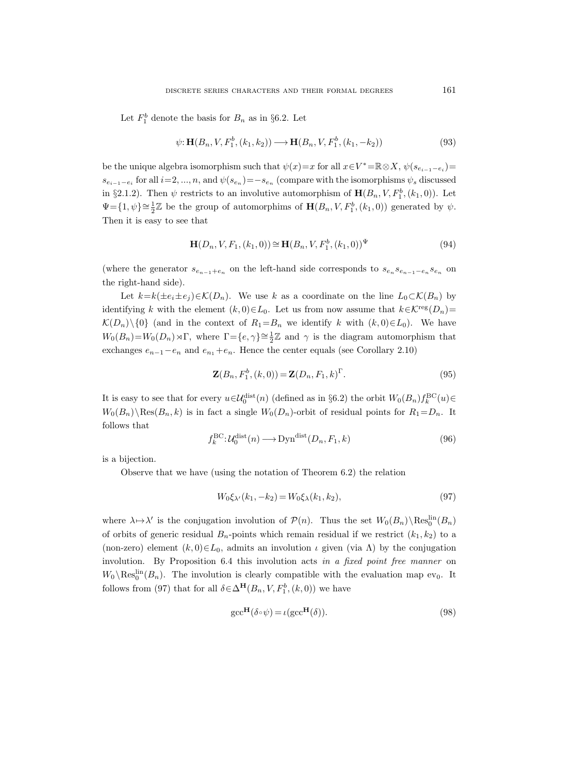Let  $F_1^b$  denote the basis for  $B_n$  as in §6.2. Let

$$
\psi: \mathbf{H}(B_n, V, F_1^b, (k_1, k_2)) \longrightarrow \mathbf{H}(B_n, V, F_1^b, (k_1, -k_2))
$$
\n(93)

be the unique algebra isomorphism such that  $\psi(x)=x$  for all  $x \in V^* = \mathbb{R} \otimes X$ ,  $\psi(s_{e_{i-1}-e_i}) =$  $s_{e_{i-1}-e_i}$  for all  $i=2,...,n$ , and  $\psi(s_{e_n})=-s_{e_n}$  (compare with the isomorphisms  $\psi_s$  discussed in §2.1.2). Then  $\psi$  restricts to an involutive automorphism of  $\mathbf{H}(B_n, V, F_1^b, (k_1, 0))$ . Let  $\Psi = \{1, \psi\} \cong \frac{1}{2}\mathbb{Z}$  be the group of automorphims of  $\mathbf{H}(B_n, V, F_1^b, (k_1, 0))$  generated by  $\psi$ . Then it is easy to see that

$$
\mathbf{H}(D_n, V, F_1, (k_1, 0)) \cong \mathbf{H}(B_n, V, F_1^b, (k_1, 0))^{\Psi}
$$
\n(94)

(where the generator  $s_{e_{n-1}+e_n}$  on the left-hand side corresponds to  $s_{e_n}s_{e_{n-1}-e_n}s_{e_n}$  on the right-hand side).

Let  $k=k(\pm e_i\pm e_j)\in\mathcal{K}(D_n)$ . We use k as a coordinate on the line  $L_0\subset\mathcal{K}(B_n)$  by identifying k with the element  $(k, 0) \in L_0$ . Let us from now assume that  $k \in \mathcal{K}^{\text{reg}}(D_n)$ =  $\mathcal{K}(D_n)\setminus\{0\}$  (and in the context of  $R_1=B_n$  we identify k with  $(k,0)\in L_0$ ). We have  $W_0(B_n)=W_0(D_n)\rtimes\Gamma$ , where  $\Gamma = \{e, \gamma\} \cong \frac{1}{2}\mathbb{Z}$  and  $\gamma$  is the diagram automorphism that exchanges  $e_{n-1}-e_n$  and  $e_{n_1}+e_n$ . Hence the center equals (see Corollary 2.10)

$$
\mathbf{Z}(B_n, F_1^b, (k,0)) = \mathbf{Z}(D_n, F_1, k)^{\Gamma}.
$$
\n
$$
(95)
$$

It is easy to see that for every  $u \in \mathcal{U}_0^{\text{dist}}(n)$  (defined as in §6.2) the orbit  $W_0(B_n) f_k^{\text{BC}}(u) \in$  $W_0(B_n)\backslash \text{Res}(B_n, k)$  is in fact a single  $W_0(D_n)$ -orbit of residual points for  $R_1 = D_n$ . It follows that

$$
f_k^{\text{BC}}:\mathcal{U}_0^{\text{dist}}(n) \longrightarrow \text{Dyn}^{\text{dist}}(D_n, F_1, k)
$$
\n(96)

is a bijection.

Observe that we have (using the notation of Theorem 6.2) the relation

$$
W_0 \xi_{\lambda'}(k_1, -k_2) = W_0 \xi_{\lambda}(k_1, k_2), \tag{97}
$$

where  $\lambda \mapsto \lambda'$  is the conjugation involution of  $\mathcal{P}(n)$ . Thus the set  $W_0(B_n) \setminus \text{Res}_0^{\text{lin}}(B_n)$ of orbits of generic residual  $B_n$ -points which remain residual if we restrict  $(k_1, k_2)$  to a (non-zero) element  $(k, 0) \in L_0$ , admits an involution  $\iota$  given (via  $\Lambda$ ) by the conjugation involution. By Proposition 6.4 this involution acts in a fixed point free manner on  $W_0 \backslash \text{Res}_0^{\text{lin}}(B_n)$ . The involution is clearly compatible with the evaluation map ev<sub>0</sub>. It follows from (97) that for all  $\delta \in \Delta^{\mathbf{H}}(B_n, V, F_1^b, (k, 0))$  we have

$$
\text{gcc}^{\mathbf{H}}(\delta \circ \psi) = \iota(\text{gcc}^{\mathbf{H}}(\delta)).\tag{98}
$$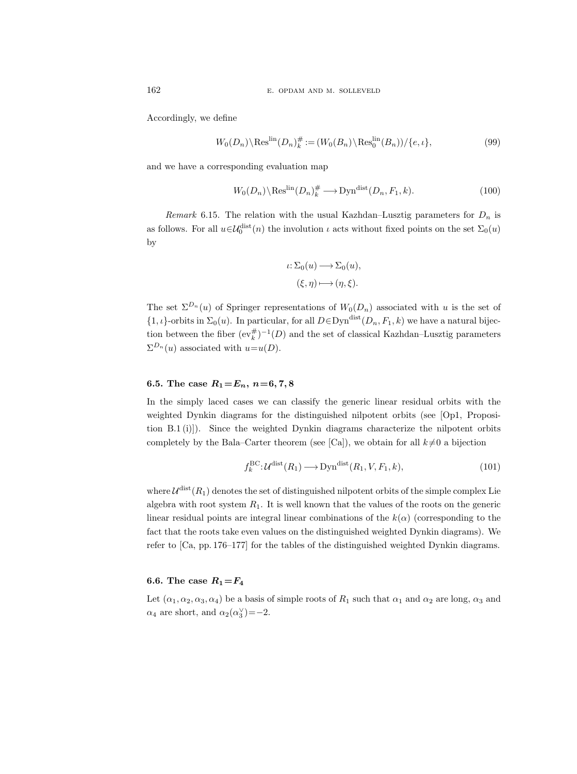Accordingly, we define

$$
W_0(D_n)\backslash \operatorname{Res}^{\operatorname{lin}}(D_n)^{\#}_{k} := (W_0(B_n)\backslash \operatorname{Res}^{\operatorname{lin}}_0(B_n)) / \{e, \iota\},\tag{99}
$$

and we have a corresponding evaluation map

$$
W_0(D_n) \backslash \text{Res}^{\text{lin}}(D_n)^{\#} \longrightarrow \text{Dyn}^{\text{dist}}(D_n, F_1, k). \tag{100}
$$

Remark 6.15. The relation with the usual Kazhdan–Lusztig parameters for  $D_n$  is as follows. For all  $u \in \mathcal{U}_0^{\text{dist}}(n)$  the involution  $\iota$  acts without fixed points on the set  $\Sigma_0(u)$ by

$$
\iota: \Sigma_0(u) \longrightarrow \Sigma_0(u),
$$
  

$$
(\xi, \eta) \longmapsto (\eta, \xi).
$$

The set  $\Sigma^{D_n}(u)$  of Springer representations of  $W_0(D_n)$  associated with u is the set of  $\{1, \iota\}$ -orbits in  $\Sigma_0(u)$ . In particular, for all  $D \in \mathrm{Dyn}^{\mathrm{dist}}(D_n, F_1, k)$  we have a natural bijection between the fiber  $(\mathrm{ev}_k^{\#})^{-1}(D)$  and the set of classical Kazhdan–Lusztig parameters  $\Sigma^{D_n}(u)$  associated with  $u=u(D)$ .

# 6.5. The case  $R_1 = E_n$ ,  $n = 6, 7, 8$

In the simply laced cases we can classify the generic linear residual orbits with the weighted Dynkin diagrams for the distinguished nilpotent orbits (see [Op1, Proposition B.1 (i)]). Since the weighted Dynkin diagrams characterize the nilpotent orbits completely by the Bala–Carter theorem (see [Ca]), we obtain for all  $k\neq0$  a bijection

$$
f_k^{\text{BC}}: \mathcal{U}^{\text{dist}}(R_1) \longrightarrow \text{Dyn}^{\text{dist}}(R_1, V, F_1, k), \tag{101}
$$

where  $\mathcal{U}^{\text{dist}}(R_1)$  denotes the set of distinguished nilpotent orbits of the simple complex Lie algebra with root system  $R_1$ . It is well known that the values of the roots on the generic linear residual points are integral linear combinations of the  $k(\alpha)$  (corresponding to the fact that the roots take even values on the distinguished weighted Dynkin diagrams). We refer to [Ca, pp. 176–177] for the tables of the distinguished weighted Dynkin diagrams.

## 6.6. The case  $R_1 = F_4$

Let  $(\alpha_1, \alpha_2, \alpha_3, \alpha_4)$  be a basis of simple roots of  $R_1$  such that  $\alpha_1$  and  $\alpha_2$  are long,  $\alpha_3$  and  $\alpha_4$  are short, and  $\alpha_2(\alpha_3^{\vee}) = -2$ .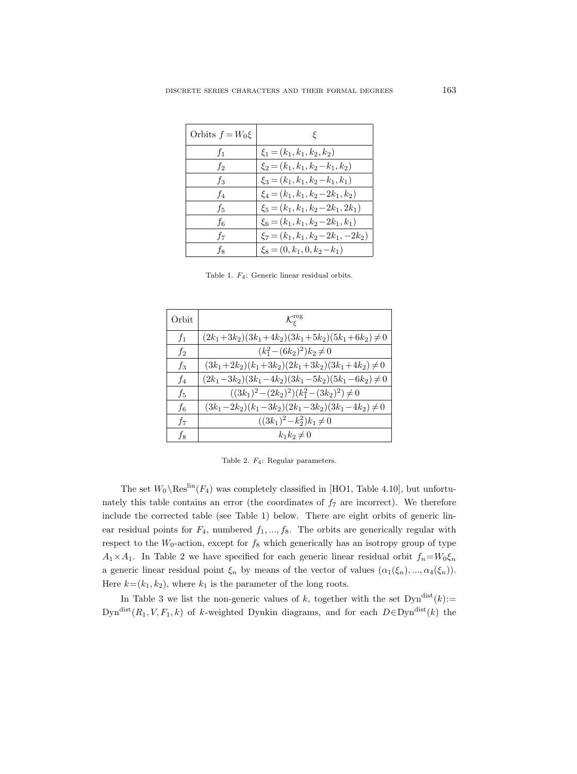| Orbits $f = W_0 \xi$ |                                         |
|----------------------|-----------------------------------------|
| $f_1$                | $\xi_1 = (k_1, k_1, k_2, k_2)$          |
| $f_2$                | $\xi_2 = (k_1, k_1, k_2 - k_1, k_2)$    |
| fз                   | $\xi_3 = (k_1, k_1, k_2 - k_1, k_1)$    |
| f <sub>4</sub>       | $\xi_4 = (k_1, k_1, k_2 - 2k_1, k_2)$   |
| $f_5$                | $\xi_5 = (k_1, k_1, k_2 - 2k_1, 2k_1)$  |
| $f_6$                | $\xi_6 = (k_1, k_1, k_2 - 2k_1, k_1)$   |
| f7                   | $\xi_7 = (k_1, k_1, k_2 - 2k_1, -2k_2)$ |
| fв                   | $\xi_8 = (0, k_1, 0, k_2 - k_1)$        |

Table 1. F4: Generic linear residual orbits.

| Orbit          | $\mathcal{K}^{\rm reg}_\varepsilon$                   |
|----------------|-------------------------------------------------------|
| $f_1$          | $(2k_1+3k_2)(3k_1+4k_2)(3k_1+5k_2)(5k_1+6k_2) \neq 0$ |
| $f_2$          | $(k_1^2-(6k_2)^2)k_2\neq 0$                           |
| $f_3$          | $(3k_1+2k_2)(k_1+3k_2)(2k_1+3k_2)(3k_1+4k_2) \neq 0$  |
| $f_4$          | $(2k_1-3k_2)(3k_1-4k_2)(3k_1-5k_2)(5k_1-6k_2) \neq 0$ |
| $f_5$          | $((3k_1)^2-(2k_2)^2)(k_1^2-(3k_2)^2)\neq 0$           |
| f <sub>6</sub> | $(3k_1-2k_2)(k_1-3k_2)(2k_1-3k_2)(3k_1-4k_2) \neq 0$  |
| $f_7$          | $((3k_1)^2-k_2^2)k_1\neq 0$                           |
| $f_8$          | $k_1k_2\neq 0$                                        |

Table 2. F4: Regular parameters.

The set  $W_0 \backslash \text{Res}^{\text{lin}}(F_4)$  was completely classified in [HO1, Table 4.10], but unfortunately this table contains an error (the coordinates of  $f<sub>7</sub>$  are incorrect). We therefore include the corrected table (see Table 1) below. There are eight orbits of generic linear residual points for  $F_4$ , numbered  $f_1, ..., f_8$ . The orbits are generically regular with respect to the  $W_0$ -action, except for  $f_8$  which generically has an isotropy group of type  $A_1 \times A_1$ . In Table 2 we have specified for each generic linear residual orbit  $f_n = W_0 \xi_n$ a generic linear residual point  $\xi_n$  by means of the vector of values  $(\alpha_1(\xi_n), ..., \alpha_4(\xi_n))$ . Here  $k=(k_1, k_2)$ , where  $k_1$  is the parameter of the long roots.

In Table 3 we list the non-generic values of k, together with the set  $\text{Dyn}^{\text{dist}}(k)$ := Dyn<sup>dist</sup> $(R_1, V, F_1, k)$  of k-weighted Dynkin diagrams, and for each  $D \in \text{Dyn}^{\text{dist}}(k)$  the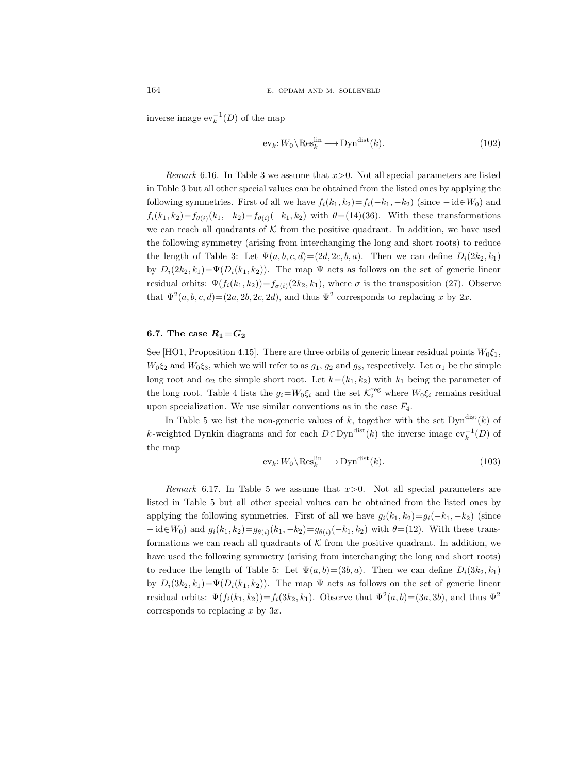inverse image  $ev_k^{-1}(D)$  of the map

$$
\mathrm{ev}_k: W_0 \backslash \mathrm{Res}_k^{\mathrm{lin}} \longrightarrow \mathrm{Dyn}^{\mathrm{dist}}(k). \tag{102}
$$

*Remark* 6.16. In Table 3 we assume that  $x>0$ . Not all special parameters are listed in Table 3 but all other special values can be obtained from the listed ones by applying the following symmetries. First of all we have  $f_i(k_1, k_2) = f_i(-k_1, -k_2)$  (since  $-i d \in W_0$ ) and  $f_i(k_1, k_2) = f_{\theta(i)}(k_1, -k_2) = f_{\theta(i)}(-k_1, k_2)$  with  $\theta = (14)(36)$ . With these transformations we can reach all quadrants of  $K$  from the positive quadrant. In addition, we have used the following symmetry (arising from interchanging the long and short roots) to reduce the length of Table 3: Let  $\Psi(a, b, c, d) = (2d, 2c, b, a)$ . Then we can define  $D_i(2k_2, k_1)$ by  $D_i(2k_2, k_1) = \Psi(D_i(k_1, k_2))$ . The map  $\Psi$  acts as follows on the set of generic linear residual orbits:  $\Psi(f_i(k_1, k_2)) = f_{\sigma(i)}(2k_2, k_1)$ , where  $\sigma$  is the transposition (27). Observe that  $\Psi^2(a, b, c, d) = (2a, 2b, 2c, 2d)$ , and thus  $\Psi^2$  corresponds to replacing x by  $2x$ .

## 6.7. The case  $R_1 = G_2$

See [HO1, Proposition 4.15]. There are three orbits of generic linear residual points  $W_0 \xi_1$ ,  $W_0 \xi_2$  and  $W_0 \xi_3$ , which we will refer to as  $g_1, g_2$  and  $g_3$ , respectively. Let  $\alpha_1$  be the simple long root and  $\alpha_2$  the simple short root. Let  $k=(k_1, k_2)$  with  $k_1$  being the parameter of the long root. Table 4 lists the  $g_i = W_0 \xi_i$  and the set  $\mathcal{K}_i^{\text{reg}}$  where  $W_0 \xi_i$  remains residual upon specialization. We use similar conventions as in the case  $F_4$ .

In Table 5 we list the non-generic values of k, together with the set  $Dyn^{\text{dist}}(k)$  of k-weighted Dynkin diagrams and for each  $D \in \text{Dyn}^{\text{dist}}(k)$  the inverse image  $\text{ev}_k^{-1}(D)$  of the map

$$
\mathrm{ev}_k: W_0 \backslash \mathrm{Res}_k^{\mathrm{lin}} \longrightarrow \mathrm{Dyn}^{\mathrm{dist}}(k). \tag{103}
$$

Remark 6.17. In Table 5 we assume that  $x>0$ . Not all special parameters are listed in Table 5 but all other special values can be obtained from the listed ones by applying the following symmetries. First of all we have  $g_i(k_1, k_2)=g_i(-k_1, -k_2)$  (since  $-{\rm id}\in W_0$ ) and  $g_i(k_1,k_2)=g_{\theta(i)}(k_1,-k_2)=g_{\theta(i)}(-k_1,k_2)$  with  $\theta=(12)$ . With these transformations we can reach all quadrants of  $K$  from the positive quadrant. In addition, we have used the following symmetry (arising from interchanging the long and short roots) to reduce the length of Table 5: Let  $\Psi(a, b) = (3b, a)$ . Then we can define  $D_i(3k_2, k_1)$ by  $D_i(3k_2, k_1) = \Psi(D_i(k_1, k_2))$ . The map  $\Psi$  acts as follows on the set of generic linear residual orbits:  $\Psi(f_i(k_1, k_2)) = f_i(3k_2, k_1)$ . Observe that  $\Psi^2(a, b) = (3a, 3b)$ , and thus  $\Psi^2$ corresponds to replacing x by  $3x$ .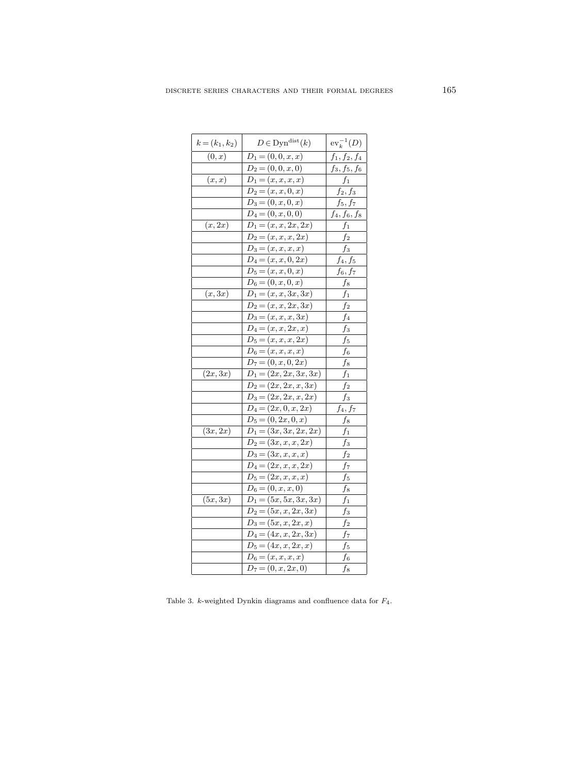| $k = (k_1, k_2)$ | $D \in \mathrm{Dyn}^{\mathrm{dist}}(k)$ | $ev_k^{-1}(D)$  |
|------------------|-----------------------------------------|-----------------|
| (0,x)            | $D_1 = (0, 0, x, x)$                    | $f_1, f_2, f_4$ |
|                  | $D_2 = (0,0,x,0)$                       | $f_3, f_5, f_6$ |
| (x,x)            | $D_1 = (x, x, x, x)$                    | $f_1$           |
|                  | $D_2 = (x, x, 0, x)$                    | $f_2, f_3$      |
|                  | $D_3 = (0, x, 0, x)$                    | $f_5, f_7$      |
|                  | $D_4 = (0, x, 0, 0)$                    | $f_4, f_6, f_8$ |
| (x, 2x)          | $D_1 = (x, x, 2x, 2x)$                  | $f_1$           |
|                  | $\overline{D_2=(x,x,\underline{x},2x)}$ | $f_2$           |
|                  | $D_3 = (x, x, x, x)$                    | $f_3$           |
|                  | $D_4 = (x, x, 0, 2x)$                   | $f_4,\,f_5$     |
|                  | $\overline{D_5} = (x, x, 0, x)$         | $f_6, f_7$      |
|                  | $D_6 = (0, x, 0, x)$                    | $f_8$           |
| (x,3x)           | $D_1 = (x, x, 3x, 3x)$                  | $f_1$           |
|                  | $D_2 = (x, x, 2x, 3x)$                  | f2              |
|                  | $D_3 = (x, x, x, 3x)$                   | f4              |
|                  | $D_4 = (x, x, 2x, x)$                   | fз              |
|                  | $D_5 = (x, x, x, 2x)$                   | f5              |
|                  | $D_6 = (x, x, x, x)$                    | $f_{6}$         |
|                  | $D_7 = (0, x, 0, 2x)$                   | $f_8$           |
| (2x,3x)          | $D_1 = (2x, 2x, 3x, 3x)$                | $f_1$           |
|                  | $D_2 = (2x, 2x, x, 3x)$                 | $f_2$           |
|                  | $\overline{D_3=(2x,2x,x,2x)}$           | $f_3$           |
|                  | $D_4 = (2x, 0, x, 2x)$                  | $f_4, f_7$      |
|                  | $D_5 = (0, 2x, 0, x)$                   | $f_8$           |
| (3x, 2x)         | $D_1 = (3x, 3x, 2x, 2x)$                | $f_1$           |
|                  | $D_2 = (3x, x, x, 2x)$                  | $f_3$           |
|                  | $D_3 = (3x, x, x, x)$                   | $f_2$           |
|                  | $D_4 = (2x, x, x, 2x)$                  | f7              |
|                  | $D_5 = (2x, x, x, x)$                   | f5              |
|                  | $D_6 = (0, x, x, 0)$                    | f8              |
| (5x,3x)          | $D_1 = (5x, 5x, 3x, 3x)$                | f1              |
|                  | $D_2 = (5x, x, 2x, 3x)$                 | fз              |
|                  | $D_3 = (5x, x, 2x, x)$                  | $f_2$           |
|                  | $D_4 = (4x, x, 2x, 3x)$                 | f7              |
|                  | $D_5 = (4x, x, 2x, x)$                  | $f_5$           |
|                  | $D_6 = (x, x, x, x)$                    | f6              |
|                  | $D_7 = (0, x, 2x, 0)$                   | f8              |

Table 3. *k*-weighted Dynkin diagrams and confluence data for  $F_4$ .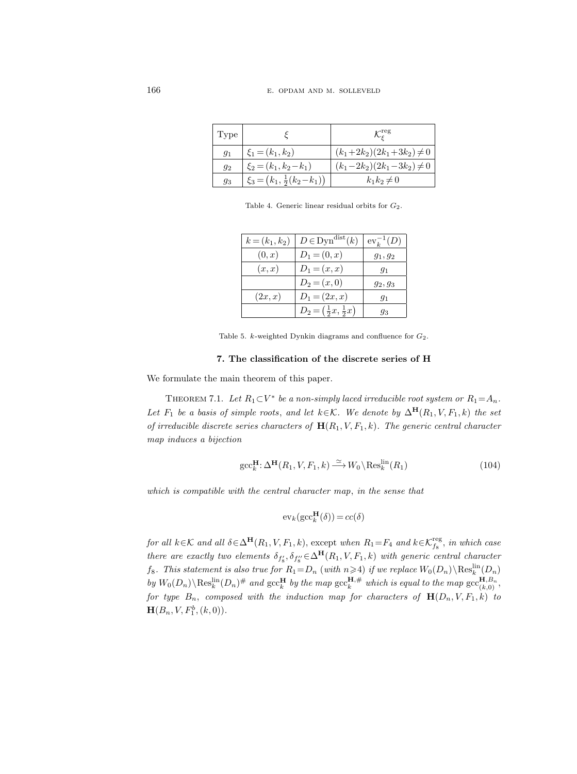| Type    |                                         | $\mathcal{K}^{\rm reg}_{\varepsilon}$ |
|---------|-----------------------------------------|---------------------------------------|
| $q_1$   | $\xi_1 = (k_1, k_2)$                    | $(k_1+2k_2)(2k_1+3k_2)\neq 0$         |
| $q_{2}$ | $\xi_2 = (k_1, k_2 - k_1)$              | $(k_1-2k_2)(2k_1-3k_2)\neq 0$         |
| 93      | $\xi_3 = (k_1, \frac{1}{2}(k_2 - k_1))$ | $k_1k_2\neq 0$                        |

Table 4. Generic linear residual orbits for  $G_2$ .

| $k = (k_1, k_2)$ | $D \in \mathrm{Dyn}^{\mathrm{dist}}(k)$ | $ev_k^{-1}(D)$ |
|------------------|-----------------------------------------|----------------|
| (0, x)           | $D_1 = (0, x)$                          | $g_1, g_2$     |
| (x,x)            | $D_1 = (x, x)$                          | $g_1$          |
|                  | $D_2 = (x, 0)$                          | $g_2, g_3$     |
| (2x,x)           | $D_1 = (2x, x)$                         | $g_1$          |
|                  | $D_2 = (\frac{1}{2}x, \frac{1}{2}x)$    | 93             |

Table 5. *k*-weighted Dynkin diagrams and confluence for  $G_2$ .

## 7. The classification of the discrete series of H

We formulate the main theorem of this paper.

THEOREM 7.1. Let  $R_1 \subset V^*$  be a non-simply laced irreducible root system or  $R_1 = A_n$ . Let  $F_1$  be a basis of simple roots, and let  $k \in \mathcal{K}$ . We denote by  $\Delta^{\mathbf{H}}(R_1, V, F_1, k)$  the set of irreducible discrete series characters of  $\mathbf{H}(R_1, V, F_1, k)$ . The generic central character map induces a bijection

$$
\operatorname{gcc}^{\mathbf{H}}_k: \Delta^{\mathbf{H}}(R_1, V, F_1, k) \xrightarrow{\simeq} W_0 \backslash \operatorname{Res}_k^{\operatorname{lin}}(R_1)
$$
\n(104)

which is compatible with the central character map, in the sense that

$$
ev_k(gcc_k^{\mathbf{H}}(\delta)) = cc(\delta)
$$

for all  $k \in K$  and all  $\delta \in \Delta^{\mathbf{H}}(R_1, V, F_1, k)$ , except when  $R_1 = F_4$  and  $k \in \mathcal{K}_{f_8}^{\text{reg}}$ , in which case there are exactly two elements  $\delta_{f'_8}, \delta_{f''_8} \in \Delta^{\mathbf{H}}(R_1, V, F_1, k)$  with generic central character  $f_8$ . This statement is also true for  $R_1 = D_n$  (with  $n \geqslant 4$ ) if we replace  $W_0(D_n) \setminus \text{Res}_k^{\text{lin}}(D_n)$ by  $W_0(D_n)\backslash \text{Res}_k^{\text{lin}}(D_n)^{\#}$  and  $\operatorname{gcc}_k^{\text{H}}$  by the map  $\operatorname{gcc}_k^{\text{H},\#}$  which is equal to the map  $\operatorname{gcc}_{(k,0)}^{\text{H},B_n}$ , for type  $B_n$ , composed with the induction map for characters of  $\mathbf{H}(D_n, V, F_1, k)$  to  ${\bf H}(B_n,V,F_1^b,(k,0)).$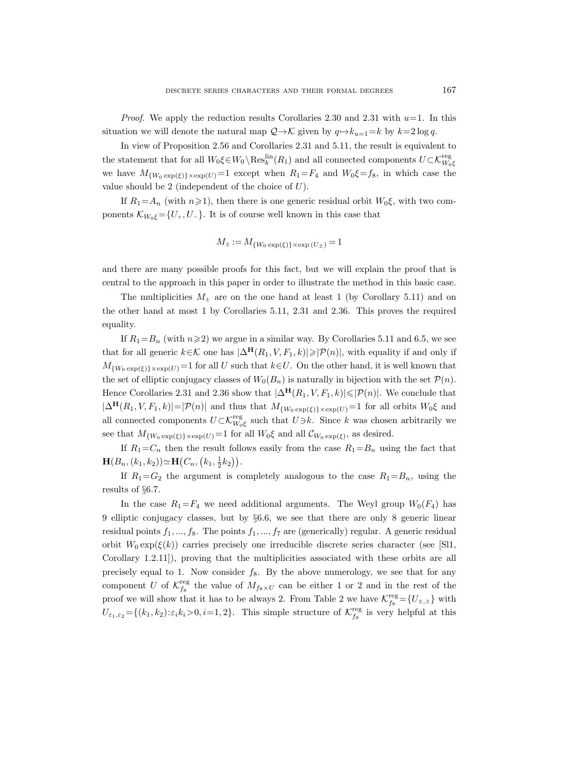*Proof.* We apply the reduction results Corollaries 2.30 and 2.31 with  $u=1$ . In this situation we will denote the natural map  $\mathcal{Q} \rightarrow \mathcal{K}$  given by  $q \mapsto k_{u=1} = k$  by  $k=2 \log q$ .

In view of Proposition 2.56 and Corollaries 2.31 and 5.11, the result is equivalent to the statement that for all  $W_0 \xi \in W_0 \setminus \text{Res}_k^{\text{lin}}(R_1)$  and all connected components  $U \subset \mathcal{K}^{\text{reg}}_{W_0 \xi}$ we have  $M_{\{W_0 \exp(\xi)\}\times \exp(U)}=1$  except when  $R_1=F_4$  and  $W_0\xi=f_8$ , in which case the value should be 2 (independent of the choice of  $U$ ).

If  $R_1 = A_n$  (with  $n \ge 1$ ), then there is one generic residual orbit  $W_0 \xi$ , with two components  $\mathcal{K}_{W_0\xi} = \{U_+, U_-\}$ . It is of course well known in this case that

$$
M_{\pm} := M_{\{W_0 \exp(\xi)\} \times \exp(U_{\pm})} = 1
$$

and there are many possible proofs for this fact, but we will explain the proof that is central to the approach in this paper in order to illustrate the method in this basic case.

The multiplicities  $M_{\pm}$  are on the one hand at least 1 (by Corollary 5.11) and on the other hand at most 1 by Corollaries 5.11, 2.31 and 2.36. This proves the required equality.

If  $R_1 = B_n$  (with  $n \ge 2$ ) we argue in a similar way. By Corollaries 5.11 and 6.5, we see that for all generic  $k \in \mathcal{K}$  one has  $|\Delta^{\mathbf{H}}(R_1, V, F_1, k)| \geq |\mathcal{P}(n)|$ , with equality if and only if  $M_{\{W_0 \exp(\xi)\}\times\exp(U)}=1$  for all U such that  $k\in U$ . On the other hand, it is well known that the set of elliptic conjugacy classes of  $W_0(B_n)$  is naturally in bijection with the set  $\mathcal{P}(n)$ . Hence Corollaries 2.31 and 2.36 show that  $|\Delta^{\mathbf{H}}(R_1, V, F_1, k)| \leq |\mathcal{P}(n)|$ . We conclude that  $|\Delta^{\mathbf{H}}(R_1, V, F_1, k)| = |\mathcal{P}(n)|$  and thus that  $M_{\{W_0 \exp(\xi)\}\times \exp(U)} = 1$  for all orbits  $W_0 \xi$  and all connected components  $U \subset \mathcal{K}_{W_0\xi}^{\text{reg}}$  such that  $U \ni k$ . Since k was chosen arbitrarily we see that  $M_{\{W_0 \exp(\xi)\}\times\exp(U)}$  = 1 for all  $W_0\xi$  and all  $\mathcal{C}_{W_0 \exp(\xi)}$ , as desired.

If  $R_1 = C_n$  then the result follows easily from the case  $R_1 = B_n$  using the fact that  $\mathbf{H}(B_n,(k_1,k_2)) \simeq \mathbf{H}(C_n,(k_1,\frac{1}{2}k_2)).$ 

If  $R_1 = G_2$  the argument is completely analogous to the case  $R_1 = B_n$ , using the results of §6.7.

In the case  $R_1 = F_4$  we need additional arguments. The Weyl group  $W_0(F_4)$  has 9 elliptic conjugacy classes, but by §6.6, we see that there are only 8 generic linear residual points  $f_1, ..., f_8$ . The points  $f_1, ..., f_7$  are (generically) regular. A generic residual orbit  $W_0 \exp(\xi(k))$  carries precisely one irreducible discrete series character (see [Sl1, Corollary 1.2.11]), proving that the multiplicities associated with these orbits are all precisely equal to 1. Now consider  $f_8$ . By the above numerology, we see that for any component U of  $\mathcal{K}^{\text{reg}}_{f_8}$  the value of  $M_{f_8 \times U}$  can be either 1 or 2 and in the rest of the proof we will show that it has to be always 2. From Table 2 we have  $\mathcal{K}_{f_8}^{\text{reg}} = \{U_{\pm,\pm}\}\$  with  $U_{\varepsilon_1,\varepsilon_2} = \{(k_1,k_2): \varepsilon_i k_i > 0, i = 1, 2\}.$  This simple structure of  $\mathcal{K}_{f_8}^{\text{reg}}$  is very helpful at this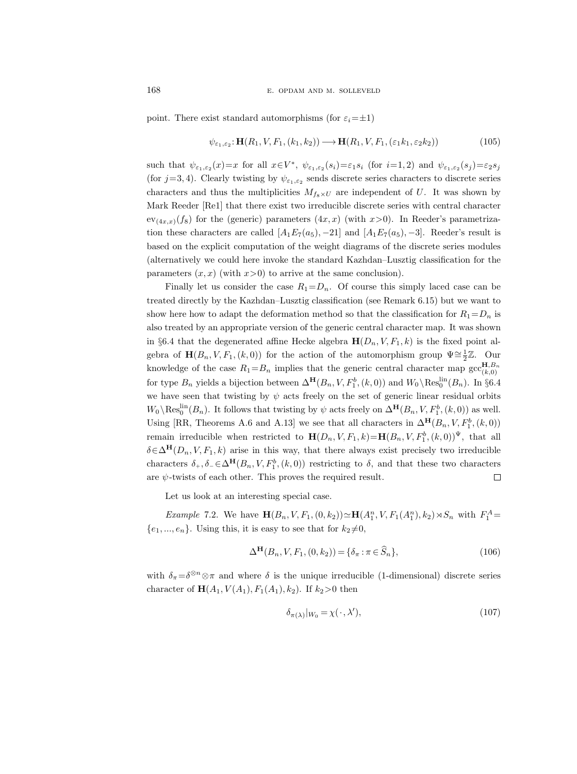point. There exist standard automorphisms (for  $\varepsilon_i=\pm 1$ )

$$
\psi_{\varepsilon_1,\varepsilon_2} : \mathbf{H}(R_1, V, F_1, (k_1, k_2)) \longrightarrow \mathbf{H}(R_1, V, F_1, (\varepsilon_1 k_1, \varepsilon_2 k_2))
$$
\n(105)

such that  $\psi_{\varepsilon_1,\varepsilon_2}(x)=x$  for all  $x \in V^*$ ,  $\psi_{\varepsilon_1,\varepsilon_2}(s_i)=\varepsilon_1 s_i$  (for  $i=1,2$ ) and  $\psi_{\varepsilon_1,\varepsilon_2}(s_j)=\varepsilon_2 s_j$ (for  $j=3, 4$ ). Clearly twisting by  $\psi_{\varepsilon_1, \varepsilon_2}$  sends discrete series characters to discrete series characters and thus the multiplicities  $M_{f_8\times U}$  are independent of U. It was shown by Mark Reeder [Re1] that there exist two irreducible discrete series with central character  $ev_{(4x,x)}(f_8)$  for the (generic) parameters  $(4x, x)$  (with  $x>0$ ). In Reeder's parametrization these characters are called  $[A_1E_7(a_5), -21]$  and  $[A_1E_7(a_5), -3]$ . Reeder's result is based on the explicit computation of the weight diagrams of the discrete series modules (alternatively we could here invoke the standard Kazhdan–Lusztig classification for the parameters  $(x, x)$  (with  $x>0$ ) to arrive at the same conclusion).

Finally let us consider the case  $R_1=D_n$ . Of course this simply laced case can be treated directly by the Kazhdan–Lusztig classification (see Remark 6.15) but we want to show here how to adapt the deformation method so that the classification for  $R_1=D_n$  is also treated by an appropriate version of the generic central character map. It was shown in §6.4 that the degenerated affine Hecke algebra  $H(D_n, V, F_1, k)$  is the fixed point algebra of  $\mathbf{H}(B_n, V, F_1, (k, 0))$  for the action of the automorphism group  $\Psi \cong \frac{1}{2}\mathbb{Z}$ . Our knowledge of the case  $R_1 = B_n$  implies that the generic central character map  $\mathrm{gcc}_{(k,0)}^{\mathbf{H},B_n}$ for type  $B_n$  yields a bijection between  $\Delta^{\mathbf{H}}(B_n, V, F_1^b, (k, 0))$  and  $W_0 \backslash \text{Res}_0^{\text{lin}}(B_n)$ . In §6.4 we have seen that twisting by  $\psi$  acts freely on the set of generic linear residual orbits  $W_0 \setminus \text{Res}_0^{\text{lin}}(B_n)$ . It follows that twisting by  $\psi$  acts freely on  $\Delta^{\mathbf{H}}(B_n, V, F_1^b, (k, 0))$  as well. Using [RR, Theorems A.6 and A.13] we see that all characters in  $\Delta^{\mathbf{H}}(B_n, V, F_1^b, (k, 0))$ remain irreducible when restricted to  $\mathbf{H}(D_n, V, F_1, k) = \mathbf{H}(B_n, V, F_1^b, (k, 0))^{\Psi}$ , that all  $\delta \in \Delta^{\mathbf{H}}(D_n, V, F_1, k)$  arise in this way, that there always exist precisely two irreducible characters  $\delta_+$ ,  $\delta_- \in \Delta^{\mathbf{H}}(B_n, V, F_1^b, (k, 0))$  restricting to  $\delta$ , and that these two characters are  $\psi$ -twists of each other. This proves the required result.  $\Box$ 

Let us look at an interesting special case.

*Example 7.2.* We have  $\mathbf{H}(B_n, V, F_1, (0, k_2)) \simeq \mathbf{H}(A_1^n, V, F_1(A_1^n), k_2) \rtimes S_n$  with  $F_1^A =$  $\{e_1, ..., e_n\}$ . Using this, it is easy to see that for  $k_2 \neq 0$ ,

$$
\Delta^{\mathbf{H}}(B_n, V, F_1, (0, k_2)) = \{\delta_\pi : \pi \in \widehat{S}_n\},\tag{106}
$$

with  $\delta_{\pi} = \delta^{\otimes n} \otimes \pi$  and where  $\delta$  is the unique irreducible (1-dimensional) discrete series character of  $H(A_1, V(A_1), F_1(A_1), k_2)$ . If  $k_2 > 0$  then

$$
\delta_{\pi(\lambda)}|_{W_0} = \chi(\cdot, \lambda'),\tag{107}
$$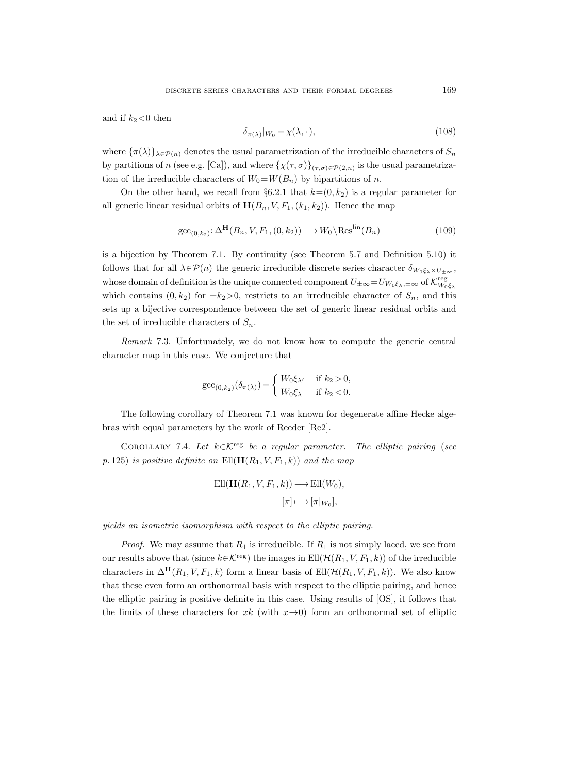and if  $k_2$ <0 then

$$
\delta_{\pi(\lambda)}|_{W_0} = \chi(\lambda, \cdot),\tag{108}
$$

where  $\{\pi(\lambda)\}_{\lambda\in\mathcal{P}(n)}$  denotes the usual parametrization of the irreducible characters of  $S_n$ by partitions of n (see e.g. [Ca]), and where  $\{\chi(\tau,\sigma)\}_{(\tau,\sigma)\in \mathcal{P}(2,n)}$  is the usual parametrization of the irreducible characters of  $W_0=W(B_n)$  by bipartitions of n.

On the other hand, we recall from §6.2.1 that  $k=(0, k_2)$  is a regular parameter for all generic linear residual orbits of  $\mathbf{H}(B_n, V, F_1, (k_1, k_2))$ . Hence the map

$$
\operatorname{gcc}_{(0,k_2)}: \Delta^{\mathbf{H}}(B_n, V, F_1, (0, k_2)) \longrightarrow W_0 \backslash \operatorname{Res}^{\operatorname{lin}}(B_n)
$$
\n(109)

is a bijection by Theorem 7.1. By continuity (see Theorem 5.7 and Definition 5.10) it follows that for all  $\lambda \in \mathcal{P}(n)$  the generic irreducible discrete series character  $\delta_{W_0 \xi_\lambda \times U_{\pm \infty}}$ , whose domain of definition is the unique connected component  $U_{\pm\infty} = U_{W_0\xi_\lambda,\pm\infty}$  of  $\mathcal{K}_{W_0\xi_\lambda}^{\text{reg}}$ which contains  $(0, k_2)$  for  $\pm k_2 > 0$ , restricts to an irreducible character of  $S_n$ , and this sets up a bijective correspondence between the set of generic linear residual orbits and the set of irreducible characters of  $S_n$ .

Remark 7.3. Unfortunately, we do not know how to compute the generic central character map in this case. We conjecture that

$$
\mathrm{gcc}_{(0,k_2)}(\delta_{\pi(\lambda)}) = \begin{cases} W_0 \xi_{\lambda'} & \text{if } k_2 > 0, \\ W_0 \xi_{\lambda} & \text{if } k_2 < 0. \end{cases}
$$

The following corollary of Theorem 7.1 was known for degenerate affine Hecke algebras with equal parameters by the work of Reeder [Re2].

COROLLARY 7.4. Let  $k \in \mathcal{K}^{\text{reg}}$  be a regular parameter. The elliptic pairing (see p. 125) is positive definite on  $Ell(H(R_1, V, F_1, k))$  and the map

$$
\text{Ell}(\mathbf{H}(R_1, V, F_1, k)) \longrightarrow \text{Ell}(W_0),
$$

$$
[\pi] \longmapsto [\pi|_{W_0}],
$$

yields an isometric isomorphism with respect to the elliptic pairing.

*Proof.* We may assume that  $R_1$  is irreducible. If  $R_1$  is not simply laced, we see from our results above that (since  $k \in \mathcal{K}^{\text{reg}}$ ) the images in  $Ell(\mathcal{H}(R_1, V, F_1, k))$  of the irreducible characters in  $\Delta^{\mathbf{H}}(R_1, V, F_1, k)$  form a linear basis of Ell $(\mathcal{H}(R_1, V, F_1, k))$ . We also know that these even form an orthonormal basis with respect to the elliptic pairing, and hence the elliptic pairing is positive definite in this case. Using results of [OS], it follows that the limits of these characters for  $x k$  (with  $x \rightarrow 0$ ) form an orthonormal set of elliptic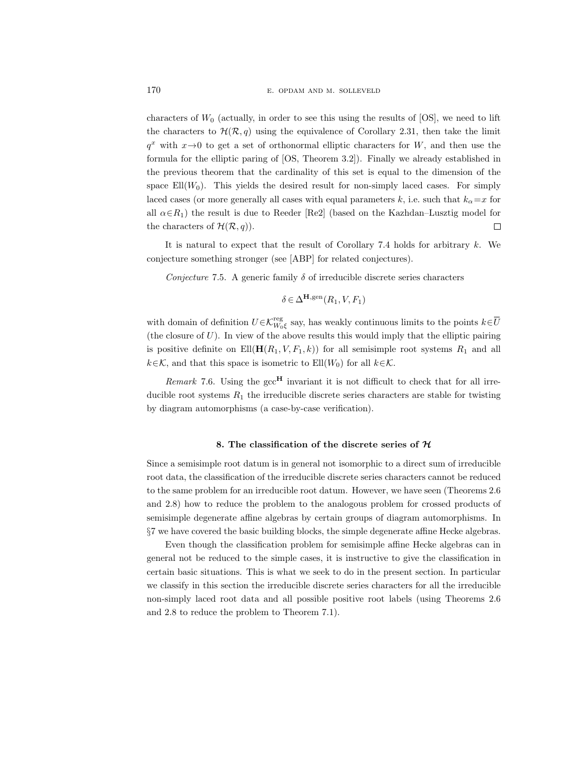characters of  $W_0$  (actually, in order to see this using the results of [OS], we need to lift the characters to  $\mathcal{H}(\mathcal{R}, q)$  using the equivalence of Corollary 2.31, then take the limit  $q^x$  with  $x\rightarrow 0$  to get a set of orthonormal elliptic characters for W, and then use the formula for the elliptic paring of [OS, Theorem 3.2]). Finally we already established in the previous theorem that the cardinality of this set is equal to the dimension of the space  $Ell(W_0)$ . This yields the desired result for non-simply laced cases. For simply laced cases (or more generally all cases with equal parameters k, i.e. such that  $k_{\alpha}=x$  for all  $\alpha \in R_1$ ) the result is due to Reeder [Re2] (based on the Kazhdan–Lusztig model for the characters of  $\mathcal{H}(\mathcal{R}, q)$ .  $\Box$ 

It is natural to expect that the result of Corollary 7.4 holds for arbitrary  $k$ . We conjecture something stronger (see [ABP] for related conjectures).

Conjecture 7.5. A generic family  $\delta$  of irreducible discrete series characters

$$
\delta \in \Delta^{\mathbf{H}, \text{gen}}(R_1, V, F_1)
$$

with domain of definition  $U \in \mathcal{K}_{W_0\xi}^{\text{reg}}$  say, has weakly continuous limits to the points  $k \in \overline{U}$ (the closure of  $U$ ). In view of the above results this would imply that the elliptic pairing is positive definite on  $Ell(\mathbf{H}(R_1, V, F_1, k))$  for all semisimple root systems  $R_1$  and all  $k \in \mathcal{K}$ , and that this space is isometric to Ell $(W_0)$  for all  $k \in \mathcal{K}$ .

Remark 7.6. Using the  $\mathrm{gcc}^{\mathbf{H}}$  invariant it is not difficult to check that for all irreducible root systems  $R_1$  the irreducible discrete series characters are stable for twisting by diagram automorphisms (a case-by-case verification).

## 8. The classification of the discrete series of  $H$

Since a semisimple root datum is in general not isomorphic to a direct sum of irreducible root data, the classification of the irreducible discrete series characters cannot be reduced to the same problem for an irreducible root datum. However, we have seen (Theorems 2.6 and 2.8) how to reduce the problem to the analogous problem for crossed products of semisimple degenerate affine algebras by certain groups of diagram automorphisms. In §7 we have covered the basic building blocks, the simple degenerate affine Hecke algebras.

Even though the classification problem for semisimple affine Hecke algebras can in general not be reduced to the simple cases, it is instructive to give the classification in certain basic situations. This is what we seek to do in the present section. In particular we classify in this section the irreducible discrete series characters for all the irreducible non-simply laced root data and all possible positive root labels (using Theorems 2.6 and 2.8 to reduce the problem to Theorem 7.1).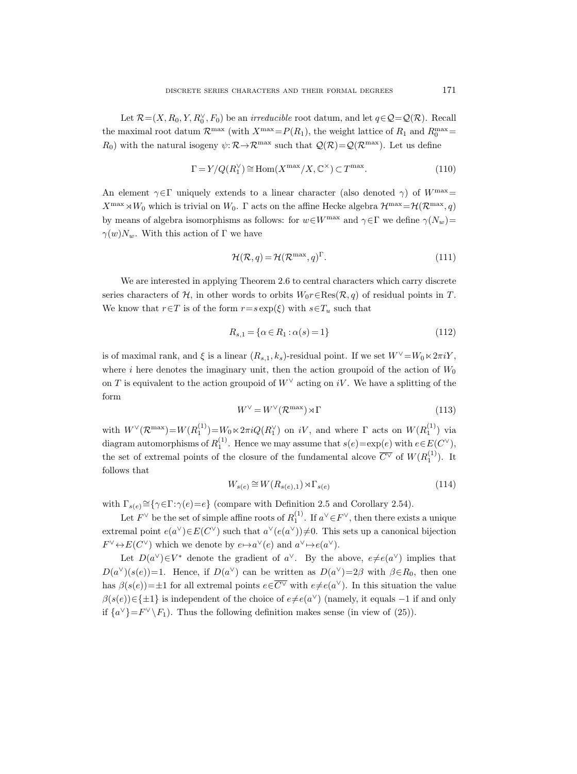Let  $\mathcal{R} = (X, R_0, Y, R_0^{\vee}, F_0)$  be an *irreducible* root datum, and let  $q \in \mathcal{Q} = \mathcal{Q}(\mathcal{R})$ . Recall the maximal root datum  $\mathcal{R}^{\max}$  (with  $X^{\max} = P(R_1)$ , the weight lattice of  $R_1$  and  $R_0^{\max} =$  $R_0$ ) with the natural isogeny  $\psi: \mathcal{R} \to \mathcal{R}^{\max}$  such that  $\mathcal{Q}(\mathcal{R}) = \mathcal{Q}(\mathcal{R}^{\max})$ . Let us define

$$
\Gamma = Y/Q(R_1^{\vee}) \cong \text{Hom}(X^{\text{max}}/X, \mathbb{C}^{\times}) \subset T^{\text{max}}.
$$
\n(110)

An element  $\gamma \in \Gamma$  uniquely extends to a linear character (also denoted  $\gamma$ ) of  $W^{\max}$  $X^{\max} \rtimes W_0$  which is trivial on  $W_0$ . Γ acts on the affine Hecke algebra  $\mathcal{H}^{\max}=\mathcal{H}(\mathcal{R}^{\max}, q)$ by means of algebra isomorphisms as follows: for  $w \in W^{\max}$  and  $\gamma \in \Gamma$  we define  $\gamma(N_w)$ =  $\gamma(w)N_w$ . With this action of Γ we have

$$
\mathcal{H}(\mathcal{R}, q) = \mathcal{H}(\mathcal{R}^{\max}, q)^{\Gamma}.
$$
 (111)

We are interested in applying Theorem 2.6 to central characters which carry discrete series characters of H, in other words to orbits  $W_0r \in \text{Res}(\mathcal{R}, q)$  of residual points in T. We know that  $r \in T$  is of the form  $r=s \exp(\xi)$  with  $s \in T_u$  such that

$$
R_{s,1} = \{ \alpha \in R_1 : \alpha(s) = 1 \}
$$
\n(112)

is of maximal rank, and  $\xi$  is a linear  $(R_{s,1}, k_s)$ -residual point. If we set  $W^{\vee} = W_0 \ltimes 2\pi iY$ , where i here denotes the imaginary unit, then the action groupoid of the action of  $W_0$ on T is equivalent to the action groupoid of  $W^{\vee}$  acting on iV. We have a splitting of the form

$$
W^{\vee} = W^{\vee}(\mathcal{R}^{\text{max}}) \rtimes \Gamma \tag{113}
$$

with  $W^{\vee}(\mathcal{R}^{\max})=W(R_1^{(1)})=W_0\ltimes 2\pi iQ(R_1^{\vee})$  on  $iV$ , and where  $\Gamma$  acts on  $W(R_1^{(1)})$  via diagram automorphisms of  $R_1^{(1)}$ . Hence we may assume that  $s(e) = \exp(e)$  with  $e \in E(C^{\vee})$ , the set of extremal points of the closure of the fundamental alcove  $\overline{C}^{\vee}$  of  $W(R_1^{(1)})$ . It follows that

$$
W_{s(e)} \cong W(R_{s(e),1}) \rtimes \Gamma_{s(e)} \tag{114}
$$

with  $\Gamma_{s(e)} \cong {\gamma \in \Gamma : \gamma(e) = e}$  (compare with Definition 2.5 and Corollary 2.54).

Let  $F^{\vee}$  be the set of simple affine roots of  $R_1^{(1)}$ . If  $a^{\vee} \in F^{\vee}$ , then there exists a unique extremal point  $e(a^{\vee}) \in E(C^{\vee})$  such that  $a^{\vee}(e(a^{\vee})) \neq 0$ . This sets up a canonical bijection  $F^{\vee} \leftrightarrow E(C^{\vee})$  which we denote by  $e \mapsto a^{\vee}(e)$  and  $a^{\vee} \mapsto e(a^{\vee})$ .

Let  $D(a^{\vee}) \in V^*$  denote the gradient of  $a^{\vee}$ . By the above,  $e \neq e(a^{\vee})$  implies that  $D(a^{\vee})(s(e))=1$ . Hence, if  $D(a^{\vee})$  can be written as  $D(a^{\vee})=2\beta$  with  $\beta \in R_0$ , then one has  $\beta(s(e)) = \pm 1$  for all extremal points  $e \in \overline{C} \vee \overline{C}$  with  $e \neq e(a^{\vee})$ . In this situation the value  $\beta(s(e)) \in \{\pm 1\}$  is independent of the choice of  $e \neq e(a^{\vee})$  (namely, it equals -1 if and only if  $\{a^{\vee}\}=F^{\vee}\backslash F_1$ . Thus the following definition makes sense (in view of (25)).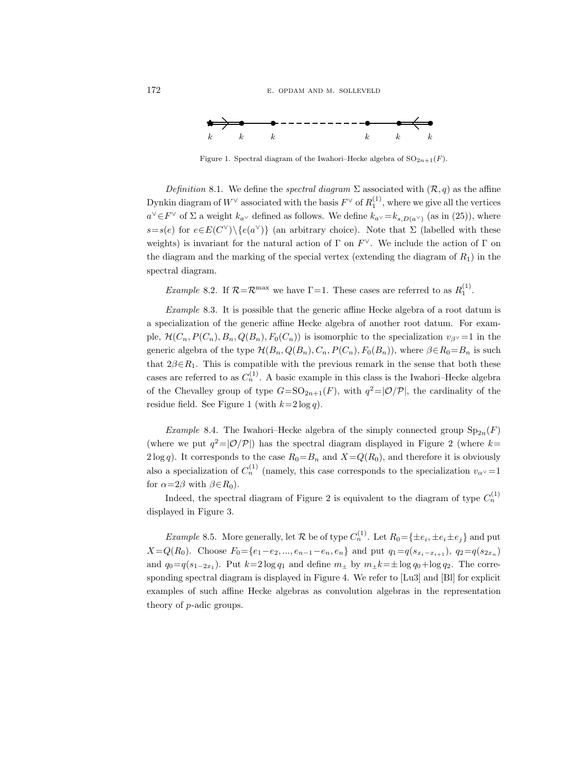



Figure 1. Spectral diagram of the Iwahori–Hecke algebra of  $SO_{2n+1}(F)$ .

Definition 8.1. We define the spectral diagram  $\Sigma$  associated with  $(\mathcal{R}, q)$  as the affine Dynkin diagram of  $W^{\vee}$  associated with the basis  $F^{\vee}$  of  $R_1^{(1)}$ , where we give all the vertices  $a^{\vee} \in F^{\vee}$  of  $\Sigma$  a weight  $k_{a^{\vee}}$  defined as follows. We define  $k_{a^{\vee}} = k_{s,D(a^{\vee})}$  (as in (25)), where  $s=s(e)$  for  $e \in E(C^{\vee}) \setminus \{e(a^{\vee})\}$  (an arbitrary choice). Note that  $\Sigma$  (labelled with these weights) is invariant for the natural action of  $\Gamma$  on  $F^{\vee}$ . We include the action of  $\Gamma$  on the diagram and the marking of the special vertex (extending the diagram of  $R_1$ ) in the spectral diagram.

*Example* 8.2. If  $\mathcal{R} = \mathcal{R}^{\text{max}}$  we have  $\Gamma = 1$ . These cases are referred to as  $R_1^{(1)}$ .

Example 8.3. It is possible that the generic affine Hecke algebra of a root datum is a specialization of the generic affine Hecke algebra of another root datum. For example,  $\mathcal{H}(C_n, P(C_n), B_n, Q(B_n), F_0(C_n))$  is isomorphic to the specialization  $v_{\beta} \ge 1$  in the generic algebra of the type  $\mathcal{H}(B_n, Q(B_n), C_n, P(C_n), F_0(B_n))$ , where  $\beta \in R_0 = B_n$  is such that  $2\beta \in R_1$ . This is compatible with the previous remark in the sense that both these cases are referred to as  $C_n^{(1)}$ . A basic example in this class is the Iwahori–Hecke algebra of the Chevalley group of type  $G=\mathrm{SO}_{2n+1}(F)$ , with  $q^2=|\mathcal{O}/\mathcal{P}|$ , the cardinality of the residue field. See Figure 1 (with  $k=2 \log q$ ).

Example 8.4. The Iwahori–Hecke algebra of the simply connected group  $Sp_{2n}(F)$ (where we put  $q^2 = |O/P|$ ) has the spectral diagram displayed in Figure 2 (where  $k=$  $2 \log q$ ). It corresponds to the case  $R_0 = B_n$  and  $X = Q(R_0)$ , and therefore it is obviously also a specialization of  $C_n^{(1)}$  (namely, this case corresponds to the specialization  $v_{\alpha}$   $\sim$  = 1 for  $\alpha = 2\beta$  with  $\beta \in R_0$ ).

Indeed, the spectral diagram of Figure 2 is equivalent to the diagram of type  $C_n^{(1)}$ displayed in Figure 3.

*Example* 8.5. More generally, let R be of type  $C_n^{(1)}$ . Let  $R_0 = \{\pm e_i, \pm e_i \pm e_j\}$  and put  $X=Q(R_0)$ . Choose  $F_0=\{e_1-e_2, ..., e_{n-1}-e_n, e_n\}$  and put  $q_1=q(s_{x_i-x_{i+1}}), q_2=q(s_{2x_n})$ and  $q_0 = q(s_{1-2x_1})$ . Put  $k=2 \log q_1$  and define  $m_{\pm}$  by  $m_{\pm}k=\pm \log q_0 + \log q_2$ . The corresponding spectral diagram is displayed in Figure 4. We refer to [Lu3] and [Bl] for explicit examples of such affine Hecke algebras as convolution algebras in the representation theory of p-adic groups.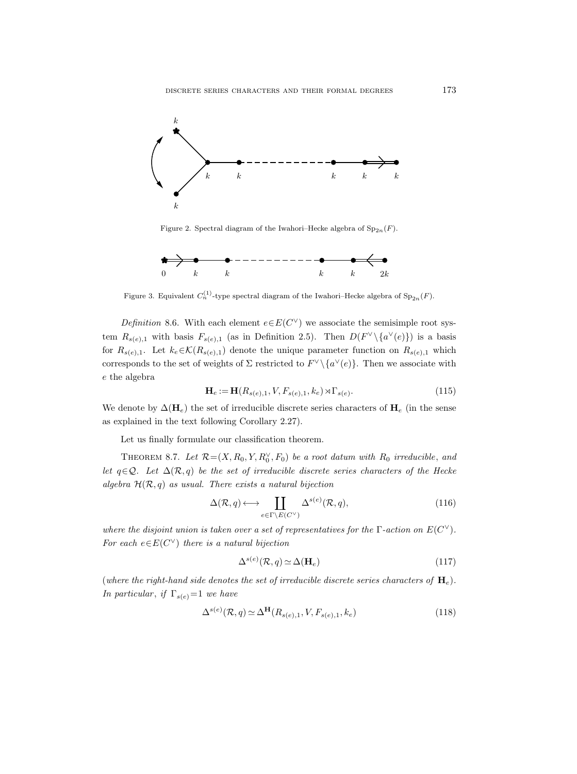

Figure 2. Spectral diagram of the Iwahori–Hecke algebra of  $Sp_{2n}(F)$ .



Figure 3. Equivalent  $C_n^{(1)}$ -type spectral diagram of the Iwahori–Hecke algebra of  $\text{Sp}_{2n}(F)$ .

*Definition* 8.6. With each element  $e \in E(C^{\vee})$  we associate the semisimple root system  $R_{s(e),1}$  with basis  $F_{s(e),1}$  (as in Definition 2.5). Then  $D(F^{\vee}\setminus\{a^{\vee}(e)\})$  is a basis for  $R_{s(e),1}$ . Let  $k_e \in \mathcal{K}(R_{s(e),1})$  denote the unique parameter function on  $R_{s(e),1}$  which corresponds to the set of weights of  $\Sigma$  restricted to  $F^{\vee}\setminus\{a^{\vee}(e)\}\$ . Then we associate with e the algebra

$$
\mathbf{H}_e := \mathbf{H}(R_{s(e),1}, V, F_{s(e),1}, k_e) \rtimes \Gamma_{s(e)}.\tag{115}
$$

We denote by  $\Delta(\mathbf{H}_e)$  the set of irreducible discrete series characters of  $\mathbf{H}_e$  (in the sense as explained in the text following Corollary 2.27).

Let us finally formulate our classification theorem.

THEOREM 8.7. Let  $\mathcal{R} = (X, R_0, Y, R_0^{\vee}, F_0)$  be a root datum with  $R_0$  irreducible, and let  $q \in \mathcal{Q}$ . Let  $\Delta(\mathcal{R}, q)$  be the set of irreducible discrete series characters of the Hecke algebra  $\mathcal{H}(\mathcal{R}, q)$  as usual. There exists a natural bijection

$$
\Delta(\mathcal{R}, q) \longleftrightarrow \coprod_{e \in \Gamma \backslash E(C^{\vee})} \Delta^{s(e)}(\mathcal{R}, q), \tag{116}
$$

where the disjoint union is taken over a set of representatives for the  $\Gamma$ -action on  $E(C^{\vee})$ . For each  $e \in E(C^{\vee})$  there is a natural bijection

$$
\Delta^{s(e)}(\mathcal{R}, q) \simeq \Delta(\mathbf{H}_e) \tag{117}
$$

(where the right-hand side denotes the set of irreducible discrete series characters of  $H_e$ ). In particular, if  $\Gamma_{s(e)}=1$  we have

$$
\Delta^{s(e)}(\mathcal{R}, q) \simeq \Delta^{\mathbf{H}}(R_{s(e),1}, V, F_{s(e),1}, k_e)
$$
\n(118)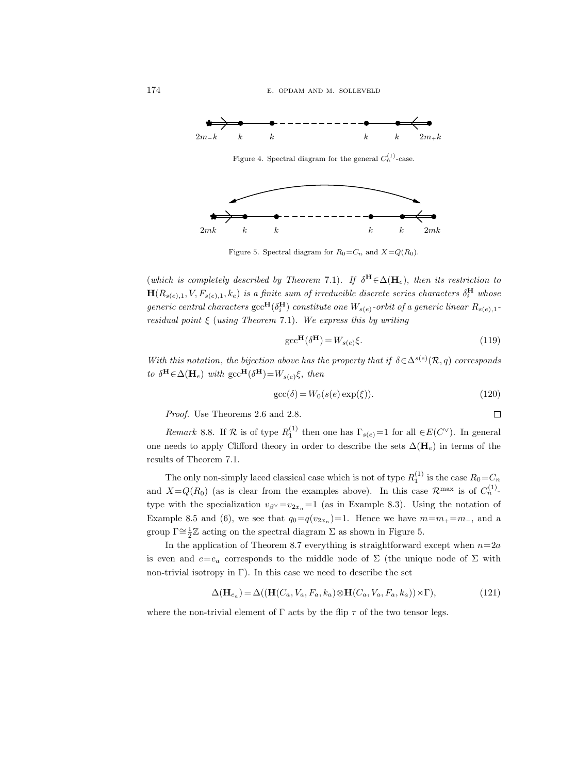

Figure 5. Spectral diagram for  $R_0 = C_n$  and  $X = Q(R_0)$ .

(which is completely described by Theorem 7.1). If  $\delta^H \in \Delta(\mathbf{H}_e)$ , then its restriction to  $\mathbf{H}(R_{s(e),1}, V, F_{s(e),1}, k_e)$  is a finite sum of irreducible discrete series characters  $\delta^{\mathbf{H}}_i$  whose generic central characters  $\mathrm{gcc}^{\mathbf{H}}(\delta^{\mathbf{H}}_i)$  constitute one  $W_{s(e)}$ -orbit of a generic linear  $R_{s(e),1}$  $residual$  point  $\xi$  (using Theorem 7.1). We express this by writing

$$
\text{gcc}^{\mathbf{H}}(\delta^{\mathbf{H}}) = W_{s(e)}\xi.
$$
 (119)

With this notation, the bijection above has the property that if  $\delta \in \Delta^{s(e)}(\mathcal{R}, q)$  corresponds to  $\delta^{\mathbf{H}} \in \Delta(\mathbf{H}_e)$  with  $\mathrm{gcc}^{\mathbf{H}}(\delta^{\mathbf{H}}) = W_{s(e)}\xi$ , then

$$
\operatorname{gcc}(\delta) = W_0(s(e)\exp(\xi)).\tag{120}
$$

 $\Box$ 

Proof. Use Theorems 2.6 and 2.8.

Remark 8.8. If  $\mathcal R$  is of type  $R_1^{(1)}$  then one has  $\Gamma_{s(e)}=1$  for all  $\in E(C^{\vee})$ . In general one needs to apply Clifford theory in order to describe the sets  $\Delta(\mathbf{H}_e)$  in terms of the results of Theorem 7.1.

The only non-simply laced classical case which is not of type  $R_1^{(1)}$  is the case  $R_0 = C_n$ and  $X = Q(R_0)$  (as is clear from the examples above). In this case  $\mathcal{R}^{\max}$  is of  $C_n^{(1)}$ . type with the specialization  $v_{\beta} \vee -v_{2x_n} =1$  (as in Example 8.3). Using the notation of Example 8.5 and (6), we see that  $q_0 = q(v_{2x_n}) = 1$ . Hence we have  $m = m_+ = m_-\,$ , and a group  $\Gamma \cong \frac{1}{2} \mathbb{Z}$  acting on the spectral diagram  $\Sigma$  as shown in Figure 5.

In the application of Theorem 8.7 everything is straightforward except when  $n=2a$ is even and  $e=e_a$  corresponds to the middle node of  $\Sigma$  (the unique node of  $\Sigma$  with non-trivial isotropy in  $\Gamma$ ). In this case we need to describe the set

$$
\Delta(\mathbf{H}_{e_a}) = \Delta((\mathbf{H}(C_a, V_a, F_a, k_a) \otimes \mathbf{H}(C_a, V_a, F_a, k_a)) \rtimes \Gamma),
$$
\n(121)

where the non-trivial element of  $\Gamma$  acts by the flip  $\tau$  of the two tensor legs.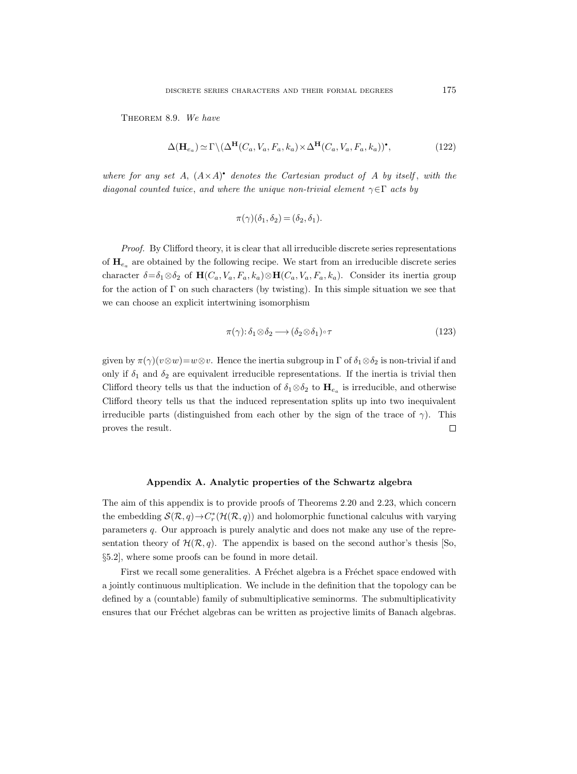THEOREM 8.9. We have

$$
\Delta(\mathbf{H}_{e_a}) \simeq \Gamma \backslash (\Delta^{\mathbf{H}}(C_a, V_a, F_a, k_a) \times \Delta^{\mathbf{H}}(C_a, V_a, F_a, k_a))^{\bullet},\tag{122}
$$

where for any set A,  $(A \times A)^*$  denotes the Cartesian product of A by itself, with the diagonal counted twice, and where the unique non-trivial element  $\gamma \in \Gamma$  acts by

$$
\pi(\gamma)(\delta_1, \delta_2) = (\delta_2, \delta_1).
$$

Proof. By Clifford theory, it is clear that all irreducible discrete series representations of  $\mathbf{H}_{e_a}$  are obtained by the following recipe. We start from an irreducible discrete series character  $\delta = \delta_1 \otimes \delta_2$  of  $\mathbf{H}(C_a, V_a, F_a, k_a) \otimes \mathbf{H}(C_a, V_a, F_a, k_a)$ . Consider its inertia group for the action of  $\Gamma$  on such characters (by twisting). In this simple situation we see that we can choose an explicit intertwining isomorphism

$$
\pi(\gamma) \colon \delta_1 \otimes \delta_2 \longrightarrow (\delta_2 \otimes \delta_1) \circ \tau \tag{123}
$$

given by  $\pi(\gamma)(v\otimes w)=w\otimes v$ . Hence the inertia subgroup in  $\Gamma$  of  $\delta_1\otimes\delta_2$  is non-trivial if and only if  $\delta_1$  and  $\delta_2$  are equivalent irreducible representations. If the inertia is trivial then Clifford theory tells us that the induction of  $\delta_1 \otimes \delta_2$  to  $\mathbf{H}_{e_a}$  is irreducible, and otherwise Clifford theory tells us that the induced representation splits up into two inequivalent irreducible parts (distinguished from each other by the sign of the trace of  $\gamma$ ). This proves the result.  $\Box$ 

#### Appendix A. Analytic properties of the Schwartz algebra

The aim of this appendix is to provide proofs of Theorems 2.20 and 2.23, which concern the embedding  $\mathcal{S}(\mathcal{R}, q) \to C_r^*(\mathcal{H}(\mathcal{R}, q))$  and holomorphic functional calculus with varying parameters q. Our approach is purely analytic and does not make any use of the representation theory of  $\mathcal{H}(\mathcal{R}, q)$ . The appendix is based on the second author's thesis [So, §5.2], where some proofs can be found in more detail.

First we recall some generalities. A Fréchet algebra is a Fréchet space endowed with a jointly continuous multiplication. We include in the definition that the topology can be defined by a (countable) family of submultiplicative seminorms. The submultiplicativity ensures that our Fréchet algebras can be written as projective limits of Banach algebras.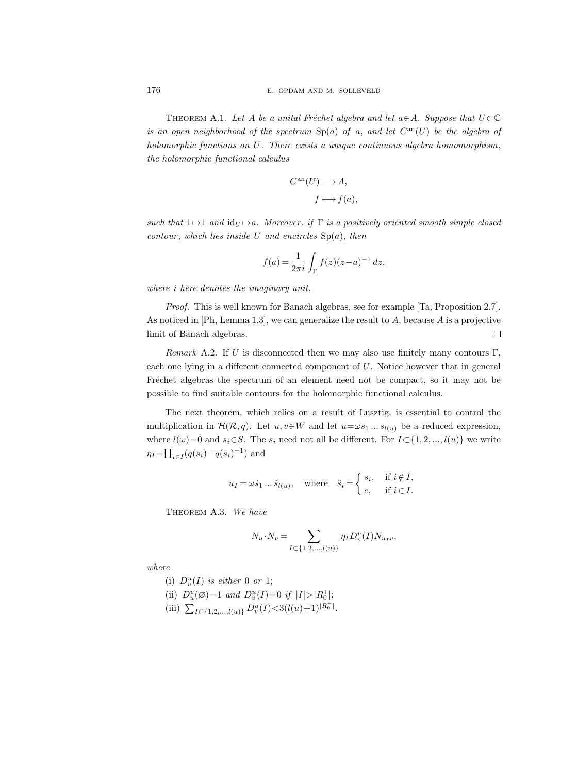THEOREM A.1. Let A be a unital Fréchet algebra and let  $a \in A$ . Suppose that  $U \subset \mathbb{C}$ is an open neighborhood of the spectrum  $Sp(a)$  of a, and let  $C^{an}(U)$  be the algebra of holomorphic functions on U. There exists a unique continuous algebra homomorphism, the holomorphic functional calculus

$$
C^{an}(U) \longrightarrow A,
$$
  

$$
f \longmapsto f(a),
$$

such that  $1 \mapsto 1$  and  $id_U \mapsto a$ . Moreover, if  $\Gamma$  is a positively oriented smooth simple closed contour, which lies inside U and encircles  $Sp(a)$ , then

$$
f(a) = \frac{1}{2\pi i} \int_{\Gamma} f(z)(z-a)^{-1} dz,
$$

where i here denotes the imaginary unit.

Proof. This is well known for Banach algebras, see for example [Ta, Proposition 2.7]. As noticed in [Ph, Lemma 1.3], we can generalize the result to A, because A is a projective limit of Banach algebras.  $\Box$ 

Remark A.2. If U is disconnected then we may also use finitely many contours  $\Gamma$ . each one lying in a different connected component of U. Notice however that in general Fréchet algebras the spectrum of an element need not be compact, so it may not be possible to find suitable contours for the holomorphic functional calculus.

The next theorem, which relies on a result of Lusztig, is essential to control the multiplication in  $\mathcal{H}(\mathcal{R}, q)$ . Let  $u, v \in W$  and let  $u = \omega s_1 ... s_{l(u)}$  be a reduced expression, where  $l(\omega)=0$  and  $s_i\in S$ . The  $s_i$  need not all be different. For  $I\subset \{1, 2, ..., l(u)\}$  we write  $\eta_I = \prod_{i \in I} (q(s_i) - q(s_i)^{-1})$  and

$$
u_I = \omega \tilde{s}_1 \dots \tilde{s}_{l(u)}, \quad \text{where} \quad \tilde{s}_i = \begin{cases} s_i, & \text{if } i \notin I, \\ e, & \text{if } i \in I. \end{cases}
$$

THEOREM A.3. We have

$$
N_u \cdot N_v = \sum_{I \subset \{1, 2, \dots, l(u)\}} \eta_I D_v^u(I) N_{u_I v},
$$

where

- (i)  $D_v^u(I)$  is either 0 or 1;
- (ii)  $D_u^v(\emptyset) = 1$  and  $D_v^u(I) = 0$  if  $|I| > |R_0^+|$ ;
- (iii)  $\sum_{I \subset \{1,2,\ldots,l(u)\}} D_v^u(I) < 3(l(u)+1)^{|R_0^+|}.$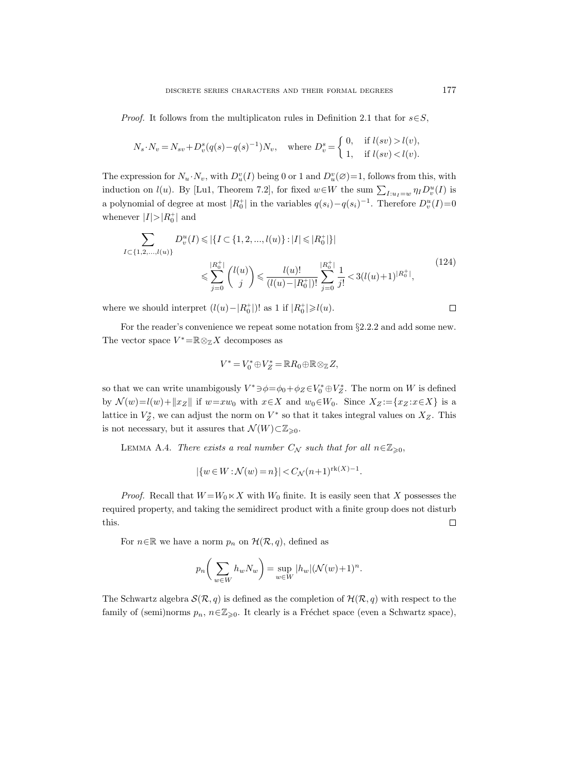*Proof.* It follows from the multiplicaton rules in Definition 2.1 that for  $s \in S$ ,

$$
N_s \cdot N_v = N_{sv} + D_v^s (q(s) - q(s)^{-1}) N_v, \quad \text{where } D_v^s = \begin{cases} 0, & \text{if } l(sv) > l(v), \\ 1, & \text{if } l(sv) < l(v). \end{cases}
$$

The expression for  $N_u \cdot N_v$ , with  $D_u^v(I)$  being 0 or 1 and  $D_u^v(\emptyset)=1$ , follows from this, with induction on  $l(u)$ . By [Lu1, Theorem 7.2], for fixed  $w \in W$  the sum  $\sum_{I:u_I=w} \eta_I D_v^u(I)$  is a polynomial of degree at most  $|R_0^+|$  in the variables  $q(s_i) - q(s_i)^{-1}$ . Therefore  $D_v^u(I) = 0$ whenever  $|I|>|R_0^+|$  and

$$
\sum_{I \subset \{1, 2, \dots, l(u)\}} D_v^u(I) \leq | \{ I \subset \{1, 2, \dots, l(u)\} : |I| \leq |R_0^+| \} |
$$
\n
$$
\leq \sum_{j=0}^{|R_0^+|} {l(u) \choose j} \leq \frac{l(u)!}{(l(u) - |R_0^+|)!} \sum_{j=0}^{|R_0^+|} \frac{1}{j!} < 3(l(u) + 1)^{|R_0^+|}, \tag{124}
$$

where we should interpret  $(l(u) - |R_0^+|)!$  as 1 if  $|R_0^+| \ge l(u)$ .

For the reader's convenience we repeat some notation from §2.2.2 and add some new. The vector space 
$$
V^* = \mathbb{R} \otimes_{\mathbb{Z}} X
$$
 decomposes as

$$
V^*=V_0^*\oplus V_Z^*=\mathbb{R}R_0\oplus\mathbb{R}\otimes_{\mathbb{Z}}Z,
$$

so that we can write unambigously  $V^* \ni \phi = \phi_0 + \phi_Z \in V_0^* \oplus V_Z^*$ . The norm on W is defined by  $\mathcal{N}(w)=l(w)+\|x_Z\|$  if  $w=xw_0$  with  $x\in X$  and  $w_0\in W_0$ . Since  $X_Z\!:=\!{x_Z\!:\!x\!\in\!X\}$  is a lattice in  $V_Z^*$ , we can adjust the norm on  $V^*$  so that it takes integral values on  $X_Z$ . This is not necessary, but it assures that  $\mathcal{N}(W) \subset \mathbb{Z}_{\geqslant 0}$ .

LEMMA A.4. There exists a real number  $C_N$  such that for all  $n \in \mathbb{Z}_{\geqslant 0}$ ,

$$
|\{w \in W : \mathcal{N}(w) = n\}| < C_{\mathcal{N}}(n+1)^{\text{rk}(X)-1}.
$$

*Proof.* Recall that  $W = W_0 \ltimes X$  with  $W_0$  finite. It is easily seen that X possesses the required property, and taking the semidirect product with a finite group does not disturb this.  $\Box$ 

For  $n \in \mathbb{R}$  we have a norm  $p_n$  on  $\mathcal{H}(\mathcal{R}, q)$ , defined as

$$
p_n\bigg(\sum_{w\in W}h_wN_w\bigg)=\sup_{w\in W}|h_w|(\mathcal{N}(w)+1)^n.
$$

The Schwartz algebra  $\mathcal{S}(\mathcal{R}, q)$  is defined as the completion of  $\mathcal{H}(\mathcal{R}, q)$  with respect to the family of (semi)norms  $p_n$ ,  $n \in \mathbb{Z}_{\geqslant 0}$ . It clearly is a Fréchet space (even a Schwartz space),

 $\Box$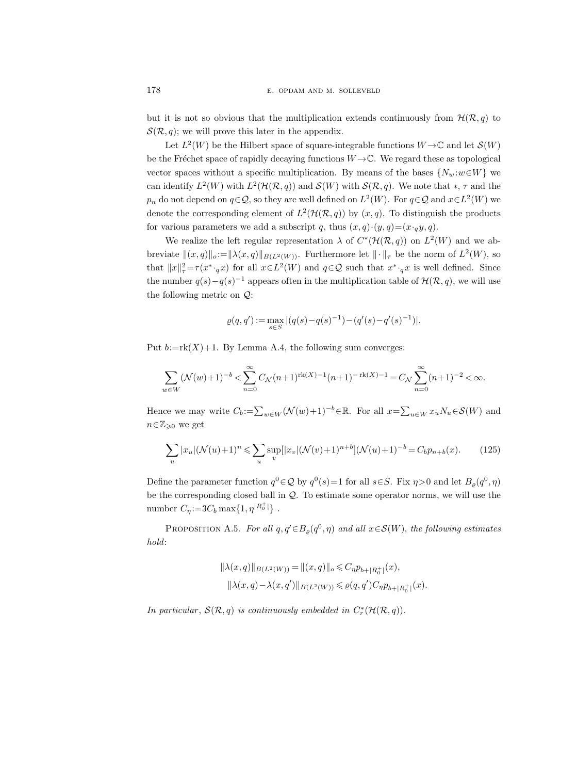but it is not so obvious that the multiplication extends continuously from  $\mathcal{H}(\mathcal{R}, q)$  to  $\mathcal{S}(\mathcal{R}, q)$ ; we will prove this later in the appendix.

Let  $L^2(W)$  be the Hilbert space of square-integrable functions  $W \to \mathbb{C}$  and let  $\mathcal{S}(W)$ be the Fréchet space of rapidly decaying functions  $W \rightarrow \mathbb{C}$ . We regard these as topological vector spaces without a specific multiplication. By means of the bases  $\{N_w : w \in W\}$  we can identify  $L^2(W)$  with  $L^2(\mathcal{H}(\mathcal{R}, q))$  and  $\mathcal{S}(W)$  with  $\mathcal{S}(\mathcal{R}, q)$ . We note that \*,  $\tau$  and the  $p_n$  do not depend on  $q \in \mathcal{Q}$ , so they are well defined on  $L^2(W)$ . For  $q \in \mathcal{Q}$  and  $x \in L^2(W)$  we denote the corresponding element of  $L^2(\mathcal{H}(\mathcal{R}, q))$  by  $(x, q)$ . To distinguish the products for various parameters we add a subscript q, thus  $(x, q) \cdot (y, q) = (x \cdot q \cdot y, q)$ .

We realize the left regular representation  $\lambda$  of  $C^*(\mathcal{H}(\mathcal{R}, q))$  on  $L^2(W)$  and we abbreviate  $\|(x, q)\|_{o} := \|\lambda(x, q)\|_{B(L^2(W))}$ . Furthermore let  $\|\cdot\|_{\tau}$  be the norm of  $L^2(W)$ , so that  $||x||^2_{\tau} = \tau (x^* \cdot_q x)$  for all  $x \in L^2(W)$  and  $q \in \mathcal{Q}$  such that  $x^* \cdot_q x$  is well defined. Since the number  $q(s)-q(s)^{-1}$  appears often in the multiplication table of  $\mathcal{H}(\mathcal{R}, q)$ , we will use the following metric on Q:

$$
\varrho(q,q') := \max_{s \in S} |(q(s) - q(s)^{-1}) - (q'(s) - q'(s)^{-1})|.
$$

Put  $b:=r(k+1)$ . By Lemma A.4, the following sum converges:

$$
\sum_{w \in W} (\mathcal{N}(w) + 1)^{-b} < \sum_{n=0}^{\infty} C_{\mathcal{N}}(n+1)^{\text{rk}(X) - 1}(n+1)^{-\text{rk}(X) - 1} = C_{\mathcal{N}} \sum_{n=0}^{\infty} (n+1)^{-2} < \infty.
$$

Hence we may write  $C_b := \sum_{w \in W} (\mathcal{N}(w) + 1)^{-b} \in \mathbb{R}$ . For all  $x = \sum_{u \in W} x_u N_u \in \mathcal{S}(W)$  and  $n \in \mathbb{Z}_{\geqslant 0}$  we get

$$
\sum_{u} |x_u| (\mathcal{N}(u) + 1)^n \leq \sum_{u} \sup_{v} [|x_v| (\mathcal{N}(v) + 1)^{n+b}] (\mathcal{N}(u) + 1)^{-b} = C_b p_{n+b}(x).
$$
 (125)

Define the parameter function  $q^0 \in \mathcal{Q}$  by  $q^0(s) = 1$  for all  $s \in S$ . Fix  $\eta > 0$  and let  $B_{\varrho}(q^0, \eta)$ be the corresponding closed ball in Q. To estimate some operator norms, we will use the number  $C_{\eta}$ :=3 $C_b \max\{1, \eta^{|R_0^+|}\}$ .

PROPOSITION A.5. For all  $q, q' \in B_{\varrho}(q^0, \eta)$  and all  $x \in \mathcal{S}(W)$ , the following estimates hold:

$$
\begin{aligned} \|\lambda(x,q)\|_{B(L^2(W))} &= \|(x,q)\|_o \leqslant C_\eta p_{b+|R_0^+|}(x),\\ \|\lambda(x,q)-\lambda(x,q')\|_{B(L^2(W))} &\leqslant \varrho(q,q')C_\eta p_{b+|R_0^+|}(x). \end{aligned}
$$

In particular,  $\mathcal{S}(\mathcal{R}, q)$  is continuously embedded in  $C_r^*(\mathcal{H}(\mathcal{R}, q))$ .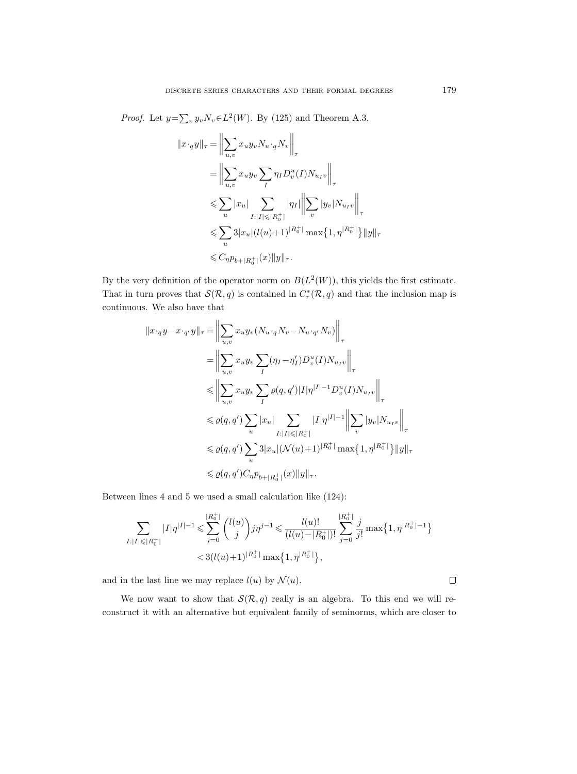*Proof.* Let  $y = \sum_{v} y_v N_v \in L^2(W)$ . By (125) and Theorem A.3,

$$
||x \cdot_{q} y||_{\tau} = \left\| \sum_{u,v} x_{u} y_{v} N_{u} \cdot_{q} N_{v} \right\|_{\tau}
$$
  
\n
$$
= \left\| \sum_{u,v} x_{u} y_{v} \sum_{I} \eta_{I} D_{v}^{u}(I) N_{u_{I}v} \right\|_{\tau}
$$
  
\n
$$
\leqslant \sum_{u} |x_{u}| \sum_{I:|I| \leqslant |R_{0}^{+}|} |\eta_{I}| \left\| \sum_{v} |y_{v}| N_{u_{I}v} \right\|_{\tau}
$$
  
\n
$$
\leqslant \sum_{u} 3|x_{u}| (l(u) + 1)^{|R_{0}^{+}|} \max\{1, \eta^{|R_{0}^{+}|}\} ||y||_{\tau}
$$
  
\n
$$
\leqslant C_{\eta} p_{b+|R_{0}^{+}|}(x) ||y||_{\tau}.
$$

By the very definition of the operator norm on  $B(L^2(W))$ , this yields the first estimate. That in turn proves that  $\mathcal{S}(\mathcal{R}, q)$  is contained in  $C_r^*(\mathcal{R}, q)$  and that the inclusion map is continuous. We also have that

$$
||x \cdot_q y - x \cdot_{q'} y||_{\tau} = \left\| \sum_{u,v} x_u y_v (N_{u} \cdot_q N_v - N_{u} \cdot_{q'} N_v) \right\|_{\tau}
$$
  
\n
$$
= \left\| \sum_{u,v} x_u y_v \sum_I (\eta_I - \eta_I') D_v^u(I) N_{u_I v} \right\|_{\tau}
$$
  
\n
$$
\leq \left\| \sum_{u,v} x_u y_v \sum_I \varrho(q, q') |I| \eta^{|I|-1} D_v^u(I) N_{u_I v} \right\|_{\tau}
$$
  
\n
$$
\leq \varrho(q, q') \sum_u |x_u| \sum_{I:|I| \leq |R_0^+|} |I| \eta^{|I|-1} \left\| \sum_v |y_v| N_{u_I v} \right\|_{\tau}
$$
  
\n
$$
\leq \varrho(q, q') \sum_u 3|x_u| (\mathcal{N}(u) + 1)^{|R_0^+|} \max\{1, \eta^{|R_0^+|}\} ||y||_{\tau}
$$
  
\n
$$
\leq \varrho(q, q') C_{\eta} p_{b+|R_0^+|}(x) ||y||_{\tau}.
$$

Between lines 4 and 5 we used a small calculation like (124):

$$
\sum_{I:|I|\leqslant |R_0^+|} |I|\eta^{|I|-1} \leqslant \sum_{j=0}^{|R_0^+|} {l(u) \choose j} j\eta^{j-1} \leqslant \frac{l(u)!}{(l(u)-|R_0^+|)!} \sum_{j=0}^{|R_0^+|} \frac{j}{j!} \max\{1,\eta^{|R_0^+|-1}\} \leqslant 3(l(u)+1)^{|R_0^+|} \max\{1,\eta^{|R_0^+|}\},
$$

and in the last line we may replace  $l(u)$  by  $\mathcal{N}(u)$ .

We now want to show that  $\mathcal{S}(\mathcal{R}, q)$  really is an algebra. To this end we will reconstruct it with an alternative but equivalent family of seminorms, which are closer to

 $\Box$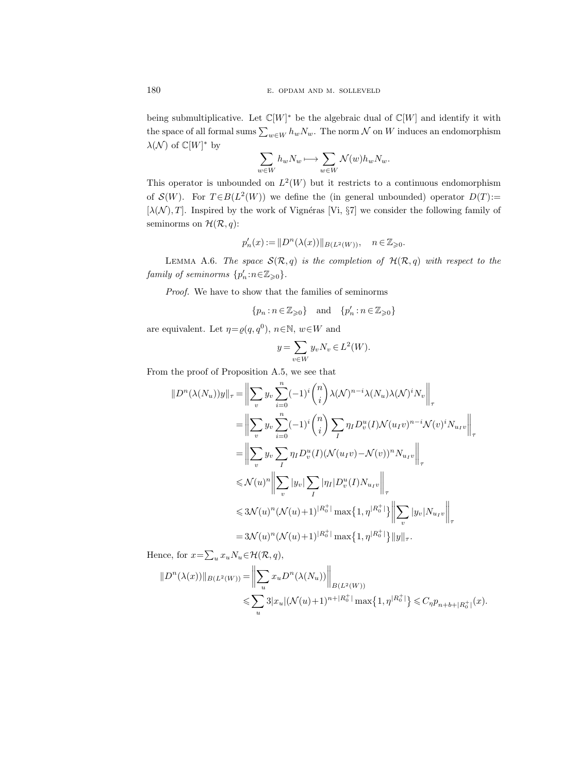being submultiplicative. Let  $\mathbb{C}[W]^*$  be the algebraic dual of  $\mathbb{C}[W]$  and identify it with the space of all formal sums  $\sum_{w\in W} h_w N_w$ . The norm  $\mathcal N$  on  $W$  induces an endomorphism  $\lambda(\mathcal{N})$  of  $\mathbb{C}[W]^*$  by

$$
\sum_{w \in W} h_w N_w \longmapsto \sum_{w \in W} \mathcal{N}(w) h_w N_w.
$$

This operator is unbounded on  $L^2(W)$  but it restricts to a continuous endomorphism of  $\mathcal{S}(W)$ . For  $T \in B(L^2(W))$  we define the (in general unbounded) operator  $D(T)$ := [ $\lambda(N)$ , T]. Inspired by the work of Vignéras [Vi, §7] we consider the following family of seminorms on  $\mathcal{H}(\mathcal{R}, q)$ :

$$
p_n'(x):=\|D^n(\lambda(x))\|_{B(L^2(W))},\quad n\in\mathbb{Z}_{\geqslant 0}.
$$

LEMMA A.6. The space  $\mathcal{S}(\mathcal{R}, q)$  is the completion of  $\mathcal{H}(\mathcal{R}, q)$  with respect to the family of seminorms  $\{p'_n : n \in \mathbb{Z}_{\geqslant 0}\}.$ 

Proof. We have to show that the families of seminorms

$$
\{p_n : n \in \mathbb{Z}_{\geqslant 0}\} \quad \text{and} \quad \{p'_n : n \in \mathbb{Z}_{\geqslant 0}\}
$$

are equivalent. Let  $\eta = \varrho(q, q^0)$ ,  $n \in \mathbb{N}$ ,  $w \in W$  and

$$
y = \sum_{v \in W} y_v N_v \in L^2(W).
$$

From the proof of Proposition A.5, we see that

$$
||D^n(\lambda(N_u))y||_{\tau} = \left\| \sum_v y_v \sum_{i=0}^n (-1)^i \binom{n}{i} \lambda(\mathcal{N})^{n-i} \lambda(N_u) \lambda(\mathcal{N})^i N_v \right\|_{\tau}
$$
  
\n
$$
= \left\| \sum_v y_v \sum_{i=0}^n (-1)^i \binom{n}{i} \sum_I \eta_I D_v^u(I) \mathcal{N}(u_I v)^{n-i} \mathcal{N}(v)^i N_{u_I v} \right\|_{\tau}
$$
  
\n
$$
= \left\| \sum_v y_v \sum_I \eta_I D_v^u(I) (\mathcal{N}(u_I v) - \mathcal{N}(v))^n N_{u_I v} \right\|_{\tau}
$$
  
\n
$$
\leq \mathcal{N}(u)^n \left\| \sum_v |y_v| \sum_I |\eta_I| D_v^u(I) N_{u_I v} \right\|_{\tau}
$$
  
\n
$$
\leq 3\mathcal{N}(u)^n (\mathcal{N}(u) + 1)^{|R_0^+|} \max\{1, \eta^{|R_0^+|}\} \left\| \sum_v |y_v| N_{u_I v} \right\|_{\tau}
$$
  
\n
$$
= 3\mathcal{N}(u)^n (\mathcal{N}(u) + 1)^{|R_0^+|} \max\{1, \eta^{|R_0^+|}\} ||y||_{\tau}.
$$

Hence, for  $x = \sum_u x_u N_u \in \mathcal{H}(\mathcal{R}, q)$ ,

$$
||D^{n}(\lambda(x))||_{B(L^{2}(W))} = \left\|\sum_{u} x_{u}D^{n}(\lambda(N_{u}))\right\|_{B(L^{2}(W))}
$$
  
\$\leqslant \sum\_{u} 3|x\_{u}|(\mathcal{N}(u)+1)^{n+|R\_{0}^{+}|} \max\{1, \eta^{|R\_{0}^{+}|}\} \leqslant C\_{\eta}p\_{n+b+|R\_{0}^{+}|}(x).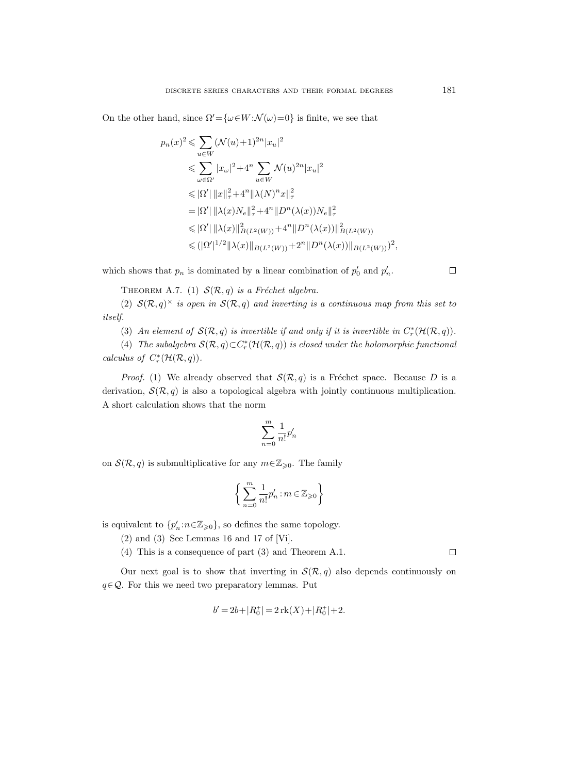On the other hand, since  $\Omega' = {\omega \in W : \mathcal{N}(\omega) = 0}$  is finite, we see that

$$
p_n(x)^2 \leq \sum_{u \in W} (\mathcal{N}(u) + 1)^{2n} |x_u|^2
$$
  
\n
$$
\leq \sum_{\omega \in \Omega'} |x_{\omega}|^2 + 4^n \sum_{u \in W} \mathcal{N}(u)^{2n} |x_u|^2
$$
  
\n
$$
\leq |\Omega'| \|x\|_{\tau}^2 + 4^n \|\lambda(N)^n x\|_{\tau}^2
$$
  
\n
$$
= |\Omega'| \|\lambda(x)N_e\|_{\tau}^2 + 4^n \|D^n(\lambda(x))N_e\|_{\tau}^2
$$
  
\n
$$
\leq |\Omega'| \|\lambda(x)\|_{B(L^2(W))}^2 + 4^n \|D^n(\lambda(x))\|_{B(L^2(W))}^2
$$
  
\n
$$
\leq (|\Omega'|^{1/2} \|\lambda(x)\|_{B(L^2(W))} + 2^n \|D^n(\lambda(x))\|_{B(L^2(W))})^2,
$$

which shows that  $p_n$  is dominated by a linear combination of  $p'_0$  and  $p'_n$ .

 $\Box$ 

 $\Box$ 

THEOREM A.7. (1)  $\mathcal{S}(\mathcal{R}, q)$  is a Fréchet algebra.

(2)  $\mathcal{S}(\mathcal{R}, q)^\times$  is open in  $\mathcal{S}(\mathcal{R}, q)$  and inverting is a continuous map from this set to itself.

(3) An element of  $\mathcal{S}(\mathcal{R}, q)$  is invertible if and only if it is invertible in  $C_r^*(\mathcal{H}(\mathcal{R}, q))$ .

(4) The subalgebra  $\mathcal{S}(\mathcal{R}, q) \subset C_r^*(\mathcal{H}(\mathcal{R}, q))$  is closed under the holomorphic functional calculus of  $C_r^*(\mathcal{H}(\mathcal{R},q)).$ 

*Proof.* (1) We already observed that  $\mathcal{S}(\mathcal{R}, q)$  is a Fréchet space. Because D is a derivation,  $\mathcal{S}(\mathcal{R}, q)$  is also a topological algebra with jointly continuous multiplication. A short calculation shows that the norm

$$
\sum_{n=0}^m \frac{1}{n!} p_n'
$$

on  $\mathcal{S}(\mathcal{R}, q)$  is submultiplicative for any  $m \in \mathbb{Z}_{\geqslant 0}$ . The family

$$
\bigg\{\sum_{n=0}^m\frac{1}{n!}p_n':m\in\mathbb{Z}_{\geqslant0}\bigg\}
$$

is equivalent to  ${p'_n : n \in \mathbb{Z}_{\geqslant 0}}$ , so defines the same topology.

- (2) and (3) See Lemmas 16 and 17 of [Vi].
- (4) This is a consequence of part (3) and Theorem A.1.

Our next goal is to show that inverting in  $\mathcal{S}(\mathcal{R}, q)$  also depends continuously on  $q \in \mathcal{Q}$ . For this we need two preparatory lemmas. Put

$$
b' = 2b + |R_0^+| = 2 \operatorname{rk}(X) + |R_0^+| + 2.
$$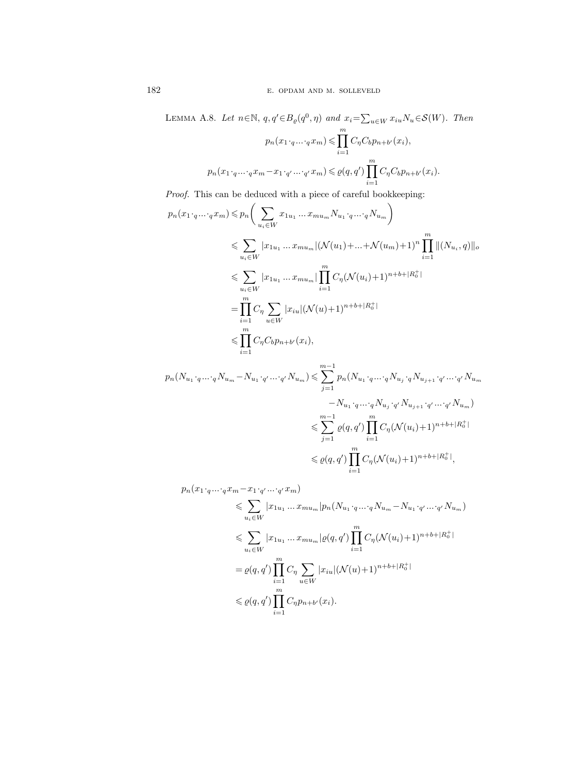LEMMA A.8. Let 
$$
n \in \mathbb{N}
$$
,  $q, q' \in B_{\varrho}(q^0, \eta)$  and  $x_i = \sum_{u \in W} x_{iu} N_u \in \mathcal{S}(W)$ . Then  
\n
$$
p_n(x_1 \cdot_q \ldots \cdot_q x_m) \leq \prod_{i=1}^m C_{\eta} C_b p_{n+b'}(x_i),
$$
\n
$$
p_n(x_1 \cdot_q \ldots \cdot_q x_m - x_1 \cdot_{q'} \ldots \cdot_{q'} x_m) \leq \varrho(q, q') \prod_{i=1}^m C_{\eta} C_b p_{n+b'}(x_i).
$$

Proof. This can be deduced with a piece of careful bookkeeping:

$$
p_n(x_1 \cdot_q \dots \cdot_q x_m) \leqslant p_n\bigg(\sum_{u_i \in W} x_{1u_1} \dots x_{mu_m} N_{u_1} \cdot_q \dots \cdot_q N_{u_m}\bigg) \n\leqslant \sum_{u_i \in W} |x_{1u_1} \dots x_{mu_m}| (\mathcal{N}(u_1) + \dots + \mathcal{N}(u_m) + 1)^n \prod_{i=1}^m \|(N_{u_i}, q)\|_o \n\leqslant \sum_{u_i \in W} |x_{1u_1} \dots x_{mu_m}| \prod_{i=1}^m C_{\eta} (\mathcal{N}(u_i) + 1)^{n+b+|R_0^+|} \n= \prod_{i=1}^m C_{\eta} \sum_{u \in W} |x_{iu}| (\mathcal{N}(u) + 1)^{n+b+|R_0^+|} \n\leqslant \prod_{i=1}^m C_{\eta} C_b p_{n+b'}(x_i),
$$
\n
$$
m-1
$$

$$
p_n(N_{u_1} \cdot_q \cdots q N_{u_m} - N_{u_1} \cdot_{q'} \cdots_{q'} N_{u_m}) \leq \sum_{j=1}^{m-1} p_n(N_{u_1} \cdot_q \cdots q N_{u_j} \cdot_q N_{u_{j+1}} \cdot_{q'} \cdots_{q'} N_{u_m})
$$
  

$$
- N_{u_1} \cdot_q \cdots q N_{u_j} \cdot_{q'} N_{u_{j+1}} \cdot_{q'} \cdots_{q'} N_{u_m})
$$
  

$$
\leq \sum_{j=1}^{m-1} \varrho(q, q') \prod_{i=1}^{m} C_{\eta} (\mathcal{N}(u_i) + 1)^{n+b+|R_0^+|}
$$
  

$$
\leq \varrho(q, q') \prod_{i=1}^{m} C_{\eta} (\mathcal{N}(u_i) + 1)^{n+b+|R_0^+|},
$$

 $p_n(x_1 \cdot_q ... \cdot_q x_m - x_1 \cdot_{q'} ... \cdot_{q'} x_m)$ 

$$
\leq \sum_{u_i \in W} |x_{1u_1} ... x_{mu_m}| p_n(N_{u_1} \cdot q ... \cdot q N_{u_m} - N_{u_1} \cdot q' ... \cdot q' N_{u_m})
$$
  
\n
$$
\leq \sum_{u_i \in W} |x_{1u_1} ... x_{mu_m}| \varrho(q, q') \prod_{i=1}^m C_{\eta} (\mathcal{N}(u_i) + 1)^{n+b+|R_0^+|}
$$
  
\n
$$
= \varrho(q, q') \prod_{i=1}^m C_{\eta} \sum_{u \in W} |x_{iu}| (\mathcal{N}(u) + 1)^{n+b+|R_0^+|}
$$
  
\n
$$
\leq \varrho(q, q') \prod_{i=1}^m C_{\eta} p_{n+b'}(x_i).
$$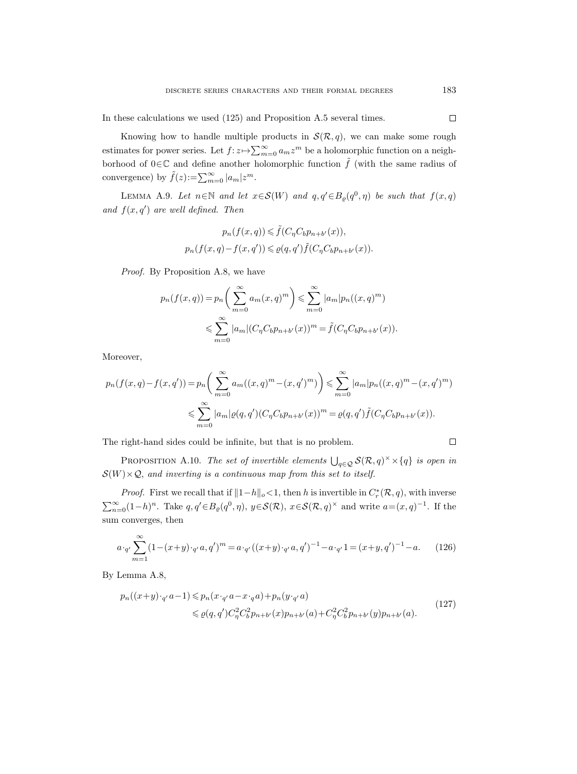In these calculations we used (125) and Proposition A.5 several times.

Knowing how to handle multiple products in  $\mathcal{S}(\mathcal{R}, q)$ , we can make some rough estimates for power series. Let  $f: z \mapsto \sum_{m=0}^{\infty} a_m z^m$  be a holomorphic function on a neighborhood of 0∈C and define another holomorphic function  $\tilde{f}$  (with the same radius of convergence) by  $\tilde{f}(z) := \sum_{m=0}^{\infty} |a_m| z^m$ .

LEMMA A.9. Let  $n \in \mathbb{N}$  and let  $x \in \mathcal{S}(W)$  and  $q, q' \in B_{\varrho}(q^0, \eta)$  be such that  $f(x,q)$ and  $f(x, q')$  are well defined. Then

$$
p_n(f(x,q)) \leq \tilde{f}(C_\eta C_b p_{n+b'}(x)),
$$
  

$$
p_n(f(x,q) - f(x,q')) \leq \varrho(q,q')\tilde{f}(C_\eta C_b p_{n+b'}(x)).
$$

Proof. By Proposition A.8, we have

$$
p_n(f(x,q)) = p_n\left(\sum_{m=0}^{\infty} a_m(x,q)^m\right) \leq \sum_{m=0}^{\infty} |a_m| p_n((x,q)^m)
$$
  

$$
\leq \sum_{m=0}^{\infty} |a_m| (C_{\eta} C_b p_{n+b'}(x))^m = \tilde{f}(C_{\eta} C_b p_{n+b'}(x)).
$$

Moreover,

$$
p_n(f(x,q) - f(x,q')) = p_n\left(\sum_{m=0}^{\infty} a_m((x,q)^m - (x,q')^m)\right) \leq \sum_{m=0}^{\infty} |a_m| p_n((x,q)^m - (x,q')^m)
$$
  

$$
\leq \sum_{m=0}^{\infty} |a_m| \varrho(q,q') (C_\eta C_b p_{n+b'}(x))^m = \varrho(q,q') \tilde{f}(C_\eta C_b p_{n+b'}(x)).
$$

The right-hand sides could be infinite, but that is no problem.

PROPOSITION A.10. The set of invertible elements  $\bigcup_{q\in\mathcal{Q}} S(\mathcal{R}, q)^\times\times\{q\}$  is open in  $\mathcal{S}(W) \times \mathcal{Q}$ , and inverting is a continuous map from this set to itself.

*Proof.* First we recall that if  $||1-h||_o < 1$ , then h is invertible in  $C_r^*(\mathcal{R}, q)$ , with inverse  $\sum_{n=0}^{\infty} (1-h)^n$ . Take  $q, q' \in B_{\varrho}(q^0, \eta)$ ,  $y \in \mathcal{S}(\mathcal{R}), x \in \mathcal{S}(\mathcal{R}, q)^{\times}$  and write  $a = (x, q)^{-1}$ . If the sum converges, then

$$
a \cdot_{q'} \sum_{m=1}^{\infty} (1 - (x + y) \cdot_{q'} a, q')^m = a \cdot_{q'} ((x + y) \cdot_{q'} a, q')^{-1} - a \cdot_{q'} 1 = (x + y, q')^{-1} - a. \tag{126}
$$

By Lemma A.8,

$$
p_n((x+y)\cdot_{q'}a-1) \leq p_n(x\cdot_{q'}a-x\cdot_{q}a) + p_n(y\cdot_{q'}a)
$$
  
 
$$
\leq \varrho(q,q')C_{\eta}^2 C_b^2 p_{n+b'}(x)p_{n+b'}(a) + C_{\eta}^2 C_b^2 p_{n+b'}(y)p_{n+b'}(a).
$$
 (127)

 $\Box$ 

 $\Box$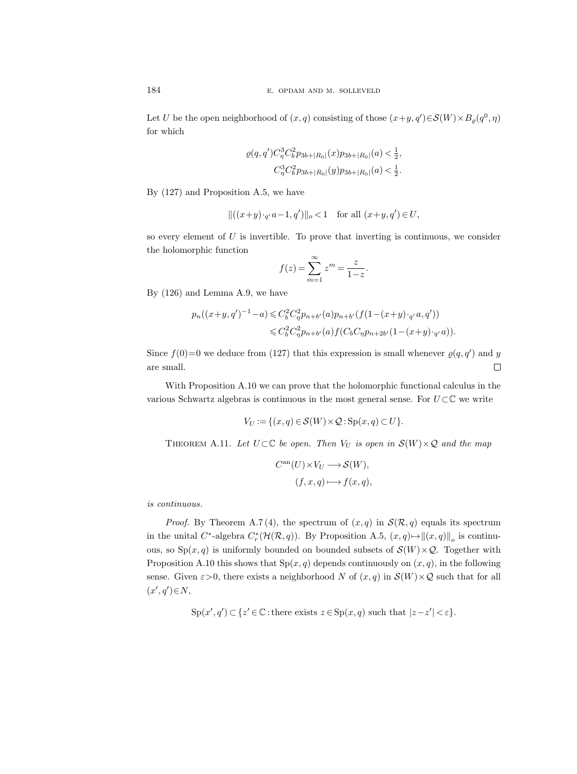Let U be the open neighborhood of  $(x, q)$  consisting of those  $(x+y, q')\in \mathcal{S}(W)\times B_\varrho(q^0, \eta)$ for which

$$
\varrho(q,q')C_{\eta}^{3}C_{b}^{2}p_{3b+|R_{0}|}(x)p_{3b+|R_{0}|}(a) < \frac{1}{2},
$$
  

$$
C_{\eta}^{3}C_{b}^{2}p_{3b+|R_{0}|}(y)p_{3b+|R_{0}|}(a) < \frac{1}{2}.
$$

By (127) and Proposition A.5, we have

$$
\|((x+y)\cdot_{q'}a-1,q')\|_o<1\quad \, \text{for all}\,\, (x+y,q')\in U,
$$

so every element of  $U$  is invertible. To prove that inverting is continuous, we consider the holomorphic function

$$
f(z) = \sum_{m=1}^{\infty} z^m = \frac{z}{1-z}.
$$

By (126) and Lemma A.9, we have

$$
p_n((x+y,q')^{-1}-a) \leq C_b^2 C_\eta^2 p_{n+b'}(a) p_{n+b'}(f(1-(x+y)\cdot_{q'}a,q'))
$$
  

$$
\leq C_b^2 C_\eta^2 p_{n+b'}(a) f(C_b C_\eta p_{n+2b'}(1-(x+y)\cdot_{q'}a)).
$$

Since  $f(0)=0$  we deduce from (127) that this expression is small whenever  $\varrho(q, q')$  and y are small.  $\Box$ 

With Proposition A.10 we can prove that the holomorphic functional calculus in the various Schwartz algebras is continuous in the most general sense. For  $U\subset\mathbb{C}$  we write

$$
V_U := \{ (x, q) \in \mathcal{S}(W) \times \mathcal{Q} : \text{Sp}(x, q) \subset U \}.
$$

THEOREM A.11. Let  $U \subset \mathbb{C}$  be open. Then  $V_U$  is open in  $\mathcal{S}(W) \times \mathcal{Q}$  and the map

$$
C^{\rm an}(U) \times V_U \longrightarrow \mathcal{S}(W),
$$
  

$$
(f, x, q) \longmapsto f(x, q),
$$

is continuous.

*Proof.* By Theorem A.7(4), the spectrum of  $(x, q)$  in  $\mathcal{S}(\mathcal{R}, q)$  equals its spectrum in the unital C<sup>\*</sup>-algebra  $C_r^*({\cal H}({\cal R}, q))$ . By Proposition A.5,  $(x, q) \mapsto ||(x, q)||_o$  is continuous, so  $Sp(x,q)$  is uniformly bounded on bounded subsets of  $\mathcal{S}(W)\times\mathcal{Q}$ . Together with Proposition A.10 this shows that  $Sp(x,q)$  depends continuously on  $(x, q)$ , in the following sense. Given  $\varepsilon > 0$ , there exists a neighborhood N of  $(x, q)$  in  $\mathcal{S}(W) \times \mathcal{Q}$  such that for all  $(x', q') \in N$ ,

 $\text{Sp}(x', q') \subset \{z' \in \mathbb{C} : \text{there exists } z \in \text{Sp}(x, q) \text{ such that } |z - z'| < \varepsilon\}.$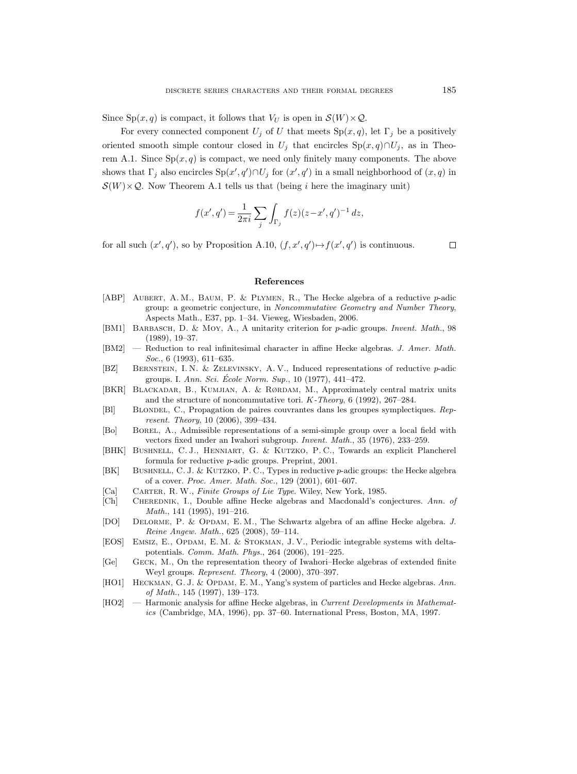Since  $Sp(x, q)$  is compact, it follows that  $V_U$  is open in  $\mathcal{S}(W) \times \mathcal{Q}$ .

For every connected component  $U_j$  of U that meets  $Sp(x,q)$ , let  $\Gamma_j$  be a positively oriented smooth simple contour closed in  $U_j$  that encircles  $Sp(x,q) \cap U_j$ , as in Theorem A.1. Since  $Sp(x, q)$  is compact, we need only finitely many components. The above shows that  $\Gamma_j$  also encircles  $\text{Sp}(x', q') \cap U_j$  for  $(x', q')$  in a small neighborhood of  $(x, q)$  in  $\mathcal{S}(W) \times \mathcal{Q}$ . Now Theorem A.1 tells us that (being *i* here the imaginary unit)

$$
f(x',q') = \frac{1}{2\pi i} \sum_{j} \int_{\Gamma_j} f(z)(z-x',q')^{-1} dz,
$$

for all such  $(x', q')$ , so by Proposition A.10,  $(f, x', q') \mapsto f(x', q')$  is continuous.

 $\Box$ 

## References

- [ABP] Aubert, A. M., Baum, P. & Plymen, R., The Hecke algebra of a reductive p-adic group: a geometric conjecture, in Noncommutative Geometry and Number Theory, Aspects Math., E37, pp. 1–34. Vieweg, Wiesbaden, 2006.
- [BM1] BARBASCH, D. & MOY, A., A unitarity criterion for p-adic groups. Invent. Math., 98 (1989), 19–37.
- [BM2] Reduction to real infinitesimal character in affine Hecke algebras. J. Amer. Math. Soc., 6 (1993), 611–635.
- [BZ] Bernstein, I. N. & Zelevinsky, A. V., Induced representations of reductive p-adic groups. I. Ann. Sci. École Norm. Sup.,  $10$  (1977), 441–472.
- [BKR] Blackadar, B., Kumjian, A. & Rørdam, M., Approximately central matrix units and the structure of noncommutative tori. K-Theory, 6 (1992), 267–284.
- [Bl] Blondel, C., Propagation de paires couvrantes dans les groupes symplectiques. Represent. Theory, 10 (2006), 399–434.
- [Bo] Borel, A., Admissible representations of a semi-simple group over a local field with vectors fixed under an Iwahori subgroup. Invent. Math., 35 (1976), 233–259.
- [BHK] BUSHNELL, C. J., HENNIART, G. & KUTZKO, P. C., Towards an explicit Plancherel formula for reductive p-adic groups. Preprint, 2001.
- [BK] BUSHNELL, C. J. & KUTZKO, P. C., Types in reductive p-adic groups: the Hecke algebra of a cover. Proc. Amer. Math. Soc., 129 (2001), 601–607.
- [Ca] CARTER, R. W., Finite Groups of Lie Type. Wiley, New York, 1985.
- [Ch] CHEREDNIK, I., Double affine Hecke algebras and Macdonald's conjectures. Ann. of Math., 141 (1995), 191–216.
- [DO] Delorme, P. & Opdam, E. M., The Schwartz algebra of an affine Hecke algebra. J. Reine Angew. Math., 625 (2008), 59–114.
- [EOS] Emsiz, E., Opdam, E. M. & Stokman, J. V., Periodic integrable systems with deltapotentials. Comm. Math. Phys., 264 (2006), 191–225.
- [Ge] Geck, M., On the representation theory of Iwahori–Hecke algebras of extended finite Weyl groups. Represent. Theory, 4 (2000), 370–397.
- [HO1] HECKMAN, G. J. & OPDAM, E. M., Yang's system of particles and Hecke algebras. Ann. of Math., 145 (1997), 139–173.
- [HO2] Harmonic analysis for affine Hecke algebras, in Current Developments in Mathematics (Cambridge, MA, 1996), pp. 37–60. International Press, Boston, MA, 1997.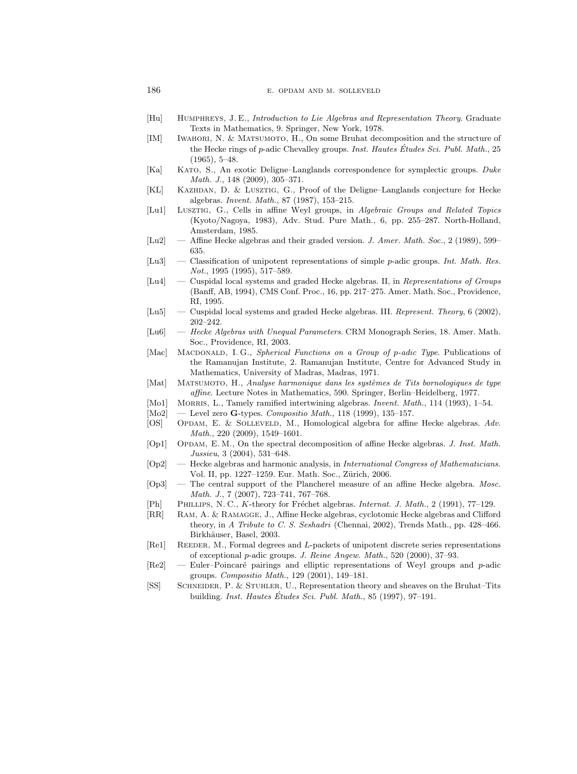- [Hu] Humphreys, J. E., Introduction to Lie Algebras and Representation Theory. Graduate Texts in Mathematics, 9. Springer, New York, 1978.
- [IM] Iwahori, N. & Matsumoto, H., On some Bruhat decomposition and the structure of the Hecke rings of p-adic Chevalley groups. Inst. Hautes Études Sci. Publ. Math., 25 (1965), 5–48.
- [Ka] Kato, S., An exotic Deligne–Langlands correspondence for symplectic groups. Duke Math. J., 148 (2009), 305–371.
- [KL] Kazhdan, D. & Lusztig, G., Proof of the Deligne–Langlands conjecture for Hecke algebras. Invent. Math., 87 (1987), 153–215.
- [Lu1] Lusztig, G., Cells in affine Weyl groups, in Algebraic Groups and Related Topics (Kyoto/Nagoya, 1983), Adv. Stud. Pure Math., 6, pp. 255–287. North-Holland, Amsterdam, 1985.
- [Lu2] Affine Hecke algebras and their graded version. J. Amer. Math. Soc., 2 (1989), 599– 635.
- [Lu3] Classification of unipotent representations of simple p-adic groups. Int. Math. Res. Not., 1995 (1995), 517–589.
- [Lu4] Cuspidal local systems and graded Hecke algebras. II, in Representations of Groups (Banff, AB, 1994), CMS Conf. Proc., 16, pp. 217–275. Amer. Math. Soc., Providence, RI, 1995.
- [Lu5] Cuspidal local systems and graded Hecke algebras. III. Represent. Theory, 6 (2002), 202–242.
- [Lu6] Hecke Algebras with Unequal Parameters. CRM Monograph Series, 18. Amer. Math. Soc., Providence, RI, 2003.
- [Mac] MACDONALD, I.G., Spherical Functions on a Group of p-adic Type. Publications of the Ramanujan Institute, 2. Ramanujan Institute, Centre for Advanced Study in Mathematics, University of Madras, Madras, 1971.
- [Mat] MATSUMOTO, H., Analyse harmonique dans les systèmes de Tits bornologiques de type affine. Lecture Notes in Mathematics, 590. Springer, Berlin–Heidelberg, 1977.
- [Mo1] MORRIS, L., Tamely ramified intertwining algebras. Invent. Math., 114 (1993), 1–54.
- $[\text{Mo2}] \ \text{--}$  Level zero G-types. Compositio Math., 118 (1999), 135-157.
- [OS] OPDAM, E. & SOLLEVELD, M., Homological algebra for affine Hecke algebras. Adv. Math., 220 (2009), 1549–1601.
- [Op1] OPDAM, E.M., On the spectral decomposition of affine Hecke algebras. J. Inst. Math. Jussieu, 3 (2004), 531–648.
- [Op2] Hecke algebras and harmonic analysis, in International Congress of Mathematicians. Vol. II, pp. 1227–1259. Eur. Math. Soc., Zürich, 2006.
- $[Op3]$  The central support of the Plancherel measure of an affine Hecke algebra. Mosc. Math. J., 7 (2007), 723–741, 767–768.
- [Ph] PHILLIPS, N. C., K-theory for Fréchet algebras. Internat. J. Math., 2 (1991), 77–129.
- [RR] Ram, A. & Ramagge, J., Affine Hecke algebras, cyclotomic Hecke algebras and Clifford theory, in A Tribute to C. S. Seshadri (Chennai, 2002), Trends Math., pp. 428–466. Birkhäuser, Basel, 2003.
- [Re1] REEDER, M., Formal degrees and L-packets of unipotent discrete series representations of exceptional p-adic groups. J. Reine Angew. Math., 520 (2000), 37–93.
- [Re2] Euler–Poincaré pairings and elliptic representations of Weyl groups and  $p$ -adic groups. Compositio Math., 129 (2001), 149–181.
- [SS] Schneider, P. & Stuhler, U., Representation theory and sheaves on the Bruhat–Tits building. Inst. Hautes Études Sci. Publ. Math.,  $85$  (1997), 97–191.